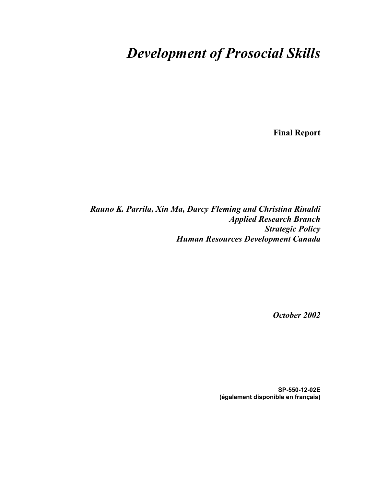### *Development of Prosocial Skills*

**Final Report** 

*Rauno K. Parrila, Xin Ma, Darcy Fleming and Christina Rinaldi Applied Research Branch Strategic Policy Human Resources Development Canada*

*October 2002* 

**SP-550-12-02E (également disponible en français)**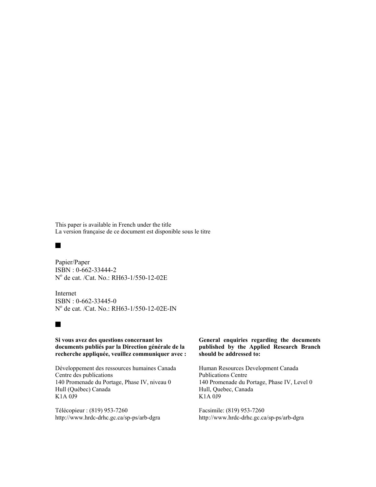This paper is available in French under the title La version française de ce document est disponible sous le titre

#### $\blacksquare$

Papier/Paper ISBN : 0-662-33444-2 No de cat. /Cat. No.: RH63-1/550-12-02E

Internet ISBN : 0-662-33445-0 No de cat. /Cat. No.: RH63-1/550-12-02E-IN

#### $\blacksquare$

**Si vous avez des questions concernant les documents publiés par la Direction générale de la recherche appliquée, veuillez communiquer avec :** 

Développement des ressources humaines Canada Centre des publications 140 Promenade du Portage, Phase IV, niveau 0 Hull (Québec) Canada K1A 0J9

Télécopieur : (819) 953-7260 http://www.hrdc-drhc.gc.ca/sp-ps/arb-dgra

#### **General enquiries regarding the documents published by the Applied Research Branch should be addressed to:**

Human Resources Development Canada Publications Centre 140 Promenade du Portage, Phase IV, Level 0 Hull, Quebec, Canada K1A 0J9

Facsimile: (819) 953-7260 http://www.hrdc-drhc.gc.ca/sp-ps/arb-dgra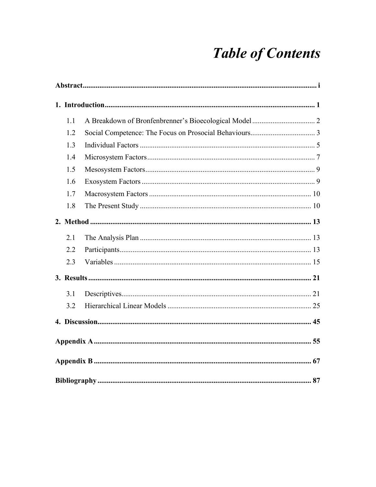# **Table of Contents**

| 1.1 |  |
|-----|--|
| 1.2 |  |
| 1.3 |  |
| 1.4 |  |
| 1.5 |  |
| 1.6 |  |
| 1.7 |  |
| 1.8 |  |
|     |  |
| 2.1 |  |
| 2.2 |  |
| 2.3 |  |
|     |  |
| 3.1 |  |
| 3.2 |  |
|     |  |
|     |  |
|     |  |
|     |  |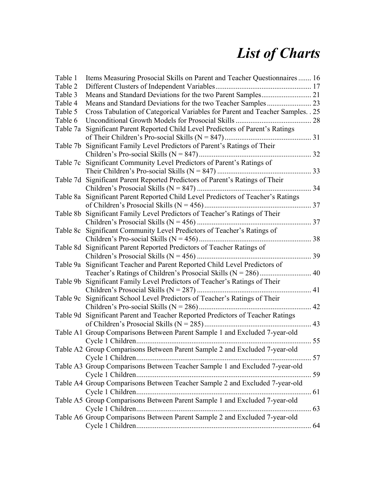## *List of Charts*

| Table 1  | Items Measuring Prosocial Skills on Parent and Teacher Questionnaires 16         |            |
|----------|----------------------------------------------------------------------------------|------------|
| Table 2  |                                                                                  |            |
| Table 3  |                                                                                  |            |
| Table 4  |                                                                                  |            |
| Table 5  | Cross Tabulation of Categorical Variables for Parent and Teacher Samples. . 25   |            |
| Table 6  |                                                                                  | 28         |
| Table 7a | Significant Parent Reported Child Level Predictors of Parent's Ratings           |            |
|          |                                                                                  |            |
| Table 7b | Significant Family Level Predictors of Parent's Ratings of Their                 |            |
|          |                                                                                  |            |
| Table 7c | Significant Community Level Predictors of Parent's Ratings of                    |            |
|          |                                                                                  | 33         |
| Table 7d | Significant Parent Reported Predictors of Parent's Ratings of Their              |            |
|          |                                                                                  | 34         |
|          | Table 8a Significant Parent Reported Child Level Predictors of Teacher's Ratings |            |
|          |                                                                                  |            |
| Table 8b | Significant Family Level Predictors of Teacher's Ratings of Their                |            |
|          |                                                                                  | 37         |
|          | Table 8c Significant Community Level Predictors of Teacher's Ratings of          |            |
|          |                                                                                  | 38         |
| Table 8d | Significant Parent Reported Predictors of Teacher Ratings of                     |            |
|          |                                                                                  | 39         |
|          | Table 9a Significant Teacher and Parent Reported Child Level Predictors of       |            |
|          |                                                                                  | 40         |
|          | Table 9b Significant Family Level Predictors of Teacher's Ratings of Their       |            |
|          | Children's Prosocial Skills ( $N = 287$ )                                        | 41         |
|          |                                                                                  |            |
| Table 9c | Significant School Level Predictors of Teacher's Ratings of Their                |            |
|          |                                                                                  | 42         |
|          | Table 9d Significant Parent and Teacher Reported Predictors of Teacher Ratings   |            |
|          |                                                                                  | 43         |
|          | Table A1 Group Comparisons Between Parent Sample 1 and Excluded 7-year-old       |            |
|          |                                                                                  | $\dots$ 55 |
|          | Table A2 Group Comparisons Between Parent Sample 2 and Excluded 7-year-old       |            |
|          |                                                                                  |            |
|          | Table A3 Group Comparisons Between Teacher Sample 1 and Excluded 7-year-old      |            |
|          |                                                                                  |            |
|          | Table A4 Group Comparisons Between Teacher Sample 2 and Excluded 7-year-old      |            |
|          |                                                                                  |            |
|          | Table A5 Group Comparisons Between Parent Sample 1 and Excluded 7-year-old       |            |
|          |                                                                                  |            |
|          | Table A6 Group Comparisons Between Parent Sample 2 and Excluded 7-year-old       |            |
|          |                                                                                  |            |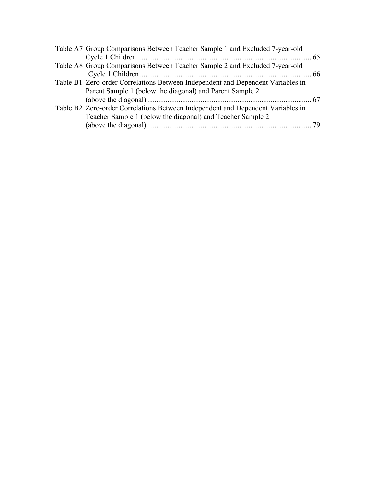| Table A7 Group Comparisons Between Teacher Sample 1 and Excluded 7-year-old     |    |
|---------------------------------------------------------------------------------|----|
|                                                                                 |    |
| Table A8 Group Comparisons Between Teacher Sample 2 and Excluded 7-year-old     |    |
|                                                                                 |    |
| Table B1 Zero-order Correlations Between Independent and Dependent Variables in |    |
| Parent Sample 1 (below the diagonal) and Parent Sample 2                        |    |
|                                                                                 |    |
| Table B2 Zero-order Correlations Between Independent and Dependent Variables in |    |
| Teacher Sample 1 (below the diagonal) and Teacher Sample 2                      |    |
|                                                                                 | 79 |
|                                                                                 |    |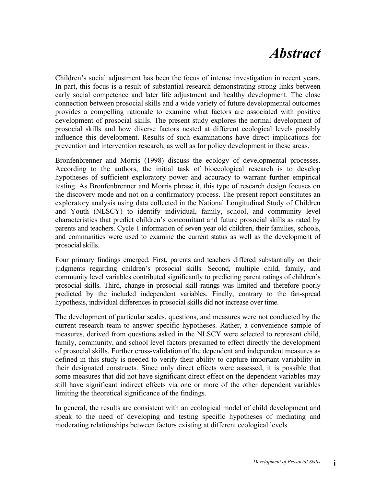### *Abstract*

Children's social adjustment has been the focus of intense investigation in recent years. In part, this focus is a result of substantial research demonstrating strong links between early social competence and later life adjustment and healthy development. The close connection between prosocial skills and a wide variety of future developmental outcomes provides a compelling rationale to examine what factors are associated with positive development of prosocial skills. The present study explores the normal development of prosocial skills and how diverse factors nested at different ecological levels possibly influence this development. Results of such examinations have direct implications for prevention and intervention research, as well as for policy development in these areas.

Bronfenbrenner and Morris (1998) discuss the ecology of developmental processes. According to the authors, the initial task of bioecological research is to develop hypotheses of sufficient exploratory power and accuracy to warrant further empirical testing. As Bronfenbrenner and Morris phrase it, this type of research design focuses on the discovery mode and not on a confirmatory process. The present report constitutes an exploratory analysis using data collected in the National Longitudinal Study of Children and Youth (NLSCY) to identify individual, family, school, and community level characteristics that predict children's concomitant and future prosocial skills as rated by parents and teachers. Cycle 1 information of seven year old children, their families, schools, and communities were used to examine the current status as well as the development of prosocial skills.

Four primary findings emerged. First, parents and teachers differed substantially on their judgments regarding children's prosocial skills. Second, multiple child, family, and community level variables contributed significantly to predicting parent ratings of children's prosocial skills. Third, change in prosocial skill ratings was limited and therefore poorly predicted by the included independent variables. Finally, contrary to the fan-spread hypothesis, individual differences in prosocial skills did not increase over time.

The development of particular scales, questions, and measures were not conducted by the current research team to answer specific hypotheses. Rather, a convenience sample of measures, derived from questions asked in the NLSCY were selected to represent child, family, community, and school level factors presumed to effect directly the development of prosocial skills. Further cross-validation of the dependent and independent measures as defined in this study is needed to verify their ability to capture important variability in their designated constructs. Since only direct effects were assessed, it is possible that some measures that did not have significant direct effect on the dependent variables may still have significant indirect effects via one or more of the other dependent variables limiting the theoretical significance of the findings.

In general, the results are consistent with an ecological model of child development and speak to the need of developing and testing specific hypotheses of mediating and moderating relationships between factors existing at different ecological levels.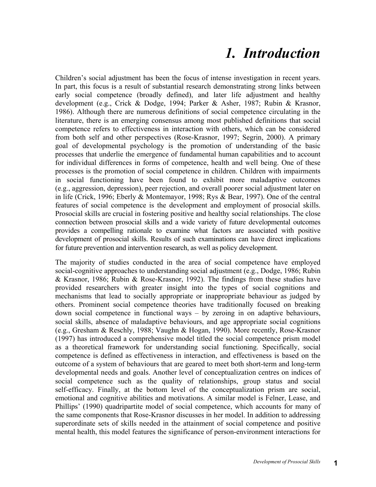### *1. Introduction*

Children's social adjustment has been the focus of intense investigation in recent years. In part, this focus is a result of substantial research demonstrating strong links between early social competence (broadly defined), and later life adjustment and healthy development (e.g., Crick & Dodge, 1994; Parker & Asher, 1987; Rubin & Krasnor, 1986). Although there are numerous definitions of social competence circulating in the literature, there is an emerging consensus among most published definitions that social competence refers to effectiveness in interaction with others, which can be considered from both self and other perspectives (Rose-Krasnor, 1997; Segrin, 2000). A primary goal of developmental psychology is the promotion of understanding of the basic processes that underlie the emergence of fundamental human capabilities and to account for individual differences in forms of competence, health and well being. One of these processes is the promotion of social competence in children. Children with impairments in social functioning have been found to exhibit more maladaptive outcomes (e.g., aggression, depression), peer rejection, and overall poorer social adjustment later on in life (Crick, 1996; Eberly & Montemayor, 1998; Rys & Bear, 1997). One of the central features of social competence is the development and employment of prosocial skills. Prosocial skills are crucial in fostering positive and healthy social relationships. The close connection between prosocial skills and a wide variety of future developmental outcomes provides a compelling rationale to examine what factors are associated with positive development of prosocial skills. Results of such examinations can have direct implications for future prevention and intervention research, as well as policy development.

The majority of studies conducted in the area of social competence have employed social-cognitive approaches to understanding social adjustment (e.g., Dodge, 1986; Rubin & Krasnor, 1986; Rubin & Rose-Krasnor, 1992). The findings from these studies have provided researchers with greater insight into the types of social cognitions and mechanisms that lead to socially appropriate or inappropriate behaviour as judged by others. Prominent social competence theories have traditionally focused on breaking down social competence in functional ways – by zeroing in on adaptive behaviours, social skills, absence of maladaptive behaviours, and age appropriate social cognitions (e.g., Gresham & Reschly, 1988; Vaughn & Hogan, 1990). More recently, Rose-Krasnor (1997) has introduced a comprehensive model titled the social competence prism model as a theoretical framework for understanding social functioning. Specifically, social competence is defined as effectiveness in interaction, and effectiveness is based on the outcome of a system of behaviours that are geared to meet both short-term and long-term developmental needs and goals. Another level of conceptualization centres on indices of social competence such as the quality of relationships, group status and social self-efficacy. Finally, at the bottom level of the conceptualization prism are social, emotional and cognitive abilities and motivations. A similar model is Felner, Lease, and Phillips' (1990) quadripartite model of social competence, which accounts for many of the same components that Rose-Krasnor discusses in her model. In addition to addressing superordinate sets of skills needed in the attainment of social competence and positive mental health, this model features the significance of person-environment interactions for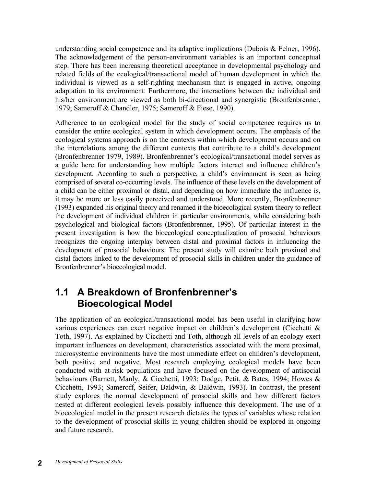understanding social competence and its adaptive implications (Dubois & Felner, 1996). The acknowledgement of the person-environment variables is an important conceptual step. There has been increasing theoretical acceptance in developmental psychology and related fields of the ecological/transactional model of human development in which the individual is viewed as a self-righting mechanism that is engaged in active, ongoing adaptation to its environment. Furthermore, the interactions between the individual and his/her environment are viewed as both bi-directional and synergistic (Bronfenbrenner, 1979; Sameroff & Chandler, 1975; Sameroff & Fiese, 1990).

Adherence to an ecological model for the study of social competence requires us to consider the entire ecological system in which development occurs. The emphasis of the ecological systems approach is on the contexts within which development occurs and on the interrelations among the different contexts that contribute to a child's development (Bronfenbrenner 1979, 1989). Bronfenbrenner's ecological/transactional model serves as a guide here for understanding how multiple factors interact and influence children's development. According to such a perspective, a child's environment is seen as being comprised of several co-occurring levels. The influence of these levels on the development of a child can be either proximal or distal, and depending on how immediate the influence is, it may be more or less easily perceived and understood. More recently, Bronfenbrenner (1993) expanded his original theory and renamed it the bioecological system theory to reflect the development of individual children in particular environments, while considering both psychological and biological factors (Bronfenbrenner, 1995). Of particular interest in the present investigation is how the bioecological conceptualization of prosocial behaviours recognizes the ongoing interplay between distal and proximal factors in influencing the development of prosocial behaviours. The present study will examine both proximal and distal factors linked to the development of prosocial skills in children under the guidance of Bronfenbrenner's bioecological model.

#### **1.1 A Breakdown of Bronfenbrenner's Bioecological Model**

The application of an ecological/transactional model has been useful in clarifying how various experiences can exert negative impact on children's development (Cicchetti & Toth, 1997). As explained by Cicchetti and Toth, although all levels of an ecology exert important influences on development, characteristics associated with the more proximal, microsystemic environments have the most immediate effect on children's development, both positive and negative. Most research employing ecological models have been conducted with at-risk populations and have focused on the development of antisocial behaviours (Barnett, Manly, & Cicchetti, 1993; Dodge, Petit, & Bates, 1994; Howes & Cicchetti, 1993; Sameroff, Seifer, Baldwin, & Baldwin, 1993). In contrast, the present study explores the normal development of prosocial skills and how different factors nested at different ecological levels possibly influence this development. The use of a bioecological model in the present research dictates the types of variables whose relation to the development of prosocial skills in young children should be explored in ongoing and future research.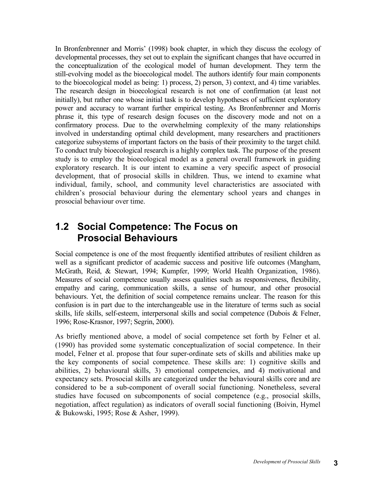In Bronfenbrenner and Morris' (1998) book chapter, in which they discuss the ecology of developmental processes, they set out to explain the significant changes that have occurred in the conceptualization of the ecological model of human development. They term the still-evolving model as the bioecological model. The authors identify four main components to the bioecological model as being: 1) process, 2) person, 3) context, and 4) time variables. The research design in bioecological research is not one of confirmation (at least not initially), but rather one whose initial task is to develop hypotheses of sufficient exploratory power and accuracy to warrant further empirical testing. As Bronfenbrenner and Morris phrase it, this type of research design focuses on the discovery mode and not on a confirmatory process. Due to the overwhelming complexity of the many relationships involved in understanding optimal child development, many researchers and practitioners categorize subsystems of important factors on the basis of their proximity to the target child. To conduct truly bioecological research is a highly complex task. The purpose of the present study is to employ the bioecological model as a general overall framework in guiding exploratory research. It is our intent to examine a very specific aspect of prosocial development, that of prosocial skills in children. Thus, we intend to examine what individual, family, school, and community level characteristics are associated with children's prosocial behaviour during the elementary school years and changes in prosocial behaviour over time.

#### **1.2 Social Competence: The Focus on Prosocial Behaviours**

Social competence is one of the most frequently identified attributes of resilient children as well as a significant predictor of academic success and positive life outcomes (Mangham, McGrath, Reid, & Stewart, 1994; Kumpfer, 1999; World Health Organization, 1986). Measures of social competence usually assess qualities such as responsiveness, flexibility, empathy and caring, communication skills, a sense of humour, and other prosocial behaviours. Yet, the definition of social competence remains unclear. The reason for this confusion is in part due to the interchangeable use in the literature of terms such as social skills, life skills, self-esteem, interpersonal skills and social competence (Dubois & Felner, 1996; Rose-Krasnor, 1997; Segrin, 2000).

As briefly mentioned above, a model of social competence set forth by Felner et al. (1990) has provided some systematic conceptualization of social competence. In their model, Felner et al. propose that four super-ordinate sets of skills and abilities make up the key components of social competence. These skills are: 1) cognitive skills and abilities, 2) behavioural skills, 3) emotional competencies, and 4) motivational and expectancy sets. Prosocial skills are categorized under the behavioural skills core and are considered to be a sub-component of overall social functioning. Nonetheless, several studies have focused on subcomponents of social competence (e.g., prosocial skills, negotiation, affect regulation) as indicators of overall social functioning (Boivin, Hymel & Bukowski, 1995; Rose & Asher, 1999).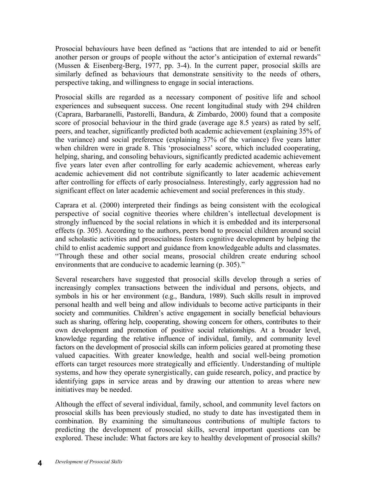Prosocial behaviours have been defined as "actions that are intended to aid or benefit another person or groups of people without the actor's anticipation of external rewards" (Mussen & Eisenberg-Berg, 1977, pp. 3-4). In the current paper, prosocial skills are similarly defined as behaviours that demonstrate sensitivity to the needs of others, perspective taking, and willingness to engage in social interactions.

Prosocial skills are regarded as a necessary component of positive life and school experiences and subsequent success. One recent longitudinal study with 294 children (Caprara, Barbaranelli, Pastorelli, Bandura, & Zimbardo, 2000) found that a composite score of prosocial behaviour in the third grade (average age 8.5 years) as rated by self, peers, and teacher, significantly predicted both academic achievement (explaining 35% of the variance) and social preference (explaining 37% of the variance) five years latter when children were in grade 8. This 'prosocialness' score, which included cooperating, helping, sharing, and consoling behaviours, significantly predicted academic achievement five years later even after controlling for early academic achievement, whereas early academic achievement did not contribute significantly to later academic achievement after controlling for effects of early prosocialness. Interestingly, early aggression had no significant effect on later academic achievement and social preferences in this study.

Caprara et al. (2000) interpreted their findings as being consistent with the ecological perspective of social cognitive theories where children's intellectual development is strongly influenced by the social relations in which it is embedded and its interpersonal effects (p. 305). According to the authors, peers bond to prosocial children around social and scholastic activities and prosocialness fosters cognitive development by helping the child to enlist academic support and guidance from knowledgeable adults and classmates. "Through these and other social means, prosocial children create enduring school environments that are conducive to academic learning (p. 305)."

Several researchers have suggested that prosocial skills develop through a series of increasingly complex transactions between the individual and persons, objects, and symbols in his or her environment (e.g., Bandura, 1989). Such skills result in improved personal health and well being and allow individuals to become active participants in their society and communities. Children's active engagement in socially beneficial behaviours such as sharing, offering help, cooperating, showing concern for others, contributes to their own development and promotion of positive social relationships. At a broader level, knowledge regarding the relative influence of individual, family, and community level factors on the development of prosocial skills can inform policies geared at promoting these valued capacities. With greater knowledge, health and social well-being promotion efforts can target resources more strategically and efficiently. Understanding of multiple systems, and how they operate synergistically, can guide research, policy, and practice by identifying gaps in service areas and by drawing our attention to areas where new initiatives may be needed.

Although the effect of several individual, family, school, and community level factors on prosocial skills has been previously studied, no study to date has investigated them in combination. By examining the simultaneous contributions of multiple factors to predicting the development of prosocial skills, several important questions can be explored. These include: What factors are key to healthy development of prosocial skills?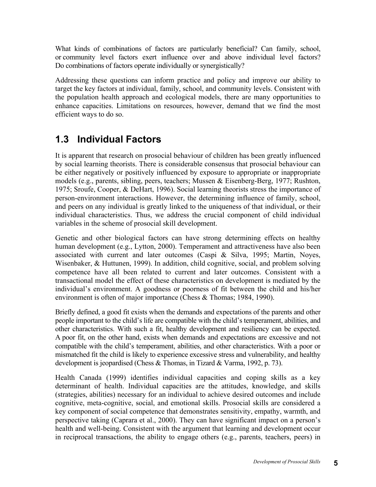What kinds of combinations of factors are particularly beneficial? Can family, school, or community level factors exert influence over and above individual level factors? Do combinations of factors operate individually or synergistically?

Addressing these questions can inform practice and policy and improve our ability to target the key factors at individual, family, school, and community levels. Consistent with the population health approach and ecological models, there are many opportunities to enhance capacities. Limitations on resources, however, demand that we find the most efficient ways to do so.

### **1.3 Individual Factors**

It is apparent that research on prosocial behaviour of children has been greatly influenced by social learning theorists. There is considerable consensus that prosocial behaviour can be either negatively or positively influenced by exposure to appropriate or inappropriate models (e.g., parents, sibling, peers, teachers; Mussen & Eisenberg-Berg, 1977; Rushton, 1975; Sroufe, Cooper, & DeHart, 1996). Social learning theorists stress the importance of person-environment interactions. However, the determining influence of family, school, and peers on any individual is greatly linked to the uniqueness of that individual, or their individual characteristics. Thus, we address the crucial component of child individual variables in the scheme of prosocial skill development.

Genetic and other biological factors can have strong determining effects on healthy human development (e.g., Lytton, 2000). Temperament and attractiveness have also been associated with current and later outcomes (Caspi & Silva, 1995; Martin, Noyes, Wisenbaker, & Huttunen, 1999). In addition, child cognitive, social, and problem solving competence have all been related to current and later outcomes. Consistent with a transactional model the effect of these characteristics on development is mediated by the individual's environment. A goodness or poorness of fit between the child and his/her environment is often of major importance (Chess & Thomas; 1984, 1990).

Briefly defined, a good fit exists when the demands and expectations of the parents and other people important to the child's life are compatible with the child's temperament, abilities, and other characteristics. With such a fit, healthy development and resiliency can be expected. A poor fit, on the other hand, exists when demands and expectations are excessive and not compatible with the child's temperament, abilities, and other characteristics. With a poor or mismatched fit the child is likely to experience excessive stress and vulnerability, and healthy development is jeopardised (Chess & Thomas, in Tizard & Varma, 1992, p. 73).

Health Canada (1999) identifies individual capacities and coping skills as a key determinant of health. Individual capacities are the attitudes, knowledge, and skills (strategies, abilities) necessary for an individual to achieve desired outcomes and include cognitive, meta-cognitive, social, and emotional skills. Prosocial skills are considered a key component of social competence that demonstrates sensitivity, empathy, warmth, and perspective taking (Caprara et al., 2000). They can have significant impact on a person's health and well-being. Consistent with the argument that learning and development occur in reciprocal transactions, the ability to engage others (e.g., parents, teachers, peers) in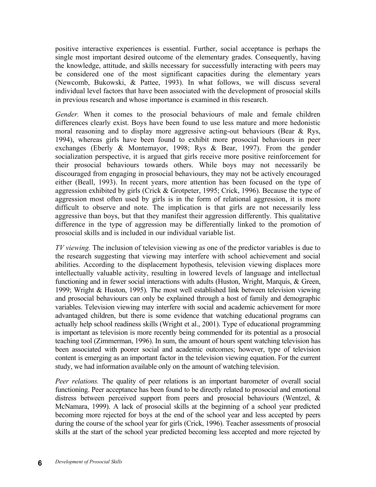positive interactive experiences is essential. Further, social acceptance is perhaps the single most important desired outcome of the elementary grades. Consequently, having the knowledge, attitude, and skills necessary for successfully interacting with peers may be considered one of the most significant capacities during the elementary years (Newcomb, Bukowski, & Pattee, 1993). In what follows, we will discuss several individual level factors that have been associated with the development of prosocial skills in previous research and whose importance is examined in this research.

*Gender.* When it comes to the prosocial behaviours of male and female children differences clearly exist. Boys have been found to use less mature and more hedonistic moral reasoning and to display more aggressive acting-out behaviours (Bear & Rys, 1994), whereas girls have been found to exhibit more prosocial behaviours in peer exchanges (Eberly & Montemayor, 1998; Rys & Bear, 1997). From the gender socialization perspective, it is argued that girls receive more positive reinforcement for their prosocial behaviours towards others. While boys may not necessarily be discouraged from engaging in prosocial behaviours, they may not be actively encouraged either (Beall, 1993). In recent years, more attention has been focused on the type of aggression exhibited by girls (Crick & Grotpeter, 1995; Crick, 1996). Because the type of aggression most often used by girls is in the form of relational aggression, it is more difficult to observe and note. The implication is that girls are not necessarily less aggressive than boys, but that they manifest their aggression differently. This qualitative difference in the type of aggression may be differentially linked to the promotion of prosocial skills and is included in our individual variable list.

*TV viewing.* The inclusion of television viewing as one of the predictor variables is due to the research suggesting that viewing may interfere with school achievement and social abilities. According to the displacement hypothesis, television viewing displaces more intellectually valuable activity, resulting in lowered levels of language and intellectual functioning and in fewer social interactions with adults (Huston, Wright, Marquis, & Green, 1999; Wright & Huston, 1995). The most well established link between television viewing and prosocial behaviours can only be explained through a host of family and demographic variables. Television viewing may interfere with social and academic achievement for more advantaged children, but there is some evidence that watching educational programs can actually help school readiness skills (Wright et al., 2001). Type of educational programming is important as television is more recently being commended for its potential as a prosocial teaching tool (Zimmerman, 1996). In sum, the amount of hours spent watching television has been associated with poorer social and academic outcomes; however, type of television content is emerging as an important factor in the television viewing equation. For the current study, we had information available only on the amount of watching television.

*Peer relations.* The quality of peer relations is an important barometer of overall social functioning. Peer acceptance has been found to be directly related to prosocial and emotional distress between perceived support from peers and prosocial behaviours (Wentzel, & McNamara, 1999). A lack of prosocial skills at the beginning of a school year predicted becoming more rejected for boys at the end of the school year and less accepted by peers during the course of the school year for girls (Crick, 1996). Teacher assessments of prosocial skills at the start of the school year predicted becoming less accepted and more rejected by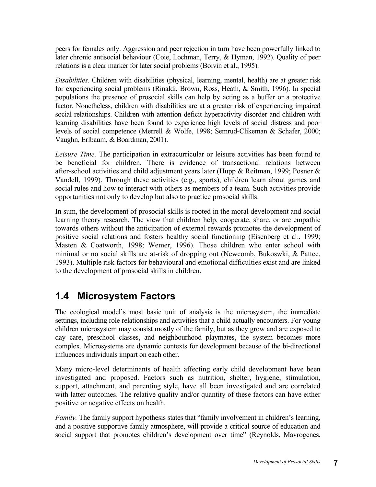peers for females only. Aggression and peer rejection in turn have been powerfully linked to later chronic antisocial behaviour (Coie, Lochman, Terry, & Hyman, 1992). Quality of peer relations is a clear marker for later social problems (Boivin et al., 1995).

*Disabilities.* Children with disabilities (physical, learning, mental, health) are at greater risk for experiencing social problems (Rinaldi, Brown, Ross, Heath, & Smith, 1996). In special populations the presence of prosocial skills can help by acting as a buffer or a protective factor. Nonetheless, children with disabilities are at a greater risk of experiencing impaired social relationships. Children with attention deficit hyperactivity disorder and children with learning disabilities have been found to experience high levels of social distress and poor levels of social competence (Merrell & Wolfe, 1998; Semrud-Clikeman & Schafer, 2000; Vaughn, Erlbaum, & Boardman, 2001).

*Leisure Time.* The participation in extracurricular or leisure activities has been found to be beneficial for children. There is evidence of transactional relations between after-school activities and child adjustment years later (Hupp & Reitman, 1999; Posner & Vandell, 1999). Through these activities (e.g., sports), children learn about games and social rules and how to interact with others as members of a team. Such activities provide opportunities not only to develop but also to practice prosocial skills.

In sum, the development of prosocial skills is rooted in the moral development and social learning theory research. The view that children help, cooperate, share, or are empathic towards others without the anticipation of external rewards promotes the development of positive social relations and fosters healthy social functioning (Eisenberg et al., 1999; Masten & Coatworth, 1998; Wemer, 1996). Those children who enter school with minimal or no social skills are at-risk of dropping out (Newcomb, Bukoswki, & Pattee, 1993). Multiple risk factors for behavioural and emotional difficulties exist and are linked to the development of prosocial skills in children.

#### **1.4 Microsystem Factors**

The ecological model's most basic unit of analysis is the microsystem, the immediate settings, including role relationships and activities that a child actually encounters. For young children microsystem may consist mostly of the family, but as they grow and are exposed to day care, preschool classes, and neighbourhood playmates, the system becomes more complex. Microsystems are dynamic contexts for development because of the bi-directional influences individuals impart on each other.

Many micro-level determinants of health affecting early child development have been investigated and proposed. Factors such as nutrition, shelter, hygiene, stimulation, support, attachment, and parenting style, have all been investigated and are correlated with latter outcomes. The relative quality and/or quantity of these factors can have either positive or negative effects on health.

*Family.* The family support hypothesis states that "family involvement in children's learning, and a positive supportive family atmosphere, will provide a critical source of education and social support that promotes children's development over time" (Reynolds, Mavrogenes,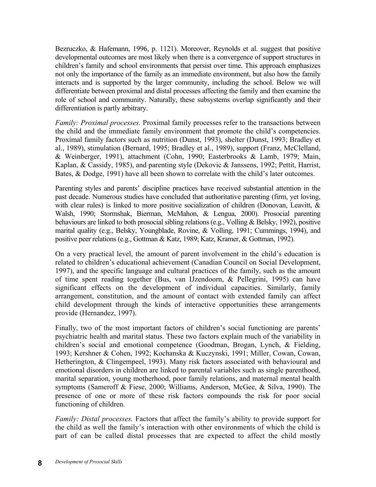Bezruczko, & Hafemann, 1996, p. 1121). Moreover, Reynolds et al. suggest that positive developmental outcomes are most likely when there is a convergence of support structures in children's family and school environments that persist over time. This approach emphasizes not only the importance of the family as an immediate environment, but also how the family interacts and is supported by the larger community, including the school. Below we will differentiate between proximal and distal processes affecting the family and then examine the role of school and community. Naturally, these subsystems overlap significantly and their differentiation is partly arbitrary.

*Family: Proximal processes.* Proximal family processes refer to the transactions between the child and the immediate family environment that promote the child's competencies. Proximal family factors such as nutrition (Dunst, 1993), shelter (Dunst, 1993; Bradley et al., 1989), stimulation (Bernard, 1995; Bradley et al., 1989), support (Franz, McClelland, & Weinberger, 1991), attachment (Cohn, 1990; Easterbrooks & Lamb, 1979; Main, Kaplan, & Cassidy, 1985), and parenting style (Dekovic & Janssens, 1992; Pettit, Harrist, Bates, & Dodge, 1991) have all been shown to correlate with the child's later outcomes.

Parenting styles and parents' discipline practices have received substantial attention in the past decade. Numerous studies have concluded that authoritative parenting (firm, yet loving, with clear rules) is linked to more positive socialization of children (Donovan, Leavitt, & Walsh, 1990; Stormshak, Bierman, McMahon, & Lengua, 2000). Prosocial parenting behaviours are linked to both prosocial sibling relations (e.g., Volling & Belsky, 1992), positive marital quality (e.g., Belsky, Youngblade, Rovine, & Volling, 1991; Cummings, 1994), and positive peer relations (e.g., Gottman & Katz, 1989; Katz, Kramer, & Gottman, 1992).

On a very practical level, the amount of parent involvement in the child's education is related to children's educational achievement (Canadian Council on Social Development, 1997), and the specific language and cultural practices of the family, such as the amount of time spent reading together (Bus, van IJzendoorn, & Pellegrini, 1995) can have significant effects on the development of individual capacities. Similarly, family arrangement, constitution, and the amount of contact with extended family can affect child development through the kinds of interactive opportunities these arrangements provide (Hernandez, 1997).

Finally, two of the most important factors of children's social functioning are parents' psychiatric health and marital status. These two factors explain much of the variability in children's social and emotional competence (Goodman, Brogan, Lynch, & Fielding, 1993; Kershner & Cohen, 1992; Kochanska & Kuczynski, 1991; Miller, Cowan, Cowan, Hetherington, & Clingempeel, 1993). Many risk factors associated with behavioural and emotional disorders in children are linked to parental variables such as single parenthood, marital separation, young motherhood, poor family relations, and maternal mental health symptoms (Sameroff & Fiese, 2000; Williams, Anderson, McGee, & Silva, 1990). The presence of one or more of these risk factors compounds the risk for poor social functioning of children.

*Family: Distal processes.* Factors that affect the family's ability to provide support for the child as well the family's interaction with other environments of which the child is part of can be called distal processes that are expected to affect the child mostly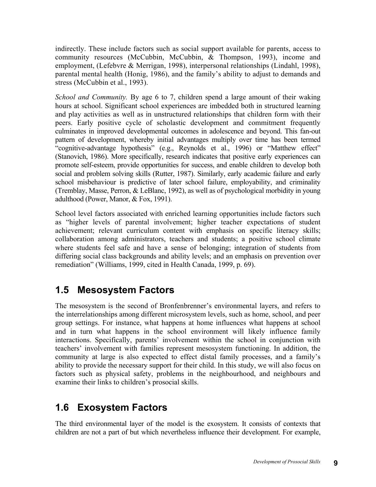indirectly. These include factors such as social support available for parents, access to community resources (McCubbin, McCubbin, & Thompson, 1993), income and employment, (Lefebvre & Merrigan, 1998), interpersonal relationships (Lindahl, 1998), parental mental health (Honig, 1986), and the family's ability to adjust to demands and stress (McCubbin et al., 1993).

*School and Community.* By age 6 to 7, children spend a large amount of their waking hours at school. Significant school experiences are imbedded both in structured learning and play activities as well as in unstructured relationships that children form with their peers. Early positive cycle of scholastic development and commitment frequently culminates in improved developmental outcomes in adolescence and beyond. This fan-out pattern of development, whereby initial advantages multiply over time has been termed "cognitive-advantage hypothesis" (e.g., Reynolds et al., 1996) or "Matthew effect" (Stanovich, 1986). More specifically, research indicates that positive early experiences can promote self-esteem, provide opportunities for success, and enable children to develop both social and problem solving skills (Rutter, 1987). Similarly, early academic failure and early school misbehaviour is predictive of later school failure, employability, and criminality (Tremblay, Masse, Perron, & LeBlanc, 1992), as well as of psychological morbidity in young adulthood (Power, Manor, & Fox, 1991).

School level factors associated with enriched learning opportunities include factors such as "higher levels of parental involvement; higher teacher expectations of student achievement; relevant curriculum content with emphasis on specific literacy skills; collaboration among administrators, teachers and students; a positive school climate where students feel safe and have a sense of belonging; integration of students from differing social class backgrounds and ability levels; and an emphasis on prevention over remediation" (Williams, 1999, cited in Health Canada, 1999, p. 69).

#### **1.5 Mesosystem Factors**

The mesosystem is the second of Bronfenbrenner's environmental layers, and refers to the interrelationships among different microsystem levels, such as home, school, and peer group settings. For instance, what happens at home influences what happens at school and in turn what happens in the school environment will likely influence family interactions. Specifically, parents' involvement within the school in conjunction with teachers' involvement with families represent mesosystem functioning. In addition, the community at large is also expected to effect distal family processes, and a family's ability to provide the necessary support for their child. In this study, we will also focus on factors such as physical safety, problems in the neighbourhood, and neighbours and examine their links to children's prosocial skills.

#### **1.6 Exosystem Factors**

The third environmental layer of the model is the exosystem. It consists of contexts that children are not a part of but which nevertheless influence their development. For example,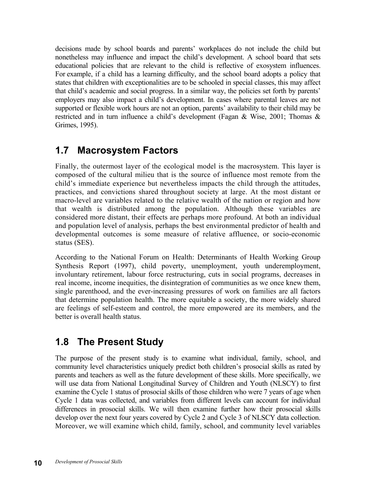decisions made by school boards and parents' workplaces do not include the child but nonetheless may influence and impact the child's development. A school board that sets educational policies that are relevant to the child is reflective of exosystem influences. For example, if a child has a learning difficulty, and the school board adopts a policy that states that children with exceptionalities are to be schooled in special classes, this may affect that child's academic and social progress. In a similar way, the policies set forth by parents' employers may also impact a child's development. In cases where parental leaves are not supported or flexible work hours are not an option, parents' availability to their child may be restricted and in turn influence a child's development (Fagan & Wise, 2001; Thomas & Grimes, 1995).

#### **1.7 Macrosystem Factors**

Finally, the outermost layer of the ecological model is the macrosystem. This layer is composed of the cultural milieu that is the source of influence most remote from the child's immediate experience but nevertheless impacts the child through the attitudes, practices, and convictions shared throughout society at large. At the most distant or macro-level are variables related to the relative wealth of the nation or region and how that wealth is distributed among the population. Although these variables are considered more distant, their effects are perhaps more profound. At both an individual and population level of analysis, perhaps the best environmental predictor of health and developmental outcomes is some measure of relative affluence, or socio-economic status (SES).

According to the National Forum on Health: Determinants of Health Working Group Synthesis Report (1997), child poverty, unemployment, youth underemployment, involuntary retirement, labour force restructuring, cuts in social programs, decreases in real income, income inequities, the disintegration of communities as we once knew them, single parenthood, and the ever-increasing pressures of work on families are all factors that determine population health. The more equitable a society, the more widely shared are feelings of self-esteem and control, the more empowered are its members, and the better is overall health status.

### **1.8 The Present Study**

The purpose of the present study is to examine what individual, family, school, and community level characteristics uniquely predict both children's prosocial skills as rated by parents and teachers as well as the future development of these skills. More specifically, we will use data from National Longitudinal Survey of Children and Youth (NLSCY) to first examine the Cycle 1 status of prosocial skills of those children who were 7 years of age when Cycle 1 data was collected, and variables from different levels can account for individual differences in prosocial skills. We will then examine further how their prosocial skills develop over the next four years covered by Cycle 2 and Cycle 3 of NLSCY data collection. Moreover, we will examine which child, family, school, and community level variables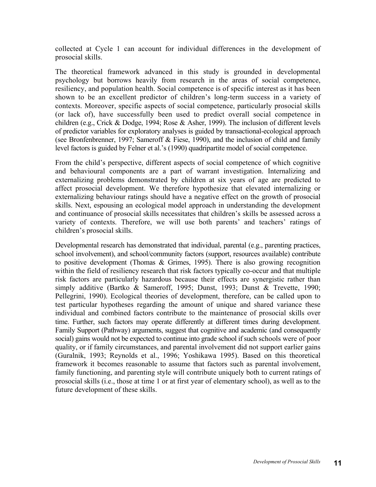collected at Cycle 1 can account for individual differences in the development of prosocial skills.

The theoretical framework advanced in this study is grounded in developmental psychology but borrows heavily from research in the areas of social competence, resiliency, and population health. Social competence is of specific interest as it has been shown to be an excellent predictor of children's long-term success in a variety of contexts. Moreover, specific aspects of social competence, particularly prosocial skills (or lack of), have successfully been used to predict overall social competence in children (e.g., Crick & Dodge, 1994; Rose & Asher, 1999). The inclusion of different levels of predictor variables for exploratory analyses is guided by transactional-ecological approach (see Bronfenbrenner, 1997; Sameroff & Fiese, 1990), and the inclusion of child and family level factors is guided by Felner et al.'s (1990) quadripartite model of social competence.

From the child's perspective, different aspects of social competence of which cognitive and behavioural components are a part of warrant investigation. Internalizing and externalizing problems demonstrated by children at six years of age are predicted to affect prosocial development. We therefore hypothesize that elevated internalizing or externalizing behaviour ratings should have a negative effect on the growth of prosocial skills. Next, espousing an ecological model approach in understanding the development and continuance of prosocial skills necessitates that children's skills be assessed across a variety of contexts. Therefore, we will use both parents' and teachers' ratings of children's prosocial skills.

Developmental research has demonstrated that individual, parental (e.g., parenting practices, school involvement), and school/community factors (support, resources available) contribute to positive development (Thomas & Grimes, 1995). There is also growing recognition within the field of resiliency research that risk factors typically co-occur and that multiple risk factors are particularly hazardous because their effects are synergistic rather than simply additive (Bartko & Sameroff, 1995; Dunst, 1993; Dunst & Trevette, 1990; Pellegrini, 1990). Ecological theories of development, therefore, can be called upon to test particular hypotheses regarding the amount of unique and shared variance these individual and combined factors contribute to the maintenance of prosocial skills over time. Further, such factors may operate differently at different times during development. Family Support (Pathway) arguments, suggest that cognitive and academic (and consequently social) gains would not be expected to continue into grade school if such schools were of poor quality, or if family circumstances, and parental involvement did not support earlier gains (Guralnik, 1993; Reynolds et al., 1996; Yoshikawa 1995). Based on this theoretical framework it becomes reasonable to assume that factors such as parental involvement, family functioning, and parenting style will contribute uniquely both to current ratings of prosocial skills (i.e., those at time 1 or at first year of elementary school), as well as to the future development of these skills.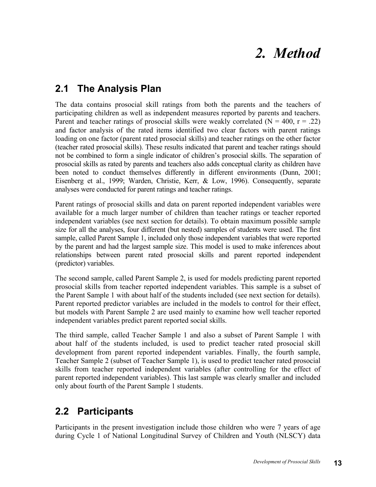## *2. Method*

#### **2.1 The Analysis Plan**

The data contains prosocial skill ratings from both the parents and the teachers of participating children as well as independent measures reported by parents and teachers. Parent and teacher ratings of prosocial skills were weakly correlated  $(N = 400, r = .22)$ and factor analysis of the rated items identified two clear factors with parent ratings loading on one factor (parent rated prosocial skills) and teacher ratings on the other factor (teacher rated prosocial skills). These results indicated that parent and teacher ratings should not be combined to form a single indicator of children's prosocial skills. The separation of prosocial skills as rated by parents and teachers also adds conceptual clarity as children have been noted to conduct themselves differently in different environments (Dunn, 2001; Eisenberg et al., 1999; Warden, Christie, Kerr, & Low, 1996). Consequently, separate analyses were conducted for parent ratings and teacher ratings.

Parent ratings of prosocial skills and data on parent reported independent variables were available for a much larger number of children than teacher ratings or teacher reported independent variables (see next section for details). To obtain maximum possible sample size for all the analyses, four different (but nested) samples of students were used. The first sample, called Parent Sample 1, included only those independent variables that were reported by the parent and had the largest sample size. This model is used to make inferences about relationships between parent rated prosocial skills and parent reported independent (predictor) variables.

The second sample, called Parent Sample 2, is used for models predicting parent reported prosocial skills from teacher reported independent variables. This sample is a subset of the Parent Sample 1 with about half of the students included (see next section for details). Parent reported predictor variables are included in the models to control for their effect, but models with Parent Sample 2 are used mainly to examine how well teacher reported independent variables predict parent reported social skills.

The third sample, called Teacher Sample 1 and also a subset of Parent Sample 1 with about half of the students included, is used to predict teacher rated prosocial skill development from parent reported independent variables. Finally, the fourth sample, Teacher Sample 2 (subset of Teacher Sample 1), is used to predict teacher rated prosocial skills from teacher reported independent variables (after controlling for the effect of parent reported independent variables). This last sample was clearly smaller and included only about fourth of the Parent Sample 1 students.

#### **2.2 Participants**

Participants in the present investigation include those children who were 7 years of age during Cycle 1 of National Longitudinal Survey of Children and Youth (NLSCY) data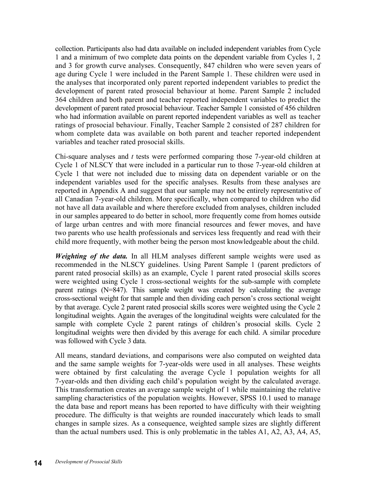collection. Participants also had data available on included independent variables from Cycle 1 and a minimum of two complete data points on the dependent variable from Cycles 1, 2 and 3 for growth curve analyses. Consequently, 847 children who were seven years of age during Cycle 1 were included in the Parent Sample 1. These children were used in the analyses that incorporated only parent reported independent variables to predict the development of parent rated prosocial behaviour at home. Parent Sample 2 included 364 children and both parent and teacher reported independent variables to predict the development of parent rated prosocial behaviour. Teacher Sample 1 consisted of 456 children who had information available on parent reported independent variables as well as teacher ratings of prosocial behaviour. Finally, Teacher Sample 2 consisted of 287 children for whom complete data was available on both parent and teacher reported independent variables and teacher rated prosocial skills.

Chi-square analyses and *t* tests were performed comparing those 7-year-old children at Cycle 1 of NLSCY that were included in a particular run to those 7-year-old children at Cycle 1 that were not included due to missing data on dependent variable or on the independent variables used for the specific analyses. Results from these analyses are reported in Appendix A and suggest that our sample may not be entirely representative of all Canadian 7-year-old children. More specifically, when compared to children who did not have all data available and where therefore excluded from analyses, children included in our samples appeared to do better in school, more frequently come from homes outside of large urban centres and with more financial resources and fewer moves, and have two parents who use health professionals and services less frequently and read with their child more frequently, with mother being the person most knowledgeable about the child.

*Weighting of the data.* In all HLM analyses different sample weights were used as recommended in the NLSCY guidelines. Using Parent Sample 1 (parent predictors of parent rated prosocial skills) as an example, Cycle 1 parent rated prosocial skills scores were weighted using Cycle 1 cross-sectional weights for the sub-sample with complete parent ratings (N=847). This sample weight was created by calculating the average cross-sectional weight for that sample and then dividing each person's cross sectional weight by that average. Cycle 2 parent rated prosocial skills scores were weighted using the Cycle 2 longitudinal weights. Again the averages of the longitudinal weights were calculated for the sample with complete Cycle 2 parent ratings of children's prosocial skills. Cycle 2 longitudinal weights were then divided by this average for each child. A similar procedure was followed with Cycle 3 data.

All means, standard deviations, and comparisons were also computed on weighted data and the same sample weights for 7-year-olds were used in all analyses. These weights were obtained by first calculating the average Cycle 1 population weights for all 7-year-olds and then dividing each child's population weight by the calculated average. This transformation creates an average sample weight of 1 while maintaining the relative sampling characteristics of the population weights. However, SPSS 10.1 used to manage the data base and report means has been reported to have difficulty with their weighting procedure. The difficulty is that weights are rounded inaccurately which leads to small changes in sample sizes. As a consequence, weighted sample sizes are slightly different than the actual numbers used. This is only problematic in the tables A1, A2, A3, A4, A5,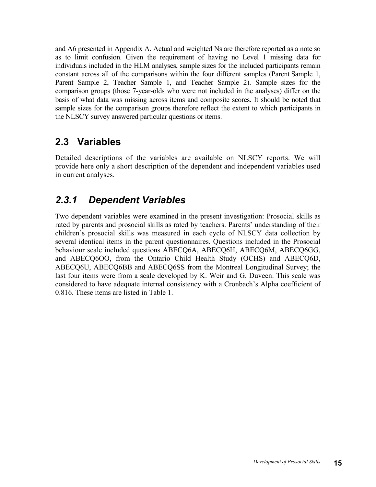and A6 presented in Appendix A. Actual and weighted Ns are therefore reported as a note so as to limit confusion. Given the requirement of having no Level 1 missing data for individuals included in the HLM analyses, sample sizes for the included participants remain constant across all of the comparisons within the four different samples (Parent Sample 1, Parent Sample 2, Teacher Sample 1, and Teacher Sample 2). Sample sizes for the comparison groups (those 7-year-olds who were not included in the analyses) differ on the basis of what data was missing across items and composite scores. It should be noted that sample sizes for the comparison groups therefore reflect the extent to which participants in the NLSCY survey answered particular questions or items.

#### **2.3 Variables**

Detailed descriptions of the variables are available on NLSCY reports. We will provide here only a short description of the dependent and independent variables used in current analyses.

### *2.3.1 Dependent Variables*

Two dependent variables were examined in the present investigation: Prosocial skills as rated by parents and prosocial skills as rated by teachers. Parents' understanding of their children's prosocial skills was measured in each cycle of NLSCY data collection by several identical items in the parent questionnaires. Questions included in the Prosocial behaviour scale included questions ABECQ6A, ABECQ6H, ABECQ6M, ABECQ6GG, and ABECQ6OO, from the Ontario Child Health Study (OCHS) and ABECQ6D, ABECQ6U, ABECQ6BB and ABECQ6SS from the Montreal Longitudinal Survey; the last four items were from a scale developed by K. Weir and G. Duveen. This scale was considered to have adequate internal consistency with a Cronbach's Alpha coefficient of 0.816. These items are listed in Table 1.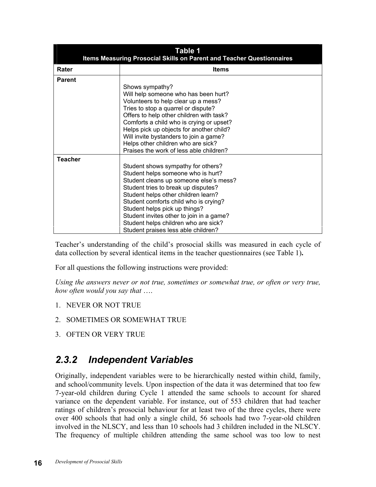| Table 1<br><b>Items Measuring Prosocial Skills on Parent and Teacher Questionnaires</b>                                                                                                                                                                                                                                                                                    |                                                                                                                                                                                                                                                                                                                                                                                                       |  |  |  |  |
|----------------------------------------------------------------------------------------------------------------------------------------------------------------------------------------------------------------------------------------------------------------------------------------------------------------------------------------------------------------------------|-------------------------------------------------------------------------------------------------------------------------------------------------------------------------------------------------------------------------------------------------------------------------------------------------------------------------------------------------------------------------------------------------------|--|--|--|--|
| Rater                                                                                                                                                                                                                                                                                                                                                                      | <b>Items</b>                                                                                                                                                                                                                                                                                                                                                                                          |  |  |  |  |
| <b>Parent</b><br>Shows sympathy?<br>Will help someone who has been hurt?<br>Volunteers to help clear up a mess?<br>Tries to stop a quarrel or dispute?<br>Offers to help other children with task?<br>Comforts a child who is crying or upset?<br>Helps pick up objects for another child?<br>Will invite bystanders to join a game?<br>Helps other children who are sick? |                                                                                                                                                                                                                                                                                                                                                                                                       |  |  |  |  |
| Praises the work of less able children?                                                                                                                                                                                                                                                                                                                                    |                                                                                                                                                                                                                                                                                                                                                                                                       |  |  |  |  |
| <b>Teacher</b>                                                                                                                                                                                                                                                                                                                                                             | Student shows sympathy for others?<br>Student helps someone who is hurt?<br>Student cleans up someone else's mess?<br>Student tries to break up disputes?<br>Student helps other children learn?<br>Student comforts child who is crying?<br>Student helps pick up things?<br>Student invites other to join in a game?<br>Student helps children who are sick?<br>Student praises less able children? |  |  |  |  |

Teacher's understanding of the child's prosocial skills was measured in each cycle of data collection by several identical items in the teacher questionnaires (see Table 1)**.** 

For all questions the following instructions were provided:

*Using the answers never or not true, sometimes or somewhat true, or often or very true, how often would you say that* ….

- 1. NEVER OR NOT TRUE
- 2. SOMETIMES OR SOMEWHAT TRUE
- 3. OFTEN OR VERY TRUE

#### *2.3.2 Independent Variables*

Originally, independent variables were to be hierarchically nested within child, family, and school/community levels. Upon inspection of the data it was determined that too few 7-year-old children during Cycle 1 attended the same schools to account for shared variance on the dependent variable. For instance, out of 553 children that had teacher ratings of children's prosocial behaviour for at least two of the three cycles, there were over 400 schools that had only a single child, 56 schools had two 7-year-old children involved in the NLSCY, and less than 10 schools had 3 children included in the NLSCY. The frequency of multiple children attending the same school was too low to nest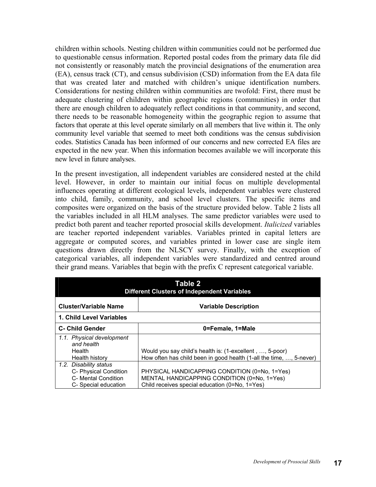children within schools. Nesting children within communities could not be performed due to questionable census information. Reported postal codes from the primary data file did not consistently or reasonably match the provincial designations of the enumeration area (EA), census track (CT), and census subdivision (CSD) information from the EA data file that was created later and matched with children's unique identification numbers. Considerations for nesting children within communities are twofold: First, there must be adequate clustering of children within geographic regions (communities) in order that there are enough children to adequately reflect conditions in that community, and second, there needs to be reasonable homogeneity within the geographic region to assume that factors that operate at this level operate similarly on all members that live within it. The only community level variable that seemed to meet both conditions was the census subdivision codes. Statistics Canada has been informed of our concerns and new corrected EA files are expected in the new year. When this information becomes available we will incorporate this new level in future analyses.

In the present investigation, all independent variables are considered nested at the child level. However, in order to maintain our initial focus on multiple developmental influences operating at different ecological levels, independent variables were clustered into child, family, community, and school level clusters. The specific items and composites were organized on the basis of the structure provided below. Table 2 lists all the variables included in all HLM analyses. The same predictor variables were used to predict both parent and teacher reported prosocial skills development. *Italicized* variables are teacher reported independent variables. Variables printed in capital letters are aggregate or computed scores, and variables printed in lower case are single item questions drawn directly from the NLSCY survey. Finally, with the exception of categorical variables, all independent variables were standardized and centred around their grand means. Variables that begin with the prefix C represent categorical variable.

| Table 2<br><b>Different Clusters of Independent Variables</b>                                  |                                                                                                                                                |  |  |  |  |  |
|------------------------------------------------------------------------------------------------|------------------------------------------------------------------------------------------------------------------------------------------------|--|--|--|--|--|
| <b>Cluster/Variable Name</b>                                                                   | <b>Variable Description</b>                                                                                                                    |  |  |  |  |  |
| 1. Child Level Variables                                                                       |                                                                                                                                                |  |  |  |  |  |
| <b>C- Child Gender</b>                                                                         | 0=Female, 1=Male                                                                                                                               |  |  |  |  |  |
| 1.1. Physical development<br>and health<br><b>Health</b><br>Health history                     | Would you say child's health is: (1-excellent, , 5-poor)<br>How often has child been in good health (1-all the time, , 5-never)                |  |  |  |  |  |
| 1.2. Disability status<br>C- Physical Condition<br>C- Mental Condition<br>C- Special education | PHYSICAL HANDICAPPING CONDITION (0=No, 1=Yes)<br>MENTAL HANDICAPPING CONDITION (0=No, 1=Yes)<br>Child receives special education (0=No, 1=Yes) |  |  |  |  |  |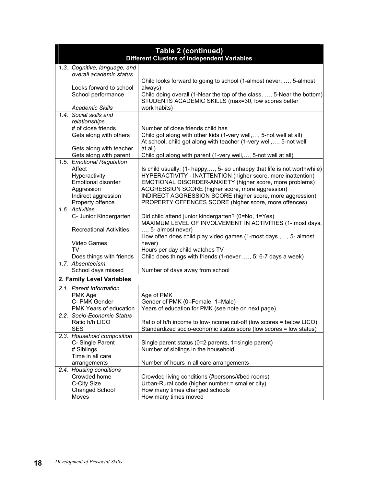|                                      | <b>Table 2 (continued)</b><br>Different Clusters of Independent Variables         |
|--------------------------------------|-----------------------------------------------------------------------------------|
| 1.3. Cognitive, language, and        |                                                                                   |
| overall academic status              |                                                                                   |
|                                      | Child looks forward to going to school (1-almost never, , 5-almost                |
| Looks forward to school              | always)                                                                           |
| School performance                   | Child doing overall (1-Near the top of the class, , 5-Near the bottom)            |
|                                      | STUDENTS ACADEMIC SKILLS (max=30, low scores better                               |
| <b>Academic Skills</b>               | work habits)                                                                      |
| 1.4. Social skills and               |                                                                                   |
| relationships                        |                                                                                   |
| # of close friends                   | Number of close friends child has                                                 |
| Gets along with others               | Child got along with other kids (1-very well,, 5-not well at all)                 |
|                                      | At school, child got along with teacher (1-very well,, 5-not well                 |
| Gets along with teacher              | at all)                                                                           |
| Gets along with parent               | Child got along with parent (1-very well,, 5-not well at all)                     |
| 1.5. Emotional Regulation            |                                                                                   |
| Affect                               | Is child usually: (1- happy,, 5- so unhappy that life is not worthwhile)          |
| Hyperactivity                        | HYPERACTIVITY - INATTENTION (higher score, more inattention)                      |
| <b>Emotional disorder</b>            | EMOTIONAL DISORDER-ANXIETY (higher score, more problems)                          |
| Aggression                           | AGGRESSION SCORE (higher score, more aggression)                                  |
| Indirect aggression                  | INDIRECT AGGRESSION SCORE (higher score, more aggression)                         |
| Property offence                     | PROPERTY OFFENCES SCORE (higher score, more offences)                             |
| 1.6. Activities                      |                                                                                   |
| C- Junior Kindergarten               | Did child attend junior kindergarten? (0=No, 1=Yes)                               |
|                                      | MAXIMUM LEVEL OF INVOLVEMENT IN ACTIVITIES (1- most days,                         |
| <b>Recreational Activities</b>       | $, 5$ - almost never)                                                             |
|                                      | How often does child play video games (1-most days ,, 5- almost                   |
| Video Games                          | never)                                                                            |
| TV                                   | Hours per day child watches TV                                                    |
| Does things with friends             | Child does things with friends (1-never ,, 5: 6-7 days a week)                    |
| 1.7. Absenteeism                     |                                                                                   |
| School days missed                   | Number of days away from school                                                   |
| 2. Family Level Variables            |                                                                                   |
| 2.1. Parent Information              |                                                                                   |
| PMK Age                              | Age of PMK                                                                        |
| C- PMK Gender                        | Gender of PMK (0=Female, 1=Male)                                                  |
| PMK Years of education               | Years of education for PMK (see note on next page)                                |
| 2.2. Socio-Economic Status           |                                                                                   |
| Ratio h/h LICO                       | Ratio of h/h income to low-income cut-off (low scores = below LICO)               |
| <b>SES</b>                           | Standardized socio-economic status score (low scores = low status)                |
| 2.3. Household composition           |                                                                                   |
|                                      | Single parent status (0=2 parents, 1=single parent)                               |
| C-Single Parent                      |                                                                                   |
| # Siblings                           | Number of siblings in the household                                               |
| Time in all care                     |                                                                                   |
|                                      |                                                                                   |
| arrangements                         | Number of hours in all care arrangements                                          |
| 2.4. Housing conditions              |                                                                                   |
| Crowded home                         | Crowded living conditions (#persons/#bed rooms)                                   |
| C-City Size<br><b>Changed School</b> | Urban-Rural code (higher number = smaller city)<br>How many times changed schools |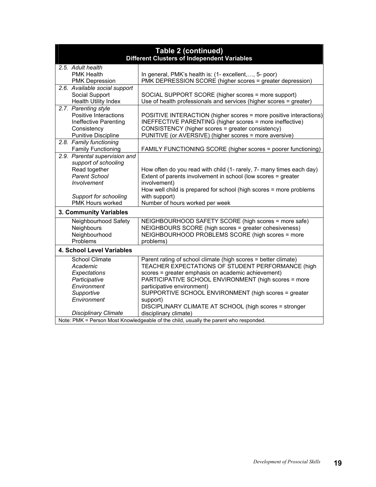| <b>Table 2 (continued)</b><br><b>Different Clusters of Independent Variables</b>      |                                                 |                                                                                                            |  |  |  |
|---------------------------------------------------------------------------------------|-------------------------------------------------|------------------------------------------------------------------------------------------------------------|--|--|--|
|                                                                                       | 2.5. Adult health                               |                                                                                                            |  |  |  |
|                                                                                       | <b>PMK Health</b>                               | In general, PMK's health is: (1- excellent, , 5- poor)                                                     |  |  |  |
|                                                                                       | <b>PMK Depression</b>                           | PMK DEPRESSION SCORE (higher scores = greater depression)                                                  |  |  |  |
|                                                                                       | 2.6. Available social support<br>Social Support | SOCIAL SUPPORT SCORE (higher scores = more support)                                                        |  |  |  |
|                                                                                       | <b>Health Utility Index</b>                     | Use of health professionals and services (higher scores = greater)                                         |  |  |  |
|                                                                                       | 2.7. Parenting style                            |                                                                                                            |  |  |  |
|                                                                                       | Positive Interactions                           | POSITIVE INTERACTION (higher scores = more positive interactions)                                          |  |  |  |
|                                                                                       | Ineffective Parenting                           | INEFFECTIVE PARENTING (higher scores = more ineffective)                                                   |  |  |  |
|                                                                                       | Consistency                                     | CONSISTENCY (higher scores = greater consistency)                                                          |  |  |  |
|                                                                                       | <b>Punitive Discipline</b>                      | PUNITIVE (or AVERSIVE) (higher scores = more aversive)                                                     |  |  |  |
|                                                                                       | 2.8. Family functioning                         |                                                                                                            |  |  |  |
|                                                                                       | <b>Family Functioning</b>                       | FAMILY FUNCTIONING SCORE (higher scores = poorer functioning)                                              |  |  |  |
|                                                                                       | 2.9. Parental supervision and                   |                                                                                                            |  |  |  |
|                                                                                       | support of schooling<br>Read together           | How often do you read with child (1- rarely, 7- many times each day)                                       |  |  |  |
|                                                                                       | <b>Parent School</b>                            | Extent of parents involvement in school (low scores = greater                                              |  |  |  |
|                                                                                       | Involvement                                     | involvement)                                                                                               |  |  |  |
|                                                                                       |                                                 | How well child is prepared for school (high scores = more problems                                         |  |  |  |
|                                                                                       | Support for schooling                           | with support)                                                                                              |  |  |  |
|                                                                                       | PMK Hours worked                                | Number of hours worked per week                                                                            |  |  |  |
|                                                                                       | 3. Community Variables                          |                                                                                                            |  |  |  |
|                                                                                       | Neighbourhood Safety                            | NEIGHBOURHOOD SAFETY SCORE (high scores = more safe)                                                       |  |  |  |
|                                                                                       | Neighbours                                      | NEIGHBOURS SCORE (high scores = greater cohesiveness)                                                      |  |  |  |
|                                                                                       | Neighbourhood                                   | NEIGHBOURHOOD PROBLEMS SCORE (high scores = more                                                           |  |  |  |
|                                                                                       | Problems                                        | problems)                                                                                                  |  |  |  |
|                                                                                       | 4. School Level Variables                       |                                                                                                            |  |  |  |
|                                                                                       | <b>School Climate</b>                           | Parent rating of school climate (high scores = better climate)                                             |  |  |  |
|                                                                                       | Academic                                        | TEACHER EXPECTATIONS OF STUDENT PERFORMANCE (high                                                          |  |  |  |
|                                                                                       | Expectations<br>Participative                   | scores = greater emphasis on academic achievement)<br>PARTICIPATIVE SCHOOL ENVIRONMENT (high scores = more |  |  |  |
|                                                                                       | Environment                                     | participative environment)                                                                                 |  |  |  |
|                                                                                       | Supportive                                      | SUPPORTIVE SCHOOL ENVIRONMENT (high scores = greater                                                       |  |  |  |
|                                                                                       | Environment                                     | support)                                                                                                   |  |  |  |
|                                                                                       |                                                 | DISCIPLINARY CLIMATE AT SCHOOL (high scores = stronger                                                     |  |  |  |
|                                                                                       | <b>Disciplinary Climate</b>                     | disciplinary climate)                                                                                      |  |  |  |
| Note: PMK = Person Most Knowledgeable of the child, usually the parent who responded. |                                                 |                                                                                                            |  |  |  |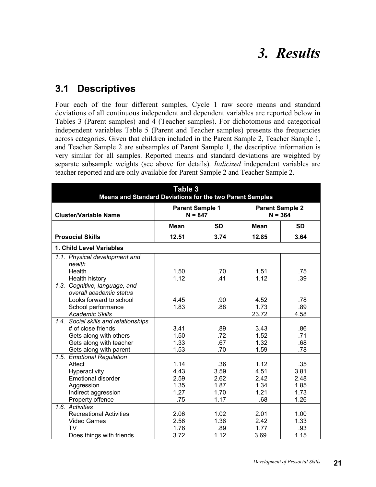### *3. Results*

#### **3.1 Descriptives**

Four each of the four different samples, Cycle 1 raw score means and standard deviations of all continuous independent and dependent variables are reported below in Tables 3 (Parent samples) and 4 (Teacher samples). For dichotomous and categorical independent variables Table 5 (Parent and Teacher samples) presents the frequencies across categories. Given that children included in the Parent Sample 2, Teacher Sample 1, and Teacher Sample 2 are subsamples of Parent Sample 1, the descriptive information is very similar for all samples. Reported means and standard deviations are weighted by separate subsample weights (see above for details). *Italicized* independent variables are teacher reported and are only available for Parent Sample 2 and Teacher Sample 2.

| <b>Parent Sample 1</b><br><b>Parent Sample 2</b><br>$N = 847$<br>$N = 364$<br><b>Cluster/Variable Name</b><br><b>SD</b><br><b>SD</b><br><b>Mean</b><br><b>Mean</b><br><b>Prosocial Skills</b><br>12.51<br>3.74<br>12.85<br>3.64<br>1. Child Level Variables<br>1.1. Physical development and<br>health<br>Health<br>1.50<br>.70<br>1.51<br>.75<br>1.12<br>1.12<br>.39<br>.41<br>Health history<br>1.3. Cognitive, language, and<br>overall academic status<br>Looks forward to school<br>4.45<br>.90<br>4.52<br>.78<br>School performance<br>1.83<br>.88<br>1.73<br>.89<br><b>Academic Skills</b><br>23.72<br>4.58<br>1.4. Social skills and relationships<br># of close friends<br>3.41<br>3.43<br>.89<br>.86<br>.72<br>Gets along with others<br>1.50<br>1.52<br>.71<br>Gets along with teacher<br>1.33<br>.67<br>1.32<br>.68<br>1.53<br>1.59<br>.78<br>Gets along with parent<br>.70<br>1.5. Emotional Regulation<br>Affect<br>.35<br>1.14<br>.36<br>1.12<br>3.81<br>4.43<br>3.59<br>4.51<br>Hyperactivity<br><b>Emotional disorder</b><br>2.59<br>2.42<br>2.62<br>2.48<br>1.35<br>1.34<br>1.85<br>1.87<br>Aggression<br>1.27<br>1.21<br>1.73<br>Indirect aggression<br>1.70<br>Property offence<br>.75<br>1.26<br>1.17<br>.68<br>1.6. Activities<br><b>Recreational Activities</b><br>2.01<br>1.00<br>2.06<br>1.02<br>2.56<br>1.36<br>2.42<br>1.33<br>Video Games<br><b>TV</b><br>1.76<br>.89<br>1.77<br>.93 | Table 3<br>Means and Standard Deviations for the two Parent Samples |      |      |      |      |  |  |
|------------------------------------------------------------------------------------------------------------------------------------------------------------------------------------------------------------------------------------------------------------------------------------------------------------------------------------------------------------------------------------------------------------------------------------------------------------------------------------------------------------------------------------------------------------------------------------------------------------------------------------------------------------------------------------------------------------------------------------------------------------------------------------------------------------------------------------------------------------------------------------------------------------------------------------------------------------------------------------------------------------------------------------------------------------------------------------------------------------------------------------------------------------------------------------------------------------------------------------------------------------------------------------------------------------------------------------------------------------------------------------------------------------------|---------------------------------------------------------------------|------|------|------|------|--|--|
|                                                                                                                                                                                                                                                                                                                                                                                                                                                                                                                                                                                                                                                                                                                                                                                                                                                                                                                                                                                                                                                                                                                                                                                                                                                                                                                                                                                                                  |                                                                     |      |      |      |      |  |  |
|                                                                                                                                                                                                                                                                                                                                                                                                                                                                                                                                                                                                                                                                                                                                                                                                                                                                                                                                                                                                                                                                                                                                                                                                                                                                                                                                                                                                                  |                                                                     |      |      |      |      |  |  |
|                                                                                                                                                                                                                                                                                                                                                                                                                                                                                                                                                                                                                                                                                                                                                                                                                                                                                                                                                                                                                                                                                                                                                                                                                                                                                                                                                                                                                  |                                                                     |      |      |      |      |  |  |
|                                                                                                                                                                                                                                                                                                                                                                                                                                                                                                                                                                                                                                                                                                                                                                                                                                                                                                                                                                                                                                                                                                                                                                                                                                                                                                                                                                                                                  |                                                                     |      |      |      |      |  |  |
|                                                                                                                                                                                                                                                                                                                                                                                                                                                                                                                                                                                                                                                                                                                                                                                                                                                                                                                                                                                                                                                                                                                                                                                                                                                                                                                                                                                                                  |                                                                     |      |      |      |      |  |  |
|                                                                                                                                                                                                                                                                                                                                                                                                                                                                                                                                                                                                                                                                                                                                                                                                                                                                                                                                                                                                                                                                                                                                                                                                                                                                                                                                                                                                                  |                                                                     |      |      |      |      |  |  |
|                                                                                                                                                                                                                                                                                                                                                                                                                                                                                                                                                                                                                                                                                                                                                                                                                                                                                                                                                                                                                                                                                                                                                                                                                                                                                                                                                                                                                  |                                                                     |      |      |      |      |  |  |
|                                                                                                                                                                                                                                                                                                                                                                                                                                                                                                                                                                                                                                                                                                                                                                                                                                                                                                                                                                                                                                                                                                                                                                                                                                                                                                                                                                                                                  |                                                                     |      |      |      |      |  |  |
|                                                                                                                                                                                                                                                                                                                                                                                                                                                                                                                                                                                                                                                                                                                                                                                                                                                                                                                                                                                                                                                                                                                                                                                                                                                                                                                                                                                                                  |                                                                     |      |      |      |      |  |  |
|                                                                                                                                                                                                                                                                                                                                                                                                                                                                                                                                                                                                                                                                                                                                                                                                                                                                                                                                                                                                                                                                                                                                                                                                                                                                                                                                                                                                                  |                                                                     |      |      |      |      |  |  |
|                                                                                                                                                                                                                                                                                                                                                                                                                                                                                                                                                                                                                                                                                                                                                                                                                                                                                                                                                                                                                                                                                                                                                                                                                                                                                                                                                                                                                  |                                                                     |      |      |      |      |  |  |
|                                                                                                                                                                                                                                                                                                                                                                                                                                                                                                                                                                                                                                                                                                                                                                                                                                                                                                                                                                                                                                                                                                                                                                                                                                                                                                                                                                                                                  |                                                                     |      |      |      |      |  |  |
|                                                                                                                                                                                                                                                                                                                                                                                                                                                                                                                                                                                                                                                                                                                                                                                                                                                                                                                                                                                                                                                                                                                                                                                                                                                                                                                                                                                                                  |                                                                     |      |      |      |      |  |  |
|                                                                                                                                                                                                                                                                                                                                                                                                                                                                                                                                                                                                                                                                                                                                                                                                                                                                                                                                                                                                                                                                                                                                                                                                                                                                                                                                                                                                                  |                                                                     |      |      |      |      |  |  |
|                                                                                                                                                                                                                                                                                                                                                                                                                                                                                                                                                                                                                                                                                                                                                                                                                                                                                                                                                                                                                                                                                                                                                                                                                                                                                                                                                                                                                  |                                                                     |      |      |      |      |  |  |
|                                                                                                                                                                                                                                                                                                                                                                                                                                                                                                                                                                                                                                                                                                                                                                                                                                                                                                                                                                                                                                                                                                                                                                                                                                                                                                                                                                                                                  |                                                                     |      |      |      |      |  |  |
|                                                                                                                                                                                                                                                                                                                                                                                                                                                                                                                                                                                                                                                                                                                                                                                                                                                                                                                                                                                                                                                                                                                                                                                                                                                                                                                                                                                                                  |                                                                     |      |      |      |      |  |  |
|                                                                                                                                                                                                                                                                                                                                                                                                                                                                                                                                                                                                                                                                                                                                                                                                                                                                                                                                                                                                                                                                                                                                                                                                                                                                                                                                                                                                                  |                                                                     |      |      |      |      |  |  |
|                                                                                                                                                                                                                                                                                                                                                                                                                                                                                                                                                                                                                                                                                                                                                                                                                                                                                                                                                                                                                                                                                                                                                                                                                                                                                                                                                                                                                  |                                                                     |      |      |      |      |  |  |
|                                                                                                                                                                                                                                                                                                                                                                                                                                                                                                                                                                                                                                                                                                                                                                                                                                                                                                                                                                                                                                                                                                                                                                                                                                                                                                                                                                                                                  |                                                                     |      |      |      |      |  |  |
|                                                                                                                                                                                                                                                                                                                                                                                                                                                                                                                                                                                                                                                                                                                                                                                                                                                                                                                                                                                                                                                                                                                                                                                                                                                                                                                                                                                                                  |                                                                     |      |      |      |      |  |  |
|                                                                                                                                                                                                                                                                                                                                                                                                                                                                                                                                                                                                                                                                                                                                                                                                                                                                                                                                                                                                                                                                                                                                                                                                                                                                                                                                                                                                                  |                                                                     |      |      |      |      |  |  |
|                                                                                                                                                                                                                                                                                                                                                                                                                                                                                                                                                                                                                                                                                                                                                                                                                                                                                                                                                                                                                                                                                                                                                                                                                                                                                                                                                                                                                  |                                                                     |      |      |      |      |  |  |
|                                                                                                                                                                                                                                                                                                                                                                                                                                                                                                                                                                                                                                                                                                                                                                                                                                                                                                                                                                                                                                                                                                                                                                                                                                                                                                                                                                                                                  |                                                                     |      |      |      |      |  |  |
|                                                                                                                                                                                                                                                                                                                                                                                                                                                                                                                                                                                                                                                                                                                                                                                                                                                                                                                                                                                                                                                                                                                                                                                                                                                                                                                                                                                                                  |                                                                     |      |      |      |      |  |  |
|                                                                                                                                                                                                                                                                                                                                                                                                                                                                                                                                                                                                                                                                                                                                                                                                                                                                                                                                                                                                                                                                                                                                                                                                                                                                                                                                                                                                                  |                                                                     |      |      |      |      |  |  |
|                                                                                                                                                                                                                                                                                                                                                                                                                                                                                                                                                                                                                                                                                                                                                                                                                                                                                                                                                                                                                                                                                                                                                                                                                                                                                                                                                                                                                  | Does things with friends                                            | 3.72 | 1.12 | 3.69 | 1.15 |  |  |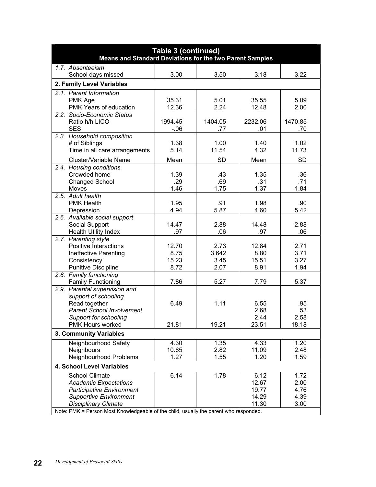| <b>Table 3 (continued)</b><br><b>Means and Standard Deviations for the two Parent Samples</b> |                |              |                |              |
|-----------------------------------------------------------------------------------------------|----------------|--------------|----------------|--------------|
| 1.7. Absenteeism                                                                              |                |              |                |              |
| School days missed                                                                            | 3.00           | 3.50         | 3.18           | 3.22         |
| 2. Family Level Variables                                                                     |                |              |                |              |
| 2.1. Parent Information                                                                       |                |              |                |              |
| PMK Age<br>PMK Years of education                                                             | 35.31<br>12.36 | 5.01<br>2.24 | 35.55<br>12.48 | 5.09<br>2.00 |
| 2.2. Socio-Economic Status                                                                    |                |              |                |              |
| Ratio h/h LICO                                                                                | 1994.45        | 1404.05      | 2232.06        | 1470.85      |
| <b>SES</b>                                                                                    | $-06$          | .77          | .01            | .70          |
| 2.3. Household composition                                                                    |                |              |                |              |
| # of Siblings                                                                                 | 1.38           | 1.00         | 1.40           | 1.02         |
| Time in all care arrangements                                                                 | 5.14           | 11.54        | 4.32           | 11.73        |
| Cluster/Variable Name                                                                         | Mean           | <b>SD</b>    | Mean           | <b>SD</b>    |
| 2.4. Housing conditions<br>Crowded home                                                       | 1.39           | .43          | 1.35           | .36          |
| <b>Changed School</b>                                                                         | .29            | .69          | .31            | .71          |
| Moves                                                                                         | 1.46           | 1.75         | 1.37           | 1.84         |
| 2.5. Adult health                                                                             |                |              |                |              |
| <b>PMK Health</b>                                                                             | 1.95           | .91          | 1.98           | .90          |
| Depression                                                                                    | 4.94           | 5.87         | 4.60           | 5.42         |
| 2.6. Available social support                                                                 | 14.47          | 2.88         | 14.48          | 2.88         |
| Social Support<br><b>Health Utility Index</b>                                                 | .97            | .06          | .97            | .06          |
| 2.7. Parenting style                                                                          |                |              |                |              |
| Positive Interactions                                                                         | 12.70          | 2.73         | 12.84          | 2.71         |
| Ineffective Parenting                                                                         | 8.75           | 3.642        | 8.80           | 3.71         |
| Consistency                                                                                   | 15.23          | 3.45         | 15.51          | 3.27         |
| <b>Punitive Discipline</b>                                                                    | 8.72           | 2.07         | 8.91           | 1.94         |
| 2.8. Family functioning<br><b>Family Functioning</b>                                          | 7.86           | 5.27         | 7.79           | 5.37         |
| 2.9. Parental supervision and                                                                 |                |              |                |              |
| support of schooling                                                                          |                |              |                |              |
| Read together                                                                                 | 6.49           | 1.11         | 6.55           | .95          |
| <b>Parent School Involvement</b>                                                              |                |              | 2.68           | .53          |
| Support for schooling                                                                         |                |              | 2.44           | 2.58         |
| PMK Hours worked                                                                              | 21.81          | 19.21        | 23.51          | 18.18        |
| 3. Community Variables                                                                        |                |              |                |              |
| Neighbourhood Safety                                                                          | 4.30           | 1.35         | 4.33           | 1.20         |
| Neighbours<br>Neighbourhood Problems                                                          | 10.65<br>1.27  | 2.82         | 11.09          | 2.48         |
|                                                                                               |                | 1.55         | 1.20           | 1.59         |
| 4. School Level Variables                                                                     |                |              |                |              |
| <b>School Climate</b><br><b>Academic Expectations</b>                                         | 6.14           | 1.78         | 6.12<br>12.67  | 1.72<br>2.00 |
| <b>Participative Environment</b>                                                              |                |              | 19.77          | 4.76         |
| <b>Supportive Environment</b>                                                                 |                |              | 14.29          | 4.39         |
| <b>Disciplinary Climate</b>                                                                   |                |              | 11.30          | 3.00         |
| Note: PMK = Person Most Knowledgeable of the child, usually the parent who responded.         |                |              |                |              |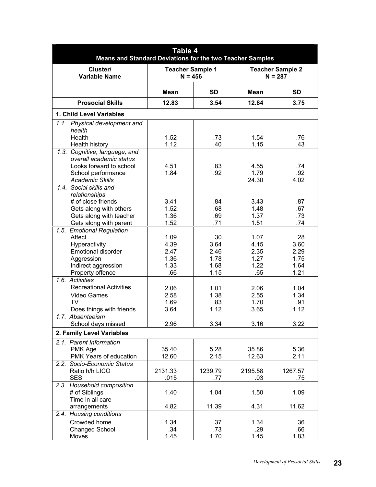| <b>Table 4</b><br><b>Means and Standard Deviations for the two Teacher Samples</b> |                                      |            |              |                                      |  |
|------------------------------------------------------------------------------------|--------------------------------------|------------|--------------|--------------------------------------|--|
| Cluster/<br><b>Variable Name</b>                                                   | <b>Teacher Sample 1</b><br>$N = 456$ |            |              | <b>Teacher Sample 2</b><br>$N = 287$ |  |
|                                                                                    | <b>Mean</b>                          | <b>SD</b>  | <b>Mean</b>  | <b>SD</b>                            |  |
| <b>Prosocial Skills</b>                                                            | 12.83                                | 3.54       | 12.84        | 3.75                                 |  |
| 1. Child Level Variables                                                           |                                      |            |              |                                      |  |
| 1.1. Physical development and                                                      |                                      |            |              |                                      |  |
| health                                                                             |                                      |            |              |                                      |  |
| Health                                                                             | 1.52                                 | .73        | 1.54         | .76                                  |  |
| Health history                                                                     | 1.12                                 | .40        | 1.15         | .43                                  |  |
| 1.3. Cognitive, language, and                                                      |                                      |            |              |                                      |  |
| overall academic status                                                            |                                      |            |              |                                      |  |
| Looks forward to school                                                            | 4.51<br>1.84                         | .83<br>.92 | 4.55<br>1.79 | .74<br>.92                           |  |
| School performance<br><b>Academic Skills</b>                                       |                                      |            | 24.30        | 4.02                                 |  |
| 1.4. Social skills and                                                             |                                      |            |              |                                      |  |
| relationships                                                                      |                                      |            |              |                                      |  |
| # of close friends                                                                 | 3.41                                 | .84        | 3.43         | .87                                  |  |
| Gets along with others                                                             | 1.52                                 | .68        | 1.48         | .67                                  |  |
| Gets along with teacher                                                            | 1.36                                 | .69        | 1.37         | .73                                  |  |
| Gets along with parent                                                             | 1.52                                 | .71        | 1.51         | .74                                  |  |
| 1.5. Emotional Regulation                                                          |                                      |            |              |                                      |  |
| Affect                                                                             | 1.09                                 | .30        | 1.07         | .28                                  |  |
| Hyperactivity                                                                      | 4.39                                 | 3.64       | 4.15         | 3.60                                 |  |
| <b>Emotional disorder</b>                                                          | 2.47                                 | 2.46       | 2.35         | 2.29                                 |  |
| Aggression                                                                         | 1.36                                 | 1.78       | 1.27         | 1.75                                 |  |
| Indirect aggression                                                                | 1.33                                 | 1.68       | 1.22         | 1.64                                 |  |
| Property offence                                                                   | .66                                  | 1.15       | .65          | 1.21                                 |  |
| 1.6. Activities                                                                    |                                      |            |              |                                      |  |
| <b>Recreational Activities</b>                                                     | 2.06                                 | 1.01       | 2.06         | 1.04                                 |  |
| Video Games                                                                        | 2.58                                 | 1.38       | 2.55         | 1.34                                 |  |
| <b>TV</b>                                                                          | 1.69                                 | .83        | 1.70         | .91                                  |  |
| Does things with friends                                                           | 3.64                                 | 1.12       | 3.65         | 1.12                                 |  |
| 1.7. Absenteeism                                                                   |                                      |            |              |                                      |  |
| School days missed                                                                 | 2.96                                 | 3.34       | 3.16         | 3.22                                 |  |
| 2. Family Level Variables                                                          |                                      |            |              |                                      |  |
| 2.1. Parent Information                                                            |                                      |            |              |                                      |  |
| PMK Age                                                                            | 35.40                                | 5.28       | 35.86        | 5.36                                 |  |
| PMK Years of education                                                             | 12.60                                | 2.15       | 12.63        | 2.11                                 |  |
| 2.2. Socio-Economic Status                                                         |                                      |            |              |                                      |  |
| Ratio h/h LICO                                                                     | 2131.33                              | 1239.79    | 2195.58      | 1267.57                              |  |
| <b>SES</b>                                                                         | .015                                 | .77        | .03          | .75                                  |  |
| 2.3. Household composition                                                         |                                      |            |              |                                      |  |
| # of Siblings                                                                      | 1.40                                 | 1.04       | 1.50         | 1.09                                 |  |
| Time in all care                                                                   |                                      |            |              |                                      |  |
| arrangements                                                                       | 4.82                                 | 11.39      | 4.31         | 11.62                                |  |
| 2.4. Housing conditions                                                            |                                      |            |              |                                      |  |
| Crowded home                                                                       | 1.34                                 | .37        | 1.34         | .36                                  |  |
| <b>Changed School</b>                                                              | .34                                  | .73        | .29          | .66                                  |  |
| Moves                                                                              | 1.45                                 | 1.70       | 1.45         | 1.83                                 |  |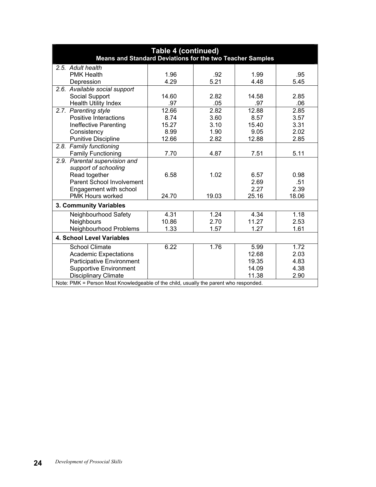| <b>Table 4 (continued)</b><br>Means and Standard Deviations for the two Teacher Samples |       |       |       |       |  |  |
|-----------------------------------------------------------------------------------------|-------|-------|-------|-------|--|--|
| 2.5. Adult health                                                                       |       |       |       |       |  |  |
| <b>PMK Health</b>                                                                       | 1.96  | .92   | 1.99  | .95   |  |  |
| Depression                                                                              | 4.29  | 5.21  | 4.48  | 5.45  |  |  |
| 2.6. Available social support                                                           |       |       |       |       |  |  |
| Social Support                                                                          | 14.60 | 2.82  | 14.58 | 2.85  |  |  |
| <b>Health Utility Index</b>                                                             | .97   | .05   | .97   | .06   |  |  |
| 2.7. Parenting style                                                                    | 12.66 | 2.82  | 12.88 | 2.85  |  |  |
| Positive Interactions                                                                   | 8.74  | 3.60  | 8.57  | 3.57  |  |  |
| Ineffective Parenting                                                                   | 15.27 | 3.10  | 15.40 | 3.31  |  |  |
| Consistency                                                                             | 8.99  | 1.90  | 9.05  | 2.02  |  |  |
| <b>Punitive Discipline</b>                                                              | 12.66 | 2.82  | 12.88 | 2.85  |  |  |
| 2.8. Family functioning                                                                 |       |       |       |       |  |  |
| <b>Family Functioning</b>                                                               | 7.70  | 4.87  | 7.51  | 5.11  |  |  |
| 2.9. Parental supervision and<br>support of schooling                                   |       |       |       |       |  |  |
| Read together                                                                           | 6.58  | 1.02  | 6.57  | 0.98  |  |  |
| Parent School Involvement                                                               |       |       | 2.69  | .51   |  |  |
| Engagement with school                                                                  |       |       | 2.27  | 2.39  |  |  |
| PMK Hours worked                                                                        | 24.70 | 19.03 | 25.16 | 18.06 |  |  |
| 3. Community Variables                                                                  |       |       |       |       |  |  |
| Neighbourhood Safety                                                                    | 4.31  | 1.24  | 4.34  | 1.18  |  |  |
| <b>Neighbours</b>                                                                       | 10.86 | 2.70  | 11.27 | 2.53  |  |  |
| Neighbourhood Problems                                                                  | 1.33  | 1.57  | 1.27  | 1.61  |  |  |
| 4. School Level Variables                                                               |       |       |       |       |  |  |
| <b>School Climate</b>                                                                   | 6.22  | 1.76  | 5.99  | 1.72  |  |  |
| <b>Academic Expectations</b>                                                            |       |       | 12.68 | 2.03  |  |  |
| <b>Participative Environment</b>                                                        |       |       | 19.35 | 4.83  |  |  |
| <b>Supportive Environment</b>                                                           |       |       | 14.09 | 4.38  |  |  |
| <b>Disciplinary Climate</b>                                                             |       |       | 11.38 | 2.90  |  |  |
| Note: PMK = Person Most Knowledgeable of the child, usually the parent who responded.   |       |       |       |       |  |  |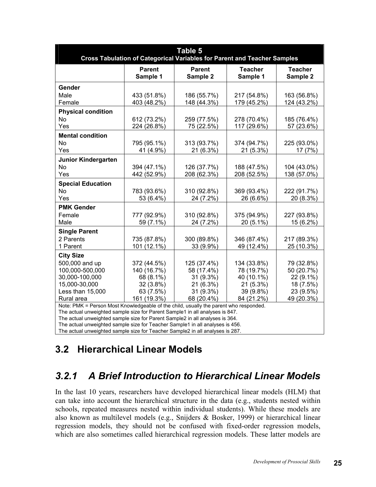| Table 5<br><b>Cross Tabulation of Categorical Variables for Parent and Teacher Samples</b>                                                                                                                                                            |                                                                                  |                                                                                |                                                                                 |                                                                               |  |  |  |
|-------------------------------------------------------------------------------------------------------------------------------------------------------------------------------------------------------------------------------------------------------|----------------------------------------------------------------------------------|--------------------------------------------------------------------------------|---------------------------------------------------------------------------------|-------------------------------------------------------------------------------|--|--|--|
|                                                                                                                                                                                                                                                       | <b>Parent</b><br>Sample 1                                                        | <b>Parent</b><br>Sample 2                                                      | <b>Teacher</b><br>Sample 1                                                      | <b>Teacher</b><br>Sample 2                                                    |  |  |  |
| Gender<br>Male<br>Female                                                                                                                                                                                                                              | 433 (51.8%)<br>403 (48.2%)                                                       | 186 (55.7%)<br>148 (44.3%)                                                     | 217 (54.8%)<br>179 (45.2%)                                                      | 163 (56.8%)<br>124 (43.2%)                                                    |  |  |  |
| <b>Physical condition</b><br><b>No</b><br>Yes                                                                                                                                                                                                         | 612 (73.2%)<br>224 (26.8%)                                                       | 259 (77.5%)<br>75 (22.5%)                                                      | 278 (70.4%)<br>117 (29.6%)                                                      | 185 (76.4%)<br>57 (23.6%)                                                     |  |  |  |
| <b>Mental condition</b><br><b>No</b><br>Yes                                                                                                                                                                                                           | 795 (95.1%)<br>41 (4.9%)                                                         | 313 (93.7%)<br>21 (6.3%)                                                       | 374 (94.7%)<br>21 (5.3%)                                                        | 225 (93.0%)<br>17 (7%)                                                        |  |  |  |
| Junior Kindergarten<br>No<br>Yes                                                                                                                                                                                                                      | 394 (47.1%)<br>442 (52.9%)                                                       | 126 (37.7%)<br>208 (62.3%)                                                     | 188 (47.5%)<br>208 (52.5%)                                                      | 104 (43.0%)<br>138 (57.0%)                                                    |  |  |  |
| <b>Special Education</b><br>No<br>Yes                                                                                                                                                                                                                 | 783 (93.6%)<br>53 (6.4%)                                                         | 310 (92.8%)<br>24 (7.2%)                                                       | 369 (93.4%)<br>26 (6.6%)                                                        | 222 (91.7%)<br>20 (8.3%)                                                      |  |  |  |
| <b>PMK Gender</b><br>Female<br>Male                                                                                                                                                                                                                   | 777 (92.9%)<br>59 (7.1%)                                                         | 310 (92.8%)<br>24 (7.2%)                                                       | 375 (94.9%)<br>20 (5.1%)                                                        | 227 (93.8%)<br>15 (6.2%)                                                      |  |  |  |
| <b>Single Parent</b><br>2 Parents<br>1 Parent                                                                                                                                                                                                         | 735 (87.8%)<br>101 (12.1%)                                                       | 300 (89.8%)<br>33 (9.9%)                                                       | 346 (87.4%)<br>49 (12.4%)                                                       | 217 (89.3%)<br>25 (10.3%)                                                     |  |  |  |
| <b>City Size</b><br>500,000 and up<br>100,000-500,000<br>30,000-100,000<br>15,000-30,000<br>Less than 15,000<br>Rural area                                                                                                                            | 372 (44.5%)<br>140 (16.7%)<br>68 (8.1%)<br>32 (3.8%)<br>63 (7.5%)<br>161 (19.3%) | 125 (37.4%)<br>58 (17.4%)<br>31 (9.3%)<br>21 (6.3%)<br>31 (9.3%)<br>68 (20.4%) | 134 (33.8%)<br>78 (19.7%)<br>40 (10.1%)<br>21 (5.3%)<br>39 (9.8%)<br>84 (21.2%) | 79 (32.8%)<br>50 (20.7%)<br>22 (9.1%)<br>18 (7.5%)<br>23 (9.5%)<br>49 (20.3%) |  |  |  |
| Note: PMK = Person Most Knowledgeable of the child, usually the parent who responded.<br>The actual unweighted sample size for Parent Sample1 in all analyses is 847.<br>The actual unweighted sample size for Parent Sample2 in all analyses is 364. |                                                                                  |                                                                                |                                                                                 |                                                                               |  |  |  |

The actual unweighted sample size for Teacher Sample1 in all analyses is 456.

The actual unweighted sample size for Teacher Sample2 in all analyses is 287.

#### **3.2 Hierarchical Linear Models**

#### *3.2.1 A Brief Introduction to Hierarchical Linear Models*

In the last 10 years, researchers have developed hierarchical linear models (HLM) that can take into account the hierarchical structure in the data (e.g., students nested within schools, repeated measures nested within individual students). While these models are also known as multilevel models (e.g., Snijders & Bosker, 1999) or hierarchical linear regression models, they should not be confused with fixed-order regression models, which are also sometimes called hierarchical regression models. These latter models are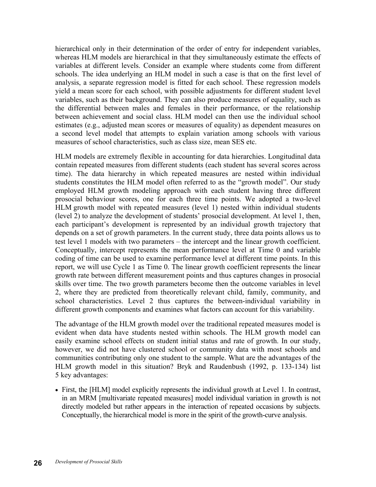hierarchical only in their determination of the order of entry for independent variables, whereas HLM models are hierarchical in that they simultaneously estimate the effects of variables at different levels. Consider an example where students come from different schools. The idea underlying an HLM model in such a case is that on the first level of analysis, a separate regression model is fitted for each school. These regression models yield a mean score for each school, with possible adjustments for different student level variables, such as their background. They can also produce measures of equality, such as the differential between males and females in their performance, or the relationship between achievement and social class. HLM model can then use the individual school estimates (e.g., adjusted mean scores or measures of equality) as dependent measures on a second level model that attempts to explain variation among schools with various measures of school characteristics, such as class size, mean SES etc.

HLM models are extremely flexible in accounting for data hierarchies. Longitudinal data contain repeated measures from different students (each student has several scores across time). The data hierarchy in which repeated measures are nested within individual students constitutes the HLM model often referred to as the "growth model". Our study employed HLM growth modeling approach with each student having three different prosocial behaviour scores, one for each three time points. We adopted a two-level HLM growth model with repeated measures (level 1) nested within individual students (level 2) to analyze the development of students' prosocial development. At level 1, then, each participant's development is represented by an individual growth trajectory that depends on a set of growth parameters. In the current study, three data points allows us to test level 1 models with two parameters – the intercept and the linear growth coefficient. Conceptually, intercept represents the mean performance level at Time 0 and variable coding of time can be used to examine performance level at different time points. In this report, we will use Cycle 1 as Time 0. The linear growth coefficient represents the linear growth rate between different measurement points and thus captures changes in prosocial skills over time. The two growth parameters become then the outcome variables in level 2, where they are predicted from theoretically relevant child, family, community, and school characteristics. Level 2 thus captures the between-individual variability in different growth components and examines what factors can account for this variability.

The advantage of the HLM growth model over the traditional repeated measures model is evident when data have students nested within schools. The HLM growth model can easily examine school effects on student initial status and rate of growth. In our study, however, we did not have clustered school or community data with most schools and communities contributing only one student to the sample. What are the advantages of the HLM growth model in this situation? Bryk and Raudenbush (1992, p. 133-134) list 5 key advantages:

• First, the [HLM] model explicitly represents the individual growth at Level 1. In contrast, in an MRM [multivariate repeated measures] model individual variation in growth is not directly modeled but rather appears in the interaction of repeated occasions by subjects. Conceptually, the hierarchical model is more in the spirit of the growth-curve analysis.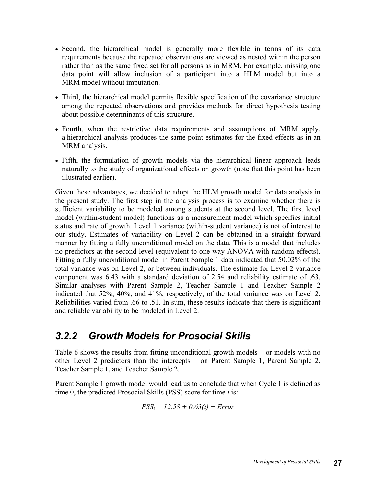- Second, the hierarchical model is generally more flexible in terms of its data requirements because the repeated observations are viewed as nested within the person rather than as the same fixed set for all persons as in MRM. For example, missing one data point will allow inclusion of a participant into a HLM model but into a MRM model without imputation.
- Third, the hierarchical model permits flexible specification of the covariance structure among the repeated observations and provides methods for direct hypothesis testing about possible determinants of this structure.
- Fourth, when the restrictive data requirements and assumptions of MRM apply, a hierarchical analysis produces the same point estimates for the fixed effects as in an MRM analysis.
- Fifth, the formulation of growth models via the hierarchical linear approach leads naturally to the study of organizational effects on growth (note that this point has been illustrated earlier).

Given these advantages, we decided to adopt the HLM growth model for data analysis in the present study. The first step in the analysis process is to examine whether there is sufficient variability to be modeled among students at the second level. The first level model (within-student model) functions as a measurement model which specifies initial status and rate of growth. Level 1 variance (within-student variance) is not of interest to our study. Estimates of variability on Level 2 can be obtained in a straight forward manner by fitting a fully unconditional model on the data. This is a model that includes no predictors at the second level (equivalent to one-way ANOVA with random effects). Fitting a fully unconditional model in Parent Sample 1 data indicated that 50.02% of the total variance was on Level 2, or between individuals. The estimate for Level 2 variance component was 6.43 with a standard deviation of 2.54 and reliability estimate of .63. Similar analyses with Parent Sample 2, Teacher Sample 1 and Teacher Sample 2 indicated that 52%, 40%, and 41%, respectively, of the total variance was on Level 2. Reliabilities varied from .66 to .51. In sum, these results indicate that there is significant and reliable variability to be modeled in Level 2.

#### *3.2.2 Growth Models for Prosocial Skills*

Table 6 shows the results from fitting unconditional growth models – or models with no other Level 2 predictors than the intercepts – on Parent Sample 1, Parent Sample 2, Teacher Sample 1, and Teacher Sample 2.

Parent Sample 1 growth model would lead us to conclude that when Cycle 1 is defined as time 0, the predicted Prosocial Skills (PSS) score for time *t* is:

$$
PSS_t = 12.58 + 0.63(t) + Error
$$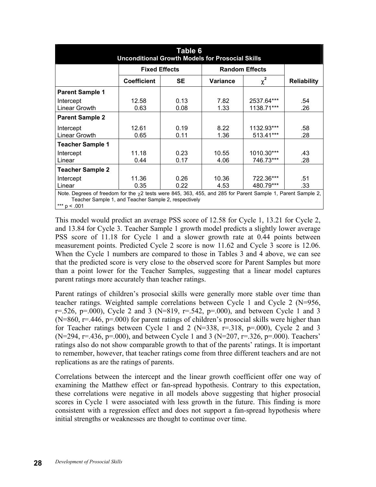| Table 6<br><b>Unconditional Growth Models for Prosocial Skills</b>                                                                                                        |                      |           |                       |            |                    |
|---------------------------------------------------------------------------------------------------------------------------------------------------------------------------|----------------------|-----------|-----------------------|------------|--------------------|
|                                                                                                                                                                           | <b>Fixed Effects</b> |           | <b>Random Effects</b> |            |                    |
|                                                                                                                                                                           | <b>Coefficient</b>   | <b>SE</b> | <b>Variance</b>       | $\chi^2$   | <b>Reliability</b> |
| <b>Parent Sample 1</b>                                                                                                                                                    |                      |           |                       |            |                    |
| Intercept                                                                                                                                                                 | 12.58                | 0.13      | 7.82                  | 2537.64*** | .54                |
| Linear Growth                                                                                                                                                             | 0.63                 | 0.08      | 1.33                  | 1138.71*** | .26                |
| <b>Parent Sample 2</b>                                                                                                                                                    |                      |           |                       |            |                    |
| Intercept                                                                                                                                                                 | 12.61                | 0.19      | 8.22                  | 1132.93*** | .58                |
| Linear Growth                                                                                                                                                             | 0.65                 | 0.11      | 1.36                  | 513.41***  | .28                |
| <b>Teacher Sample 1</b>                                                                                                                                                   |                      |           |                       |            |                    |
| Intercept                                                                                                                                                                 | 11.18                | 0.23      | 10.55                 | 1010.30*** | .43                |
| Linear                                                                                                                                                                    | 0.44                 | 0.17      | 4.06                  | 746.73***  | .28                |
| <b>Teacher Sample 2</b>                                                                                                                                                   |                      |           |                       |            |                    |
| Intercept                                                                                                                                                                 | 11.36                | 0.26      | 10.36                 | 722.36***  | .51                |
| Linear                                                                                                                                                                    | 0.35                 | 0.22      | 4.53                  | 480.79***  | .33                |
| Note. Degrees of freedom for the $\chi$ 2 tests were 845, 363, 455, and 285 for Parent Sample 1, Parent Sample 2,<br>Teacher Sample 1, and Teacher Sample 2, respectively |                      |           |                       |            |                    |

 $*** p < .001$ 

This model would predict an average PSS score of 12.58 for Cycle 1, 13.21 for Cycle 2, and 13.84 for Cycle 3. Teacher Sample 1 growth model predicts a slightly lower average PSS score of 11.18 for Cycle 1 and a slower growth rate at 0.44 points between measurement points. Predicted Cycle 2 score is now 11.62 and Cycle 3 score is 12.06. When the Cycle 1 numbers are compared to those in Tables 3 and 4 above, we can see that the predicted score is very close to the observed score for Parent Samples but more than a point lower for the Teacher Samples, suggesting that a linear model captures parent ratings more accurately than teacher ratings.

Parent ratings of children's prosocial skills were generally more stable over time than teacher ratings. Weighted sample correlations between Cycle 1 and Cycle 2 (N=956,  $r = 0.526$ ,  $p = 0.000$ , Cycle 2 and 3 (N=819,  $r = 0.542$ ,  $p = 0.000$ ), and between Cycle 1 and 3  $(N=860, r=.446, p=.000)$  for parent ratings of children's prosocial skills were higher than for Teacher ratings between Cycle 1 and 2 ( $N=338$ ,  $r=.318$ ,  $p=.000$ ), Cycle 2 and 3  $(N=294, r=.436, p=.000)$ , and between Cycle 1 and 3  $(N=207, r=.326, p=.000)$ . Teachers' ratings also do not show comparable growth to that of the parents' ratings. It is important to remember, however, that teacher ratings come from three different teachers and are not replications as are the ratings of parents.

Correlations between the intercept and the linear growth coefficient offer one way of examining the Matthew effect or fan-spread hypothesis. Contrary to this expectation, these correlations were negative in all models above suggesting that higher prosocial scores in Cycle 1 were associated with less growth in the future. This finding is more consistent with a regression effect and does not support a fan-spread hypothesis where initial strengths or weaknesses are thought to continue over time.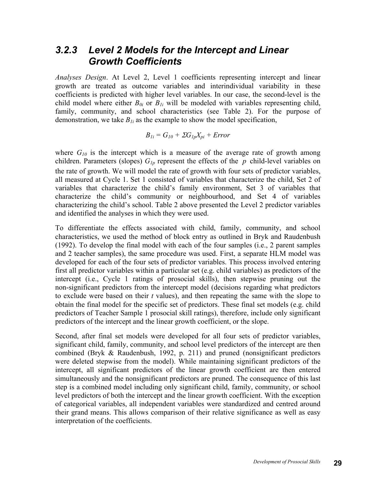#### *3.2.3 Level 2 Models for the Intercept and Linear Growth Coefficients*

*Analyses Design*. At Level 2, Level 1 coefficients representing intercept and linear growth are treated as outcome variables and interindividual variability in these coefficients is predicted with higher level variables. In our case, the second-level is the child model where either  $B_{0i}$  or  $B_{1i}$  will be modeled with variables representing child, family, community, and school characteristics (see Table 2). For the purpose of demonstration, we take  $B_{1i}$  as the example to show the model specification,

$$
B_{1i}=G_{10}+\Sigma G_{1p}X_{pi}+Error
$$

where  $G_{10}$  is the intercept which is a measure of the average rate of growth among children. Parameters (slopes)  $G_{lp}$  represent the effects of the  $p$  child-level variables on the rate of growth. We will model the rate of growth with four sets of predictor variables, all measured at Cycle 1. Set 1 consisted of variables that characterize the child, Set 2 of variables that characterize the child's family environment, Set 3 of variables that characterize the child's community or neighbourhood, and Set 4 of variables characterizing the child's school. Table 2 above presented the Level 2 predictor variables and identified the analyses in which they were used.

To differentiate the effects associated with child, family, community, and school characteristics, we used the method of block entry as outlined in Bryk and Raudenbush (1992). To develop the final model with each of the four samples (i.e., 2 parent samples and 2 teacher samples), the same procedure was used. First, a separate HLM model was developed for each of the four sets of predictor variables. This process involved entering first all predictor variables within a particular set (e.g. child variables) as predictors of the intercept (i.e., Cycle 1 ratings of prosocial skills), then stepwise pruning out the non-significant predictors from the intercept model (decisions regarding what predictors to exclude were based on their *t* values), and then repeating the same with the slope to obtain the final model for the specific set of predictors. These final set models (e.g. child predictors of Teacher Sample 1 prosocial skill ratings), therefore, include only significant predictors of the intercept and the linear growth coefficient, or the slope.

Second, after final set models were developed for all four sets of predictor variables, significant child, family, community, and school level predictors of the intercept are then combined (Bryk & Raudenbush, 1992, p. 211) and pruned (nonsignificant predictors were deleted stepwise from the model). While maintaining significant predictors of the intercept, all significant predictors of the linear growth coefficient are then entered simultaneously and the nonsignificant predictors are pruned. The consequence of this last step is a combined model including only significant child, family, community, or school level predictors of both the intercept and the linear growth coefficient. With the exception of categorical variables, all independent variables were standardized and centred around their grand means. This allows comparison of their relative significance as well as easy interpretation of the coefficients.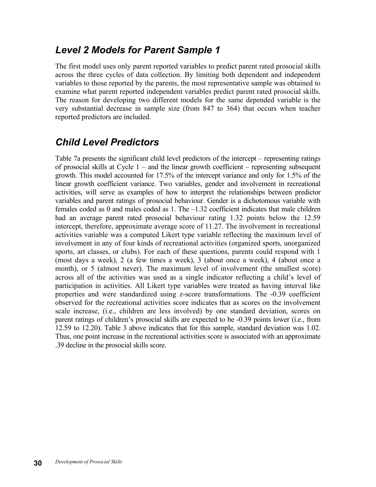## *Level 2 Models for Parent Sample 1*

The first model uses only parent reported variables to predict parent rated prosocial skills across the three cycles of data collection. By limiting both dependent and independent variables to those reported by the parents, the most representative sample was obtained to examine what parent reported independent variables predict parent rated prosocial skills. The reason for developing two different models for the same depended variable is the very substantial decrease in sample size (from 847 to 364) that occurs when teacher reported predictors are included.

## *Child Level Predictors*

Table 7a presents the significant child level predictors of the intercept – representing ratings of prosocial skills at Cycle 1 – and the linear growth coefficient – representing subsequent growth. This model accounted for 17.5% of the intercept variance and only for 1.5% of the linear growth coefficient variance. Two variables, gender and involvement in recreational activities, will serve as examples of how to interpret the relationships between predictor variables and parent ratings of prosocial behaviour. Gender is a dichotomous variable with females coded as 0 and males coded as 1. The –1.32 coefficient indicates that male children had an average parent rated prosocial behaviour rating 1.32 points below the 12.59 intercept, therefore, approximate average score of 11.27. The involvement in recreational activities variable was a computed Likert type variable reflecting the maximum level of involvement in any of four kinds of recreational activities (organized sports, unorganized sports, art classes, or clubs). For each of these questions, parents could respond with 1 (most days a week), 2 (a few times a week), 3 (about once a week), 4 (about once a month), or 5 (almost never). The maximum level of involvement (the smallest score) across all of the activities was used as a single indicator reflecting a child's level of participation in activities. All Likert type variables were treated as having interval like properties and were standardized using z-score transformations. The -0.39 coefficient observed for the recreational activities score indicates that as scores on the involvement scale increase, (i.e., children are less involved) by one standard deviation, scores on parent ratings of children's prosocial skills are expected to be -0.39 points lower (i.e., from 12.59 to 12.20). Table 3 above indicates that for this sample, standard deviation was 1.02. Thus, one point increase in the recreational activities score is associated with an approximate .39 decline in the prosocial skills score.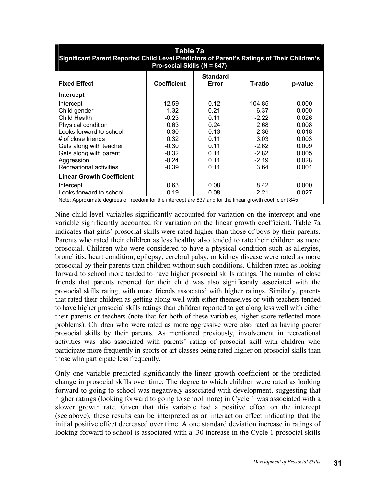| Table 7a<br>Significant Parent Reported Child Level Predictors of Parent's Ratings of Their Children's<br>Pro-social Skills (N = 847)                                                                          |                                                                                                 |                                                                              |                                                                                               |                                                                                        |
|----------------------------------------------------------------------------------------------------------------------------------------------------------------------------------------------------------------|-------------------------------------------------------------------------------------------------|------------------------------------------------------------------------------|-----------------------------------------------------------------------------------------------|----------------------------------------------------------------------------------------|
| <b>Fixed Effect</b>                                                                                                                                                                                            | <b>Coefficient</b>                                                                              | <b>Standard</b><br>Error                                                     | T-ratio                                                                                       | p-value                                                                                |
| Intercept                                                                                                                                                                                                      |                                                                                                 |                                                                              |                                                                                               |                                                                                        |
| Intercept<br>Child gender<br>Child Health<br>Physical condition<br>Looks forward to school<br># of close friends<br>Gets along with teacher<br>Gets along with parent<br>Aggression<br>Recreational activities | 12.59<br>$-1.32$<br>$-0.23$<br>0.63<br>0.30<br>0.32<br>$-0.30$<br>$-0.32$<br>$-0.24$<br>$-0.39$ | 0.12<br>0.21<br>0.11<br>0.24<br>0.13<br>0.11<br>0.11<br>0.11<br>0.11<br>0.11 | 104.85<br>$-6.37$<br>$-2.22$<br>2.68<br>2.36<br>3.03<br>$-2.62$<br>$-2.82$<br>$-2.19$<br>3.64 | 0.000<br>0.000<br>0.026<br>0.008<br>0.018<br>0.003<br>0.009<br>0.005<br>0.028<br>0.001 |
| <b>Linear Growth Coefficient</b>                                                                                                                                                                               |                                                                                                 |                                                                              |                                                                                               |                                                                                        |
| Intercept<br>Looks forward to school<br>Note: Approximate degrees of freedom for the intercept are 837 and for the linear growth coefficient 845.                                                              | 0.63<br>$-0.19$                                                                                 | 0.08<br>0.08                                                                 | 8.42<br>$-2.21$                                                                               | 0.000<br>0.027                                                                         |

Nine child level variables significantly accounted for variation on the intercept and one variable significantly accounted for variation on the linear growth coefficient. Table 7a indicates that girls' prosocial skills were rated higher than those of boys by their parents. Parents who rated their children as less healthy also tended to rate their children as more prosocial. Children who were considered to have a physical condition such as allergies, bronchitis, heart condition, epilepsy, cerebral palsy, or kidney disease were rated as more prosocial by their parents than children without such conditions. Children rated as looking forward to school more tended to have higher prosocial skills ratings. The number of close friends that parents reported for their child was also significantly associated with the prosocial skills rating, with more friends associated with higher ratings. Similarly, parents that rated their children as getting along well with either themselves or with teachers tended to have higher prosocial skills ratings than children reported to get along less well with either their parents or teachers (note that for both of these variables, higher score reflected more problems). Children who were rated as more aggressive were also rated as having poorer prosocial skills by their parents. As mentioned previously, involvement in recreational activities was also associated with parents' rating of prosocial skill with children who participate more frequently in sports or art classes being rated higher on prosocial skills than those who participate less frequently.

Only one variable predicted significantly the linear growth coefficient or the predicted change in prosocial skills over time. The degree to which children were rated as looking forward to going to school was negatively associated with development, suggesting that higher ratings (looking forward to going to school more) in Cycle 1 was associated with a slower growth rate. Given that this variable had a positive effect on the intercept (see above), these results can be interpreted as an interaction effect indicating that the initial positive effect decreased over time. A one standard deviation increase in ratings of looking forward to school is associated with a .30 increase in the Cycle 1 prosocial skills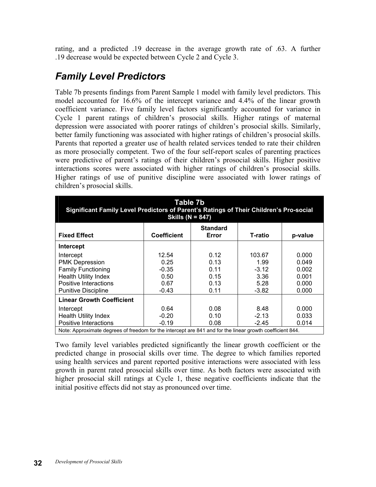rating, and a predicted .19 decrease in the average growth rate of .63. A further .19 decrease would be expected between Cycle 2 and Cycle 3.

## *Family Level Predictors*

Table 7b presents findings from Parent Sample 1 model with family level predictors. This model accounted for 16.6% of the intercept variance and 4.4% of the linear growth coefficient variance. Five family level factors significantly accounted for variance in Cycle 1 parent ratings of children's prosocial skills. Higher ratings of maternal depression were associated with poorer ratings of children's prosocial skills. Similarly, better family functioning was associated with higher ratings of children's prosocial skills. Parents that reported a greater use of health related services tended to rate their children as more prosocially competent. Two of the four self-report scales of parenting practices were predictive of parent's ratings of their children's prosocial skills. Higher positive interactions scores were associated with higher ratings of children's prosocial skills. Higher ratings of use of punitive discipline were associated with lower ratings of children's prosocial skills.

| Table 7b<br>Significant Family Level Predictors of Parent's Ratings of Their Children's Pro-social<br>Skills ( $N = 847$ ) |                    |                          |                |         |
|----------------------------------------------------------------------------------------------------------------------------|--------------------|--------------------------|----------------|---------|
| <b>Fixed Effect</b>                                                                                                        | <b>Coefficient</b> | <b>Standard</b><br>Error | <b>T-ratio</b> | p-value |
| <b>Intercept</b>                                                                                                           |                    |                          |                |         |
| Intercept                                                                                                                  | 12.54              | 0.12                     | 103.67         | 0.000   |
| <b>PMK Depression</b>                                                                                                      | 0.25               | 0.13                     | 1.99           | 0.049   |
| <b>Family Functioning</b>                                                                                                  | $-0.35$            | 0.11                     | $-3.12$        | 0.002   |
| <b>Health Utility Index</b>                                                                                                | 0.50               | 0.15                     | 3.36           | 0.001   |
| Positive Interactions                                                                                                      | 0.67               | 0.13                     | 5.28           | 0.000   |
| <b>Punitive Discipline</b>                                                                                                 | $-0.43$            | 0.11                     | $-3.82$        | 0.000   |
| <b>Linear Growth Coefficient</b>                                                                                           |                    |                          |                |         |
| Intercept                                                                                                                  | 0.64               | 0.08                     | 8.48           | 0.000   |
| <b>Health Utility Index</b>                                                                                                | $-0.20$            | 0.10                     | $-2.13$        | 0.033   |
| <b>Positive Interactions</b>                                                                                               | $-0.19$            | 0.08                     | $-2.45$        | 0.014   |
| Note: Approximate degrees of freedom for the intercept are 841 and for the linear growth coefficient 844.                  |                    |                          |                |         |

Two family level variables predicted significantly the linear growth coefficient or the predicted change in prosocial skills over time. The degree to which families reported using health services and parent reported positive interactions were associated with less growth in parent rated prosocial skills over time. As both factors were associated with higher prosocial skill ratings at Cycle 1, these negative coefficients indicate that the initial positive effects did not stay as pronounced over time.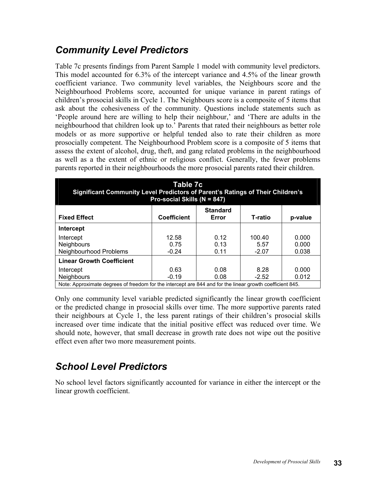## *Community Level Predictors*

Table 7c presents findings from Parent Sample 1 model with community level predictors. This model accounted for 6.3% of the intercept variance and 4.5% of the linear growth coefficient variance. Two community level variables, the Neighbours score and the Neighbourhood Problems score, accounted for unique variance in parent ratings of children's prosocial skills in Cycle 1. The Neighbours score is a composite of 5 items that ask about the cohesiveness of the community. Questions include statements such as 'People around here are willing to help their neighbour,' and 'There are adults in the neighbourhood that children look up to.' Parents that rated their neighbours as better role models or as more supportive or helpful tended also to rate their children as more prosocially competent. The Neighbourhood Problem score is a composite of 5 items that assess the extent of alcohol, drug, theft, and gang related problems in the neighbourhood as well as a the extent of ethnic or religious conflict. Generally, the fewer problems parents reported in their neighbourhoods the more prosocial parents rated their children.

| Table 7c<br><b>Significant Community Level Predictors of Parent's Ratings of Their Children's</b><br>Pro-social Skills (N = 847) |                    |                          |         |         |
|----------------------------------------------------------------------------------------------------------------------------------|--------------------|--------------------------|---------|---------|
| <b>Fixed Effect</b>                                                                                                              | <b>Coefficient</b> | <b>Standard</b><br>Error | T-ratio | p-value |
| Intercept                                                                                                                        |                    |                          |         |         |
| Intercept                                                                                                                        | 12.58              | 0.12                     | 100.40  | 0.000   |
| <b>Neighbours</b>                                                                                                                | 0.75               | 0.13                     | 5.57    | 0.000   |
| Neighbourhood Problems                                                                                                           | $-0.24$            | 0.11                     | $-2.07$ | 0.038   |
| <b>Linear Growth Coefficient</b>                                                                                                 |                    |                          |         |         |
| Intercept                                                                                                                        | 0.63               | 0.08                     | 8.28    | 0.000   |
| <b>Neighbours</b>                                                                                                                | $-0.19$            | 0.08                     | $-2.52$ | 0.012   |
| Note: Approximate degrees of freedom for the intercept are 844 and for the linear growth coefficient 845.                        |                    |                          |         |         |

Only one community level variable predicted significantly the linear growth coefficient or the predicted change in prosocial skills over time. The more supportive parents rated their neighbours at Cycle 1, the less parent ratings of their children's prosocial skills increased over time indicate that the initial positive effect was reduced over time. We should note, however, that small decrease in growth rate does not wipe out the positive effect even after two more measurement points.

## *School Level Predictors*

No school level factors significantly accounted for variance in either the intercept or the linear growth coefficient.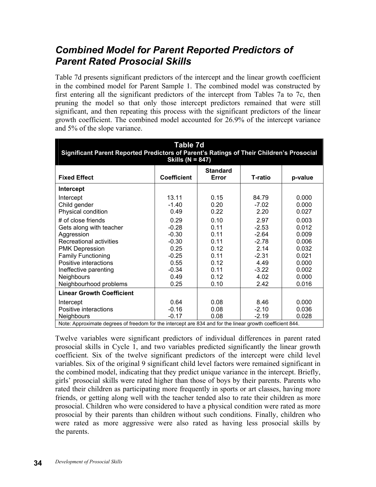## *Combined Model for Parent Reported Predictors of Parent Rated Prosocial Skills*

Table 7d presents significant predictors of the intercept and the linear growth coefficient in the combined model for Parent Sample 1. The combined model was constructed by first entering all the significant predictors of the intercept from Tables 7a to 7c, then pruning the model so that only those intercept predictors remained that were still significant, and then repeating this process with the significant predictors of the linear growth coefficient. The combined model accounted for 26.9% of the intercept variance and 5% of the slope variance.

| Table 7d<br>Significant Parent Reported Predictors of Parent's Ratings of Their Children's Prosocial<br>Skills ( $N = 847$ )                                                                    |                                                                                      |                                                                      |                                                                                      |                                                                               |
|-------------------------------------------------------------------------------------------------------------------------------------------------------------------------------------------------|--------------------------------------------------------------------------------------|----------------------------------------------------------------------|--------------------------------------------------------------------------------------|-------------------------------------------------------------------------------|
| <b>Fixed Effect</b>                                                                                                                                                                             | <b>Coefficient</b>                                                                   | <b>Standard</b><br>Error                                             | T-ratio                                                                              | p-value                                                                       |
| Intercept                                                                                                                                                                                       |                                                                                      |                                                                      |                                                                                      |                                                                               |
| Intercept<br>Child gender<br>Physical condition<br># of close friends<br>Gets along with teacher<br>Aggression<br>Recreational activities<br><b>PMK Depression</b><br><b>Family Functioning</b> | 13.11<br>$-1.40$<br>0.49<br>0.29<br>$-0.28$<br>$-0.30$<br>$-0.30$<br>0.25<br>$-0.25$ | 0.15<br>0.20<br>0.22<br>0.10<br>0.11<br>0.11<br>0.11<br>0.12<br>0.11 | 84.79<br>$-7.02$<br>2.20<br>2.97<br>$-2.53$<br>$-2.64$<br>$-2.78$<br>2.14<br>$-2.31$ | 0.000<br>0.000<br>0.027<br>0.003<br>0.012<br>0.009<br>0.006<br>0.032<br>0.021 |
| Positive interactions<br>Ineffective parenting                                                                                                                                                  | 0.55<br>$-0.34$                                                                      | 0.12<br>0.11                                                         | 4.49<br>$-3.22$                                                                      | 0.000<br>0.002                                                                |
| <b>Neighbours</b><br>Neighbourhood problems                                                                                                                                                     | 0.49<br>0.25                                                                         | 0.12<br>0.10                                                         | 4.02<br>2.42                                                                         | 0.000<br>0.016                                                                |
| <b>Linear Growth Coefficient</b>                                                                                                                                                                |                                                                                      |                                                                      |                                                                                      |                                                                               |
| Intercept<br>Positive interactions<br>Neighbours<br>Note: Approximate degrees of freedom for the intercept are 834 and for the linear growth coefficient 844.                                   | 0.64<br>$-0.16$<br>$-0.17$                                                           | 0.08<br>0.08<br>0.08                                                 | 8.46<br>$-2.10$<br>$-2.19$                                                           | 0.000<br>0.036<br>0.028                                                       |

Twelve variables were significant predictors of individual differences in parent rated prosocial skills in Cycle 1, and two variables predicted significantly the linear growth coefficient. Six of the twelve significant predictors of the intercept were child level variables. Six of the original 9 significant child level factors were remained significant in the combined model, indicating that they predict unique variance in the intercept. Briefly, girls' prosocial skills were rated higher than those of boys by their parents. Parents who rated their children as participating more frequently in sports or art classes, having more friends, or getting along well with the teacher tended also to rate their children as more prosocial. Children who were considered to have a physical condition were rated as more prosocial by their parents than children without such conditions. Finally, children who were rated as more aggressive were also rated as having less prosocial skills by the parents.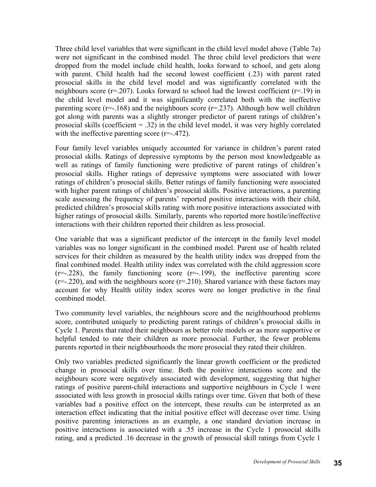Three child level variables that were significant in the child level model above (Table 7a) were not significant in the combined model. The three child level predictors that were dropped from the model include child health, looks forward to school, and gets along with parent. Child health had the second lowest coefficient (.23) with parent rated prosocial skills in the child level model and was significantly correlated with the neighbours score ( $r=0.207$ ). Looks forward to school had the lowest coefficient ( $r=19$ ) in the child level model and it was significantly correlated both with the ineffective parenting score ( $r=-168$ ) and the neighbours score ( $r=-237$ ). Although how well children got along with parents was a slightly stronger predictor of parent ratings of children's prosocial skills (coefficient  $= .32$ ) in the child level model, it was very highly correlated with the ineffective parenting score (r=-.472).

Four family level variables uniquely accounted for variance in children's parent rated prosocial skills. Ratings of depressive symptoms by the person most knowledgeable as well as ratings of family functioning were predictive of parent ratings of children's prosocial skills. Higher ratings of depressive symptoms were associated with lower ratings of children's prosocial skills. Better ratings of family functioning were associated with higher parent ratings of children's prosocial skills. Positive interactions, a parenting scale assessing the frequency of parents' reported positive interactions with their child, predicted children's prosocial skills rating with more positive interactions associated with higher ratings of prosocial skills. Similarly, parents who reported more hostile/ineffective interactions with their children reported their children as less prosocial.

One variable that was a significant predictor of the intercept in the family level model variables was no longer significant in the combined model. Parent use of health related services for their children as measured by the health utility index was dropped from the final combined model. Health utility index was correlated with the child aggression score  $(r=-.228)$ , the family functioning score  $(r=-.199)$ , the ineffective parenting score  $(r=-.220)$ , and with the neighbours score  $(r=.210)$ . Shared variance with these factors may account for why Health utility index scores were no longer predictive in the final combined model.

Two community level variables, the neighbours score and the neighbourhood problems score, contributed uniquely to predicting parent ratings of children's prosocial skills in Cycle 1. Parents that rated their neighbours as better role models or as more supportive or helpful tended to rate their children as more prosocial. Further, the fewer problems parents reported in their neighbourhoods the more prosocial they rated their children.

Only two variables predicted significantly the linear growth coefficient or the predicted change in prosocial skills over time. Both the positive interactions score and the neighbours score were negatively associated with development, suggesting that higher ratings of positive parent-child interactions and supportive neighbours in Cycle 1 were associated with less growth in prosocial skills ratings over time. Given that both of these variables had a positive effect on the intercept, these results can be interpreted as an interaction effect indicating that the initial positive effect will decrease over time. Using positive parenting interactions as an example, a one standard deviation increase in positive interactions is associated with a .55 increase in the Cycle 1 prosocial skills rating, and a predicted .16 decrease in the growth of prosocial skill ratings from Cycle 1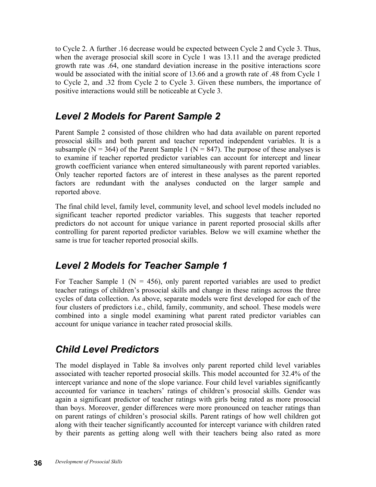to Cycle 2. A further .16 decrease would be expected between Cycle 2 and Cycle 3. Thus, when the average prosocial skill score in Cycle 1 was 13.11 and the average predicted growth rate was .64, one standard deviation increase in the positive interactions score would be associated with the initial score of 13.66 and a growth rate of .48 from Cycle 1 to Cycle 2, and .32 from Cycle 2 to Cycle 3. Given these numbers, the importance of positive interactions would still be noticeable at Cycle 3.

## *Level 2 Models for Parent Sample 2*

Parent Sample 2 consisted of those children who had data available on parent reported prosocial skills and both parent and teacher reported independent variables. It is a subsample ( $N = 364$ ) of the Parent Sample 1 ( $N = 847$ ). The purpose of these analyses is to examine if teacher reported predictor variables can account for intercept and linear growth coefficient variance when entered simultaneously with parent reported variables. Only teacher reported factors are of interest in these analyses as the parent reported factors are redundant with the analyses conducted on the larger sample and reported above.

The final child level, family level, community level, and school level models included no significant teacher reported predictor variables. This suggests that teacher reported predictors do not account for unique variance in parent reported prosocial skills after controlling for parent reported predictor variables. Below we will examine whether the same is true for teacher reported prosocial skills.

## *Level 2 Models for Teacher Sample 1*

For Teacher Sample 1 ( $N = 456$ ), only parent reported variables are used to predict teacher ratings of children's prosocial skills and change in these ratings across the three cycles of data collection. As above, separate models were first developed for each of the four clusters of predictors i.e., child, family, community, and school. These models were combined into a single model examining what parent rated predictor variables can account for unique variance in teacher rated prosocial skills.

## *Child Level Predictors*

The model displayed in Table 8a involves only parent reported child level variables associated with teacher reported prosocial skills. This model accounted for 32.4% of the intercept variance and none of the slope variance. Four child level variables significantly accounted for variance in teachers' ratings of children's prosocial skills. Gender was again a significant predictor of teacher ratings with girls being rated as more prosocial than boys. Moreover, gender differences were more pronounced on teacher ratings than on parent ratings of children's prosocial skills. Parent ratings of how well children got along with their teacher significantly accounted for intercept variance with children rated by their parents as getting along well with their teachers being also rated as more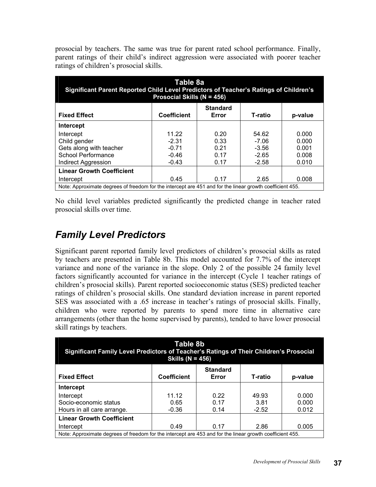prosocial by teachers. The same was true for parent rated school performance. Finally, parent ratings of their child's indirect aggression were associated with poorer teacher ratings of children's prosocial skills.

| Table 8a<br>Significant Parent Reported Child Level Predictors of Teacher's Ratings of Children's<br>Prosocial Skills (N = 456) |                                                                                                           |                          |         |         |
|---------------------------------------------------------------------------------------------------------------------------------|-----------------------------------------------------------------------------------------------------------|--------------------------|---------|---------|
| <b>Fixed Effect</b>                                                                                                             | <b>Coefficient</b>                                                                                        | <b>Standard</b><br>Error | T-ratio | p-value |
| Intercept                                                                                                                       |                                                                                                           |                          |         |         |
| Intercept                                                                                                                       | 11.22                                                                                                     | 0.20                     | 54.62   | 0.000   |
| Child gender                                                                                                                    | $-2.31$                                                                                                   | 0.33                     | $-7.06$ | 0.000   |
| Gets along with teacher                                                                                                         | $-0.71$                                                                                                   | 0.21                     | $-3.56$ | 0.001   |
| <b>School Performance</b>                                                                                                       | $-0.46$                                                                                                   | 0.17                     | $-2.65$ | 0.008   |
| Indirect Aggression                                                                                                             | $-0.43$                                                                                                   | 0.17                     | $-2.58$ | 0.010   |
| <b>Linear Growth Coefficient</b>                                                                                                |                                                                                                           |                          |         |         |
| Intercept                                                                                                                       | 0.45                                                                                                      | 0.17                     | 2.65    | 0.008   |
|                                                                                                                                 | Note: Approximate degrees of freedom for the intercept are 451 and for the linear growth coefficient 455. |                          |         |         |

No child level variables predicted significantly the predicted change in teacher rated prosocial skills over time.

## *Family Level Predictors*

Significant parent reported family level predictors of children's prosocial skills as rated by teachers are presented in Table 8b. This model accounted for 7.7% of the intercept variance and none of the variance in the slope. Only 2 of the possible 24 family level factors significantly accounted for variance in the intercept (Cycle 1 teacher ratings of children's prosocial skills). Parent reported socioeconomic status (SES) predicted teacher ratings of children's prosocial skills. One standard deviation increase in parent reported SES was associated with a .65 increase in teacher's ratings of prosocial skills. Finally, children who were reported by parents to spend more time in alternative care arrangements (other than the home supervised by parents), tended to have lower prosocial skill ratings by teachers.

| Table 8b<br>Significant Family Level Predictors of Teacher's Ratings of Their Children's Prosocial<br>Skills ( $N = 456$ ) |                    |                          |         |         |
|----------------------------------------------------------------------------------------------------------------------------|--------------------|--------------------------|---------|---------|
| <b>Fixed Effect</b>                                                                                                        | <b>Coefficient</b> | <b>Standard</b><br>Error | T-ratio | p-value |
| Intercept                                                                                                                  |                    |                          |         |         |
| Intercept                                                                                                                  | 11.12              | 0.22                     | 49.93   | 0.000   |
| Socio-economic status                                                                                                      | 0.65               | 0.17                     | 3.81    | 0.000   |
| Hours in all care arrange.                                                                                                 | $-0.36$            | 0.14                     | $-2.52$ | 0.012   |
| <b>Linear Growth Coefficient</b>                                                                                           |                    |                          |         |         |
| Intercept                                                                                                                  | 0.49               | 0.17                     | 2.86    | 0.005   |
| Note: Approximate degrees of freedom for the intercept are 453 and for the linear growth coefficient 455.                  |                    |                          |         |         |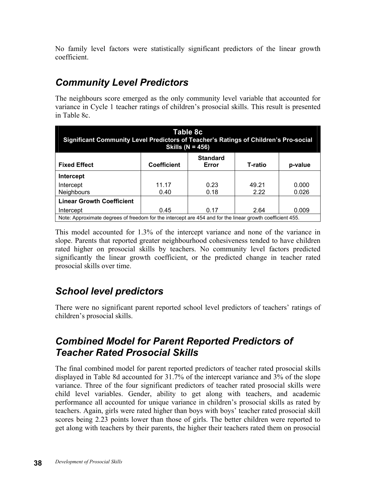No family level factors were statistically significant predictors of the linear growth coefficient.

## *Community Level Predictors*

The neighbours score emerged as the only community level variable that accounted for variance in Cycle 1 teacher ratings of children's prosocial skills. This result is presented in Table 8c.

| Table 8c<br>Significant Community Level Predictors of Teacher's Ratings of Children's Pro-social<br>Skills ( $N = 456$ ) |                                                                      |              |               |                |  |
|--------------------------------------------------------------------------------------------------------------------------|----------------------------------------------------------------------|--------------|---------------|----------------|--|
| <b>Fixed Effect</b>                                                                                                      | <b>Standard</b><br><b>Coefficient</b><br>T-ratio<br>p-value<br>Error |              |               |                |  |
| Intercept                                                                                                                |                                                                      |              |               |                |  |
| Intercept<br><b>Neighbours</b>                                                                                           | 11.17<br>0.40                                                        | 0.23<br>0.18 | 49.21<br>2.22 | 0.000<br>0.026 |  |
| <b>Linear Growth Coefficient</b>                                                                                         |                                                                      |              |               |                |  |
| Intercept                                                                                                                | 0.45                                                                 | 0.17         | 2.64          | 0.009          |  |
| Note: Approximate degrees of freedom for the intercept are 454 and for the linear growth coefficient 455.                |                                                                      |              |               |                |  |

This model accounted for 1.3% of the intercept variance and none of the variance in slope. Parents that reported greater neighbourhood cohesiveness tended to have children rated higher on prosocial skills by teachers. No community level factors predicted significantly the linear growth coefficient, or the predicted change in teacher rated prosocial skills over time.

## *School level predictors*

There were no significant parent reported school level predictors of teachers' ratings of children's prosocial skills.

## *Combined Model for Parent Reported Predictors of Teacher Rated Prosocial Skills*

The final combined model for parent reported predictors of teacher rated prosocial skills displayed in Table 8d accounted for 31.7% of the intercept variance and 3% of the slope variance. Three of the four significant predictors of teacher rated prosocial skills were child level variables. Gender, ability to get along with teachers, and academic performance all accounted for unique variance in children's prosocial skills as rated by teachers. Again, girls were rated higher than boys with boys' teacher rated prosocial skill scores being 2.23 points lower than those of girls. The better children were reported to get along with teachers by their parents, the higher their teachers rated them on prosocial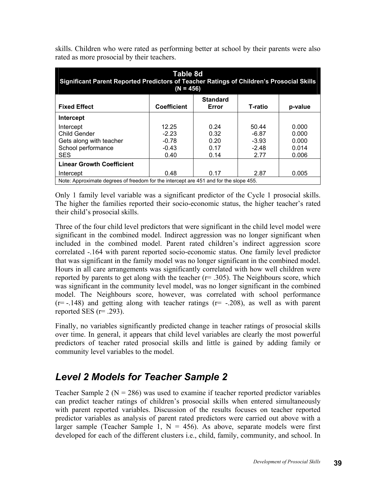| Table 8d<br>Significant Parent Reported Predictors of Teacher Ratings of Children's Prosocial Skills<br>$(N = 456)$ |                    |                          |         |         |
|---------------------------------------------------------------------------------------------------------------------|--------------------|--------------------------|---------|---------|
| <b>Fixed Effect</b>                                                                                                 | <b>Coefficient</b> | <b>Standard</b><br>Error | T-ratio | p-value |
| Intercept                                                                                                           |                    |                          |         |         |
| Intercept                                                                                                           | 12.25              | 0.24                     | 50.44   | 0.000   |
| Child Gender                                                                                                        | $-2.23$            | 0.32                     | $-6.87$ | 0.000   |
| Gets along with teacher                                                                                             | $-0.78$            | 0.20                     | $-3.93$ | 0.000   |
| School performance                                                                                                  | $-0.43$            | 0.17                     | $-2.48$ | 0.014   |
| <b>SES</b>                                                                                                          | 0.40               | 0.14                     | 2.77    | 0.006   |
| <b>Linear Growth Coefficient</b>                                                                                    |                    |                          |         |         |
| Intercept                                                                                                           | 0.48               | 0.17                     | 2.87    | 0.005   |
| Note: Approximate degrees of freedom for the intercept are 451 and for the slope 455.                               |                    |                          |         |         |

skills. Children who were rated as performing better at school by their parents were also rated as more prosocial by their teachers.

Only 1 family level variable was a significant predictor of the Cycle 1 prosocial skills. The higher the families reported their socio-economic status, the higher teacher's rated their child's prosocial skills.

Three of the four child level predictors that were significant in the child level model were significant in the combined model. Indirect aggression was no longer significant when included in the combined model. Parent rated children's indirect aggression score correlated -.164 with parent reported socio-economic status. One family level predictor that was significant in the family model was no longer significant in the combined model. Hours in all care arrangements was significantly correlated with how well children were reported by parents to get along with the teacher  $(r= .305)$ . The Neighbours score, which was significant in the community level model, was no longer significant in the combined model. The Neighbours score, however, was correlated with school performance  $(r=-.148)$  and getting along with teacher ratings  $(r=-.208)$ , as well as with parent reported SES  $(r= .293)$ .

Finally, no variables significantly predicted change in teacher ratings of prosocial skills over time. In general, it appears that child level variables are clearly the most powerful predictors of teacher rated prosocial skills and little is gained by adding family or community level variables to the model.

## *Level 2 Models for Teacher Sample 2*

Teacher Sample 2 ( $N = 286$ ) was used to examine if teacher reported predictor variables can predict teacher ratings of children's prosocial skills when entered simultaneously with parent reported variables. Discussion of the results focuses on teacher reported predictor variables as analysis of parent rated predictors were carried out above with a larger sample (Teacher Sample 1,  $N = 456$ ). As above, separate models were first developed for each of the different clusters i.e., child, family, community, and school. In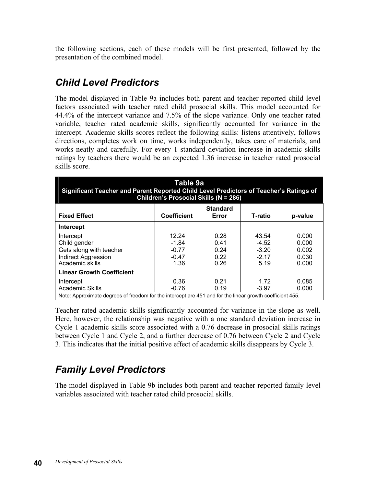the following sections, each of these models will be first presented, followed by the presentation of the combined model.

## *Child Level Predictors*

The model displayed in Table 9a includes both parent and teacher reported child level factors associated with teacher rated child prosocial skills. This model accounted for 44.4% of the intercept variance and 7.5% of the slope variance. Only one teacher rated variable, teacher rated academic skills, significantly accounted for variance in the intercept. Academic skills scores reflect the following skills: listens attentively, follows directions, completes work on time, works independently, takes care of materials, and works neatly and carefully. For every 1 standard deviation increase in academic skills ratings by teachers there would be an expected 1.36 increase in teacher rated prosocial skills score.

| Table 9a<br>Significant Teacher and Parent Reported Child Level Predictors of Teacher's Ratings of<br>Children's Prosocial Skills (N = 286) |                    |                          |         |                                                                                                           |  |  |  |
|---------------------------------------------------------------------------------------------------------------------------------------------|--------------------|--------------------------|---------|-----------------------------------------------------------------------------------------------------------|--|--|--|
| <b>Fixed Effect</b>                                                                                                                         | <b>Coefficient</b> | <b>Standard</b><br>Error | T-ratio | p-value                                                                                                   |  |  |  |
| Intercept                                                                                                                                   |                    |                          |         |                                                                                                           |  |  |  |
| Intercept                                                                                                                                   | 12.24              | 0.28                     | 43.54   | 0.000                                                                                                     |  |  |  |
| Child gender                                                                                                                                | $-1.84$            | 0.41                     | $-4.52$ | 0.000                                                                                                     |  |  |  |
| Gets along with teacher                                                                                                                     | $-0.77$            | 0.24                     | $-3.20$ | 0.002                                                                                                     |  |  |  |
| <b>Indirect Aggression</b>                                                                                                                  | $-0.47$            | 0.22                     | $-2.17$ | 0.030                                                                                                     |  |  |  |
| Academic skills                                                                                                                             | 1.36               | 0.26                     | 5.19    | 0.000                                                                                                     |  |  |  |
| <b>Linear Growth Coefficient</b>                                                                                                            |                    |                          |         |                                                                                                           |  |  |  |
| Intercept                                                                                                                                   | 0.36               | 0.21                     | 1.72    | 0.085                                                                                                     |  |  |  |
| Academic Skills                                                                                                                             | $-0.76$            | 0.19                     | $-3.97$ | 0.000                                                                                                     |  |  |  |
|                                                                                                                                             |                    |                          |         | Note: Approximate degrees of freedom for the intercept are 451 and for the linear growth coefficient 455. |  |  |  |

Teacher rated academic skills significantly accounted for variance in the slope as well. Here, however, the relationship was negative with a one standard deviation increase in Cycle 1 academic skills score associated with a 0.76 decrease in prosocial skills ratings between Cycle 1 and Cycle 2, and a further decrease of 0.76 between Cycle 2 and Cycle 3. This indicates that the initial positive effect of academic skills disappears by Cycle 3.

## *Family Level Predictors*

The model displayed in Table 9b includes both parent and teacher reported family level variables associated with teacher rated child prosocial skills.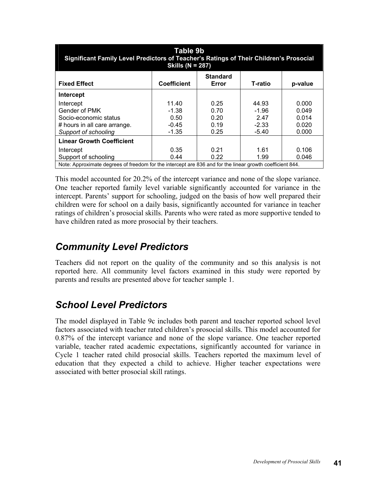| Table 9b<br>Significant Family Level Predictors of Teacher's Ratings of Their Children's Prosocial<br>Skills ( $N = 287$ ) |                    |                          |         |         |
|----------------------------------------------------------------------------------------------------------------------------|--------------------|--------------------------|---------|---------|
| <b>Fixed Effect</b>                                                                                                        | <b>Coefficient</b> | <b>Standard</b><br>Error | T-ratio | p-value |
| <b>Intercept</b>                                                                                                           |                    |                          |         |         |
| Intercept                                                                                                                  | 11.40              | 0.25                     | 44.93   | 0.000   |
| Gender of PMK                                                                                                              | $-1.38$            | 0.70                     | $-1.96$ | 0.049   |
| Socio-economic status                                                                                                      | 0.50               | 0.20                     | 2.47    | 0.014   |
| # hours in all care arrange.                                                                                               | $-0.45$            | 0.19                     | $-2.33$ | 0.020   |
| Support of schooling                                                                                                       | $-1.35$            | 0.25                     | $-5.40$ | 0.000   |
| <b>Linear Growth Coefficient</b>                                                                                           |                    |                          |         |         |
| Intercept                                                                                                                  | 0.35               | 0.21                     | 1.61    | 0.106   |
| Support of schooling                                                                                                       | 0.44               | 0.22                     | 1.99    | 0.046   |
| Note: Approximate degrees of freedom for the intercept are 836 and for the linear growth coefficient 844.                  |                    |                          |         |         |

This model accounted for 20.2% of the intercept variance and none of the slope variance. One teacher reported family level variable significantly accounted for variance in the intercept. Parents' support for schooling, judged on the basis of how well prepared their children were for school on a daily basis, significantly accounted for variance in teacher ratings of children's prosocial skills. Parents who were rated as more supportive tended to have children rated as more prosocial by their teachers.

## *Community Level Predictors*

Teachers did not report on the quality of the community and so this analysis is not reported here. All community level factors examined in this study were reported by parents and results are presented above for teacher sample 1.

## *School Level Predictors*

The model displayed in Table 9c includes both parent and teacher reported school level factors associated with teacher rated children's prosocial skills. This model accounted for 0.87% of the intercept variance and none of the slope variance. One teacher reported variable, teacher rated academic expectations, significantly accounted for variance in Cycle 1 teacher rated child prosocial skills. Teachers reported the maximum level of education that they expected a child to achieve. Higher teacher expectations were associated with better prosocial skill ratings.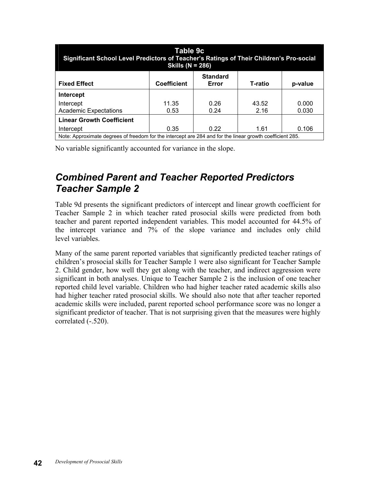| Table 9c<br>Significant School Level Predictors of Teacher's Ratings of Their Children's Pro-social<br>Skills ( $N = 286$ ) |                    |                          |               |                |
|-----------------------------------------------------------------------------------------------------------------------------|--------------------|--------------------------|---------------|----------------|
| <b>Fixed Effect</b>                                                                                                         | <b>Coefficient</b> | <b>Standard</b><br>Error | T-ratio       | p-value        |
| Intercept                                                                                                                   |                    |                          |               |                |
| Intercept<br><b>Academic Expectations</b>                                                                                   | 11.35<br>0.53      | 0.26<br>0.24             | 43.52<br>2.16 | 0.000<br>0.030 |
| <b>Linear Growth Coefficient</b>                                                                                            |                    |                          |               |                |
| Intercept                                                                                                                   | 0.35               | 0.22                     | 1.61          | 0.106          |
| Note: Approximate degrees of freedom for the intercept are 284 and for the linear growth coefficient 285.                   |                    |                          |               |                |

No variable significantly accounted for variance in the slope.

## *Combined Parent and Teacher Reported Predictors Teacher Sample 2*

Table 9d presents the significant predictors of intercept and linear growth coefficient for Teacher Sample 2 in which teacher rated prosocial skills were predicted from both teacher and parent reported independent variables. This model accounted for 44.5% of the intercept variance and 7% of the slope variance and includes only child level variables.

Many of the same parent reported variables that significantly predicted teacher ratings of children's prosocial skills for Teacher Sample 1 were also significant for Teacher Sample 2. Child gender, how well they get along with the teacher, and indirect aggression were significant in both analyses. Unique to Teacher Sample 2 is the inclusion of one teacher reported child level variable. Children who had higher teacher rated academic skills also had higher teacher rated prosocial skills. We should also note that after teacher reported academic skills were included, parent reported school performance score was no longer a significant predictor of teacher. That is not surprising given that the measures were highly correlated (-.520).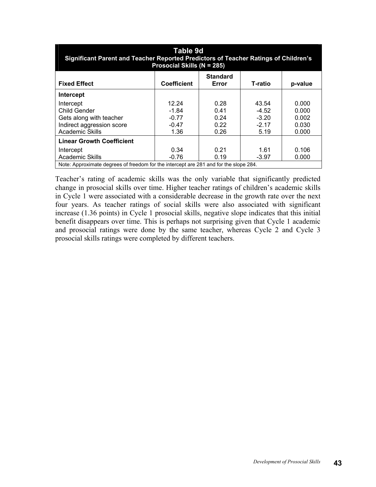| Table 9d<br>Significant Parent and Teacher Reported Predictors of Teacher Ratings of Children's<br>Prosocial Skills (N = 285) |                    |                          |         |         |
|-------------------------------------------------------------------------------------------------------------------------------|--------------------|--------------------------|---------|---------|
| <b>Fixed Effect</b>                                                                                                           | <b>Coefficient</b> | <b>Standard</b><br>Error | T-ratio | p-value |
| Intercept                                                                                                                     |                    |                          |         |         |
| Intercept                                                                                                                     | 12.24              | 0.28                     | 43.54   | 0.000   |
| Child Gender                                                                                                                  | $-1.84$            | 0.41                     | $-4.52$ | 0.000   |
| Gets along with teacher                                                                                                       | $-0.77$            | 0.24                     | $-3.20$ | 0.002   |
| Indirect aggression score                                                                                                     | $-0.47$            | 0.22                     | $-2.17$ | 0.030   |
| <b>Academic Skills</b>                                                                                                        | 1.36               | 0.26                     | 5.19    | 0.000   |
| <b>Linear Growth Coefficient</b>                                                                                              |                    |                          |         |         |
| Intercept                                                                                                                     | 0.34               | 0.21                     | 1.61    | 0.106   |
| <b>Academic Skills</b>                                                                                                        | $-0.76$            | 0.19                     | $-3.97$ | 0.000   |
| Note: Approximate degrees of freedom for the intercept are 281 and for the slope 284.                                         |                    |                          |         |         |

Teacher's rating of academic skills was the only variable that significantly predicted change in prosocial skills over time. Higher teacher ratings of children's academic skills in Cycle 1 were associated with a considerable decrease in the growth rate over the next four years. As teacher ratings of social skills were also associated with significant increase (1.36 points) in Cycle 1 prosocial skills, negative slope indicates that this initial benefit disappears over time. This is perhaps not surprising given that Cycle 1 academic and prosocial ratings were done by the same teacher, whereas Cycle 2 and Cycle 3 prosocial skills ratings were completed by different teachers.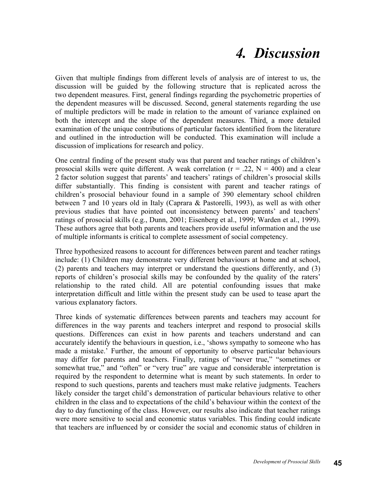## *4. Discussion*

Given that multiple findings from different levels of analysis are of interest to us, the discussion will be guided by the following structure that is replicated across the two dependent measures. First, general findings regarding the psychometric properties of the dependent measures will be discussed. Second, general statements regarding the use of multiple predictors will be made in relation to the amount of variance explained on both the intercept and the slope of the dependent measures. Third, a more detailed examination of the unique contributions of particular factors identified from the literature and outlined in the introduction will be conducted. This examination will include a discussion of implications for research and policy.

One central finding of the present study was that parent and teacher ratings of children's prosocial skills were quite different. A weak correlation ( $r = .22$ ,  $N = 400$ ) and a clear 2 factor solution suggest that parents' and teachers' ratings of children's prosocial skills differ substantially. This finding is consistent with parent and teacher ratings of children's prosocial behaviour found in a sample of 390 elementary school children between 7 and 10 years old in Italy (Caprara & Pastorelli, 1993), as well as with other previous studies that have pointed out inconsistency between parents' and teachers' ratings of prosocial skills (e.g., Dunn, 2001; Eisenberg et al., 1999; Warden et al., 1999). These authors agree that both parents and teachers provide useful information and the use of multiple informants is critical to complete assessment of social competency.

Three hypothesized reasons to account for differences between parent and teacher ratings include: (1) Children may demonstrate very different behaviours at home and at school, (2) parents and teachers may interpret or understand the questions differently, and (3) reports of children's prosocial skills may be confounded by the quality of the raters' relationship to the rated child. All are potential confounding issues that make interpretation difficult and little within the present study can be used to tease apart the various explanatory factors.

Three kinds of systematic differences between parents and teachers may account for differences in the way parents and teachers interpret and respond to prosocial skills questions. Differences can exist in how parents and teachers understand and can accurately identify the behaviours in question, i.e., 'shows sympathy to someone who has made a mistake.' Further, the amount of opportunity to observe particular behaviours may differ for parents and teachers. Finally, ratings of "never true," "sometimes or somewhat true," and "often" or "very true" are vague and considerable interpretation is required by the respondent to determine what is meant by such statements. In order to respond to such questions, parents and teachers must make relative judgments. Teachers likely consider the target child's demonstration of particular behaviours relative to other children in the class and to expectations of the child's behaviour within the context of the day to day functioning of the class. However, our results also indicate that teacher ratings were more sensitive to social and economic status variables. This finding could indicate that teachers are influenced by or consider the social and economic status of children in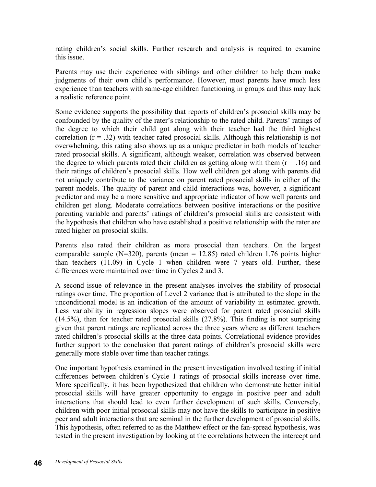rating children's social skills. Further research and analysis is required to examine this issue.

Parents may use their experience with siblings and other children to help them make judgments of their own child's performance. However, most parents have much less experience than teachers with same-age children functioning in groups and thus may lack a realistic reference point.

Some evidence supports the possibility that reports of children's prosocial skills may be confounded by the quality of the rater's relationship to the rated child. Parents' ratings of the degree to which their child got along with their teacher had the third highest correlation  $(r = .32)$  with teacher rated prosocial skills. Although this relationship is not overwhelming, this rating also shows up as a unique predictor in both models of teacher rated prosocial skills. A significant, although weaker, correlation was observed between the degree to which parents rated their children as getting along with them  $(r = .16)$  and their ratings of children's prosocial skills. How well children got along with parents did not uniquely contribute to the variance on parent rated prosocial skills in either of the parent models. The quality of parent and child interactions was, however, a significant predictor and may be a more sensitive and appropriate indicator of how well parents and children get along. Moderate correlations between positive interactions or the positive parenting variable and parents' ratings of children's prosocial skills are consistent with the hypothesis that children who have established a positive relationship with the rater are rated higher on prosocial skills.

Parents also rated their children as more prosocial than teachers. On the largest comparable sample  $(N=320)$ , parents (mean = 12.85) rated children 1.76 points higher than teachers (11.09) in Cycle 1 when children were 7 years old. Further, these differences were maintained over time in Cycles 2 and 3.

A second issue of relevance in the present analyses involves the stability of prosocial ratings over time. The proportion of Level 2 variance that is attributed to the slope in the unconditional model is an indication of the amount of variability in estimated growth. Less variability in regression slopes were observed for parent rated prosocial skills (14.5%), than for teacher rated prosocial skills (27.8%). This finding is not surprising given that parent ratings are replicated across the three years where as different teachers rated children's prosocial skills at the three data points. Correlational evidence provides further support to the conclusion that parent ratings of children's prosocial skills were generally more stable over time than teacher ratings.

One important hypothesis examined in the present investigation involved testing if initial differences between children's Cycle 1 ratings of prosocial skills increase over time. More specifically, it has been hypothesized that children who demonstrate better initial prosocial skills will have greater opportunity to engage in positive peer and adult interactions that should lead to even further development of such skills. Conversely, children with poor initial prosocial skills may not have the skills to participate in positive peer and adult interactions that are seminal in the further development of prosocial skills. This hypothesis, often referred to as the Matthew effect or the fan-spread hypothesis, was tested in the present investigation by looking at the correlations between the intercept and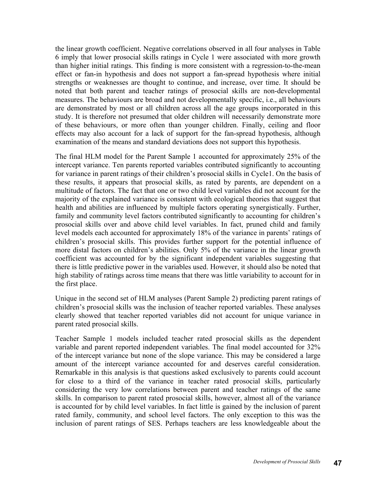the linear growth coefficient. Negative correlations observed in all four analyses in Table 6 imply that lower prosocial skills ratings in Cycle 1 were associated with more growth than higher initial ratings. This finding is more consistent with a regression-to-the-mean effect or fan-in hypothesis and does not support a fan-spread hypothesis where initial strengths or weaknesses are thought to continue, and increase, over time. It should be noted that both parent and teacher ratings of prosocial skills are non-developmental measures. The behaviours are broad and not developmentally specific, i.e., all behaviours are demonstrated by most or all children across all the age groups incorporated in this study. It is therefore not presumed that older children will necessarily demonstrate more of these behaviours, or more often than younger children. Finally, ceiling and floor effects may also account for a lack of support for the fan-spread hypothesis, although examination of the means and standard deviations does not support this hypothesis.

The final HLM model for the Parent Sample 1 accounted for approximately 25% of the intercept variance. Ten parents reported variables contributed significantly to accounting for variance in parent ratings of their children's prosocial skills in Cycle1. On the basis of these results, it appears that prosocial skills, as rated by parents, are dependent on a multitude of factors. The fact that one or two child level variables did not account for the majority of the explained variance is consistent with ecological theories that suggest that health and abilities are influenced by multiple factors operating synergistically. Further, family and community level factors contributed significantly to accounting for children's prosocial skills over and above child level variables. In fact, pruned child and family level models each accounted for approximately 18% of the variance in parents' ratings of children's prosocial skills. This provides further support for the potential influence of more distal factors on children's abilities. Only 5% of the variance in the linear growth coefficient was accounted for by the significant independent variables suggesting that there is little predictive power in the variables used. However, it should also be noted that high stability of ratings across time means that there was little variability to account for in the first place.

Unique in the second set of HLM analyses (Parent Sample 2) predicting parent ratings of children's prosocial skills was the inclusion of teacher reported variables. These analyses clearly showed that teacher reported variables did not account for unique variance in parent rated prosocial skills.

Teacher Sample 1 models included teacher rated prosocial skills as the dependent variable and parent reported independent variables. The final model accounted for 32% of the intercept variance but none of the slope variance. This may be considered a large amount of the intercept variance accounted for and deserves careful consideration. Remarkable in this analysis is that questions asked exclusively to parents could account for close to a third of the variance in teacher rated prosocial skills, particularly considering the very low correlations between parent and teacher ratings of the same skills. In comparison to parent rated prosocial skills, however, almost all of the variance is accounted for by child level variables. In fact little is gained by the inclusion of parent rated family, community, and school level factors. The only exception to this was the inclusion of parent ratings of SES. Perhaps teachers are less knowledgeable about the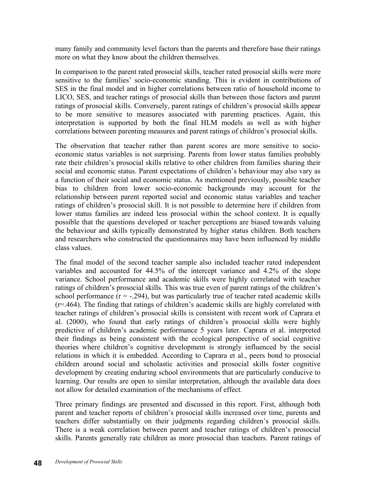many family and community level factors than the parents and therefore base their ratings more on what they know about the children themselves.

In comparison to the parent rated prosocial skills, teacher rated prosocial skills were more sensitive to the families' socio-economic standing. This is evident in contributions of SES in the final model and in higher correlations between ratio of household income to LICO, SES, and teacher ratings of prosocial skills than between those factors and parent ratings of prosocial skills. Conversely, parent ratings of children's prosocial skills appear to be more sensitive to measures associated with parenting practices. Again, this interpretation is supported by both the final HLM models as well as with higher correlations between parenting measures and parent ratings of children's prosocial skills.

The observation that teacher rather than parent scores are more sensitive to socioeconomic status variables is not surprising. Parents from lower status families probably rate their children's prosocial skills relative to other children from families sharing their social and economic status. Parent expectations of children's behaviour may also vary as a function of their social and economic status. As mentioned previously, possible teacher bias to children from lower socio-economic backgrounds may account for the relationship between parent reported social and economic status variables and teacher ratings of children's prosocial skill. It is not possible to determine here if children from lower status families are indeed less prosocial within the school context. It is equally possible that the questions developed or teacher perceptions are biased towards valuing the behaviour and skills typically demonstrated by higher status children. Both teachers and researchers who constructed the questionnaires may have been influenced by middle class values.

The final model of the second teacher sample also included teacher rated independent variables and accounted for 44.5% of the intercept variance and 4.2% of the slope variance. School performance and academic skills were highly correlated with teacher ratings of children's prosocial skills. This was true even of parent ratings of the children's school performance  $(r = -0.294)$ , but was particularly true of teacher rated academic skills (r=.464). The finding that ratings of children's academic skills are highly correlated with teacher ratings of children's prosocial skills is consistent with recent work of Caprara et al. (2000), who found that early ratings of children's prosocial skills were highly predictive of children's academic performance 5 years later. Caprara et al. interpreted their findings as being consistent with the ecological perspective of social cognitive theories where children's cognitive development is strongly influenced by the social relations in which it is embedded. According to Caprara et al., peers bond to prosocial children around social and scholastic activities and prosocial skills foster cognitive development by creating enduring school environments that are particularly conducive to learning. Our results are open to similar interpretation, although the available data does not allow for detailed examination of the mechanisms of effect.

Three primary findings are presented and discussed in this report. First, although both parent and teacher reports of children's prosocial skills increased over time, parents and teachers differ substantially on their judgments regarding children's prosocial skills. There is a weak correlation between parent and teacher ratings of children's prosocial skills. Parents generally rate children as more prosocial than teachers. Parent ratings of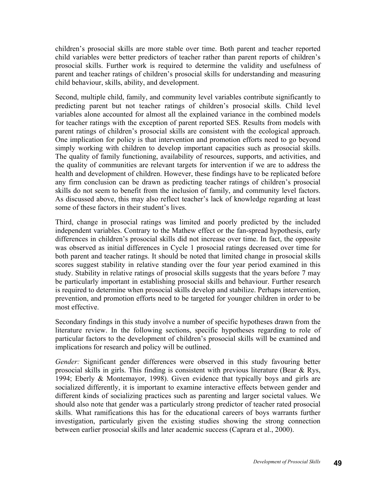children's prosocial skills are more stable over time. Both parent and teacher reported child variables were better predictors of teacher rather than parent reports of children's prosocial skills. Further work is required to determine the validity and usefulness of parent and teacher ratings of children's prosocial skills for understanding and measuring child behaviour, skills, ability, and development.

Second, multiple child, family, and community level variables contribute significantly to predicting parent but not teacher ratings of children's prosocial skills. Child level variables alone accounted for almost all the explained variance in the combined models for teacher ratings with the exception of parent reported SES. Results from models with parent ratings of children's prosocial skills are consistent with the ecological approach. One implication for policy is that intervention and promotion efforts need to go beyond simply working with children to develop important capacities such as prosocial skills. The quality of family functioning, availability of resources, supports, and activities, and the quality of communities are relevant targets for intervention if we are to address the health and development of children. However, these findings have to be replicated before any firm conclusion can be drawn as predicting teacher ratings of children's prosocial skills do not seem to benefit from the inclusion of family, and community level factors. As discussed above, this may also reflect teacher's lack of knowledge regarding at least some of these factors in their student's lives.

Third, change in prosocial ratings was limited and poorly predicted by the included independent variables. Contrary to the Mathew effect or the fan-spread hypothesis, early differences in children's prosocial skills did not increase over time. In fact, the opposite was observed as initial differences in Cycle 1 prosocial ratings decreased over time for both parent and teacher ratings. It should be noted that limited change in prosocial skills scores suggest stability in relative standing over the four year period examined in this study. Stability in relative ratings of prosocial skills suggests that the years before 7 may be particularly important in establishing prosocial skills and behaviour. Further research is required to determine when prosocial skills develop and stabilize. Perhaps intervention, prevention, and promotion efforts need to be targeted for younger children in order to be most effective.

Secondary findings in this study involve a number of specific hypotheses drawn from the literature review. In the following sections, specific hypotheses regarding to role of particular factors to the development of children's prosocial skills will be examined and implications for research and policy will be outlined.

*Gender:* Significant gender differences were observed in this study favouring better prosocial skills in girls. This finding is consistent with previous literature (Bear & Rys, 1994; Eberly & Montemayor, 1998). Given evidence that typically boys and girls are socialized differently, it is important to examine interactive effects between gender and different kinds of socializing practices such as parenting and larger societal values. We should also note that gender was a particularly strong predictor of teacher rated prosocial skills. What ramifications this has for the educational careers of boys warrants further investigation, particularly given the existing studies showing the strong connection between earlier prosocial skills and later academic success (Caprara et al., 2000).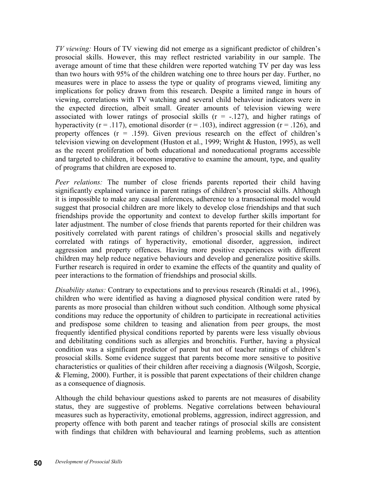*TV viewing:* Hours of TV viewing did not emerge as a significant predictor of children's prosocial skills. However, this may reflect restricted variability in our sample. The average amount of time that these children were reported watching TV per day was less than two hours with 95% of the children watching one to three hours per day. Further, no measures were in place to assess the type or quality of programs viewed, limiting any implications for policy drawn from this research. Despite a limited range in hours of viewing, correlations with TV watching and several child behaviour indicators were in the expected direction, albeit small. Greater amounts of television viewing were associated with lower ratings of prosocial skills  $(r = -.127)$ , and higher ratings of hyperactivity ( $r = .117$ ), emotional disorder ( $r = .103$ ), indirect aggression ( $r = .126$ ), and property offences  $(r = .159)$ . Given previous research on the effect of children's television viewing on development (Huston et al., 1999; Wright & Huston, 1995), as well as the recent proliferation of both educational and noneducational programs accessible and targeted to children, it becomes imperative to examine the amount, type, and quality of programs that children are exposed to.

*Peer relations:* The number of close friends parents reported their child having significantly explained variance in parent ratings of children's prosocial skills. Although it is impossible to make any causal inferences, adherence to a transactional model would suggest that prosocial children are more likely to develop close friendships and that such friendships provide the opportunity and context to develop further skills important for later adjustment. The number of close friends that parents reported for their children was positively correlated with parent ratings of children's prosocial skills and negatively correlated with ratings of hyperactivity, emotional disorder, aggression, indirect aggression and property offences. Having more positive experiences with different children may help reduce negative behaviours and develop and generalize positive skills. Further research is required in order to examine the effects of the quantity and quality of peer interactions to the formation of friendships and prosocial skills.

*Disability status:* Contrary to expectations and to previous research (Rinaldi et al., 1996), children who were identified as having a diagnosed physical condition were rated by parents as more prosocial than children without such condition. Although some physical conditions may reduce the opportunity of children to participate in recreational activities and predispose some children to teasing and alienation from peer groups, the most frequently identified physical conditions reported by parents were less visually obvious and debilitating conditions such as allergies and bronchitis. Further, having a physical condition was a significant predictor of parent but not of teacher ratings of children's prosocial skills. Some evidence suggest that parents become more sensitive to positive characteristics or qualities of their children after receiving a diagnosis (Wilgosh, Scorgie, & Fleming, 2000). Further, it is possible that parent expectations of their children change as a consequence of diagnosis.

Although the child behaviour questions asked to parents are not measures of disability status, they are suggestive of problems. Negative correlations between behavioural measures such as hyperactivity, emotional problems, aggression, indirect aggression, and property offence with both parent and teacher ratings of prosocial skills are consistent with findings that children with behavioural and learning problems, such as attention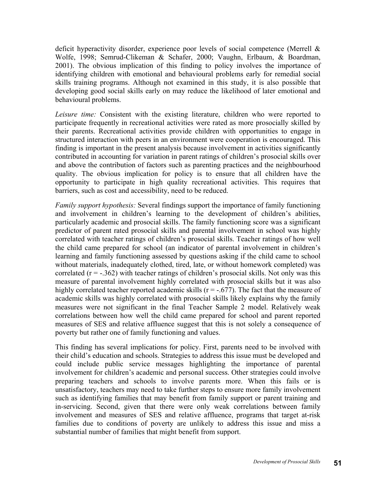deficit hyperactivity disorder, experience poor levels of social competence (Merrell & Wolfe, 1998; Semrud-Clikeman & Schafer, 2000; Vaughn, Erlbaum, & Boardman, 2001). The obvious implication of this finding to policy involves the importance of identifying children with emotional and behavioural problems early for remedial social skills training programs. Although not examined in this study, it is also possible that developing good social skills early on may reduce the likelihood of later emotional and behavioural problems.

*Leisure time:* Consistent with the existing literature, children who were reported to participate frequently in recreational activities were rated as more prosocially skilled by their parents. Recreational activities provide children with opportunities to engage in structured interaction with peers in an environment were cooperation is encouraged. This finding is important in the present analysis because involvement in activities significantly contributed in accounting for variation in parent ratings of children's prosocial skills over and above the contribution of factors such as parenting practices and the neighbourhood quality. The obvious implication for policy is to ensure that all children have the opportunity to participate in high quality recreational activities. This requires that barriers, such as cost and accessibility, need to be reduced.

*Family support hypothesis:* Several findings support the importance of family functioning and involvement in children's learning to the development of children's abilities, particularly academic and prosocial skills. The family functioning score was a significant predictor of parent rated prosocial skills and parental involvement in school was highly correlated with teacher ratings of children's prosocial skills. Teacher ratings of how well the child came prepared for school (an indicator of parental involvement in children's learning and family functioning assessed by questions asking if the child came to school without materials, inadequately clothed, tired, late, or without homework completed) was correlated  $(r = -0.362)$  with teacher ratings of children's prosocial skills. Not only was this measure of parental involvement highly correlated with prosocial skills but it was also highly correlated teacher reported academic skills ( $r = -.677$ ). The fact that the measure of academic skills was highly correlated with prosocial skills likely explains why the family measures were not significant in the final Teacher Sample 2 model. Relatively weak correlations between how well the child came prepared for school and parent reported measures of SES and relative affluence suggest that this is not solely a consequence of poverty but rather one of family functioning and values.

This finding has several implications for policy. First, parents need to be involved with their child's education and schools. Strategies to address this issue must be developed and could include public service messages highlighting the importance of parental involvement for children's academic and personal success. Other strategies could involve preparing teachers and schools to involve parents more. When this fails or is unsatisfactory, teachers may need to take further steps to ensure more family involvement such as identifying families that may benefit from family support or parent training and in-servicing. Second, given that there were only weak correlations between family involvement and measures of SES and relative affluence, programs that target at-risk families due to conditions of poverty are unlikely to address this issue and miss a substantial number of families that might benefit from support.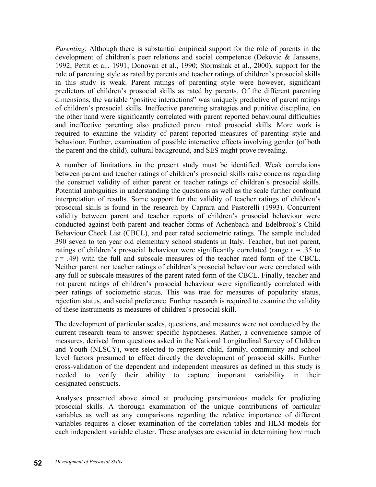*Parenting*: Although there is substantial empirical support for the role of parents in the development of children's peer relations and social competence (Dekovic & Janssens, 1992; Pettit et al., 1991; Donovan et al., 1990; Stormshak et al., 2000), support for the role of parenting style as rated by parents and teacher ratings of children's prosocial skills in this study is weak. Parent ratings of parenting style were however, significant predictors of children's prosocial skills as rated by parents. Of the different parenting dimensions, the variable "positive interactions" was uniquely predictive of parent ratings of children's prosocial skills. Ineffective parenting strategies and punitive discipline, on the other hand were significantly correlated with parent reported behavioural difficulties and ineffective parenting also predicted parent rated prosocial skills. More work is required to examine the validity of parent reported measures of parenting style and behaviour. Further, examination of possible interactive effects involving gender (of both the parent and the child), cultural background, and SES might prove revealing.

A number of limitations in the present study must be identified. Weak correlations between parent and teacher ratings of children's prosocial skills raise concerns regarding the construct validity of either parent or teacher ratings of children's prosocial skills. Potential ambiguities in understanding the questions as well as the scale further confound interpretation of results. Some support for the validity of teacher ratings of children's prosocial skills is found in the research by Caprara and Pastorelli (1993). Concurrent validity between parent and teacher reports of children's prosocial behaviour were conducted against both parent and teacher forms of Achenbach and Edelbrook's Child Behaviour Check List (CBCL), and peer rated sociometric ratings. The sample included 390 seven to ten year old elementary school students in Italy. Teacher, but not parent, ratings of children's prosocial behaviour were significantly correlated (range  $r = .35$  to  $r = .49$ ) with the full and subscale measures of the teacher rated form of the CBCL. Neither parent nor teacher ratings of children's prosocial behaviour were correlated with any full or subscale measures of the parent rated form of the CBCL. Finally, teacher and not parent ratings of children's prosocial behaviour were significantly correlated with peer ratings of sociometric status. This was true for measures of popularity status, rejection status, and social preference. Further research is required to examine the validity of these instruments as measures of children's prosocial skill.

The development of particular scales, questions, and measures were not conducted by the current research team to answer specific hypotheses. Rather, a convenience sample of measures, derived from questions asked in the National Longitudinal Survey of Children and Youth (NLSCY), were selected to represent child, family, community and school level factors presumed to effect directly the development of prosocial skills. Further cross-validation of the dependent and independent measures as defined in this study is needed to verify their ability to capture important variability in their designated constructs.

Analyses presented above aimed at producing parsimonious models for predicting prosocial skills. A thorough examination of the unique contributions of particular variables as well as any comparisons regarding the relative importance of different variables requires a closer examination of the correlation tables and HLM models for each independent variable cluster. These analyses are essential in determining how much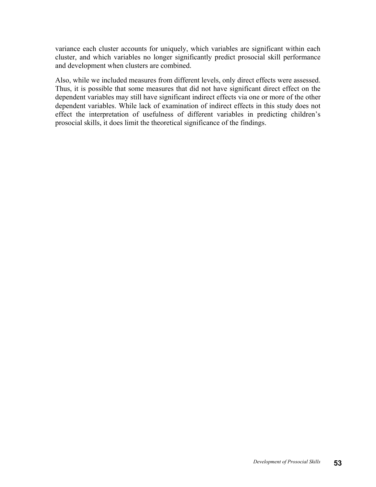variance each cluster accounts for uniquely, which variables are significant within each cluster, and which variables no longer significantly predict prosocial skill performance and development when clusters are combined.

Also, while we included measures from different levels, only direct effects were assessed. Thus, it is possible that some measures that did not have significant direct effect on the dependent variables may still have significant indirect effects via one or more of the other dependent variables. While lack of examination of indirect effects in this study does not effect the interpretation of usefulness of different variables in predicting children's prosocial skills, it does limit the theoretical significance of the findings.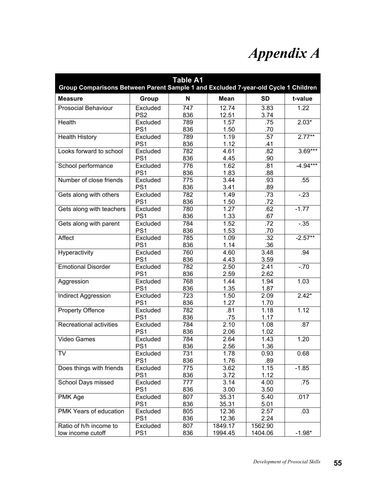# *Appendix A*

| <b>Table A1</b><br>Group Comparisons Between Parent Sample 1 and Excluded 7-year-old Cycle 1 Children |                             |            |                    |                    |            |  |
|-------------------------------------------------------------------------------------------------------|-----------------------------|------------|--------------------|--------------------|------------|--|
| <b>Measure</b>                                                                                        | Group                       | N          | Mean               | <b>SD</b>          | t-value    |  |
| <b>Prosocial Behaviour</b>                                                                            | Excluded<br>PS <sub>2</sub> | 747<br>836 | 12.74<br>12.51     | 3.83<br>3.74       | 1.22       |  |
| Health                                                                                                | Excluded<br>PS <sub>1</sub> | 789<br>836 | 1.57<br>1.50       | .75<br>.70         | $2.03*$    |  |
| <b>Health History</b>                                                                                 | Excluded<br>PS <sub>1</sub> | 789<br>836 | 1.19<br>1.12       | .57<br>.41         | $2.77***$  |  |
| Looks forward to school                                                                               | Excluded<br>PS <sub>1</sub> | 782<br>836 | 4.61<br>4.45       | .82<br>.90         | $3.69***$  |  |
| School performance                                                                                    | Excluded<br>PS <sub>1</sub> | 776<br>836 | 1.62<br>1.83       | .81<br>.88         | $-4.94***$ |  |
| Number of close friends                                                                               | Excluded<br>PS <sub>1</sub> | 775<br>836 | 3.44<br>3.41       | .93<br>.89         | .55        |  |
| Gets along with others                                                                                | Excluded<br>PS <sub>1</sub> | 782<br>836 | 1.49<br>1.50       | .73<br>.72         | $-23$      |  |
| Gets along with teachers                                                                              | Excluded<br>PS <sub>1</sub> | 780<br>836 | 1.27<br>1.33       | .62<br>.67         | $-1.77$    |  |
| Gets along with parent                                                                                | Excluded<br>PS <sub>1</sub> | 784<br>836 | 1.52<br>1.53       | .72<br>.70         | $-.35$     |  |
| Affect                                                                                                | Excluded<br>PS <sub>1</sub> | 785<br>836 | 1.09<br>1.14       | .32<br>.36         | $-2.57***$ |  |
| Hyperactivity                                                                                         | Excluded<br>PS <sub>1</sub> | 760<br>836 | 4.60<br>4.43       | 3.48<br>3.59       | .94        |  |
| <b>Emotional Disorder</b>                                                                             | Excluded<br>PS <sub>1</sub> | 782<br>836 | 2.50<br>2.59       | 2.41<br>2.62       | $-70$      |  |
| Aggression                                                                                            | Excluded<br>PS <sub>1</sub> | 768<br>836 | 1.44<br>1.35       | 1.94<br>1.87       | 1.03       |  |
| <b>Indirect Aggression</b>                                                                            | Excluded<br>PS <sub>1</sub> | 723<br>836 | 1.50<br>1.27       | 2.09<br>1.70       | $2.42*$    |  |
| <b>Property Offence</b>                                                                               | Excluded<br>PS <sub>1</sub> | 782<br>836 | .81<br>.75         | 1.18<br>1.17       | 1.12       |  |
| Recreational activities                                                                               | Excluded<br>PS <sub>1</sub> | 784<br>836 | 2.10<br>2.06       | 1.08<br>1.02       | .87        |  |
| <b>Video Games</b>                                                                                    | Excluded<br>PS <sub>1</sub> | 784<br>836 | 2.64<br>2.56       | 1.43<br>1.36       | 1.20       |  |
| TV                                                                                                    | Excluded<br>PS <sub>1</sub> | 731<br>836 | 1.78<br>1.76       | 0.93<br>.89        | 0.68       |  |
| Does things with friends                                                                              | Excluded<br>PS <sub>1</sub> | 775<br>836 | 3.62<br>3.72       | 1.15<br>1.12       | $-1.85$    |  |
| School Days missed                                                                                    | Excluded<br>PS <sub>1</sub> | 777<br>836 | 3.14<br>3.00       | 4.00<br>3.50       | .75        |  |
| PMK Age                                                                                               | Excluded<br>PS <sub>1</sub> | 807<br>836 | 35.31<br>35.31     | 5.40<br>5.01       | .017       |  |
| PMK Years of education                                                                                | Excluded<br>PS <sub>1</sub> | 805<br>836 | 12.36<br>12.36     | 2.57<br>2.24       | .03        |  |
| Ratio of h/h income to<br>low income cutoff                                                           | Excluded<br>PS <sub>1</sub> | 807<br>836 | 1849.17<br>1994.45 | 1562.90<br>1404.06 | $-1.98*$   |  |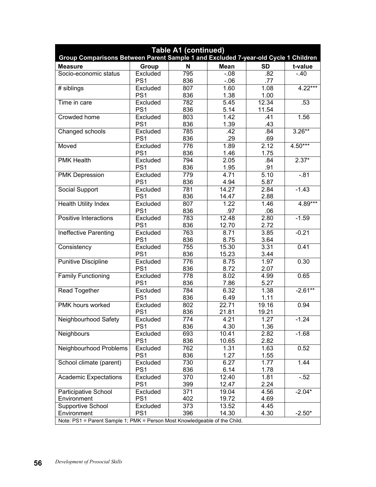| <b>Table A1 (continued)</b><br>Group Comparisons Between Parent Sample 1 and Excluded 7-year-old Cycle 1 Children |                 |             |             |           |           |  |
|-------------------------------------------------------------------------------------------------------------------|-----------------|-------------|-------------|-----------|-----------|--|
| <b>Measure</b>                                                                                                    | Group           | $\mathbf N$ | <b>Mean</b> | <b>SD</b> | t-value   |  |
| Socio-economic status                                                                                             | Excluded        | 795         | $-0.08$     | .82       | $-.40$    |  |
|                                                                                                                   | PS <sub>1</sub> | 836         | $-0.06$     | .77       |           |  |
| # siblings                                                                                                        | Excluded        | 807         | 1.60        | 1.08      | $4.22***$ |  |
|                                                                                                                   | PS <sub>1</sub> | 836         | 1.38        | 1.00      |           |  |
| Time in care                                                                                                      | Excluded        | 782         | 5.45        | 12.34     | .53       |  |
|                                                                                                                   | PS <sub>1</sub> | 836         | 5.14        | 11.54     |           |  |
| Crowded home                                                                                                      | Excluded        | 803         | 1.42        | .41       | 1.56      |  |
|                                                                                                                   | PS <sub>1</sub> | 836         | 1.39        | .43       |           |  |
| Changed schools                                                                                                   | Excluded        | 785         | .42         | .84       | $3.26***$ |  |
|                                                                                                                   | PS <sub>1</sub> | 836         | .29         | .69       |           |  |
| Moved                                                                                                             | Excluded        | 776         | 1.89        | 2.12      | $4.50***$ |  |
|                                                                                                                   | PS <sub>1</sub> | 836         | 1.46        | 1.75      |           |  |
| <b>PMK Health</b>                                                                                                 | Excluded        | 794         | 2.05        | .84       | $2.37*$   |  |
|                                                                                                                   | PS <sub>1</sub> | 836         | 1.95        | .91       |           |  |
| <b>PMK Depression</b>                                                                                             | Excluded        | 779         | 4.71        | 5.10      | $-81$     |  |
|                                                                                                                   | PS <sub>1</sub> | 836         | 4.94        | 5.87      |           |  |
| Social Support                                                                                                    | Excluded        | 781         | 14.27       | 2.84      | $-1.43$   |  |
|                                                                                                                   | PS <sub>1</sub> | 836         | 14.47       | 2.88      |           |  |
| <b>Health Utility Index</b>                                                                                       | Excluded        | 807         | 1.22        | 1.46      | $4.89***$ |  |
|                                                                                                                   | PS <sub>1</sub> | 836         | .97         | .06       |           |  |
| Positive Interactions                                                                                             | Excluded        | 783         | 12.48       | 2.80      | $-1.59$   |  |
|                                                                                                                   | PS <sub>1</sub> | 836         | 12.70       | 2.72      |           |  |
| Ineffective Parenting                                                                                             | Excluded        | 763         | 8.71        | 3.85      | $-0.21$   |  |
|                                                                                                                   | PS <sub>1</sub> | 836         | 8.75        | 3.64      |           |  |
| Consistency                                                                                                       | Excluded        | 755         | 15.30       | 3.31      | 0.41      |  |
|                                                                                                                   | PS <sub>1</sub> | 836         | 15.23       | 3.44      |           |  |
| <b>Punitive Discipline</b>                                                                                        | Excluded        | 776         | 8.75        | 1.97      | 0.30      |  |
|                                                                                                                   | PS <sub>1</sub> | 836         | 8.72        | 2.07      |           |  |
| <b>Family Functioning</b>                                                                                         | Excluded        | 778         | 8.02        | 4.99      | 0.65      |  |
|                                                                                                                   | PS <sub>1</sub> | 836         | 7.86        | 5.27      |           |  |
| <b>Read Together</b>                                                                                              | Excluded        | 784         | 6.32        | 1.38      | $-2.61**$ |  |
|                                                                                                                   | PS <sub>1</sub> | 836         | 6.49        | 1.11      |           |  |
| PMK hours worked                                                                                                  | Excluded        | 802         | 22.71       | 19.16     | 0.94      |  |
|                                                                                                                   | PS <sub>1</sub> | 836         | 21.81       | 19.21     |           |  |
| Neighbourhood Safety                                                                                              | Excluded        | 774         | 4.21        | 1.27      | $-1.24$   |  |
|                                                                                                                   | PS <sub>1</sub> | 836         | 4.30        | 1.36      |           |  |
| Neighbours                                                                                                        | Excluded        | 693         | 10.41       | 2.82      | $-1.68$   |  |
|                                                                                                                   | PS <sub>1</sub> | 836         | 10.65       | 2.82      |           |  |
| Neighbourhood Problems                                                                                            | Excluded        | 762         | 1.31        | 1.63      | 0.52      |  |
|                                                                                                                   | PS <sub>1</sub> | 836         | 1.27        | 1.55      |           |  |
| School climate (parent)                                                                                           | Excluded        | 730         | 6.27        | 1.77      | 1.44      |  |
|                                                                                                                   | PS <sub>1</sub> | 836         | 6.14        | 1.78      |           |  |
| <b>Academic Expectations</b>                                                                                      | Excluded        | 370         | 12.40       | 1.81      | $-52$     |  |
|                                                                                                                   | PS <sub>1</sub> | 399         | 12.47       | 2.24      |           |  |
| Participative School                                                                                              | Excluded        | 371         | 19.04       | 4.56      | $-2.04*$  |  |
| Environment                                                                                                       | PS <sub>1</sub> | 402         | 19.72       | 4.69      |           |  |
| <b>Supportive School</b>                                                                                          | Excluded        | 373         | 13.52       | 4.45      |           |  |
| Environment                                                                                                       | PS <sub>1</sub> | 396         | 14.30       | 4.30      | $-2.50*$  |  |
| Note: PS1 = Parent Sample 1; PMK = Person Most Knowledgeable of the Child.                                        |                 |             |             |           |           |  |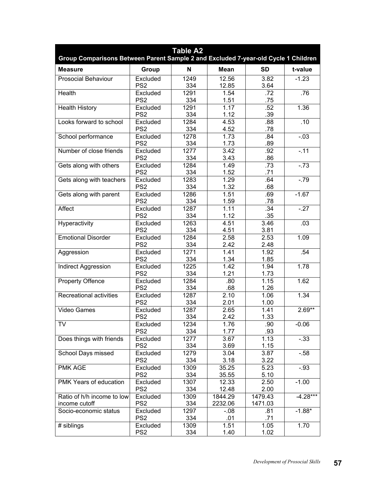| <b>Table A2</b><br>Group Comparisons Between Parent Sample 2 and Excluded 7-year-old Cycle 1 Children |                             |             |                    |                    |            |  |
|-------------------------------------------------------------------------------------------------------|-----------------------------|-------------|--------------------|--------------------|------------|--|
| <b>Measure</b>                                                                                        | Group                       | N           | <b>Mean</b>        | <b>SD</b>          | t-value    |  |
| <b>Prosocial Behaviour</b>                                                                            | Excluded<br>PS <sub>2</sub> | 1249<br>334 | 12.56<br>12.85     | 3.82<br>3.64       | $-1.23$    |  |
| <b>Health</b>                                                                                         | Excluded<br>PS <sub>2</sub> | 1291<br>334 | 1.54<br>1.51       | .72<br>.75         | .76        |  |
| <b>Health History</b>                                                                                 | Excluded<br>PS <sub>2</sub> | 1291<br>334 | 1.17<br>1.12       | .52<br>.39         | 1.36       |  |
| Looks forward to school                                                                               | Excluded<br>PS <sub>2</sub> | 1284<br>334 | 4.53<br>4.52       | .88<br>.78         | .10        |  |
| School performance                                                                                    | Excluded<br>PS <sub>2</sub> | 1278<br>334 | 1.73<br>1.73       | .84<br>.89         | $-.03$     |  |
| Number of close friends                                                                               | Excluded<br>PS <sub>2</sub> | 1277<br>334 | 3.42<br>3.43       | .92<br>.86         | $-11$      |  |
| Gets along with others                                                                                | Excluded<br>PS <sub>2</sub> | 1284<br>334 | 1.49<br>1.52       | .73<br>.71         | $-73$      |  |
| Gets along with teachers                                                                              | Excluded<br>PS <sub>2</sub> | 1283<br>334 | 1.29<br>1.32       | .64<br>.68         | $-79$      |  |
| Gets along with parent                                                                                | Excluded<br>PS <sub>2</sub> | 1286<br>334 | 1.51<br>1.59       | .69<br>.78         | $-1.67$    |  |
| Affect                                                                                                | Excluded<br>PS <sub>2</sub> | 1287<br>334 | 1.11<br>1.12       | .34<br>.35         | $-.27$     |  |
| Hyperactivity                                                                                         | Excluded<br>PS <sub>2</sub> | 1263<br>334 | 4.51<br>4.51       | 3.46<br>3.81       | .03        |  |
| <b>Emotional Disorder</b>                                                                             | Excluded<br>PS <sub>2</sub> | 1284<br>334 | 2.58<br>2.42       | 2.53<br>2.48       | 1.09       |  |
| Aggression                                                                                            | Excluded<br>PS <sub>2</sub> | 1271<br>334 | 1.41<br>1.34       | 1.92<br>1.85       | .54        |  |
| <b>Indirect Aggression</b>                                                                            | Excluded<br>PS <sub>2</sub> | 1225<br>334 | 1.42<br>1.21       | 1.94<br>1.73       | 1.78       |  |
| <b>Property Offence</b>                                                                               | Excluded<br>PS <sub>2</sub> | 1284<br>334 | .80<br>.68         | 1.15<br>1.26       | 1.62       |  |
| Recreational activities                                                                               | Excluded<br>PS <sub>2</sub> | 1287<br>334 | 2.10<br>2.01       | 1.06<br>1.00       | 1.34       |  |
| <b>Video Games</b>                                                                                    | Excluded<br>PS <sub>2</sub> | 1287<br>334 | 2.65<br>2.42       | 1.41<br>1.33       | $2.69**$   |  |
| TV                                                                                                    | Excluded<br>PS <sub>2</sub> | 1234<br>334 | 1.76<br>1.77       | .90<br>.93         | $-0.06$    |  |
| Does things with friends                                                                              | Excluded<br>PS <sub>2</sub> | 1277<br>334 | 3.67<br>3.69       | 1.13<br>1.15       | $-.33$     |  |
| <b>School Days missed</b>                                                                             | Excluded<br>PS <sub>2</sub> | 1279<br>334 | 3.04<br>3.18       | 3.87<br>3.22       | $-0.58$    |  |
| PMK AGE                                                                                               | Excluded<br>PS <sub>2</sub> | 1309<br>334 | 35.25<br>35.55     | 5.23<br>5.10       | $-.93$     |  |
| PMK Years of education                                                                                | Excluded<br>PS <sub>2</sub> | 1307<br>334 | 12.33<br>12.48     | 2.50<br>2.00       | $-1.00$    |  |
| Ratio of h/h income to low<br>income cutoff                                                           | Excluded<br>PS <sub>2</sub> | 1309<br>334 | 1844.29<br>2232.06 | 1479.43<br>1471.03 | $-4.28***$ |  |
| Socio-economic status                                                                                 | Excluded<br>PS <sub>2</sub> | 1297<br>334 | $-0.08$<br>.01     | .81<br>.71         | $-1.88*$   |  |
| # siblings                                                                                            | Excluded<br>PS <sub>2</sub> | 1309<br>334 | 1.51<br>1.40       | 1.05<br>1.02       | 1.70       |  |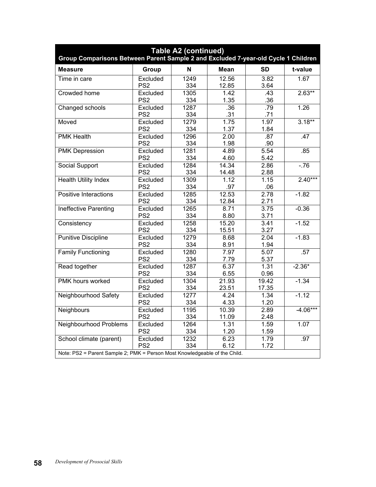| <b>Table A2 (continued)</b><br>Group Comparisons Between Parent Sample 2 and Excluded 7-year-old Cycle 1 Children |                             |             |                |                |            |
|-------------------------------------------------------------------------------------------------------------------|-----------------------------|-------------|----------------|----------------|------------|
| <b>Measure</b>                                                                                                    | Group                       | N           | <b>Mean</b>    | <b>SD</b>      | t-value    |
| Time in care                                                                                                      | Excluded<br>PS <sub>2</sub> | 1249<br>334 | 12.56<br>12.85 | 3.82<br>3.64   | 1.67       |
| Crowded home                                                                                                      | Excluded<br>PS <sub>2</sub> | 1305<br>334 | 1.42<br>1.35   | .43<br>.36     | $2.63**$   |
| Changed schools                                                                                                   | Excluded<br>PS <sub>2</sub> | 1287<br>334 | .36<br>.31     | .79<br>.71     | 1.26       |
| Moved                                                                                                             | Excluded<br>PS <sub>2</sub> | 1279<br>334 | 1.75<br>1.37   | 1.97<br>1.84   | $3.18**$   |
| <b>PMK Health</b>                                                                                                 | Excluded<br>PS <sub>2</sub> | 1296<br>334 | 2.00<br>1.98   | .87<br>.90     | .47        |
| <b>PMK Depression</b>                                                                                             | Excluded<br>PS <sub>2</sub> | 1281<br>334 | 4.89<br>4.60   | 5.54<br>5.42   | .85        |
| <b>Social Support</b>                                                                                             | Excluded<br>PS <sub>2</sub> | 1284<br>334 | 14.34<br>14.48 | 2.86<br>2.88   | $-76$      |
| <b>Health Utility Index</b>                                                                                       | Excluded<br>PS <sub>2</sub> | 1309<br>334 | 1.12<br>.97    | 1.15<br>.06    | $2.40***$  |
| Positive Interactions                                                                                             | Excluded<br>PS <sub>2</sub> | 1285<br>334 | 12.53<br>12.84 | 2.78<br>2.71   | $-1.82$    |
| <b>Ineffective Parenting</b>                                                                                      | Excluded<br>PS <sub>2</sub> | 1265<br>334 | 8.71<br>8.80   | 3.75<br>3.71   | $-0.36$    |
| Consistency                                                                                                       | Excluded<br>PS <sub>2</sub> | 1258<br>334 | 15.20<br>15.51 | 3.41<br>3.27   | $-1.52$    |
| <b>Punitive Discipline</b>                                                                                        | Excluded<br>PS <sub>2</sub> | 1279<br>334 | 8.68<br>8.91   | 2.04<br>1.94   | $-1.83$    |
| <b>Family Functioning</b>                                                                                         | Excluded<br>PS <sub>2</sub> | 1280<br>334 | 7.97<br>7.79   | 5.07<br>5.37   | .57        |
| Read together                                                                                                     | Excluded<br>PS <sub>2</sub> | 1287<br>334 | 6.37<br>6.55   | 1.31<br>0.96   | $-2.36*$   |
| PMK hours worked                                                                                                  | Excluded<br>PS <sub>2</sub> | 1304<br>334 | 21.93<br>23.51 | 19.42<br>17.35 | $-1.34$    |
| Neighbourhood Safety                                                                                              | Excluded<br>PS <sub>2</sub> | 1277<br>334 | 4.24<br>4.33   | 1.34<br>1.20   | $-1.12$    |
| Neighbours                                                                                                        | Excluded<br>PS <sub>2</sub> | 1195<br>334 | 10.39<br>11.09 | 2.89<br>2.48   | $-4.06***$ |
| Neighbourhood Problems                                                                                            | Excluded<br>PS <sub>2</sub> | 1264<br>334 | 1.31<br>1.20   | 1.59<br>1.59   | 1.07       |
| School climate (parent)                                                                                           | Excluded<br>PS <sub>2</sub> | 1232<br>334 | 6.23<br>6.12   | 1.79<br>1.72   | .97        |
| Note: PS2 = Parent Sample 2; PMK = Person Most Knowledgeable of the Child.                                        |                             |             |                |                |            |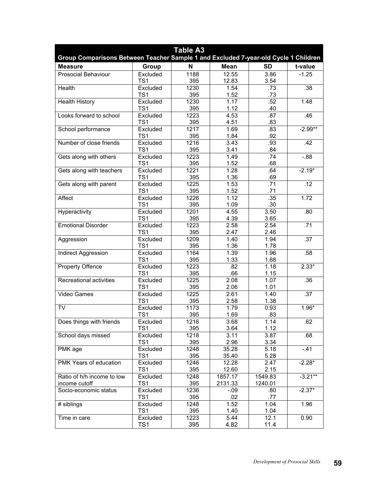| <b>Table A3</b><br>Group Comparisons Between Teacher Sample 1 and Excluded 7-year-old Cycle 1 Children |                             |             |                |              |                  |
|--------------------------------------------------------------------------------------------------------|-----------------------------|-------------|----------------|--------------|------------------|
| <b>Measure</b>                                                                                         | Group                       | N           | <b>Mean</b>    | <b>SD</b>    | t-value          |
| <b>Prosocial Behaviour</b>                                                                             | Excluded                    | 1188        | 12.55          | 3.86         | $-1.25$          |
|                                                                                                        | TS <sub>1</sub>             | 395         | 12.83          | 3.54         |                  |
| Health                                                                                                 | Excluded                    | 1230        | 1.54           | .73          | .38              |
|                                                                                                        | TS1                         | 395         | 1.52           | .73          |                  |
| <b>Health History</b>                                                                                  | Excluded                    | 1230        | 1.17           | .52          | 1.48             |
|                                                                                                        | TS <sub>1</sub>             | 395         | 1.12           | .40          |                  |
| Looks forward to school                                                                                | Excluded<br>TS <sub>1</sub> | 1223<br>395 | 4.53<br>4.51   | .87<br>.83   | .46              |
| School performance                                                                                     | Excluded                    | 1217        | 1.69           | .83          | $-2.99**$        |
|                                                                                                        | TS <sub>1</sub>             | 395         | 1.84           | .92          |                  |
| Number of close friends                                                                                | Excluded                    | 1216        | 3.43           | .93          | .42              |
|                                                                                                        | TS <sub>1</sub>             | 395         | 3.41           | .84          |                  |
| Gets along with others                                                                                 | Excluded                    | 1223        | 1.49           | .74          | $-0.88$          |
|                                                                                                        | TS <sub>1</sub>             | 395         | 1.52           | .68          |                  |
| Gets along with teachers                                                                               | Excluded                    | 1221        | 1.28           | .64          | $-2.19*$         |
|                                                                                                        | TS <sub>1</sub>             | 395         | 1.36           | .69          |                  |
| Gets along with parent                                                                                 | Excluded                    | 1225        | 1.53           | .71          | .12              |
|                                                                                                        | TS <sub>1</sub>             | 395         | 1.52           | .71          |                  |
| Affect                                                                                                 | Excluded                    | 1226        | 1.12           | .35          | 1.72             |
|                                                                                                        | TS <sub>1</sub>             | 395         | 1.09           | .30          |                  |
| Hyperactivity                                                                                          | Excluded                    | 1201        | 4.55           | 3.50         | .80              |
|                                                                                                        | TS <sub>1</sub>             | 395         | 4.39           | 3.65         |                  |
| <b>Emotional Disorder</b>                                                                              | Excluded                    | 1223        | 2.58           | 2.54         | .71              |
|                                                                                                        | TS <sub>1</sub>             | 395         | 2.47           | 2.46         | $\overline{.37}$ |
| Aggression                                                                                             | Excluded<br>TS <sub>1</sub> | 1209<br>395 | 1.40<br>1.36   | 1.94<br>1.78 |                  |
| Indirect Aggression                                                                                    | Excluded                    | 1164        | 1.39           | 1.96         | .58              |
|                                                                                                        | TS <sub>1</sub>             | 395         | 1.33           | 1.68         |                  |
| <b>Property Offence</b>                                                                                | Excluded                    | 1223        | .82            | 1.18         | $2.33*$          |
|                                                                                                        | TS <sub>1</sub>             | 395         | .66            | 1.15         |                  |
| Recreational activities                                                                                | Excluded                    | 1225        | 2.08           | 1.07         | .36              |
|                                                                                                        | TS <sub>1</sub>             | 395         | 2.06           | 1.01         |                  |
| <b>Video Games</b>                                                                                     | Excluded                    | 1225        | 2.61           | 1.40         | .37              |
|                                                                                                        | TS <sub>1</sub>             | 395         | 2.58           | 1.38         |                  |
| <b>TV</b>                                                                                              | Excluded                    | 1173        | 1.79           | 0.93         | $1.96*$          |
|                                                                                                        | TS1                         | 395         | 1.69           | .83          |                  |
| Does things with friends                                                                               | Excluded                    | 1216        | 3.68           | 1.14         | .62              |
|                                                                                                        | TS1                         | 395         | 3.64           | 1.12         |                  |
| School days missed                                                                                     | Excluded                    | 1218        | 3.11           | 3.87         | .68              |
|                                                                                                        | TS1                         | 395<br>1248 | 2.96           | 3.34         |                  |
| PMK age                                                                                                | Excluded<br>TS1             | 395         | 35.28<br>35.40 | 5.18<br>5.28 | $-.41$           |
| PMK Years of education                                                                                 | Excluded                    | 1246        | 12.28          | 2.47         | $-2.28*$         |
|                                                                                                        | TS <sub>1</sub>             | 395         | 12.60          | 2.15         |                  |
| Ratio of h/h income to low                                                                             | Excluded                    | 1248        | 1857.17        | 1549.83      | $-3.21**$        |
| income cutoff                                                                                          | TS <sub>1</sub>             | 395         | 2131.33        | 1240.01      |                  |
| Socio-economic status                                                                                  | Excluded                    | 1236        | $-.09$         | .80          | $-2.37*$         |
|                                                                                                        | TS <sub>1</sub>             | 395         | .02            | .77          |                  |
| # siblings                                                                                             | Excluded                    | 1248        | 1.52           | 1.04         | 1.96             |
|                                                                                                        | TS <sub>1</sub>             | 395         | 1.40           | 1.04         |                  |
| Time in care                                                                                           | Excluded                    | 1223        | 5.44           | 12.1         | 0.90             |
|                                                                                                        | TS1                         | 395         | 4.82           | 11.4         |                  |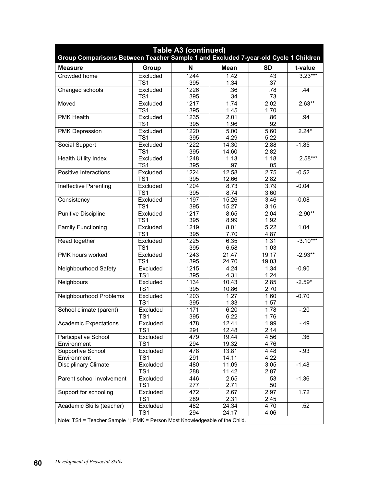| <b>Table A3 (continued)</b><br>Group Comparisons Between Teacher Sample 1 and Excluded 7-year-old Cycle 1 Children |                 |      |                    |           |            |  |
|--------------------------------------------------------------------------------------------------------------------|-----------------|------|--------------------|-----------|------------|--|
| <b>Measure</b>                                                                                                     | Group           | N    | <b>Mean</b>        | <b>SD</b> | t-value    |  |
| Crowded home                                                                                                       | Excluded        | 1244 | 1.42               | .43       | $3.23***$  |  |
|                                                                                                                    | TS <sub>1</sub> | 395  | 1.34               | .37       |            |  |
| Changed schools                                                                                                    | Excluded        | 1226 | .36                | .78       | .44        |  |
|                                                                                                                    | TS <sub>1</sub> | 395  | .34                | .73       |            |  |
| Moved                                                                                                              | Excluded        | 1217 | 1.74               | 2.02      | $2.63**$   |  |
|                                                                                                                    | TS <sub>1</sub> | 395  | 1.45               | 1.70      |            |  |
| <b>PMK Health</b>                                                                                                  | Excluded        | 1235 | 2.01               | .86       | .94        |  |
|                                                                                                                    | TS1             | 395  | 1.96               | .92       |            |  |
| <b>PMK Depression</b>                                                                                              | Excluded        | 1220 | 5.00               | 5.60      | $2.24*$    |  |
|                                                                                                                    | TS <sub>1</sub> | 395  | 4.29               | 5.22      |            |  |
| Social Support                                                                                                     | Excluded        | 1222 | 14.30              | 2.88      | $-1.85$    |  |
|                                                                                                                    | TS <sub>1</sub> | 395  | 14.60              | 2.82      |            |  |
| <b>Health Utility Index</b>                                                                                        | Excluded        | 1248 | 1.13               | 1.18      | $2.58***$  |  |
|                                                                                                                    | TS <sub>1</sub> | 395  | .97                | .05       |            |  |
| Positive Interactions                                                                                              | Excluded        | 1224 | 12.58              | 2.75      | $-0.52$    |  |
|                                                                                                                    | TS <sub>1</sub> | 395  | 12.66              | 2.82      |            |  |
| Ineffective Parenting                                                                                              | Excluded        | 1204 | 8.73               | 3.79      | $-0.04$    |  |
|                                                                                                                    | TS <sub>1</sub> | 395  | 8.74               | 3.60      |            |  |
| Consistency                                                                                                        | Excluded        | 1197 | 15.26              | 3.46      | $-0.08$    |  |
|                                                                                                                    | TS <sub>1</sub> | 395  | 15.27              | 3.16      |            |  |
| <b>Punitive Discipline</b>                                                                                         | Excluded        | 1217 | 8.65               | 2.04      | $-2.90**$  |  |
|                                                                                                                    | TS <sub>1</sub> | 395  | 8.99               | 1.92      |            |  |
| <b>Family Functioning</b>                                                                                          | Excluded        | 1219 | 8.01               | 5.22      | 1.04       |  |
|                                                                                                                    | TS1             | 395  | 7.70               | 4.87      |            |  |
| Read together                                                                                                      | Excluded        | 1225 | 6.35               | 1.31      | $-3.10***$ |  |
|                                                                                                                    | TS <sub>1</sub> | 395  | 6.58               | 1.03      |            |  |
| PMK hours worked                                                                                                   | Excluded        | 1243 | $\overline{2}1.47$ | 19.17     | $-2.93**$  |  |
|                                                                                                                    | TS <sub>1</sub> | 395  | 24.70              | 19.03     |            |  |
| Neighbourhood Safety                                                                                               | Excluded        | 1215 | 4.24               | 1.34      | $-0.90$    |  |
|                                                                                                                    | TS <sub>1</sub> | 395  | 4.31               | 1.24      |            |  |
| Neighbours                                                                                                         | Excluded        | 1134 | 10.43              | 2.85      | $-2.59*$   |  |
|                                                                                                                    | TS <sub>1</sub> | 395  | 10.86              | 2.70      |            |  |
| Neighbourhood Problems                                                                                             | Excluded        | 1203 | 1.27               | 1.60      | $-0.70$    |  |
|                                                                                                                    | TS <sub>1</sub> | 395  | 1.33               | 1.57      |            |  |
| School climate (parent)                                                                                            | Excluded        | 1171 | 6.20               | 1.78      | $-20$      |  |
|                                                                                                                    | TS <sub>1</sub> | 395  | 6.22               | 1.76      |            |  |
| <b>Academic Expectations</b>                                                                                       | Excluded        | 478  | 12.41              | 1.99      | $-.49$     |  |
|                                                                                                                    | TS1             | 291  | 12.48              | 2.14      |            |  |
| Participative School                                                                                               | Excluded        | 479  | 19.44              | 4.56      | .36        |  |
| Environment                                                                                                        | TS <sub>1</sub> | 294  | 19.32              | 4.76      |            |  |
| Supportive School                                                                                                  | Excluded        | 478  | 13.81              | 4.48      | $-0.93$    |  |
| Environment                                                                                                        | TS <sub>1</sub> | 291  | 14.11              | 4.22      |            |  |
| Disciplinary Climate                                                                                               | Excluded        | 480  | 11.09              | 3.05      | $-1.48$    |  |
|                                                                                                                    | TS <sub>1</sub> | 288  | 11.42              | 2.87      |            |  |
| Parent school involvement                                                                                          | Excluded        | 446  | 2.65               | .53       | $-1.36$    |  |
|                                                                                                                    | TS1             | 277  | 2.71               | .50       |            |  |
| Support for schooling                                                                                              | Excluded        | 472  | 2.67               | 2.97      | 1.72       |  |
|                                                                                                                    | TS1             | 289  | 2.31               | 2.45      |            |  |
| Academic Skills (teacher)                                                                                          | Excluded        | 482  | 24.34              | 4.70      | .52        |  |
|                                                                                                                    | TS <sub>1</sub> | 294  | 24.17              | 4.06      |            |  |
| Note: TS1 = Teacher Sample 1; PMK = Person Most Knowledgeable of the Child.                                        |                 |      |                    |           |            |  |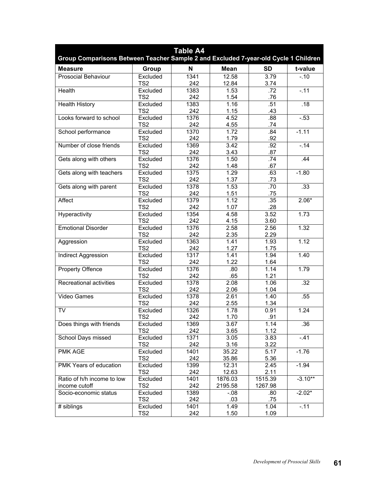| <b>Table A4</b><br>Group Comparisons Between Teacher Sample 2 and Excluded 7-year-old Cycle 1 Children |                             |             |                |              |           |  |
|--------------------------------------------------------------------------------------------------------|-----------------------------|-------------|----------------|--------------|-----------|--|
| <b>Measure</b>                                                                                         | Group                       | N           | <b>Mean</b>    | <b>SD</b>    | t-value   |  |
| <b>Prosocial Behaviour</b>                                                                             | Excluded                    | 1341        | 12.58          | 3.79         | $-.10$    |  |
|                                                                                                        | TS <sub>2</sub>             | 242         | 12.84          | 3.74         |           |  |
| Health                                                                                                 | Excluded                    | 1383        | 1.53           | .72          | $-.11$    |  |
|                                                                                                        | TS <sub>2</sub>             | 242         | 1.54           | .76          |           |  |
| <b>Health History</b>                                                                                  | Excluded                    | 1383        | 1.16           | .51          | .18       |  |
|                                                                                                        | TS <sub>2</sub>             | 242         | 1.15           | .43          |           |  |
| Looks forward to school                                                                                | Excluded<br>TS <sub>2</sub> | 1376<br>242 | 4.52<br>4.55   | .88<br>.74   | $-.53$    |  |
| School performance                                                                                     | Excluded                    | 1370        | 1.72           | .84          | $-1.11$   |  |
|                                                                                                        | TS <sub>2</sub>             | 242         | 1.79           | .92          |           |  |
| Number of close friends                                                                                | Excluded                    | 1369        | 3.42           | .92          | $-.14$    |  |
|                                                                                                        | TS <sub>2</sub>             | 242         | 3.43           | .87          |           |  |
| Gets along with others                                                                                 | Excluded                    | 1376        | 1.50           | .74          | .44       |  |
|                                                                                                        | TS <sub>2</sub>             | 242         | 1.48           | .67          |           |  |
| Gets along with teachers                                                                               | Excluded                    | 1375        | 1.29           | .63          | $-1.80$   |  |
|                                                                                                        | TS <sub>2</sub>             | 242         | 1.37           | .73          |           |  |
| Gets along with parent                                                                                 | Excluded                    | 1378        | 1.53           | .70          | .33       |  |
|                                                                                                        | TS <sub>2</sub>             | 242         | 1.51           | .75          |           |  |
| Affect                                                                                                 | Excluded                    | 1379        | 1.12           | .35          | $2.06*$   |  |
|                                                                                                        | TS <sub>2</sub>             | 242         | 1.07           | .28          |           |  |
| Hyperactivity                                                                                          | Excluded                    | 1354        | 4.58           | 3.52         | 1.73      |  |
|                                                                                                        | TS <sub>2</sub>             | 242         | 4.15           | 3.60         |           |  |
| <b>Emotional Disorder</b>                                                                              | Excluded                    | 1376        | 2.58           | 2.56         | 1.32      |  |
|                                                                                                        | TS <sub>2</sub>             | 242         | 2.35           | 2.29         |           |  |
| Aggression                                                                                             | Excluded<br>TS <sub>2</sub> | 1363<br>242 | 1.41<br>1.27   | 1.93<br>1.75 | 1.12      |  |
| <b>Indirect Aggression</b>                                                                             | Excluded                    | 1317        | 1.41           | 1.94         | 1.40      |  |
|                                                                                                        | TS <sub>2</sub>             | 242         | 1.22           | 1.64         |           |  |
| <b>Property Offence</b>                                                                                | Excluded                    | 1376        | .80            | 1.14         | 1.79      |  |
|                                                                                                        | TS <sub>2</sub>             | 242         | .65            | 1.21         |           |  |
| Recreational activities                                                                                | Excluded                    | 1378        | 2.08           | 1.06         | .32       |  |
|                                                                                                        | TS <sub>2</sub>             | 242         | 2.06           | 1.04         |           |  |
| Video Games                                                                                            | Excluded                    | 1378        | 2.61           | 1.40         | .55       |  |
|                                                                                                        | TS <sub>2</sub>             | 242         | 2.55           | 1.34         |           |  |
| <b>TV</b>                                                                                              | Excluded                    | 1326        | 1.78           | 0.91         | 1.24      |  |
|                                                                                                        | TS <sub>2</sub>             | 242         | 1.70           | .91          |           |  |
| Does things with friends                                                                               | Excluded                    | 1369        | 3.67           | 1.14         | .36       |  |
|                                                                                                        | TS <sub>2</sub>             | 242         | 3.65           | 1.12         |           |  |
| School Days missed                                                                                     | Excluded                    | 1371        | 3.05           | 3.83         | $-41$     |  |
|                                                                                                        | TS <sub>2</sub>             | 242         | 3.16           | 3.22         |           |  |
| PMK AGE                                                                                                | Excluded<br>TS2             | 1401<br>242 | 35.22<br>35.86 | 5.17<br>5.36 | $-1.76$   |  |
| PMK Years of education                                                                                 | Excluded                    | 1399        | 12.31          | 2.45         | $-1.94$   |  |
|                                                                                                        | TS <sub>2</sub>             | 242         | 12.63          | 2.11         |           |  |
| Ratio of h/h income to low                                                                             | Excluded                    | 1401        | 1876.03        | 1515.39      | $-3.10**$ |  |
| income cutoff                                                                                          | TS2                         | 242         | 2195.58        | 1267.98      |           |  |
| Socio-economic status                                                                                  | Excluded                    | 1389        | $-0.08$        | .80          | $-2.02*$  |  |
|                                                                                                        | TS <sub>2</sub>             | 242         | .03            | .75          |           |  |
| # siblings                                                                                             | Excluded                    | 1401        | 1.49           | 1.04         | $-.11$    |  |
|                                                                                                        | TS <sub>2</sub>             | 242         | 1.50           | 1.09         |           |  |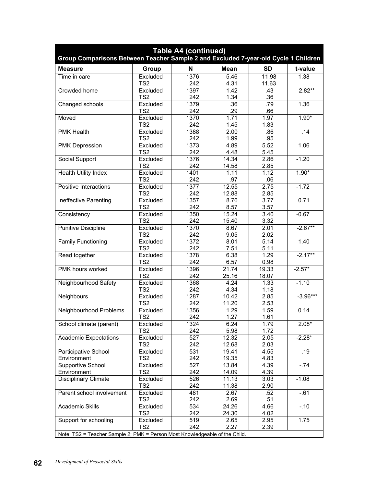| <b>Table A4 (continued)</b><br>Group Comparisons Between Teacher Sample 2 and Excluded 7-year-old Cycle 1 Children |                 |      |             |           |            |  |
|--------------------------------------------------------------------------------------------------------------------|-----------------|------|-------------|-----------|------------|--|
| <b>Measure</b>                                                                                                     | Group           | N    | <b>Mean</b> | <b>SD</b> | t-value    |  |
| Time in care                                                                                                       | Excluded        | 1376 | 5.46        | 11.98     | 1.38       |  |
|                                                                                                                    | TS <sub>2</sub> | 242  | 4.31        | 11.63     |            |  |
| Crowded home                                                                                                       | Excluded        | 1397 | 1.42        | .43       | $2.82***$  |  |
|                                                                                                                    | TS <sub>2</sub> | 242  | 1.34        | .36       |            |  |
| Changed schools                                                                                                    | Excluded        | 1379 | .36         | .79       | 1.36       |  |
|                                                                                                                    | TS <sub>2</sub> | 242  | .29         | .66       |            |  |
| Moved                                                                                                              | Excluded        | 1370 | 1.71        | 1.97      | $1.90*$    |  |
|                                                                                                                    | TS <sub>2</sub> | 242  | 1.45        | 1.83      |            |  |
| <b>PMK Health</b>                                                                                                  | Excluded        | 1388 | 2.00        | .86       | .14        |  |
|                                                                                                                    | TS2             | 242  | 1.99        | .95       |            |  |
| <b>PMK Depression</b>                                                                                              | Excluded        | 1373 | 4.89        | 5.52      | 1.06       |  |
|                                                                                                                    | TS <sub>2</sub> | 242  | 4.48        | 5.45      |            |  |
| Social Support                                                                                                     | Excluded        | 1376 | 14.34       | 2.86      | $-1.20$    |  |
|                                                                                                                    | TS <sub>2</sub> | 242  | 14.58       | 2.85      |            |  |
| <b>Health Utility Index</b>                                                                                        | Excluded        | 1401 | 1.11        | 1.12      | $1.90*$    |  |
|                                                                                                                    | TS <sub>2</sub> | 242  | .97         | .06       |            |  |
| Positive Interactions                                                                                              | Excluded        | 1377 | 12.55       | 2.75      | $-1.72$    |  |
|                                                                                                                    | TS <sub>2</sub> | 242  | 12.88       | 2.85      |            |  |
| Ineffective Parenting                                                                                              | Excluded        | 1357 | 8.76        | 3.77      | 0.71       |  |
|                                                                                                                    | TS <sub>2</sub> | 242  | 8.57        | 3.57      |            |  |
| Consistency                                                                                                        | Excluded        | 1350 | 15.24       | 3.40      | $-0.67$    |  |
|                                                                                                                    | TS <sub>2</sub> | 242  | 15.40       | 3.32      |            |  |
| <b>Punitive Discipline</b>                                                                                         | Excluded        | 1370 | 8.67        | 2.01      | $-2.67**$  |  |
|                                                                                                                    | TS <sub>2</sub> | 242  | 9.05        | 2.02      |            |  |
| <b>Family Functioning</b>                                                                                          | Excluded        | 1372 | 8.01        | 5.14      | 1.40       |  |
|                                                                                                                    | TS <sub>2</sub> | 242  | 7.51        | 5.11      |            |  |
| Read together                                                                                                      | Excluded        | 1378 | 6.38        | 1.29      | $-2.17**$  |  |
|                                                                                                                    | TS <sub>2</sub> | 242  | 6.57        | 0.98      |            |  |
| PMK hours worked                                                                                                   | Excluded        | 1396 | 21.74       | 19.33     | $-2.57*$   |  |
|                                                                                                                    | TS <sub>2</sub> | 242  | 25.16       | 18.07     |            |  |
| Neighbourhood Safety                                                                                               | Excluded        | 1368 | 4.24        | 1.33      | $-1.10$    |  |
|                                                                                                                    | TS <sub>2</sub> | 242  | 4.34        | 1.18      |            |  |
| Neighbours                                                                                                         | Excluded        | 1287 | 10.42       | 2.85      | $-3.96***$ |  |
|                                                                                                                    | TS <sub>2</sub> | 242  | 11.20       | 2.53      |            |  |
| Neighbourhood Problems                                                                                             | Excluded        | 1356 | 1.29        | 1.59      | 0.14       |  |
|                                                                                                                    | TS <sub>2</sub> | 242  | 1.27        | 1.61      |            |  |
| School climate (parent)                                                                                            | Excluded        | 1324 | 6.24        | 1.79      | $2.08*$    |  |
|                                                                                                                    | TS <sub>2</sub> | 242  | 5.98        | 1.72      |            |  |
| <b>Academic Expectations</b>                                                                                       | Excluded        | 527  | 12.32       | 2.05      | $-2.28*$   |  |
|                                                                                                                    | TS <sub>2</sub> | 242  | 12.68       | 2.03      |            |  |
| Participative School                                                                                               | Excluded        | 531  | 19.41       | 4.55      | .19        |  |
| Environment                                                                                                        | TS2             | 242  | 19.35       | 4.83      |            |  |
| Supportive School                                                                                                  | Excluded        | 527  | 13.84       | 4.39      | $-.74$     |  |
| Environment                                                                                                        | TS <sub>2</sub> | 242  | 14.09       | 4.39      |            |  |
| Disciplinary Climate                                                                                               | Excluded        | 526  | 11.13       | 3.03      | $-1.08$    |  |
|                                                                                                                    | TS <sub>2</sub> | 242  | 11.38       | 2.90      |            |  |
| Parent school involvement                                                                                          | Excluded        | 481  | 2.67        | .52       | $-61$      |  |
|                                                                                                                    | TS <sub>2</sub> | 242  | 2.69        | .51       |            |  |
| <b>Academic Skills</b>                                                                                             | Excluded        | 534  | 24.26       | 4.66      | $-.10$     |  |
|                                                                                                                    | TS <sub>2</sub> | 242  | 24.30       | 4.02      |            |  |
| Support for schooling                                                                                              | Excluded        | 519  | 2.65        | 2.95      | 1.75       |  |
|                                                                                                                    | TS <sub>2</sub> | 242  | 2.27        | 2.39      |            |  |
| Note: TS2 = Teacher Sample 2; PMK = Person Most Knowledgeable of the Child.                                        |                 |      |             |           |            |  |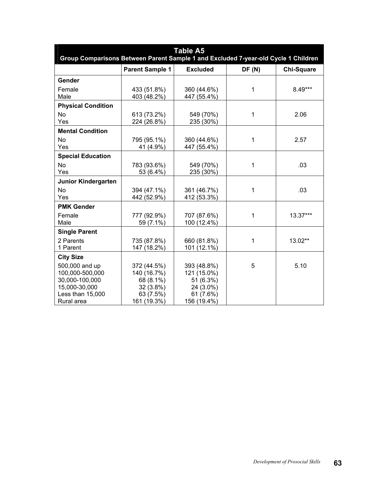| <b>Table A5</b><br>Group Comparisons Between Parent Sample 1 and Excluded 7-year-old Cycle 1 Children  |                                                                                  |                                                                                  |       |                   |  |  |
|--------------------------------------------------------------------------------------------------------|----------------------------------------------------------------------------------|----------------------------------------------------------------------------------|-------|-------------------|--|--|
|                                                                                                        | <b>Parent Sample 1</b>                                                           | <b>Excluded</b>                                                                  | DF(N) | <b>Chi-Square</b> |  |  |
| Gender                                                                                                 |                                                                                  |                                                                                  |       |                   |  |  |
| Female<br>Male                                                                                         | 433 (51.8%)<br>403 (48.2%)                                                       | 360 (44.6%)<br>447 (55.4%)                                                       | 1     | 8.49***           |  |  |
| <b>Physical Condition</b>                                                                              |                                                                                  |                                                                                  |       |                   |  |  |
| <b>No</b><br>Yes                                                                                       | 613 (73.2%)<br>224 (26.8%)                                                       | 549 (70%)<br>235 (30%)                                                           | 1     | 2.06              |  |  |
| <b>Mental Condition</b>                                                                                |                                                                                  |                                                                                  |       |                   |  |  |
| <b>No</b><br>Yes                                                                                       | 795 (95.1%)<br>41 (4.9%)                                                         | 360 (44.6%)<br>447 (55.4%)                                                       | 1     | 2.57              |  |  |
| <b>Special Education</b>                                                                               |                                                                                  |                                                                                  |       |                   |  |  |
| <b>No</b><br>Yes                                                                                       | 783 (93.6%)<br>53 (6.4%)                                                         | 549 (70%)<br>235 (30%)                                                           | 1     | .03               |  |  |
| Junior Kindergarten                                                                                    |                                                                                  |                                                                                  |       |                   |  |  |
| <b>No</b><br>Yes                                                                                       | 394 (47.1%)<br>442 (52.9%)                                                       | 361 (46.7%)<br>412 (53.3%)                                                       | 1     | .03               |  |  |
| <b>PMK Gender</b>                                                                                      |                                                                                  |                                                                                  |       |                   |  |  |
| Female<br>Male                                                                                         | 777 (92.9%)<br>59 (7.1%)                                                         | 707 (87.6%)<br>100 (12.4%)                                                       | 1     | 13.37***          |  |  |
| <b>Single Parent</b>                                                                                   |                                                                                  |                                                                                  |       |                   |  |  |
| 2 Parents<br>1 Parent                                                                                  | 735 (87.8%)<br>147 (18.2%)                                                       | 660 (81.8%)<br>101 (12.1%)                                                       | 1     | 13.02**           |  |  |
| <b>City Size</b>                                                                                       |                                                                                  |                                                                                  |       |                   |  |  |
| 500,000 and up<br>100,000-500,000<br>30,000-100,000<br>15,000-30,000<br>Less than 15,000<br>Rural area | 372 (44.5%)<br>140 (16.7%)<br>68 (8.1%)<br>32 (3.8%)<br>63 (7.5%)<br>161 (19.3%) | 393 (48.8%)<br>121 (15.0%)<br>51 (6.3%)<br>24 (3.0%)<br>61 (7.6%)<br>156 (19.4%) | 5     | 5.10              |  |  |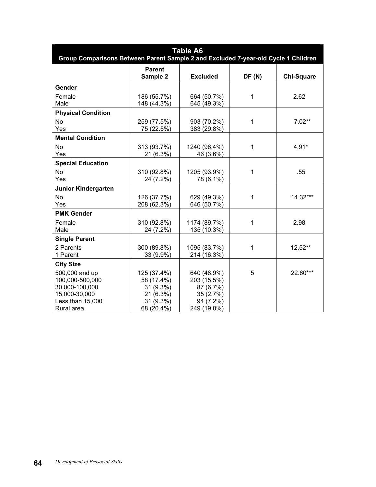| <b>Table A6</b><br>Group Comparisons Between Parent Sample 2 and Excluded 7-year-old Cycle 1 Children  |                                                                                |                                                                                  |       |                   |  |  |
|--------------------------------------------------------------------------------------------------------|--------------------------------------------------------------------------------|----------------------------------------------------------------------------------|-------|-------------------|--|--|
|                                                                                                        | <b>Parent</b><br>Sample 2                                                      | <b>Excluded</b>                                                                  | DF(N) | <b>Chi-Square</b> |  |  |
| Gender                                                                                                 |                                                                                |                                                                                  |       |                   |  |  |
| Female<br>Male                                                                                         | 186 (55.7%)<br>148 (44.3%)                                                     | 664 (50.7%)<br>645 (49.3%)                                                       | 1     | 2.62              |  |  |
| <b>Physical Condition</b>                                                                              |                                                                                |                                                                                  |       |                   |  |  |
| <b>No</b><br>Yes                                                                                       | 259 (77.5%)<br>75 (22.5%)                                                      | 903 (70.2%)<br>383 (29.8%)                                                       | 1     | $7.02**$          |  |  |
| <b>Mental Condition</b>                                                                                |                                                                                |                                                                                  |       |                   |  |  |
| <b>No</b><br>Yes                                                                                       | 313 (93.7%)<br>21 (6.3%)                                                       | 1240 (96.4%)<br>46 (3.6%)                                                        | 1     | $4.91*$           |  |  |
| <b>Special Education</b>                                                                               |                                                                                |                                                                                  |       |                   |  |  |
| <b>No</b><br>Yes                                                                                       | 310 (92.8%)<br>24 (7.2%)                                                       | 1205 (93.9%)<br>78 (6.1%)                                                        | 1     | .55               |  |  |
| <b>Junior Kindergarten</b>                                                                             |                                                                                |                                                                                  |       |                   |  |  |
| <b>No</b><br>Yes                                                                                       | 126 (37.7%)<br>208 (62.3%)                                                     | 629 (49.3%)<br>646 (50.7%)                                                       | 1     | 14.32***          |  |  |
| <b>PMK Gender</b>                                                                                      |                                                                                |                                                                                  |       |                   |  |  |
| Female<br>Male                                                                                         | 310 (92.8%)<br>24 (7.2%)                                                       | 1174 (89.7%)<br>135 (10.3%)                                                      | 1     | 2.98              |  |  |
| <b>Single Parent</b>                                                                                   |                                                                                |                                                                                  |       |                   |  |  |
| 2 Parents<br>1 Parent                                                                                  | 300 (89.8%)<br>33 (9.9%)                                                       | 1095 (83.7%)<br>214 (16.3%)                                                      | 1     | 12.52**           |  |  |
| <b>City Size</b>                                                                                       |                                                                                |                                                                                  |       |                   |  |  |
| 500,000 and up<br>100,000-500,000<br>30,000-100,000<br>15,000-30,000<br>Less than 15,000<br>Rural area | 125 (37.4%)<br>58 (17.4%)<br>31 (9.3%)<br>21 (6.3%)<br>31 (9.3%)<br>68 (20.4%) | 640 (48.9%)<br>203 (15.5%)<br>87 (6.7%)<br>35 (2.7%)<br>94 (7.2%)<br>249 (19.0%) | 5     | 22.60***          |  |  |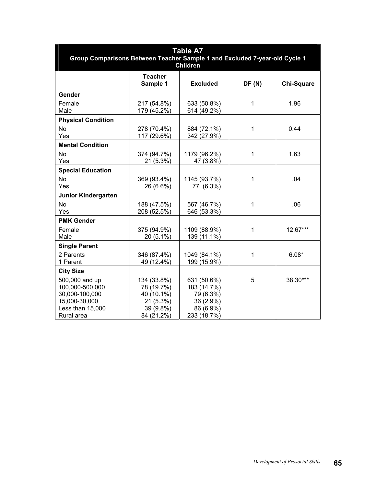| <b>Table A7</b><br>Group Comparisons Between Teacher Sample 1 and Excluded 7-year-old Cycle 1<br><b>Children</b>           |                                                                                |                                                                                  |              |                   |  |  |  |  |  |  |  |  |
|----------------------------------------------------------------------------------------------------------------------------|--------------------------------------------------------------------------------|----------------------------------------------------------------------------------|--------------|-------------------|--|--|--|--|--|--|--|--|
|                                                                                                                            | <b>Teacher</b><br>Sample 1                                                     | <b>Excluded</b>                                                                  | DF(N)        | <b>Chi-Square</b> |  |  |  |  |  |  |  |  |
| Gender<br>Female<br>Male                                                                                                   | 217 (54.8%)<br>179 (45.2%)                                                     | 633 (50.8%)<br>614 (49.2%)                                                       | $\mathbf{1}$ | 1.96              |  |  |  |  |  |  |  |  |
| <b>Physical Condition</b><br>No<br>Yes                                                                                     | 278 (70.4%)<br>117 (29.6%)                                                     | 884 (72.1%)<br>342 (27.9%)                                                       | $\mathbf 1$  | 0.44              |  |  |  |  |  |  |  |  |
| <b>Mental Condition</b><br><b>No</b><br>Yes                                                                                | 374 (94.7%)<br>21 (5.3%)                                                       | 1179 (96.2%)<br>47 (3.8%)                                                        | $\mathbf{1}$ | 1.63              |  |  |  |  |  |  |  |  |
| <b>Special Education</b><br><b>No</b><br>Yes                                                                               | 369 (93.4%)<br>26 (6.6%)                                                       | 1145 (93.7%)<br>77 (6.3%)                                                        | $\mathbf{1}$ | .04               |  |  |  |  |  |  |  |  |
| Junior Kindergarten<br><b>No</b><br>Yes                                                                                    | 188 (47.5%)<br>208 (52.5%)                                                     | 567 (46.7%)<br>646 (53.3%)                                                       | $\mathbf{1}$ | .06               |  |  |  |  |  |  |  |  |
| <b>PMK Gender</b><br>Female<br>Male                                                                                        | 375 (94.9%)<br>20 (5.1%)                                                       | 1109 (88.9%)<br>139 (11.1%)                                                      | $\mathbf{1}$ | 12.67***          |  |  |  |  |  |  |  |  |
| <b>Single Parent</b><br>2 Parents<br>1 Parent                                                                              | 346 (87.4%)<br>49 (12.4%)                                                      | 1049 (84.1%)<br>199 (15.9%)                                                      | $\mathbf 1$  | $6.08*$           |  |  |  |  |  |  |  |  |
| <b>City Size</b><br>500,000 and up<br>100,000-500,000<br>30,000-100,000<br>15,000-30,000<br>Less than 15,000<br>Rural area | 134 (33.8%)<br>78 (19.7%)<br>40 (10.1%)<br>21(5.3%)<br>39 (9.8%)<br>84 (21.2%) | 631 (50.6%)<br>183 (14.7%)<br>79 (6.3%)<br>36 (2.9%)<br>86 (6.9%)<br>233 (18.7%) | 5            | 38.30***          |  |  |  |  |  |  |  |  |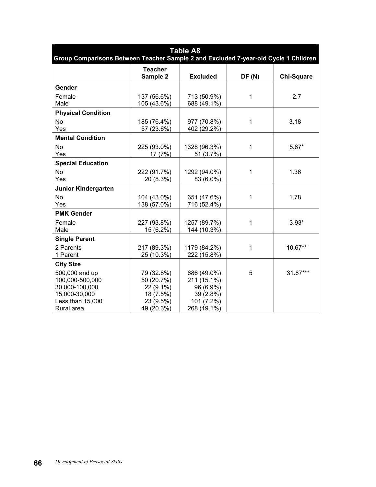| <b>Table A8</b><br>Group Comparisons Between Teacher Sample 2 and Excluded 7-year-old Cycle 1 Children |                                                                               |                                                                                   |       |                   |  |  |  |  |  |  |  |  |
|--------------------------------------------------------------------------------------------------------|-------------------------------------------------------------------------------|-----------------------------------------------------------------------------------|-------|-------------------|--|--|--|--|--|--|--|--|
|                                                                                                        | <b>Teacher</b><br>Sample 2                                                    | <b>Excluded</b>                                                                   | DF(N) | <b>Chi-Square</b> |  |  |  |  |  |  |  |  |
| Gender                                                                                                 |                                                                               |                                                                                   |       |                   |  |  |  |  |  |  |  |  |
| Female<br>Male                                                                                         | 137 (56.6%)<br>105 (43.6%)                                                    | 713 (50.9%)<br>688 (49.1%)                                                        | 1     | 2.7               |  |  |  |  |  |  |  |  |
| <b>Physical Condition</b>                                                                              |                                                                               |                                                                                   |       |                   |  |  |  |  |  |  |  |  |
| <b>No</b><br>Yes                                                                                       | 185 (76.4%)<br>57 (23.6%)                                                     | 977 (70.8%)<br>402 (29.2%)                                                        | 1     | 3.18              |  |  |  |  |  |  |  |  |
| <b>Mental Condition</b>                                                                                |                                                                               |                                                                                   |       |                   |  |  |  |  |  |  |  |  |
| <b>No</b><br>Yes                                                                                       | 225 (93.0%)<br>17 (7%)                                                        | 1328 (96.3%)<br>51 (3.7%)                                                         | 1     | $5.67*$           |  |  |  |  |  |  |  |  |
| <b>Special Education</b>                                                                               |                                                                               |                                                                                   |       |                   |  |  |  |  |  |  |  |  |
| <b>No</b><br>Yes                                                                                       | 222 (91.7%)<br>20 (8.3%)                                                      | 1292 (94.0%)<br>83 (6.0%)                                                         | 1     | 1.36              |  |  |  |  |  |  |  |  |
| <b>Junior Kindergarten</b>                                                                             |                                                                               |                                                                                   |       |                   |  |  |  |  |  |  |  |  |
| <b>No</b><br>Yes                                                                                       | 104 (43.0%)<br>138 (57.0%)                                                    | 651 (47.6%)<br>716 (52.4%)                                                        | 1     | 1.78              |  |  |  |  |  |  |  |  |
| <b>PMK Gender</b>                                                                                      |                                                                               |                                                                                   |       |                   |  |  |  |  |  |  |  |  |
| Female<br>Male                                                                                         | 227 (93.8%)<br>15 (6.2%)                                                      | 1257 (89.7%)<br>144 (10.3%)                                                       | 1     | $3.93*$           |  |  |  |  |  |  |  |  |
| <b>Single Parent</b>                                                                                   |                                                                               |                                                                                   |       |                   |  |  |  |  |  |  |  |  |
| 2 Parents<br>1 Parent                                                                                  | 217 (89.3%)<br>25 (10.3%)                                                     | 1179 (84.2%)<br>222 (15.8%)                                                       | 1     | 10.67**           |  |  |  |  |  |  |  |  |
| <b>City Size</b>                                                                                       |                                                                               |                                                                                   |       |                   |  |  |  |  |  |  |  |  |
| 500,000 and up<br>100,000-500,000<br>30,000-100,000<br>15,000-30,000<br>Less than 15,000<br>Rural area | 79 (32.8%)<br>50 (20.7%)<br>22 (9.1%)<br>18 (7.5%)<br>23 (9.5%)<br>49 (20.3%) | 686 (49.0%)<br>211 (15.1%)<br>96 (6.9%)<br>39 (2.8%)<br>101 (7.2%)<br>268 (19.1%) | 5     | 31.87***          |  |  |  |  |  |  |  |  |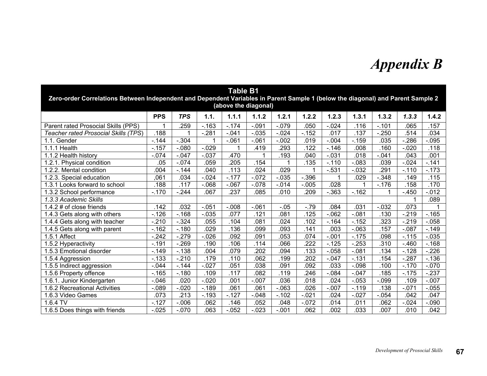## *Appendix B*

| <b>Table B1</b><br>Zero-order Correlations Between Independent and Dependent Variables in Parent Sample 1 (below the diagonal) and Parent Sample 2 |                                                                                                                        |            |          |                      |          |          |          |          |          |          |          |          |  |  |  |
|----------------------------------------------------------------------------------------------------------------------------------------------------|------------------------------------------------------------------------------------------------------------------------|------------|----------|----------------------|----------|----------|----------|----------|----------|----------|----------|----------|--|--|--|
|                                                                                                                                                    |                                                                                                                        |            |          | (above the diagonal) |          |          |          |          |          |          |          |          |  |  |  |
|                                                                                                                                                    | <b>PPS</b>                                                                                                             | <b>TPS</b> | 1.1.     | 1.1.1                | 1.1.2    | 1.2.1    | 1.2.2    | 1.2.3    | 1.3.1    | 1.3.2    | 1.3.3    | 1.4.2    |  |  |  |
| Parent rated Prosocial Skills (PPS)                                                                                                                |                                                                                                                        | .259       | $-.163$  | $-.174$              | $-.091$  | $-.079$  | .050     | $-0.024$ | .116     | $-.101$  | .065     | .157     |  |  |  |
| <b>Teacher rated Prosocial Skills (TPS)</b>                                                                                                        | .188                                                                                                                   | 1          | $-.281$  | $-.041$              | $-0.035$ | $-.024$  | $-152$   | .017     | .137     | $-250$   | 514      | .034     |  |  |  |
| 1.1. Gender                                                                                                                                        | $-144$                                                                                                                 | $-.304$    |          | $-.061$              | $-.061$  | $-.002$  | .019     | $-0.004$ | $-0.159$ | .035     | $-286$   | $-.095$  |  |  |  |
| 1.1.1 Health                                                                                                                                       | $-.157$                                                                                                                | $-080$     | $-0.029$ | 1                    | .419     | .293     | 122      | $-.146$  | .008     | .160     | $-.020$  | .118     |  |  |  |
| 1.1.2 Health history                                                                                                                               | $-.074$                                                                                                                | $-.047$    | $-.037$  | .470                 | 1        | .193     | .040     | $-0.031$ | .018     | $-.041$  | .043     | .001     |  |  |  |
| 1.2.1. Physical condition                                                                                                                          | .05                                                                                                                    | $-074$     | .059     | .205                 | .154     |          | .135     | $-.110$  | $-0.083$ | .039     | $-0.024$ | $-.141$  |  |  |  |
| 1.2.2. Mental condition                                                                                                                            | .004                                                                                                                   | $-144$     | .040     | .113                 | .024     | .029     |          | $-.531$  | $-0.032$ | .291     | $-.110$  | $-.173$  |  |  |  |
| 1.2.3. Special education                                                                                                                           | ,061                                                                                                                   | .034       | $-0.024$ | $-177$               | $-072$   | $-.035$  | $-0.396$ |          | .029     | $-0.348$ | .149     | .115     |  |  |  |
| 1.3.1 Looks forward to school                                                                                                                      | 188<br>.117<br>$-068$<br>$-.067$<br>$-0.005$<br>028<br>.158<br>.170<br>$-.078$<br>$-.014$<br>$-.176$<br>$\overline{1}$ |            |          |                      |          |          |          |          |          |          |          |          |  |  |  |
| 1.3.2 School performance                                                                                                                           | $-.170$                                                                                                                | $-244$     | .067     | $\overline{.237}$    | .085     | .010     | .209     | $-0.363$ | $-.162$  |          | $-450$   | $-0.012$ |  |  |  |
| 1.3.3 Academic Skills                                                                                                                              |                                                                                                                        |            |          |                      |          |          |          |          |          |          |          | .089     |  |  |  |
| 1.4.2 $\#$ of close friends                                                                                                                        | .142                                                                                                                   | .032       | $-.051$  | $-.008$              | $-061$   | $-0.05$  | $-79$    | .084     | .031     | $-0.032$ | .073     |          |  |  |  |
| 1.4.3 Gets along with others                                                                                                                       | $-.126$                                                                                                                | $-168$     | $-0.035$ | .077                 | .121     | .081     | .125     | $-062$   | $-.081$  | .130     | $-219$   | $-.165$  |  |  |  |
| 1.4.4 Gets along with teacher                                                                                                                      | $-210$                                                                                                                 | $-.324$    | .055     | .104                 | .081     | .024     | .102     | $-.164$  | $-152$   | .323     | $-219$   | $-0.058$ |  |  |  |
| 1.4.5 Gets along with parent                                                                                                                       | $-.162$                                                                                                                | $-.180$    | .029     | .136                 | .099     | .093     | .141     | .003     | $-.063$  | .157     | $-.087$  | $-149$   |  |  |  |
| 1.5.1 Affect                                                                                                                                       | $-.242$                                                                                                                | $-279$     | $-0.026$ | .092                 | .091     | .053     | .074     | $-.001$  | $-.175$  | .098     | $-.115$  | $-0.035$ |  |  |  |
| 1.5.2 Hyperactivity                                                                                                                                | $-.191$                                                                                                                | $-269$     | .190     | .106                 | .114     | .066     | .222     | $-.125$  | $-253$   | .310     | $-460$   | $-168$   |  |  |  |
| 1.5.3 Emotional disorder                                                                                                                           | $-.149$                                                                                                                | $-138$     | .004     | .079                 | .202     | .094     | .133     | $-0.058$ | $-.081$  | .134     | $-.128$  | $-226$   |  |  |  |
| 1.5.4 Aggression                                                                                                                                   | $-133$                                                                                                                 | $-.210$    | .179     | .110                 | .062     | .199     | .202     | $-.047$  | $-131$   | .154     | $-287$   | $-136$   |  |  |  |
| 1.5.5 Indirect aggression                                                                                                                          | $-0.044$                                                                                                               | $-144$     | $-0.027$ | .051                 | .038     | .091     | .092     | .033     | $-.098$  | .100     | $-.170$  | $-0.070$ |  |  |  |
| 1.5.6 Property offence                                                                                                                             | $-.165$                                                                                                                | $-.180$    | .109     | .117                 | .082     | .119     | 246      | $-0.084$ | $-.047$  | .185     | $-.175$  | $-.237$  |  |  |  |
| 1.6.1. Junior Kindergarten                                                                                                                         | $-0.046$                                                                                                               | .020       | $-.020$  | .001                 | $-0.007$ | .036     | .018     | .024     | $-0.053$ | $-0.099$ | .109     | $-.007$  |  |  |  |
| 1.6.2 Recreational Activities                                                                                                                      | $-089$                                                                                                                 | $-.020$    | $-189$   | .061                 | .061     | $-.063$  | .026     | $-.007$  | $-.119$  | .138     | $-.071$  | $-0.055$ |  |  |  |
| 1.6.3 Video Games                                                                                                                                  | .073                                                                                                                   | .213       | $-.193$  | $-127$               | $-.048$  | $-0.102$ | $-.021$  | .024     | $-.027$  | $-.054$  | .042     | .047     |  |  |  |
| 1.6.4 TV                                                                                                                                           | $-.127$                                                                                                                | $-0.06$    | .062     | .146                 | .052     | .048     | $-072$   | .014     | .011     | .062     | $-0.024$ | $-.090$  |  |  |  |
| 1.6.5 Does things with friends                                                                                                                     | $-0.025$                                                                                                               | $-0.070$   | .063     | $-0.052$             | $-0.023$ | $-.001$  | .062     | .002     | .033     | .007     | .010     | .042     |  |  |  |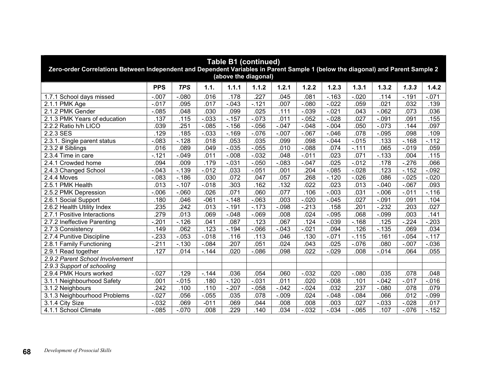| <b>Table B1 (continued)</b><br>Zero-order Correlations Between Independent and Dependent Variables in Parent Sample 1 (below the diagonal) and Parent Sample 2<br>(above the diagonal) |                  |            |          |          |                   |          |          |          |                   |          |          |          |  |
|----------------------------------------------------------------------------------------------------------------------------------------------------------------------------------------|------------------|------------|----------|----------|-------------------|----------|----------|----------|-------------------|----------|----------|----------|--|
|                                                                                                                                                                                        | <b>PPS</b>       | <b>TPS</b> | 1.1.     | 1.1.1    | 1.1.2             | 1.2.1    | 1.2.2    | 1.2.3    | 1.3.1             | 1.3.2    | 1.3.3    | 1.4.2    |  |
| 1.7.1 School days missed                                                                                                                                                               | $-.007$          | $-.080$    | .016     | .178     | $\overline{.227}$ | .045     | 081      | $-.163$  | $-.020$           | .114     | $-.191$  | $-.071$  |  |
| 2.1.1 PMK Age                                                                                                                                                                          | $-.017$          | .095       | .017     | $-0.043$ | $-.121$           | .007     | $-.080$  | $-0.022$ | .059              | .021     | .032     | .139     |  |
| 2.1.2 PMK Gender                                                                                                                                                                       | $-0.085$         | .048       | .030     | .099     | .025              | .111     | $-0.39$  | $-0.021$ | .043              | $-062$   | .073     | .036     |  |
| 2.1.3 PMK Years of education                                                                                                                                                           | .137             | .115       | $-0.033$ | $-157$   | $-073$            | .011     | $-0.052$ | $-0.028$ | .027              | $-.091$  | .091     | .155     |  |
| 2.2.2 Ratio h/h LICO                                                                                                                                                                   | .039             | .251       | $-0.085$ | $-.156$  | $-0.056$          | $-.047$  | $-0.048$ | $-0.004$ | .050              | $-073$   | .144     | .097     |  |
| 2.2.3 SES                                                                                                                                                                              | .129             | .185       | $-0.033$ | $-169$   | $-0.076$          | $-.007$  | $-067$   | $-0.046$ | .078              | $-0.095$ | .098     | .109     |  |
| 2.3.1. Single parent status                                                                                                                                                            | $-083$           | $-128$     | .018     | .053     | .035              | .099     | .098     | $-0.044$ | $-0.015$          | .133     | $-.168$  | $-112$   |  |
| $2.3.2 \# Sibling$                                                                                                                                                                     | .016             | .089       | .049     | $-0.035$ | $-0.055$          | .010     | $-088$   | .074     | $-.111$           | .065     | $-0.019$ | .059     |  |
| $2.3.4$ Time in care                                                                                                                                                                   | $-121$           | $-0.049$   | .011     | $-0.008$ | $-0.032$          | .048     | $-0.011$ | .023     | .071              | $-133$   | .004     | .115     |  |
| 2.4.1 Crowded home                                                                                                                                                                     | .094             | .009       | .179     | $-0.031$ | $-0.050$          | $-0.083$ | $-0.047$ | .025     | $-0.012$          | .178     | $-276$   | .066     |  |
| $-0.012$<br>.204<br>.123<br>$-0.043$<br>$-139$<br>.033<br>$-0.051$<br>.001<br>$-0.085$<br>$-0.028$<br>$-152$<br>$-0.092$<br>2.4.3 Changed School                                       |                  |            |          |          |                   |          |          |          |                   |          |          |          |  |
| 2.4.4 Moves                                                                                                                                                                            | $-083$           | $-.186$    | .030     | .072     | .047              | .057     | .268     | $-.120$  | $-0.026$          | .086     | $-0.025$ | $-0.020$ |  |
| 2.5.1 PMK Health                                                                                                                                                                       | .013             | $-.107$    | $-0.18$  | .303     | .162              | .132     | 022      | .023     | .013              | $-.040$  | $-.067$  | .093     |  |
| 2.5.2 PMK Depression                                                                                                                                                                   | $-.006$          | $-060$     | .026     | .071     | .060              | .077     | .106     | $-.003$  | .031              | $-0.006$ | $-.011$  | $-116$   |  |
| 2.6.1 Social Support                                                                                                                                                                   | .180             | .046       | $-061$   | $-.148$  | $-063$            | .003     | $-.020$  | $-0.045$ | .027              | $-.091$  | .091     | .104     |  |
| 2.6.2 Health Utility Index                                                                                                                                                             | 235              | 242        | .013     | $-191$   | $-.173$           | $-.098$  | $-213$   | .158     | .201              | $-232$   | .203     | .027     |  |
| 2.7.1 Positive Interactions                                                                                                                                                            | 279              | .013       | .069     | $-.048$  | $-069$            | .008     | .024     | $-0.095$ | .068              | $-0.099$ | .003     | .141     |  |
| 2.7.2 Ineffective Parenting                                                                                                                                                            | $-.201$          | $-.126$    | .041     | .087     | .123              | .067     | .124     | $-0.039$ | $-.168$           | .125     | $-.224$  | .203     |  |
| 2.7.3 Consistency                                                                                                                                                                      | .149             | .062       | .123     | $-194$   | $-0.066$          | $-.043$  | $-0.021$ | .094     | .126              | $-0.135$ | .069     | .034     |  |
| 2.7.4 Punitive Discipline                                                                                                                                                              | $-233$           | $-053$     | $-0.018$ | .116     | .113              | .046     | .130     | $-071$   | $-.115$           | .161     | $-0.054$ | $-117$   |  |
| 2.8.1 Family Functioning                                                                                                                                                               | $-.211$          | $-0.130$   | $-0.84$  | .207     | .051              | .024     | .043     | .025     | $-.076$           | .080     | $-.007$  | $-0.036$ |  |
| 2.9.1 Read together                                                                                                                                                                    | .127             | .014       | $-144$   | .020     | $-0.086$          | .098     | .022     | $-0.029$ | .008              | $-0.014$ | .064     | .055     |  |
| 2.9.2 Parent School Involvement                                                                                                                                                        |                  |            |          |          |                   |          |          |          |                   |          |          |          |  |
| 2.9.3 Support of schooling                                                                                                                                                             |                  |            |          |          |                   |          |          |          |                   |          |          |          |  |
| 2.9.4 PMK Hours worked                                                                                                                                                                 | $-0.027$         | .129       | $-144$   | .036     | .054              | .060     | $-0.032$ | .020     | $-.080$           | .035     | .078     | .048     |  |
| 3.1.1 Neighbourhood Safety                                                                                                                                                             | .001             | $-0.015$   | .180     | $-120$   | $-0.031$          | .011     | .020     | $-0.008$ | .101              | $-0.042$ | $-0.017$ | $-0.016$ |  |
| 3.1.2 Neighbours                                                                                                                                                                       | $\overline{242}$ | .100       | .110     | $-207$   | $-0.058$          | $-.042$  | $-024$   | .032     | $\overline{.237}$ | $-080$   | .078     | .079     |  |
| 3.1.3 Neighbourhood Problems                                                                                                                                                           | $-.027$          | .056       | $-0.055$ | .035     | .078              | $-.009$  | .024     | $-0.048$ | $-0.84$           | .066     | .012     | $-0.099$ |  |
| 3.1.4 City Size                                                                                                                                                                        | $-0.032$         | .069       | $-011$   | .069     | .044              | .008     | .008     | .003     | .027              | $-0.033$ | $-0.028$ | .017     |  |
| 4.1.1 School Climate                                                                                                                                                                   | $-0.085$         | $-.070$    | .008     | .229     | .140              | .034     | $-0.032$ | $-0.034$ | $-.065$           | .107     | $-0.076$ | $-152$   |  |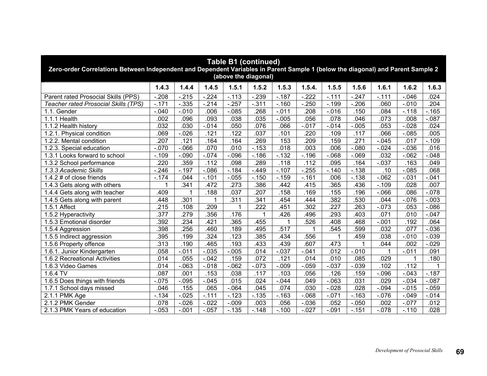| <b>Table B1 (continued)</b><br>Zero-order Correlations Between Independent and Dependent Variables in Parent Sample 1 (below the diagonal) and Parent Sample 2<br>(above the diagonal) |                                                                                                  |          |          |          |                  |                          |                  |                  |          |          |          |          |  |  |  |
|----------------------------------------------------------------------------------------------------------------------------------------------------------------------------------------|--------------------------------------------------------------------------------------------------|----------|----------|----------|------------------|--------------------------|------------------|------------------|----------|----------|----------|----------|--|--|--|
|                                                                                                                                                                                        | 1.4.3                                                                                            | 1.4.4    | 1.4.5    | 1.5.1    | 1.5.2            | 1.5.3                    | 1.5.4.           | 1.5.5            | 1.5.6    | 1.6.1    | 1.6.2    | 1.6.3    |  |  |  |
| Parent rated Prosocial Skills (PPS)                                                                                                                                                    | $-208$                                                                                           | $-215$   | $-224$   | $-113$   | $-239$           | $-187$                   | $-222$           | $-0.111$         | $-247$   | $-.111$  | $-.046$  | .024     |  |  |  |
| Teacher rated Prosocial Skills (TPS)                                                                                                                                                   | $-171$                                                                                           | $-0.335$ | $-214$   | $-257$   | $-311$           | $-.160$                  | $-250$           | $-.199$          | $-.206$  | .060     | $-0.010$ | .204     |  |  |  |
| 1.1. Gender                                                                                                                                                                            | $-.040$                                                                                          | $-.010$  | .006     | $-085$   | 268              | $-.011$                  | 208              | $-0.016$         | .150     | .084     | $-.118$  | $-165$   |  |  |  |
| 1.1.1 Health                                                                                                                                                                           | .002                                                                                             | .096     | .093     | .038     | .035             | $-.005$                  | .056             | .078             | .046     | .073     | .008     | $-0.087$ |  |  |  |
| 1.1.2 Health history                                                                                                                                                                   | .032                                                                                             | .030     | $-014$   | .050     | .076             | .066                     | $-0.017$         | $-0.14$          | $-0.005$ | .053     | $-0.028$ | .024     |  |  |  |
| 1.2.1. Physical condition                                                                                                                                                              | .069                                                                                             | $-0.026$ | .121     | .122     | .037             | .101                     | $\overline{220}$ | .109             | .117     | .066     | $-0.085$ | .005     |  |  |  |
| 1.2.2. Mental condition                                                                                                                                                                | .207                                                                                             | .121     | .164     | .164     | .269             | 153                      | .209             | .159             | .271     | $-0.045$ | .017     | $-.109$  |  |  |  |
| 1.2.3. Special education                                                                                                                                                               | $-0.070$                                                                                         | $-0.066$ | .070     | .010     | $-153$           | .018                     | .003             | .006             | $-080$   | $-0.024$ | $-0.036$ | .016     |  |  |  |
| 1.3.1 Looks forward to school                                                                                                                                                          | $-.109$                                                                                          | $-.090$  | $-0.074$ | $-0.096$ | $-186$           | $-132$                   | $-.196$          | $-068$           | $-.069$  | .032     | $-062$   | $-0.048$ |  |  |  |
| 1.3.2 School performance                                                                                                                                                               | .359<br>.112<br>.289<br>.112<br>$-0.037$<br>.220<br>.098<br>.118<br>.095<br>.163<br>.049<br>.164 |          |          |          |                  |                          |                  |                  |          |          |          |          |  |  |  |
| 1.3.3 Academic Skills                                                                                                                                                                  | $-246$                                                                                           | $-197$   | $-0.086$ | $-184$   | $-449$           | $-.107$                  | $-255$           | $-140$           | $-138$   | .10      | $-0.085$ | .068     |  |  |  |
| 1.4.2 # of close friends                                                                                                                                                               | $-174$                                                                                           | .044     | $-.101$  | $-0.055$ | $-.150$          | $-0.159$                 | $-.161$          | .006             | $-0.138$ | $-062$   | $-0.031$ | $-041$   |  |  |  |
| 1.4.3 Gets along with others                                                                                                                                                           |                                                                                                  | .341     | .472     | .273     | .386             | .442                     | .415             | .365             | .436     | $-.109$  | .028     | .007     |  |  |  |
| 1.4.4 Gets along with teacher                                                                                                                                                          | 409                                                                                              | 1        | .188     | .037     | .207             | .158                     | .169             | .155             | .196     | $-066$   | .086     | $-0.078$ |  |  |  |
| 1.4.5 Gets along with parent                                                                                                                                                           | .448                                                                                             | .301     |          | .311     | .341             | .454                     | .444             | .382             | .530     | .044     | $-0.076$ | $-0.003$ |  |  |  |
| 1.5.1 Affect                                                                                                                                                                           | 215                                                                                              | .108     | 209      | 1        | $\overline{222}$ | .451                     | .302             | $\overline{227}$ | .263     | $-073$   | .053     | $-0.086$ |  |  |  |
| 1.5.2 Hyperactivity                                                                                                                                                                    | .377                                                                                             | .279     | .356     | .176     | 1                | .426                     | .496             | 293              | .403     | .071     | .010     | $-.047$  |  |  |  |
| 1.5.3 Emotional disorder                                                                                                                                                               | .392                                                                                             | .234     | 421      | .365     | .455             | $\overline{\phantom{a}}$ | .526             | 408              | .468     | $-.001$  | 192      | .064     |  |  |  |
| 1.5.4 Aggression                                                                                                                                                                       | .398                                                                                             | .256     | .460     | .189     | 495              | .517                     |                  | 545              | .599     | .032     | 077      | $-0.036$ |  |  |  |
| 1.5.5 Indirect aggression                                                                                                                                                              | 395                                                                                              | .199     | .324     | .123     | .385             | 434                      | .556             | 1                | .459     | .038     | $-0.010$ | $-0.039$ |  |  |  |
| 1.5.6 Property offence                                                                                                                                                                 | .313                                                                                             | .190     | 465      | .193     | 433              | .439                     | 607              | .473             | 1        | .044     | .002     | $-0.029$ |  |  |  |
| 1.6.1. Junior Kindergarten                                                                                                                                                             | .058                                                                                             | $-.011$  | $-0.035$ | $-0.005$ | .014             | $-.037$                  | $-.041$          | .012             | $-0.010$ | 1        | $-0.011$ | .091     |  |  |  |
| 1.6.2 Recreational Activities                                                                                                                                                          | .014                                                                                             | .055     | $-.042$  | .159     | .072             | .121                     | .014             | .010             | .085     | .029     | 1        | .180     |  |  |  |
| 1.6.3 Video Games                                                                                                                                                                      | .014                                                                                             | $-063$   | $-0.018$ | $-062$   | $-073$           | $-.009$                  | $-0.059$         | $-0.037$         | $-0.39$  | .102     | .112     |          |  |  |  |
| $1.6.4$ TV                                                                                                                                                                             | .087                                                                                             | .001     | .153     | .038     | .117             | .103                     | .056             | .126             | .159     | $-0.096$ | $-0.043$ | $-.187$  |  |  |  |
| 1.6.5 Does things with friends                                                                                                                                                         | $-0.075$                                                                                         | $-.095$  | $-0.045$ | .015     | .024             | $-.044$                  | .049             | $-063$           | .031     | .029     | $-.034$  | $-087$   |  |  |  |
| 1.7.1 School days missed                                                                                                                                                               | .046                                                                                             | .155     | .065     | $-0.064$ | .045             | .074                     | .030             | $-0.028$         | .028     | $-0.94$  | $-0.015$ | $-0.059$ |  |  |  |
| $2.1.1$ PMK Age                                                                                                                                                                        | $-134$                                                                                           | $-0.025$ | $-.111$  | $-123$   | $-135$           | $-0.163$                 | $-068$           | $-071$           | $-.163$  | $-0.076$ | $-0.049$ | $-0.14$  |  |  |  |
| 2.1.2 PMK Gender                                                                                                                                                                       | .078                                                                                             | $-.026$  | $-0.022$ | $-0.09$  | .003             | .056                     | $-0.036$         | .052             | $-0.050$ | .002     | $-077$   | .012     |  |  |  |
| 2.1.3 PMK Years of education                                                                                                                                                           | $-0.053$                                                                                         | $-.001$  | $-.057$  | $-135$   | $-.148$          | $-.100$                  | $-0.027$         | $-.091$          | $-151$   | $-.078$  | $-.110$  | .028     |  |  |  |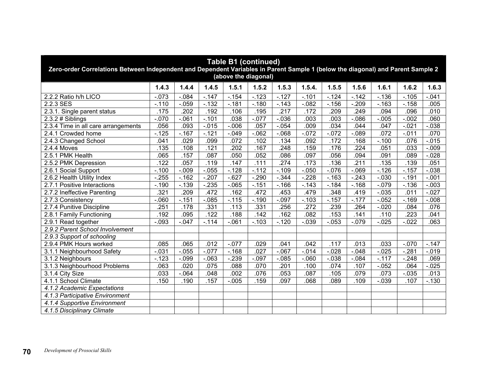| <b>Table B1 (continued)</b><br>Zero-order Correlations Between Independent and Dependent Variables in Parent Sample 1 (below the diagonal) and Parent Sample 2<br>(above the diagonal) |         |          |          |          |          |          |          |          |          |          |          |          |  |  |
|----------------------------------------------------------------------------------------------------------------------------------------------------------------------------------------|---------|----------|----------|----------|----------|----------|----------|----------|----------|----------|----------|----------|--|--|
|                                                                                                                                                                                        | 1.4.3   | 1.4.4    | 1.4.5    | 1.5.1    | 1.5.2    | 1.5.3    | 1.5.4.   | 1.5.5    | 1.5.6    | 1.6.1    | 1.6.2    | 1.6.3    |  |  |
| 2.2.2 Ratio h/h LICO                                                                                                                                                                   | $-.073$ | $-.084$  | $-147$   | $-.154$  | $-123$   | $-127$   | $-.101$  | $-124$   | $-.142$  | $-.136$  | $-.105$  | $-.041$  |  |  |
| 2.2.3 SES                                                                                                                                                                              | $-.110$ | $-.059$  | $-132$   | $-181$   | $-180$   | $-143$   | $-0.082$ | $-.156$  | $-.209$  | $-.163$  | $-.158$  | .005     |  |  |
| 2.3.1. Single parent status                                                                                                                                                            | .175    | .202     | .192     | .106     | .195     | .217     | .172     | .209     | .249     | .094     | .096     | .010     |  |  |
| $2.3.2 \# Sibling$                                                                                                                                                                     | $-.070$ | $-061$   | $-.101$  | .038     | $-0.077$ | $-0.036$ | .003     | .003     | $-0.086$ | $-0.005$ | $-0.002$ | .060     |  |  |
| 2.3.4 Time in all care arrangements                                                                                                                                                    | .056    | .093     | $-0.015$ | $-0.006$ | .057     | $-0.054$ | .009     | .034     | .044     | .047     | $-0.021$ | $-0.038$ |  |  |
| 2.4.1 Crowded home                                                                                                                                                                     | $-.125$ | $-.167$  | $-121$   | $-.049$  | $-062$   | $-068$   | $-072$   | $-072$   | $-0.89$  | .072     | $-.011$  | .070     |  |  |
| 2.4.3 Changed School                                                                                                                                                                   | .041    | .029     | .099     | .072     | .102     | .134     | .092     | .172     | .168     | $-.100$  | .076     | $-0.015$ |  |  |
| 2.4.4 Moves                                                                                                                                                                            | .135    | .108     | .121     | .202     | .167     | .248     | .159     | .176     | .224     | .051     | .033     | $-0.009$ |  |  |
| 2.5.1 PMK Health                                                                                                                                                                       | .065    | .157     | .087     | .050     | .052     | .086     | .097     | .056     | .094     | .091     | .089     | $-0.028$ |  |  |
| 2.5.2 PMK Depression                                                                                                                                                                   | .122    | .057     | .119     | .147     | .111     | .274     | .173     | .136     | .211     | .135     | .139     | .051     |  |  |
| $-0.055$<br>$-128$<br>$-0.109$<br>$-0.050$<br>$-.126$<br>$-.100$<br>$-0.009$<br>$-112$<br>$-0.076$<br>$-069$<br>$-0.157$<br>$-0.038$<br>2.6.1 Social Support                           |         |          |          |          |          |          |          |          |          |          |          |          |  |  |
| 2.6.2 Health Utility Index                                                                                                                                                             | $-255$  | $-.162$  | $-.207$  | $-627$   | $-290$   | $-344$   | $-228$   | $-.163$  | $-243$   | $-0.030$ | $-0.191$ | $-0.001$ |  |  |
| 2.7.1 Positive Interactions                                                                                                                                                            | $-.190$ | $-139$   | $-235$   | $-065$   | $-151$   | $-166$   | $-.143$  | $-184$   | $-.168$  | $-.079$  | $-0.136$ | $-0.003$ |  |  |
| 2.7.2 Ineffective Parenting                                                                                                                                                            | .321    | .209     | .472     | .162     | .472     | .453     | .479     | .348     | .419     | $-0.035$ | .011     | $-0.027$ |  |  |
| 2.7.3 Consistency                                                                                                                                                                      | $-060$  | $-151$   | $-0.085$ | $-.115$  | $-.190$  | $-.097$  | $-.103$  | $-.157$  | $-.177$  | $-0.052$ | $-.169$  | $-0.008$ |  |  |
| 2.7.4 Punitive Discipline                                                                                                                                                              | .251    | .178     | .331     | .113     | .331     | .256     | .272     | .239     | .264     | $-0.020$ | .084     | .076     |  |  |
| 2.8.1 Family Functioning                                                                                                                                                               | .192    | .095     | .122     | .188     | .142     | .162     | .082     | .153     | .141     | .110     | .223     | .041     |  |  |
| 2.9.1 Read together                                                                                                                                                                    | $-.093$ | $-.047$  | $-114$   | $-061$   | $-.103$  | $-120$   | $-0.039$ | $-0.053$ | $-.079$  | $-0.025$ | $-0.022$ | .063     |  |  |
| 2.9.2 Parent School Involvement                                                                                                                                                        |         |          |          |          |          |          |          |          |          |          |          |          |  |  |
| 2.9.3 Support of schooling                                                                                                                                                             |         |          |          |          |          |          |          |          |          |          |          |          |  |  |
| 2.9.4 PMK Hours worked                                                                                                                                                                 | .085    | .065     | .012     | $-.077$  | .029     | .041     | .042     | .117     | .013     | .033     | $-.070$  | $-.147$  |  |  |
| 3.1.1 Neighbourhood Safety                                                                                                                                                             | $-.031$ | $-0.055$ | $-0.077$ | $-168$   | .027     | $-067$   | $-0.014$ | $-0.028$ | $-.048$  | $-0.025$ | $-.281$  | $-0.019$ |  |  |
| 3.1.2 Neighbours                                                                                                                                                                       | $-123$  | $-.099$  | $-063$   | $-239$   | $-.097$  | $-0.085$ | $-060$   | $-.038$  | $-0.84$  | $-.117$  | $-.248$  | .069     |  |  |
| 3.1.3 Neighbourhood Problems                                                                                                                                                           | .063    | .020     | .075     | .088     | .070     | .201     | .100     | .074     | .107     | $-0.052$ | .064     | $-0.025$ |  |  |
| 3.1.4 City Size                                                                                                                                                                        | .033    | $-064$   | .048     | .002     | .076     | .053     | .087     | .105     | .079     | .073     | $-0.035$ | .013     |  |  |
| 4.1.1 School Climate                                                                                                                                                                   | .150    | .190     | .157     | $-.005$  | .159     | .097     | .068     | .089     | .109     | $-0.039$ | .107     | $-0.130$ |  |  |
| 4.1.2 Academic Expectations                                                                                                                                                            |         |          |          |          |          |          |          |          |          |          |          |          |  |  |
| 4.1.3 Participative Environment                                                                                                                                                        |         |          |          |          |          |          |          |          |          |          |          |          |  |  |
| 4.1.4 Supportive Environment                                                                                                                                                           |         |          |          |          |          |          |          |          |          |          |          |          |  |  |
| 4.1.5 Disciplinary Climate                                                                                                                                                             |         |          |          |          |          |          |          |          |          |          |          |          |  |  |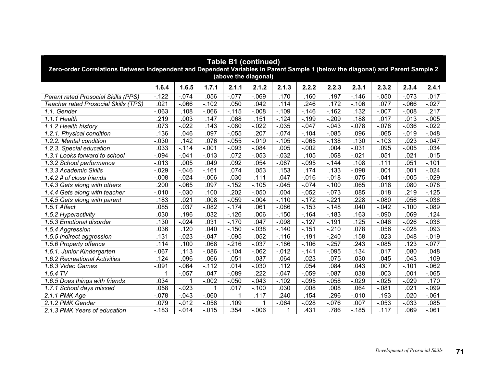| <b>Table B1 (continued)</b><br>Zero-order Correlations Between Independent and Dependent Variables in Parent Sample 1 (below the diagonal) and Parent Sample 2<br>(above the diagonal) |                   |          |          |                   |                  |          |          |          |          |          |          |          |  |  |
|----------------------------------------------------------------------------------------------------------------------------------------------------------------------------------------|-------------------|----------|----------|-------------------|------------------|----------|----------|----------|----------|----------|----------|----------|--|--|
|                                                                                                                                                                                        | 1.6.4             | 1.6.5    | 1.7.1    | 2.1.1             | 2.1.2            | 2.1.3    | 2.2.2    | 2.2.3    | 2.3.1    | 2.3.2    | 2.3.4    | 2.4.1    |  |  |
| Parent rated Prosocial Skills (PPS)                                                                                                                                                    | $-122$            | $-074$   | .056     | $-0.077$          | $-069$           | .170     | .160     | .197     | $-146$   | $-0.050$ | $-073$   | .017     |  |  |
| Teacher rated Prosocial Skills (TPS)                                                                                                                                                   | .021              | $-0.066$ | $-102$   | .050              | .042             | .114     | 246      | .172     | $-.106$  | .077     | $-066$   | .027     |  |  |
| 1.1. Gender                                                                                                                                                                            | $-063$            | .108     | $-066$   | $-115$            | $-0.008$         | $-.109$  | $-.146$  | $-162$   | .132     | $-0.007$ | $-0.008$ | .217     |  |  |
| 1.1.1 Health                                                                                                                                                                           | .219              | .003     | 147      | .068              | .151             | $-124$   | $-.199$  | $-209$   | .188     | .017     | .013     | .005     |  |  |
| 1.1.2 Health history                                                                                                                                                                   | .073              | $-0.022$ | .143     | $-080$            | $-0.022$         | $-0.035$ | $-.047$  | $-0.043$ | $-078$   | $-078$   | $-0.036$ | $-022$   |  |  |
| 1.2.1. Physical condition                                                                                                                                                              | 136               | .046     | .097     | $-0.055$          | .207             | $-.074$  | $-.104$  | $-0.085$ | .096     | .065     | $-0.019$ | $-0.048$ |  |  |
| 1.2.2. Mental condition                                                                                                                                                                | $-.030$           | .142     | .076     | $-0.055$          | $-0.019$         | $-.105$  | $-065$   | $-0.138$ | .130     | $-103$   | .023     | $-047$   |  |  |
| 1.2.3. Special education                                                                                                                                                               | .033              | $-114$   | $-0.01$  | $-.093$           | $-0.084$         | .005     | $-0.002$ | .004     | $-0.031$ | .095     | $-0.005$ | .034     |  |  |
| 1.3.1 Looks forward to school                                                                                                                                                          | $-0.094$          | $-.041$  | $-0.013$ | .072              | $-0.053$         | $-0.032$ | .105     | .058     | $-021$   | .051     | .021     | .015     |  |  |
| .092<br>$-0.095$<br>.111<br>$-0.013$<br>.005<br>.049<br>.054<br>$-0.87$<br>$-144$<br>.108<br>.051<br>$-0.101$<br>1.3.2 School performance                                              |                   |          |          |                   |                  |          |          |          |          |          |          |          |  |  |
| 1.3.3 Academic Skills                                                                                                                                                                  | $-0.029$          | $-0.046$ | $-161$   | .074              | .053             | .153     | .174     | .133     | $-0.098$ | .001     | .001     | $-0.024$ |  |  |
| 1.4.2 # of close friends                                                                                                                                                               | $-0.08$           | $-0.024$ | $-0.006$ | .030              | .111             | .047     | $-0.016$ | $-0.018$ | $-0.075$ | $-041$   | $-0.005$ | .029     |  |  |
| 1.4.3 Gets along with others                                                                                                                                                           | $\overline{.200}$ | $-065$   | .097     | $-152$            | $-.105$          | $-0.045$ | $-.074$  | $-.100$  | .065     | .018     | .080     | $-0.078$ |  |  |
| 1.4.4 Gets along with teacher                                                                                                                                                          | $-0.010$          | $-.030$  | .100     | $\overline{.202}$ | $-0.050$         | .004     | $-0.052$ | $-073$   | .085     | .018     | .219     | $-.125$  |  |  |
| 1.4.5 Gets along with parent                                                                                                                                                           | .183              | .021     | .008     | $-0.59$           | $-0.004$         | $-.110$  | $-.172$  | $-221$   | .228     | $-080$   | .056     | $-0.036$ |  |  |
| 1.5.1 Affect                                                                                                                                                                           | .085              | .037     | $-0.082$ | $-174$            | .061             | $-0.086$ | $-153$   | $-.148$  | .040     | $-042$   | $-.100$  | $-089$   |  |  |
| 1.5.2 Hyperactivity                                                                                                                                                                    | .030              | .196     | .032     | $-.126$           | .006             | $-.150$  | $-.164$  | $-183$   | .163     | $-.090$  | .069     | .124     |  |  |
| 1.5.3 Emotional disorder                                                                                                                                                               | .130              | $-.024$  | .031     | $-.170$           | .047             | $-.098$  | $-.127$  | $-.191$  | .125     | $-0.046$ | $-0.026$ | $-0.036$ |  |  |
| 1.5.4 Aggression                                                                                                                                                                       | .036              | .120     | .040     | $-150$            | $-.038$          | $-.140$  | $-.151$  | $-210$   | .078     | .056     | $-0.028$ | .093     |  |  |
| 1.5.5 Indirect aggression                                                                                                                                                              | $\overline{131}$  | $-0.023$ | $-.047$  | $-0.095$          | .052             | $-.116$  | $-.191$  | $-.240$  | .158     | .023     | .048     | .019     |  |  |
| 1.5.6 Property offence                                                                                                                                                                 | .114              | .100     | .068     | $-216$            | $-.037$          | $-.186$  | $-.106$  | $-.257$  | .243     | $-0.085$ | 123      | $-0.077$ |  |  |
| 1.6.1. Junior Kindergarten                                                                                                                                                             | $-067$            | .113     | $-0.086$ | $-.104$           | $-062$           | $-0.012$ | $-.141$  | $-0.095$ | .134     | .017     | .080     | .048     |  |  |
| 1.6.2 Recreational Activities                                                                                                                                                          | $-124$            | $-.096$  | .066     | .051              | $-.037$          | $-.064$  | $-0.023$ | $-0.075$ | .030     | $-0.045$ | .043     | $-.109$  |  |  |
| 1.6.3 Video Games                                                                                                                                                                      | $-.091$           | $-064$   | $-.112$  | .014              | $-0.030$         | .112     | .054     | .084     | .043     | .007     | $-.101$  | $-062$   |  |  |
| $1.6.4 \overline{TV}$                                                                                                                                                                  |                   | $-.057$  | .047     | $-089$            | $\overline{222}$ | $-.047$  | $-.059$  | $-.087$  | .038     | .003     | .001     | $-065$   |  |  |
| 1.6.5 Does things with friends                                                                                                                                                         | .034              | 1        | $-.002$  | $-.050$           | $-.043$          | $-.102$  | $-0.095$ | $-0.058$ | $-0.029$ | $-0.025$ | $-0.029$ | .170     |  |  |
| 1.7.1 School days missed                                                                                                                                                               | .058              | $-0.023$ | 1        | .017              | $-.100$          | .030     | .008     | .008     | .064     | $-081$   | .021     | $-0.099$ |  |  |
| $2.1.1$ PMK Age                                                                                                                                                                        | $-0.078$          | $-.043$  | $-060$   | 1                 | .117             | .240     | .154     | 296      | $-0.010$ | .193     | .020     | $-061$   |  |  |
| 2.1.2 PMK Gender                                                                                                                                                                       | .079              | $-012$   | $-.058$  | .109              |                  | $-.064$  | $-0.028$ | $-0.076$ | .007     | $-053$   | $-0.033$ | .085     |  |  |
| 2.1.3 PMK Years of education                                                                                                                                                           | $-183$            | $-0.14$  | $-0.015$ | .354              | $-0.006$         |          | .431     | .786     | $-185$   | .117     | .069     | $-.061$  |  |  |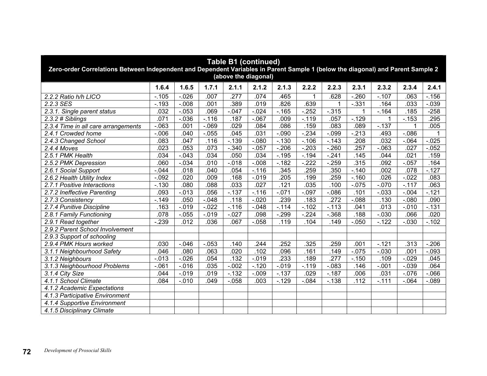| <b>Table B1 (continued)</b><br>Zero-order Correlations Between Independent and Dependent Variables in Parent Sample 1 (below the diagonal) and Parent Sample 2<br>(above the diagonal) |                                                                                                                                                                                                                                                     |          |          |          |          |         |          |          |          |          |          |          |  |  |  |
|----------------------------------------------------------------------------------------------------------------------------------------------------------------------------------------|-----------------------------------------------------------------------------------------------------------------------------------------------------------------------------------------------------------------------------------------------------|----------|----------|----------|----------|---------|----------|----------|----------|----------|----------|----------|--|--|--|
|                                                                                                                                                                                        | 1.6.4                                                                                                                                                                                                                                               | 1.6.5    | 1.7.1    | 2.1.1    | 2.1.2    | 2.1.3   | 2.2.2    | 2.2.3    | 2.3.1    | 2.3.2    | 2.3.4    | 2.4.1    |  |  |  |
| 2.2.2 Ratio h/h LICO                                                                                                                                                                   | $-.105$                                                                                                                                                                                                                                             | $-0.026$ | .007     | .277     | .074     | .465    |          | .628     | $-260$   | $-.107$  | .063     | $-.156$  |  |  |  |
| 2.2.3 SES                                                                                                                                                                              | $-.193$                                                                                                                                                                                                                                             | $-0.08$  | .001     | .389     | .019     | .826    | .639     |          | $-0.331$ | .164     | .033     | $-0.039$ |  |  |  |
| 2.3.1. Single parent status                                                                                                                                                            | .032                                                                                                                                                                                                                                                | $-.053$  | .069     | $-.047$  | $-0.024$ | $-.165$ | $-252$   | $-0.315$ |          | $-.164$  | .185     | $-258$   |  |  |  |
| $2.3.2$ # Siblings                                                                                                                                                                     | .071                                                                                                                                                                                                                                                | $-0.036$ | $-.116$  | .187     | $-067$   | .009    | $-.119$  | .057     | $-.129$  | 1        | $-.153$  | .295     |  |  |  |
| 2.3.4 Time in all care arrangements                                                                                                                                                    | $-063$                                                                                                                                                                                                                                              | .001     | $-069$   | .029     | .084     | .086    | .159     | .083     | .089     | $-0.137$ | 1        | .005     |  |  |  |
| 2.4.1 Crowded home                                                                                                                                                                     | $-0.006$                                                                                                                                                                                                                                            | .040     | $-0.055$ | .045     | .031     | $-.090$ | $-234$   | $-0.099$ | $-213$   | .493     | $-0.086$ |          |  |  |  |
| 2.4.3 Changed School                                                                                                                                                                   | .083                                                                                                                                                                                                                                                | .047     | .116     | $-139$   | $-080$   | $-130$  | $-.106$  | $-.143$  | .208     | .032     | $-064$   | $-0.025$ |  |  |  |
| 2.4.4 Moves                                                                                                                                                                            | .023                                                                                                                                                                                                                                                | .053     | .073     | $-.340$  | $-.057$  | $-206$  | $-.203$  | $-260$   | .257     | $-063$   | .027     | $-0.052$ |  |  |  |
| 2.5.1 PMK Health                                                                                                                                                                       | .034                                                                                                                                                                                                                                                | $-.043$  | .034     | .050     | .034     | $-.195$ | $-.194$  | $-.241$  | .145     | .044     | .021     | .159     |  |  |  |
| 2.5.2 PMK Depression                                                                                                                                                                   | $-222$<br>.315<br>.010<br>$-0.008$<br>$-182$<br>$-259$<br>.092<br>$-0.057$<br>.164<br>.060<br>$-.034$<br>$-0.18$<br>.018<br>.040<br>.054<br>$-.116$<br>.345<br>.259<br>$-.140$<br>.002<br>$-127$<br>2.6.1 Social Support<br>$-.044$<br>.350<br>.078 |          |          |          |          |         |          |          |          |          |          |          |  |  |  |
|                                                                                                                                                                                        |                                                                                                                                                                                                                                                     |          |          |          |          |         |          |          |          |          |          |          |  |  |  |
| 2.6.2 Health Utility Index                                                                                                                                                             | $-.092$                                                                                                                                                                                                                                             | .020     | .009     | .168     | $-.019$  | .205    | .199     | 259      | $-.160$  | .026     | $-0.022$ | .083     |  |  |  |
| 2.7.1 Positive Interactions                                                                                                                                                            | $-0.130$                                                                                                                                                                                                                                            | .080     | .088     | .033     | .027     | .121    | .035     | .100     | $-.075$  | $-.070$  | $-117$   | .063     |  |  |  |
| 2.7.2 Ineffective Parenting                                                                                                                                                            | .093                                                                                                                                                                                                                                                | $-.013$  | .056     | $-137$   | $-.116$  | $-.071$ | $-.097$  | $-0.086$ | .101     | $-0.033$ | $-.004$  | $-.121$  |  |  |  |
| 2.7.3 Consistency                                                                                                                                                                      | $-.149$                                                                                                                                                                                                                                             | .050     | $-0.048$ | .118     | $-.020$  | .239    | .183     | .272     | $-0.088$ | .130     | $-080$   | .090     |  |  |  |
| 2.7.4 Punitive Discipline                                                                                                                                                              | .163                                                                                                                                                                                                                                                | $-0.019$ | $-0.022$ | $-.116$  | $-.048$  | $-114$  | $-.102$  | $-.113$  | .041     | .013     | $-.010$  | $-131$   |  |  |  |
| 2.8.1 Family Functioning                                                                                                                                                               | .078                                                                                                                                                                                                                                                | $-0.055$ | $-0.19$  | $-0.027$ | .098     | $-299$  | $-224$   | $-0.368$ | .188     | $-0.030$ | .066     | .020     |  |  |  |
| 2.9.1 Read together                                                                                                                                                                    | $-239$                                                                                                                                                                                                                                              | .012     | .036     | .067     | $-0.058$ | .119    | .104     | .149     | $-.050$  | $-122$   | $-0.030$ | $-.102$  |  |  |  |
| 2.9.2 Parent School Involvement                                                                                                                                                        |                                                                                                                                                                                                                                                     |          |          |          |          |         |          |          |          |          |          |          |  |  |  |
| 2.9.3 Support of schooling                                                                                                                                                             |                                                                                                                                                                                                                                                     |          |          |          |          |         |          |          |          |          |          |          |  |  |  |
| 2.9.4 PMK Hours worked                                                                                                                                                                 | .030                                                                                                                                                                                                                                                | $-.046$  | $-0.053$ | .140     | .244     | .252    | .325     | 259      | .001     | $-.121$  | .313     | $-206$   |  |  |  |
| 3.1.1 Neighbourhood Safety                                                                                                                                                             | .046                                                                                                                                                                                                                                                | .080     | .063     | .020     | .102     | .096    | .161     | .149     | $-.075$  | $-0.030$ | .001     | $-.093$  |  |  |  |
| 3.1.2 Neighbours                                                                                                                                                                       | $-0.013$                                                                                                                                                                                                                                            | $-.026$  | .054     | .132     | $-0.019$ | .233    | .189     | .277     | $-.150$  | .109     | $-0.029$ | .045     |  |  |  |
| 3.1.3 Neighbourhood Problems                                                                                                                                                           | $-061$                                                                                                                                                                                                                                              | $-0.016$ | .035     | $-.002$  | $-.120$  | $-.019$ | $-.119$  | $-0.083$ | .146     | $-.001$  | $-0.039$ | .064     |  |  |  |
| 3.1.4 City Size                                                                                                                                                                        | .044                                                                                                                                                                                                                                                | $-.019$  | .019     | $-132$   | $-.009$  | $-137$  | .029     | $-187$   | .006     | .031     | $-0.076$ | $-066$   |  |  |  |
| 4.1.1 School Climate                                                                                                                                                                   | .084                                                                                                                                                                                                                                                | $-.010$  | .049     | $-0.058$ | .003     | $-129$  | $-0.084$ | $-0.138$ | .112     | $-.111$  | $-064$   | $-0.089$ |  |  |  |
| 4.1.2 Academic Expectations                                                                                                                                                            |                                                                                                                                                                                                                                                     |          |          |          |          |         |          |          |          |          |          |          |  |  |  |
| 4.1.3 Participative Environment                                                                                                                                                        |                                                                                                                                                                                                                                                     |          |          |          |          |         |          |          |          |          |          |          |  |  |  |
| 4.1.4 Supportive Environment                                                                                                                                                           |                                                                                                                                                                                                                                                     |          |          |          |          |         |          |          |          |          |          |          |  |  |  |
| 4.1.5 Disciplinary Climate                                                                                                                                                             |                                                                                                                                                                                                                                                     |          |          |          |          |         |          |          |          |          |          |          |  |  |  |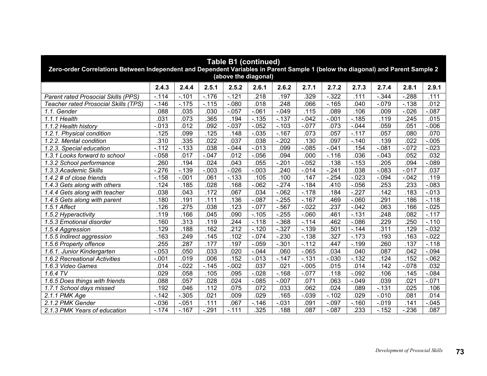| <b>Table B1 (continued)</b><br>Zero-order Correlations Between Independent and Dependent Variables in Parent Sample 1 (below the diagonal) and Parent Sample 2<br>(above the diagonal) |          |          |          |                  |          |          |          |                   |          |          |          |          |
|----------------------------------------------------------------------------------------------------------------------------------------------------------------------------------------|----------|----------|----------|------------------|----------|----------|----------|-------------------|----------|----------|----------|----------|
|                                                                                                                                                                                        | 2.4.3    | 2.4.4    | 2.5.1    | 2.5.2            | 2.6.1    | 2.6.2    | 2.7.1    | 2.7.2             | 2.7.3    | 2.7.4    | 2.8.1    | 2.9.1    |
| Parent rated Prosocial Skills (PPS)                                                                                                                                                    | $-.114$  | $-.101$  | $-.176$  | $-121$           | 218      | .197     | 329      | $-322$            | .111     | $-344$   | $-288$   | .111     |
| Teacher rated Prosocial Skills (TPS)                                                                                                                                                   | $-.146$  | $-.175$  | $-.115$  | $-0.080$         | .018     | .248     | .066     | $-.165$           | .040     | $-.079$  | $-138$   | .012     |
| 1.1. Gender                                                                                                                                                                            | .088     | .035     | .030     | $-0.057$         | $-061$   | $-.049$  | .115     | .089              | .106     | .009     | $-0.026$ | $-0.087$ |
| 1.1.1 Health                                                                                                                                                                           | .031     | .073     | 365      | .194             | $-135$   | $-0.137$ | $-0.042$ | $-0.01$           | $-.185$  | .119     | .245     | .015     |
| 1.1.2 Health history                                                                                                                                                                   | $-0.013$ | .012     | .092     | $-0.037$         | $-0.052$ | $-.103$  | $-0.077$ | .073              | $-.044$  | .059     | .051     | $-0.006$ |
| 1.2.1. Physical condition                                                                                                                                                              | 125      | .099     | 125      | .148             | $-0.035$ | $-.167$  | .073     | .057              | $-117$   | .057     | .080     | .070     |
| 1.2.2. Mental condition                                                                                                                                                                | .310     | .335     | .022     | .037             | .038     | $-.202$  | .130     | .097              | $-140$   | .139     | .022     | $-0.005$ |
| 1.2.3. Special education                                                                                                                                                               | $-.112$  | $-133$   | .038     | $-0.044$         | $-0.013$ | .099     | $-0.085$ | $-0.041$          | .154     | $-081$   | $-072$   | $-023$   |
| 1.3.1 Looks forward to school                                                                                                                                                          | $-0.058$ | .017     | $-0.047$ | .012             | $-.056$  | .094     | .000     | $-.116$           | .036     | $-0.043$ | .052     | .032     |
| 1.3.2 School performance                                                                                                                                                               | .260     | .194     | .024     | .043             | .055     | $-.201$  | $-0.052$ | .138              | $-153$   | 205      | .094     | $-089$   |
| 1.3.3 Academic Skills                                                                                                                                                                  | $-276$   | $-139$   | $-0.003$ | $-0.026$         | $-0.003$ | .240     | $-0.014$ | $-241$            | .038     | $-083$   | $-0.017$ | .037     |
| 1.4.2 # of close friends                                                                                                                                                               | $-.158$  | $-.001$  | .061     | $-133$           | .105     | .100     | .147     | $-254$            | $-023$   | $-0.094$ | $-0.042$ | .119     |
| 1.4.3 Gets along with others                                                                                                                                                           | .124     | .185     | .028     | .168             | $-062$   | $-274$   | $-184$   | .410              | $-0.056$ | .253     | .233     | $-0.083$ |
| 1.4.4 Gets along with teacher                                                                                                                                                          | .038     | .043     | .172     | .067             | .034     | $-062$   | $-.178$  | .184              | $-227$   | .142     | .183     | $-0.013$ |
| 1.4.5 Gets along with parent                                                                                                                                                           | .180     | .191     | .111     | .136             | $-0.087$ | $-255$   | $-.167$  | .469              | $-060$   | .291     | .186     | $-.118$  |
| 1.5.1 Affect                                                                                                                                                                           | .126     | .275     | .038     | .123             | $-0.077$ | $-0.567$ | $-0.022$ | $\overline{.237}$ | $-.042$  | .063     | .166     | $-0.025$ |
| 1.5.2 Hyperactivity                                                                                                                                                                    | .119     | .166     | .045     | .090             | $-.105$  | $-255$   | $-060$   | .461              | $-131$   | .248     | .082     | $-.117$  |
| 1.5.3 Emotional disorder                                                                                                                                                               | .160     | .313     | .119     | .244             | $-.118$  | $-.368$  | $-.114$  | 462               | $-0.086$ | .229     | 250      | $-.110$  |
| 1.5.4 Aggression                                                                                                                                                                       | 129      | .188     | 162      | $\overline{212}$ | $-.120$  | $-.327$  | $-0.139$ | 501               | $-144$   | .311     | 129      | $-0.032$ |
| 1.5.5 Indirect aggression                                                                                                                                                              | .163     | .249     | .145     | .102             | $-0.74$  | $-230$   | $-138$   | $\overline{.327}$ | $-173$   | .193     | .163     | $-0.022$ |
| 1.5.6 Property offence                                                                                                                                                                 | 255      | .287     | .177     | .197             | $-.059$  | $-.301$  | $-0.112$ | 447               | $-199$   | .260     | .137     | $-.118$  |
| 1.6.1. Junior Kindergarten                                                                                                                                                             | $-0.053$ | .050     | .033     | .020             | $-.044$  | .060     | $-065$   | 034               | .040     | .087     | 042      | $-0.094$ |
| 1.6.2 Recreational Activities                                                                                                                                                          | $-.001$  | .019     | .006     | .152             | $-.013$  | $-147$   | $-0.131$ | $-0.030$          | $-132$   | .124     | .152     | $-062$   |
| 1.6.3 Video Games                                                                                                                                                                      | .014     | $-0.022$ | $-.145$  | $-0.002$         | .037     | .021     | $-.005$  | .015              | .014     | .142     | $-078$   | .032     |
| $1.6.4 \overline{TV}$                                                                                                                                                                  | .029     | .058     | .105     | .095             | $-0.028$ | $-168$   | $-.077$  | .118              | $-0.092$ | .106     | .145     | $-0.084$ |
| 1.6.5 Does things with friends                                                                                                                                                         | .088     | .057     | .028     | .024             | $-0.085$ | $-.007$  | .071     | .063              | $-.049$  | .039     | .021     | $-071$   |
| 1.7.1 School days missed                                                                                                                                                               | .192     | .046     | .112     | .075             | .072     | .033     | .062     | .024              | .089     | $-131$   | .025     | .106     |
| $2.1.1$ PMK Age                                                                                                                                                                        | $-142$   | $-.305$  | .021     | .009             | .029     | .165     | $-0.39$  | $-.102$           | .029     | $-0.010$ | 081      | .014     |
| 2.1.2 PMK Gender                                                                                                                                                                       | $-0.036$ | $-.051$  | .111     | .067             | $-.146$  | $-.031$  | 091      | $-.097$           | $-.160$  | $-0.019$ | .141     | $-0.045$ |
| 2.1.3 PMK Years of education                                                                                                                                                           | $-.174$  | $-.167$  | $-.291$  | $-111$           | .325     | .188     | .087     | $-0.087$          | .233     | $-152$   | $-236$   | .087     |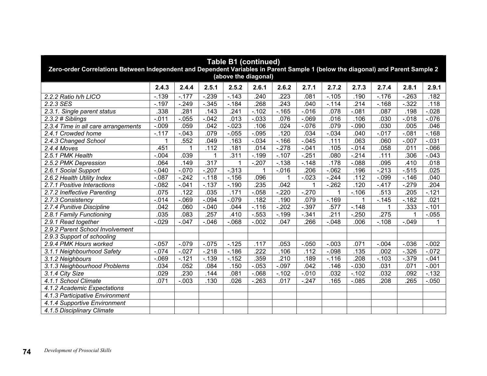| <b>Table B1 (continued)</b><br>Zero-order Correlations Between Independent and Dependent Variables in Parent Sample 1 (below the diagonal) and Parent Sample 2<br>(above the diagonal) |                                                                                                                   |          |          |          |          |          |          |         |          |          |          |          |  |  |  |
|----------------------------------------------------------------------------------------------------------------------------------------------------------------------------------------|-------------------------------------------------------------------------------------------------------------------|----------|----------|----------|----------|----------|----------|---------|----------|----------|----------|----------|--|--|--|
|                                                                                                                                                                                        | 2.4.3                                                                                                             | 2.4.4    | 2.5.1    | 2.5.2    | 2.6.1    | 2.6.2    | 2.7.1    | 2.7.2   | 2.7.3    | 2.7.4    | 2.8.1    | 2.9.1    |  |  |  |
| 2.2.2 Ratio h/h LICO                                                                                                                                                                   | $-139$                                                                                                            | $-177$   | $-239$   | $-0.143$ | .240     | .223     | .081     | $-.105$ | .190     | $-.176$  | $-263$   | .182     |  |  |  |
| 2.2.3 SES                                                                                                                                                                              | $-.197$                                                                                                           | $-.249$  | $-0.345$ | $-184$   | .268     | .243     | .040     | $-.114$ | .214     | $-.168$  | $-322$   | .118     |  |  |  |
| 2.3.1. Single parent status                                                                                                                                                            | .338                                                                                                              | .281     | .143     | .241     | $-.102$  | $-.165$  | $-0.016$ | .078    | $-.081$  | .087     | .198     | $-0.028$ |  |  |  |
| 2.3.2 # Siblings                                                                                                                                                                       | $-0.011$                                                                                                          | $-0.055$ | $-0.042$ | .013     | $-0.033$ | .076     | $-069$   | .016    | .106     | .030     | $-0.018$ | $-0.076$ |  |  |  |
| 2.3.4 Time in all care arrangements                                                                                                                                                    | $-0.09$                                                                                                           | .059     | .042     | $-0.023$ | .106     | .024     | $-0.076$ | .079    | $-0.090$ | .030     | .005     | .046     |  |  |  |
| 2.4.1 Crowded home                                                                                                                                                                     | $-.117$                                                                                                           | $-.043$  | .079     | $-0.055$ | $-.095$  | .120     | .034     | $-0.34$ | .040     | $-0.017$ | $-.081$  | $-.168$  |  |  |  |
| 2.4.3 Changed School                                                                                                                                                                   | 1                                                                                                                 | .552     | .049     | .163     | $-.034$  | $-.166$  | $-.045$  | .111    | .063     | .060     | $-.007$  | $-0.031$ |  |  |  |
| 2.4.4 Moves                                                                                                                                                                            | .451                                                                                                              | 1        | .112     | .181     | .014     | $-.278$  | $-.041$  | .105    | $-0.14$  | .058     | .011     | $-066$   |  |  |  |
| 2.5.1 PMK Health                                                                                                                                                                       | $-.004$                                                                                                           | .039     | 1        | .311     | $-.199$  | $-.107$  | $-251$   | .080    | $-214$   | .111     | .306     | $-0.043$ |  |  |  |
| 2.5.2 PMK Depression                                                                                                                                                                   | .317<br>$-.207$<br>$-148$<br>.178<br>.064<br>.149<br>$-138$<br>$-088$<br>.095<br>.410<br>.018<br>1<br>$-313$<br>1 |          |          |          |          |          |          |         |          |          |          |          |  |  |  |
| $-213$<br>$-.070$<br>$-.207$<br>$-0.016$<br>.206<br>$-062$<br>.196<br>$-0.515$<br>.025<br>2.6.1 Social Support<br>$-.040$                                                              |                                                                                                                   |          |          |          |          |          |          |         |          |          |          |          |  |  |  |
| 2.6.2 Health Utility Index                                                                                                                                                             | $-.087$                                                                                                           | $-.242$  | $-.118$  | $-.156$  | .096     |          | $-0.023$ | $-.244$ | .112     | $-0.099$ | $-.146$  | .040     |  |  |  |
| 2.7.1 Positive Interactions                                                                                                                                                            | $-0.082$                                                                                                          | $-.041$  | $-137$   | $-.190$  | 235      | .042     |          | $-262$  | .120     | $-417$   | $-.279$  | .204     |  |  |  |
| 2.7.2 Ineffective Parenting                                                                                                                                                            | .075                                                                                                              | .122     | .035     | .171     | $-.058$  | $-.220$  | $-270$   |         | $-.106$  | .513     | .205     | $-121$   |  |  |  |
| 2.7.3 Consistency                                                                                                                                                                      | $-0.14$                                                                                                           | $-069$   | $-0.094$ | $-079$   | .182     | .190     | .079     | $-.169$ | 1        | $-.145$  | $-.182$  | .021     |  |  |  |
| 2.7.4 Punitive Discipline                                                                                                                                                              | .042                                                                                                              | .060     | $-.040$  | .044     | $-.116$  | $-.202$  | $-.397$  | .577    | $-148$   | 1        | .333     | $-0.101$ |  |  |  |
| 2.8.1 Family Functioning                                                                                                                                                               | .035                                                                                                              | .083     | .257     | .410     | $-0.553$ | $-.199$  | $-0.341$ | .211    | $-250$   | .275     |          | $-0.055$ |  |  |  |
| 2.9.1 Read together                                                                                                                                                                    | $-.029$                                                                                                           | $-.047$  | $-.046$  | $-068$   | $-.002$  | .047     | 266      | $-.048$ | .006     | $-.108$  | $-.049$  | 1        |  |  |  |
| 2.9.2 Parent School Involvement                                                                                                                                                        |                                                                                                                   |          |          |          |          |          |          |         |          |          |          |          |  |  |  |
| 2.9.3 Support of schooling                                                                                                                                                             |                                                                                                                   |          |          |          |          |          |          |         |          |          |          |          |  |  |  |
| 2.9.4 PMK Hours worked                                                                                                                                                                 | $-.057$                                                                                                           | $-079$   | $-.075$  | $-125$   | .117     | .053     | $-.050$  | $-.003$ | .071     | $-0.004$ | $-0.036$ | $-0.002$ |  |  |  |
| 3.1.1 Neighbourhood Safety                                                                                                                                                             | $-.074$                                                                                                           | $-.027$  | $-.218$  | $-.186$  | .222     | .106     | .112     | $-0.98$ | .135     | .002     | $-.326$  | $-072$   |  |  |  |
| 3.1.2 Neighbours                                                                                                                                                                       | $-069$                                                                                                            | $-121$   | $-139$   | $-152$   | .359     | .210     | .189     | $-.116$ | .208     | $-0.103$ | $-0.379$ | $-0.041$ |  |  |  |
| 3.1.3 Neighbourhood Problems                                                                                                                                                           | .034                                                                                                              | .052     | .084     | .150     | $-0.053$ | $-0.097$ | .042     | .146    | $-0.30$  | .031     | .071     | $-0.01$  |  |  |  |
| 3.1.4 City Size                                                                                                                                                                        | .029                                                                                                              | .230     | .144     | .081     | $-068$   | $-.102$  | $-0.010$ | .032    | $-102$   | .032     | .092     | $-132$   |  |  |  |
| 4.1.1 School Climate                                                                                                                                                                   | .071                                                                                                              | $-.003$  | .130     | .026     | $-0.263$ | .017     | $-247$   | .165    | $-0.085$ | .208     | .265     | $-0.050$ |  |  |  |
| 4.1.2 Academic Expectations                                                                                                                                                            |                                                                                                                   |          |          |          |          |          |          |         |          |          |          |          |  |  |  |
| 4.1.3 Participative Environment                                                                                                                                                        |                                                                                                                   |          |          |          |          |          |          |         |          |          |          |          |  |  |  |
| 4.1.4 Supportive Environment                                                                                                                                                           |                                                                                                                   |          |          |          |          |          |          |         |          |          |          |          |  |  |  |
| 4.1.5 Disciplinary Climate                                                                                                                                                             |                                                                                                                   |          |          |          |          |          |          |         |          |          |          |          |  |  |  |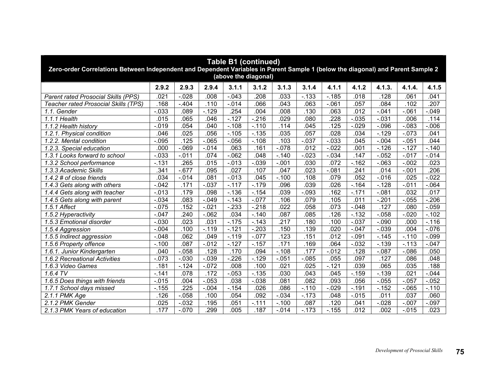| <b>Table B1 (continued)</b><br>Zero-order Correlations Between Independent and Dependent Variables in Parent Sample 1 (below the diagonal) and Parent Sample 2<br>(above the diagonal) |          |          |                  |          |          |          |          |          |          |          |          |          |
|----------------------------------------------------------------------------------------------------------------------------------------------------------------------------------------|----------|----------|------------------|----------|----------|----------|----------|----------|----------|----------|----------|----------|
|                                                                                                                                                                                        | 2.9.2    | 2.9.3    | 2.9.4            | 3.1.1    | 3.1.2    | 3.1.3    | 3.1.4    | 4.1.1    | 4.1.2    | 4.1.3.   | 4.1.4.   | 4.1.5    |
| Parent rated Prosocial Skills (PPS)                                                                                                                                                    | .021     | $-.028$  | .008             | $-0.043$ | .208     | .033     | $-133$   | $-185$   | .018     | .128     | .061     | .041     |
| Teacher rated Prosocial Skills (TPS)                                                                                                                                                   | .168     | $-404$   | .110             | $-0.014$ | .066     | .043     | .063     | $-061$   | .057     | .084     | .102     | .207     |
| 1.1. Gender                                                                                                                                                                            | $-0.033$ | .089     | $-129$           | .254     | .004     | .008     | .130     | .063     | .012     | $-0.041$ | $-061$   | $-0.049$ |
| 1.1.1 Health                                                                                                                                                                           | .015     | .065     | 046              | $-127$   | $-216$   | .029     | .080     | 228      | $-0.035$ | $-0.031$ | .006     | .114     |
| 1.1.2 Health history                                                                                                                                                                   | $-0.19$  | .054     | $\overline{040}$ | $-.108$  | $-.110$  | .114     | .045     | .125     | $-0.029$ | $-0.096$ | $-083$   | $-0.006$ |
| 1.2.1. Physical condition                                                                                                                                                              | .046     | .025     | .056             | $-.105$  | $-0.135$ | .035     | .057     | 028      | .034     | $-.129$  | $-.073$  | .041     |
| 1.2.2. Mental condition                                                                                                                                                                | $-0.095$ | .125     | $-065$           | $-0.056$ | $-.108$  | .103     | $-0.037$ | $-0.033$ | .045     | $-0.004$ | $-0.051$ | .044     |
| 1.2.3. Special education                                                                                                                                                               | .000     | $-069$   | $-0.014$         | .063     | .161     | $-0.078$ | .012     | $-0.022$ | .001     | $-.126$  | $-127$   | $-140$   |
| 1.3.1 Looks forward to school                                                                                                                                                          | $-0.033$ | $-.011$  | .074             | $-062$   | .048     | $-.140$  | $-0.023$ | $-0.034$ | .147     | $-0.052$ | $-0.017$ | $-0.14$  |
| 1.3.2 School performance                                                                                                                                                               | $-131$   | .265     | .015             | $-0.013$ | $-0.39$  | $-.001$  | .030     | .072     | $-.162$  | $-063$   | $-0.002$ | .023     |
| 1.3.3 Academic Skills                                                                                                                                                                  | .341     | $-677$   | .095             | .027     | .107     | .047     | .023     | $-081$   | .241     | .014     | $-0.001$ | .206     |
| 1.4.2 # of close friends                                                                                                                                                               | .034     | $-0.14$  | .081             | $-0.013$ | .045     | $-.100$  | .108     | .079     | .052     | $-0.016$ | .025     | $-022$   |
| 1.4.3 Gets along with others                                                                                                                                                           | $-0.042$ | .171     | $-0.037$         | $-.117$  | $-.179$  | .096     | .039     | .026     | $-.164$  | $-.128$  | $-0.011$ | $-064$   |
| 1.4.4 Gets along with teacher                                                                                                                                                          | $-0.013$ | .179     | .098             | $-136$   | $-.154$  | .039     | $-0.093$ | .162     | $-171$   | $-081$   | .032     | .017     |
| 1.4.5 Gets along with parent                                                                                                                                                           | $-.034$  | .083     | $-0.049$         | $-.143$  | $-0.077$ | .106     | .079     | .105     | .011     | $-.201$  | $-0.055$ | $-206$   |
| 1.5.1 Affect                                                                                                                                                                           | $-0.075$ | .152     | $-0.021$         | $-233$   | $-218$   | .022     | .058     | .073     | $-.048$  | .127     | .080     | $-0.059$ |
| 1.5.2 Hyperactivity                                                                                                                                                                    | $-.047$  | .240     | $-062$           | .034     | $-.140$  | .087     | .085     | 126      | $-132$   | $-.058$  | $-0.020$ | $-.102$  |
| 1.5.3 Emotional disorder                                                                                                                                                               | $-.030$  | .023     | .031             | $-.175$  | $-143$   | .217     | .180     | .100     | $-.037$  | $-.090$  | .000     | $-.116$  |
| 1.5.4 Aggression                                                                                                                                                                       | $-.004$  | .100     | $-.119$          | $-121$   | $-.203$  | .150     | .139     | .020     | $-.047$  | $-.039$  | .004     | $-0.076$ |
| 1.5.5 Indirect aggression                                                                                                                                                              | $-0.048$ | .062     | 049              | $-.119$  | $-.077$  | .123     | .151     | .012     | $-.091$  | $-0.145$ | $-.110$  | $-0.099$ |
| 1.5.6 Property offence                                                                                                                                                                 | $-.100$  | .087     | $-0.012$         | $-.127$  | $-.157$  | .171     | .169     | .064     | $-0.032$ | $-139$   | $-.113$  | $-.047$  |
| 1.6.1. Junior Kindergarten                                                                                                                                                             | .040     | $-0.058$ | .128             | .170     | .094     | $-.108$  | .177     | $-0.012$ | .128     | $-.087$  | $-0.086$ | .050     |
| 1.6.2 Recreational Activities                                                                                                                                                          | $-0.073$ | $-.030$  | $-0.039$         | $-226$   | $-.129$  | $-.051$  | $-0.085$ | .055     | .097     | .127     | .086     | .048     |
| 1.6.3 Video Games                                                                                                                                                                      | .181     | $-124$   | $-.072$          | .008     | .100     | .021     | .025     | $-.121$  | .039     | .065     | .035     | .188     |
| 1.6.4 TV                                                                                                                                                                               | $-.141$  | .078     | .172             | $-0.053$ | $-0.135$ | .030     | .043     | .045     | $-159$   | $-0.139$ | .021     | $-0.044$ |
| 1.6.5 Does things with friends                                                                                                                                                         | $-0.015$ | .004     | $-0.053$         | .038     | $-.038$  | .081     | .082     | .093     | .056     | $-0.055$ | $-0.057$ | $-0.052$ |
| 1.7.1 School days missed                                                                                                                                                               | $-.155$  | .225     | $-.004$          | $-154$   | .026     | .086     | $-.110$  | $-.029$  | $-191$   | $-152$   | $-065$   | $-.110$  |
| $2.1.1$ PMK Age                                                                                                                                                                        | .126     | $-0.058$ | .100             | .054     | .092     | $-.034$  | $-.173$  | .048     | $-0.015$ | .011     | .037     | .060     |
| 2.1.2 PMK Gender                                                                                                                                                                       | .025     | $-0.32$  | .195             | .051     | $-.111$  | $-.100$  | 087      | .120     | .041     | $-0.028$ | $-.007$  | $-0.097$ |
| 2.1.3 PMK Years of education                                                                                                                                                           | .177     | $-.070$  | 299              | .005     | .187     | $-.014$  | $-.173$  | $-.155$  | .012     | 002      | $-0.015$ | .023     |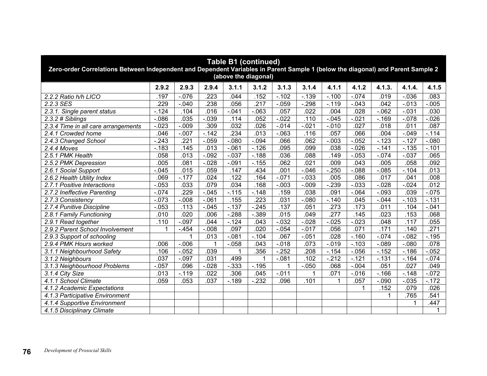| <b>Table B1 (continued)</b><br>Zero-order Correlations Between Independent and Dependent Variables in Parent Sample 1 (below the diagonal) and Parent Sample 2<br>(above the diagonal) |                                                                                                                                                                                                                                                 |          |          |          |          |          |          |          |          |          |          |          |  |  |  |
|----------------------------------------------------------------------------------------------------------------------------------------------------------------------------------------|-------------------------------------------------------------------------------------------------------------------------------------------------------------------------------------------------------------------------------------------------|----------|----------|----------|----------|----------|----------|----------|----------|----------|----------|----------|--|--|--|
|                                                                                                                                                                                        | 2.9.2                                                                                                                                                                                                                                           | 2.9.3    | 2.9.4    | 3.1.1    | 3.1.2    | 3.1.3    | 3.1.4    | 4.1.1    | 4.1.2    | 4.1.3.   | 4.1.4.   | 4.1.5    |  |  |  |
| 2.2.2 Ratio h/h LICO                                                                                                                                                                   | .197                                                                                                                                                                                                                                            | $-.076$  | 223      | .044     | .152     | $-.102$  | $-139$   | $-.100$  | $-.074$  | .019     | $-0.036$ | .083     |  |  |  |
| 2.2.3 SES                                                                                                                                                                              | .229                                                                                                                                                                                                                                            | $-.040$  | 238      | .056     | 217      | $-.059$  | $-298$   | $-.119$  | $-.043$  | .042     | $-0.013$ | $-0.005$ |  |  |  |
| 2.3.1. Single parent status                                                                                                                                                            | $-.124$                                                                                                                                                                                                                                         | .104     | .016     | $-0.041$ | $-063$   | .057     | .022     | .004     | .028     | $-062$   | $-.031$  | .030     |  |  |  |
| 2.3.2 # Siblings                                                                                                                                                                       | $-0.086$                                                                                                                                                                                                                                        | .035     | $-0.39$  | .114     | .052     | $-.022$  | .110     | $-0.045$ | $-0.021$ | $-.169$  | $-078$   | $-0.026$ |  |  |  |
| 2.3.4 Time in all care arrangements                                                                                                                                                    | $-0.023$                                                                                                                                                                                                                                        | $-0.09$  | .309     | .032     | .026     | $-0.14$  | $-0.021$ | $-0.010$ | .027     | .018     | .011     | .087     |  |  |  |
| 2.4.1 Crowded home                                                                                                                                                                     | .046                                                                                                                                                                                                                                            | $-.007$  | $-.142$  | .234     | .013     | $-.063$  | .116     | .057     | .066     | .004     | $-.049$  | $-114$   |  |  |  |
| 2.4.3 Changed School                                                                                                                                                                   | $-.243$                                                                                                                                                                                                                                         | .221     | $-.059$  | $-.080$  | $-.094$  | .066     | .062     | $-0.003$ | $-0.052$ | $-123$   | $-.127$  | $-080$   |  |  |  |
| 2.4.4 Moves                                                                                                                                                                            | $-.183$                                                                                                                                                                                                                                         | .145     | .013     | $-061$   | $-.126$  | .095     | .099     | .038     | $-0.026$ | $-141$   | $-0.135$ | $-.101$  |  |  |  |
| 2.5.1 PMK Health                                                                                                                                                                       | .058                                                                                                                                                                                                                                            | .013     | $-0.092$ | $-.037$  | $-188$   | .036     | .088     | .149     | $-0.053$ | $-0.074$ | $-.037$  | .065     |  |  |  |
| 2.5.2 PMK Depression                                                                                                                                                                   | $-0.028$<br>.062<br>.021<br>.092<br>.005<br>.081<br>$-.091$<br>$-155$<br>.009<br>.043<br>.005<br>.058<br>.015<br>.059<br>.147<br>.001<br>$-0.046$<br>$-250$<br>$-088$<br>$-0.085$<br>.013<br>2.6.1 Social Support<br>$-.045$<br>.434<br>$-.104$ |          |          |          |          |          |          |          |          |          |          |          |  |  |  |
|                                                                                                                                                                                        |                                                                                                                                                                                                                                                 |          |          |          |          |          |          |          |          |          |          |          |  |  |  |
| 2.6.2 Health Utility Index                                                                                                                                                             | .069                                                                                                                                                                                                                                            | $-.177$  | .024     | .122     | .164     | $-071$   | $-0.033$ | .005     | .086     | .017     | .041     | .008     |  |  |  |
| 2.7.1 Positive Interactions                                                                                                                                                            | $-0.053$                                                                                                                                                                                                                                        | .033     | .079     | .034     | .168     | $-.003$  | $-0.09$  | $-239$   | $-0.033$ | $-0.028$ | $-0.024$ | .012     |  |  |  |
| 2.7.2 Ineffective Parenting                                                                                                                                                            | $-.074$                                                                                                                                                                                                                                         | .229     | $-0.045$ | $-.115$  | $-.148$  | .159     | .038     | .091     | $-.064$  | $-.093$  | .039     | $-0.075$ |  |  |  |
| 2.7.3 Consistency                                                                                                                                                                      | $-.073$                                                                                                                                                                                                                                         | $-.008$  | $-061$   | .155     | 223      | .031     | $-080$   | $-.140$  | .045     | $-0.044$ | $-.103$  | $-131$   |  |  |  |
| 2.7.4 Punitive Discipline                                                                                                                                                              | $-0.053$                                                                                                                                                                                                                                        | .113     | $-.045$  | $-0.137$ | $-.245$  | .137     | .051     | .273     | .173     | .011     | .104     | $-.041$  |  |  |  |
| 2.8.1 Family Functioning                                                                                                                                                               | .010                                                                                                                                                                                                                                            | .020     | .006     | $-288$   | $-0.389$ | .015     | .049     | .277     | .145     | .023     | .153     | .068     |  |  |  |
| 2.9.1 Read together                                                                                                                                                                    | .110                                                                                                                                                                                                                                            | $-.097$  | .044     | $-124$   | .043     | $-0.032$ | $-0.028$ | $-0.025$ | $-0.023$ | .048     | .117     | .055     |  |  |  |
| 2.9.2 Parent School Involvement                                                                                                                                                        | 1                                                                                                                                                                                                                                               | $-454$   | $-0.008$ | .097     | .020     | $-0.054$ | $-0.017$ | .056     | .071     | .171     | .140     | .271     |  |  |  |
| 2.9.3 Support of schooling                                                                                                                                                             |                                                                                                                                                                                                                                                 | 1        | .013     | $-.081$  | $-.104$  | .067     | $-.051$  | .028     | $-.160$  | $-0.074$ | $-082$   | $-.195$  |  |  |  |
| 2.9.4 PMK Hours worked                                                                                                                                                                 | .006                                                                                                                                                                                                                                            | $-0.006$ |          | $-0.058$ | .043     | $-.018$  | .073     | $-0.019$ | $-103$   | $-0.89$  | $-080$   | .078     |  |  |  |
| 3.1.1 Neighbourhood Safety                                                                                                                                                             | .106                                                                                                                                                                                                                                            | $-0.052$ | .039     | 1        | .356     | $-252$   | .208     | $-154$   | $-0.056$ | $-152$   | $-.186$  | $-0.052$ |  |  |  |
| 3.1.2 Neighbours                                                                                                                                                                       | .037                                                                                                                                                                                                                                            | $-.097$  | .031     | .499     | 1        | $-0.081$ | .102     | $-212$   | $-121$   | $-131$   | $-164$   | $-0.074$ |  |  |  |
| 3.1.3 Neighbourhood Problems                                                                                                                                                           | $-0.057$                                                                                                                                                                                                                                        | .096     | $-0.028$ | $-0.333$ | $-0.195$ | 1        | $-0.050$ | .068     | $-.004$  | .051     | .027     | .049     |  |  |  |
| 3.1.4 City Size                                                                                                                                                                        | .013                                                                                                                                                                                                                                            | $-.119$  | .022     | .306     | .045     | $-.011$  | 1        | .071     | $-0.016$ | $-.166$  | $-.148$  | $-072$   |  |  |  |
| 4.1.1 School Climate                                                                                                                                                                   | .059                                                                                                                                                                                                                                            | .053     | .037     | $-189$   | $-232$   | .096     | .101     | 1        | .057     | $-0.090$ | $-0.035$ | $-172$   |  |  |  |
| 4.1.2 Academic Expectations                                                                                                                                                            |                                                                                                                                                                                                                                                 |          |          |          |          |          |          |          | 1        | .152     | .079     | .026     |  |  |  |
| 4.1.3 Participative Environment                                                                                                                                                        |                                                                                                                                                                                                                                                 |          |          |          |          |          |          |          |          | 1        | .765     | .541     |  |  |  |
| 4.1.4 Supportive Environment                                                                                                                                                           |                                                                                                                                                                                                                                                 |          |          |          |          |          |          |          |          |          | 1        | .447     |  |  |  |
| 4.1.5 Disciplinary Climate                                                                                                                                                             |                                                                                                                                                                                                                                                 |          |          |          |          |          |          |          |          |          |          | 1        |  |  |  |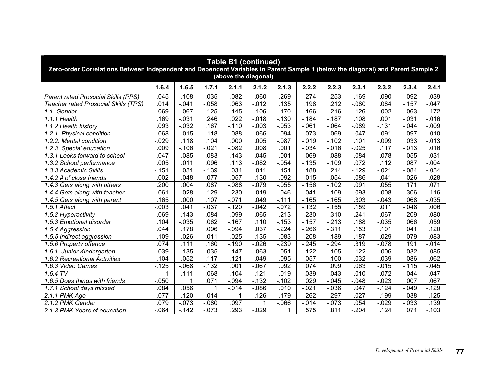| <b>Table B1 (continued)</b><br>Zero-order Correlations Between Independent and Dependent Variables in Parent Sample 1 (below the diagonal) and Parent Sample 2<br>(above the diagonal) |          |          |             |          |          |          |          |                   |          |          |          |          |  |  |
|----------------------------------------------------------------------------------------------------------------------------------------------------------------------------------------|----------|----------|-------------|----------|----------|----------|----------|-------------------|----------|----------|----------|----------|--|--|
|                                                                                                                                                                                        | 1.6.4    | 1.6.5    | 1.7.1       | 2.1.1    | 2.1.2    | 2.1.3    | 2.2.2    | 2.2.3             | 2.3.1    | 2.3.2    | 2.3.4    | 2.4.1    |  |  |
| Parent rated Prosocial Skills (PPS)                                                                                                                                                    | $-0.045$ | $-.108$  | .035        | $-0.082$ | .060     | .269     | .274     | 253               | $-169$   | $-.090$  | $-0.092$ | $-0.039$ |  |  |
| Teacher rated Prosocial Skills (TPS)                                                                                                                                                   | .014     | $-.041$  | $-0.058$    | .063     | $-0.012$ | .135     | .198     | $\overline{.212}$ | $-080$   | .084     | $-0.157$ | $-0.047$ |  |  |
| 1.1. Gender                                                                                                                                                                            | $-.069$  | .067     | $-125$      | $-145$   | .106     | $-.170$  | $-166$   | $-216$            | .126     | .002     | .063     | .172     |  |  |
| 1.1.1 Health                                                                                                                                                                           | .169     | $-.031$  | .246        | .022     | $-.018$  | $-0.130$ | $-.184$  | $-.187$           | .108     | .001     | $-.031$  | $-0.016$ |  |  |
| 1.1.2 Health history                                                                                                                                                                   | .093     | $-0.032$ | .167        | $-.110$  | $-0.003$ | $-0.053$ | $-061$   | $-064$            | $-0.89$  | $-0.131$ | $-0.044$ | $-0.009$ |  |  |
| 1.2.1. Physical condition                                                                                                                                                              | .068     | .015     | .118        | $-0.88$  | .066     | $-.094$  | $-073$   | $-069$            | .047     | .091     | $-.097$  | .010     |  |  |
| 1.2.2. Mental condition                                                                                                                                                                | $-.029$  | .118     | .104        | .000     | .005     | $-.087$  | $-0.19$  | $-.102$           | .101     | $-.099$  | .033     | $-0.013$ |  |  |
| 1.2.3. Special education                                                                                                                                                               | .009     | $-.106$  | $-0.021$    | $-0.082$ | .008     | .001     | $-.034$  | $-0.016$          | $-0.025$ | .117     | $-0.013$ | .016     |  |  |
| 1.3.1 Looks forward to school                                                                                                                                                          | $-.047$  | $-0.085$ | $-0.083$    | .143     | .045     | .001     | .069     | .088              | $-0.084$ | .078     | $-0.055$ | .031     |  |  |
| 1.3.2 School performance                                                                                                                                                               | .005     | .011     | .096        | .113     | $-0.082$ | $-0.054$ | $-135$   | $-.109$           | .072     | .112     | .087     | $-.004$  |  |  |
| 1.3.3 Academic Skills                                                                                                                                                                  | $-0.151$ | .031     | $-139$      | .034     | .011     | .151     | .188     | .214              | $-.129$  | $-0.021$ | $-.084$  | $-0.034$ |  |  |
| $\overline{1.4.2}$ # of close friends                                                                                                                                                  | .002     | $-.048$  | .077        | .057     | .130     | .092     | .015     | .054              | $-0.086$ | $-0.041$ | .026     | $-0.028$ |  |  |
| 1.4.3 Gets along with others                                                                                                                                                           | .200     | .004     | .087        | $-088$   | $-079$   | $-0.055$ | $-.156$  | $-.102$           | .091     | 055      | .171     | .071     |  |  |
| 1.4.4 Gets along with teacher                                                                                                                                                          | $-.061$  | $-.028$  | .129        | .230     | $-0.019$ | $-.046$  | $-.041$  | $-.109$           | .093     | $-0.08$  | .306     | $-.116$  |  |  |
| 1.4.5 Gets along with parent                                                                                                                                                           | .165     | .000     | .107        | $-.071$  | .049     | $-.111$  | $-0.165$ | $-.165$           | .303     | $-.043$  | .068     | $-0.035$ |  |  |
| 1.5.1 Affect                                                                                                                                                                           | $-.003$  | .041     | $-.037$     | $-.120$  | $-.042$  | $-.072$  | $-132$   | $-.155$           | .159     | .011     | $-.048$  | .006     |  |  |
| 1.5.2 Hyperactivity                                                                                                                                                                    | .069     | .143     | .084        | $-.099$  | .065     | $-213$   | $-.230$  | $-.310$           | .241     | $-0.067$ | .209     | .080     |  |  |
| 1.5.3 Emotional disorder                                                                                                                                                               | .104     | $-0.035$ | .062        | $-.167$  | .110     | $-153$   | $-157$   | $-213$            | .188     | $-0.035$ | .066     | .059     |  |  |
| 1.5.4 Aggression                                                                                                                                                                       | .044     | .178     | .096        | $-0.094$ | .037     | $-224$   | $-266$   | $-311$            | .153     | .101     | .041     | 120      |  |  |
| 1.5.5 Indirect aggression                                                                                                                                                              | 109      | $-0.026$ | $-011$      | $-0.025$ | .135     | $-083$   | $-208$   | $-.189$           | .187     | .029     | .079     | .083     |  |  |
| 1.5.6 Property offence                                                                                                                                                                 | .074     | .111     | .160        | $-.190$  | $-0.026$ | $-239$   | $-.245$  | $-294$            | .319     | $-.078$  | .191     | $-0.014$ |  |  |
| 1.6.1. Junior Kindergarten                                                                                                                                                             | $-.039$  | .135     | $-0.035$    | $-147$   | $-063$   | $-.051$  | $-122$   | $-.105$           | .122     | $-0.006$ | .032     | .085     |  |  |
| 1.6.2 Recreational Activities                                                                                                                                                          | $-.104$  | $-.052$  | .117        | .121     | .049     | $-.095$  | $-.057$  | $-.100$           | .032     | $-0.039$ | .086     | $-062$   |  |  |
| 1.6.3 Video Games                                                                                                                                                                      | $-.125$  | $-068$   | $-132$      | .001     | $-067$   | .092     | .074     | .099              | .063     | $-0.015$ | $-.115$  | $-0.045$ |  |  |
| 1.6.4 TV                                                                                                                                                                               |          | $-.111$  | .068        | $-.104$  | .121     | $-0.19$  | $-0.39$  | $-0.043$          | .010     | .072     | $-.044$  | $-.047$  |  |  |
| 1.6.5 Does things with friends                                                                                                                                                         | $-.050$  | 1        | .071        | $-0.94$  | $-132$   | $-102$   | .029     | $-0.045$          | $-.048$  | $-0.023$ | .007     | .067     |  |  |
| 1.7.1 School days missed                                                                                                                                                               | .084     | .056     | $\mathbf 1$ | $-.014$  | $-0.086$ | .010     | $-.021$  | $-0.036$          | .047     | $-0.124$ | $-.049$  | $-.129$  |  |  |
| $2.1.1$ PMK Age                                                                                                                                                                        | $-.077$  | $-.120$  | $-0.14$     | 1        | .126     | .179     | .262     | 297               | $-.027$  | .199     | $-0.038$ | $-.125$  |  |  |
| 2.1.2 PMK Gender                                                                                                                                                                       | .079     | $-.073$  | $-080$      | .097     | 1        | $-066$   | $-0.14$  | $-073$            | .054     | $-0.029$ | $-0.033$ | .139     |  |  |
| 2.1.3 PMK Years of education                                                                                                                                                           | $-064$   | $-142$   | $-.073$     | .293     | $-.029$  |          | .575     | .811              | $-.204$  | .124     | .071     | $-.103$  |  |  |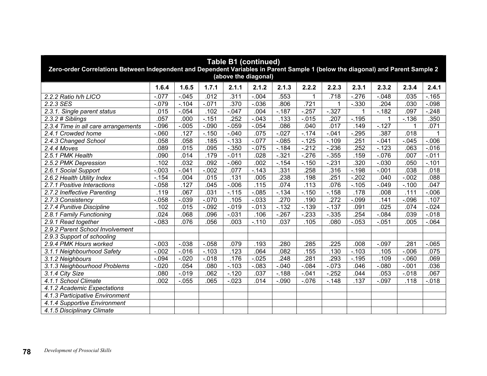| <b>Table B1 (continued)</b><br>Zero-order Correlations Between Independent and Dependent Variables in Parent Sample 1 (below the diagonal) and Parent Sample 2<br>(above the diagonal) |          |          |          |          |          |          |          |          |          |          |          |          |  |
|----------------------------------------------------------------------------------------------------------------------------------------------------------------------------------------|----------|----------|----------|----------|----------|----------|----------|----------|----------|----------|----------|----------|--|
|                                                                                                                                                                                        | 1.6.4    | 1.6.5    | 1.7.1    | 2.1.1    | 2.1.2    | 2.1.3    | 2.2.2    | 2.2.3    | 2.3.1    | 2.3.2    | 2.3.4    | 2.4.1    |  |
| 2.2.2 Ratio h/h LICO                                                                                                                                                                   | $-.077$  | $-.045$  | .012     | .311     | $-.004$  | .553     | 1        | .718     | $-276$   | $-0.048$ | .035     | $-.165$  |  |
| 2.2.3 SES                                                                                                                                                                              | $-079$   | $-.104$  | $-071$   | .370     | $-0.036$ | .806     | .721     |          | $-0.330$ | .204     | .030     | $-0.098$ |  |
| 2.3.1. Single parent status                                                                                                                                                            | .015     | $-0.054$ | .102     | $-047$   | .004     | $-.187$  | $-257$   | $-327$   | 1        | $-182$   | .097     | $-248$   |  |
| $2.3.2$ # Siblings                                                                                                                                                                     | .057     | .000     | $-151$   | .252     | $-.043$  | .133     | $-0.015$ | .207     | $-195$   | 1        | $-.136$  | .350     |  |
| 2.3.4 Time in all care arrangements                                                                                                                                                    | $-0.096$ | $-0.005$ | $-.090$  | $-0.059$ | $-.054$  | .086     | .040     | .017     | .149     | $-.127$  | 1        | .071     |  |
| 2.4.1 Crowded home                                                                                                                                                                     | $-060$   | .127     | $-.150$  | $-.040$  | .075     | $-.027$  | $-174$   | $-.041$  | $-295$   | .387     | .018     |          |  |
| 2.4.3 Changed School                                                                                                                                                                   | .058     | .058     | .185     | $-133$   | $-.077$  | $-.085$  | $-.125$  | $-.109$  | .251     | $-.041$  | $-.045$  | $-0.06$  |  |
| 2.4.4 Moves                                                                                                                                                                            | .089     | .015     | .095     | $-.350$  | $-0.075$ | $-184$   | $-212$   | $-236$   | .252     | $-123$   | .063     | $-0.016$ |  |
| 2.5.1 PMK Health                                                                                                                                                                       | .090     | .014     | .179     | $-011$   | .028     | $-.321$  | $-276$   | $-.355$  | .159     | $-.076$  | .007     | $-.011$  |  |
| 2.5.2 PMK Depression                                                                                                                                                                   | 102      | .032     | .092     | $-060$   | .002     | $-0.154$ | $-150$   | $-231$   | .320     | $-0.030$ | .050     | $-.101$  |  |
| 2.6.1 Social Support                                                                                                                                                                   | $-.003$  | $-.041$  | $-0.002$ | .077     | $-0.143$ | .331     | .258     | .316     | $-.198$  | $-.001$  | .038     | .018     |  |
| 2.6.2 Health Utility Index                                                                                                                                                             | $-154$   | .004     | .015     | .131     | .005     | .238     | .198     | .251     | $-.202$  | .040     | $-0.002$ | .088     |  |
| 2.7.1 Positive Interactions                                                                                                                                                            | $-0.058$ | .127     | .045     | $-0.006$ | .115     | .074     | .113     | .076     | $-.105$  | $-0.049$ | $-.100$  | .047     |  |
| 2.7.2 Ineffective Parenting                                                                                                                                                            | .119     | .067     | .031     | $-.115$  | $-0.085$ | $-.134$  | $-.150$  | $-.158$  | .178     | .008     | .111     | $-0.06$  |  |
| 2.7.3 Consistency                                                                                                                                                                      | $-0.058$ | $-0.39$  | $-0.070$ | .105     | $-.033$  | .270     | .190     | .272     | $-.099$  | .141     | $-0.096$ | .107     |  |
| 2.7.4 Punitive Discipline                                                                                                                                                              | .102     | .015     | $-.092$  | $-0.019$ | $-0.013$ | $-132$   | $-0.139$ | $-137$   | .091     | .025     | .074     | $-0.024$ |  |
| 2.8.1 Family Functioning                                                                                                                                                               | .024     | .068     | .096     | $-031$   | .106     | $-267$   | $-233$   | $-0.335$ | .254     | $-0.084$ | .039     | $-0.018$ |  |
| 2.9.1 Read together                                                                                                                                                                    | $-0.083$ | .076     | .056     | .003     | $-.110$  | .037     | .105     | .080     | $-0.053$ | $-0.051$ | .005     | $-064$   |  |
| 2.9.2 Parent School Involvement                                                                                                                                                        |          |          |          |          |          |          |          |          |          |          |          |          |  |
| 2.9.3 Support of schooling                                                                                                                                                             |          |          |          |          |          |          |          |          |          |          |          |          |  |
| 2.9.4 PMK Hours worked                                                                                                                                                                 | $-.003$  | $-0.38$  | $-0.058$ | .079     | .193     | .280     | 285      | .225     | .008     | $-.097$  | .281     | $-065$   |  |
| 3.1.1 Neighbourhood Safety                                                                                                                                                             | $-.002$  | $-0.016$ | $-.103$  | .123     | .064     | .082     | .155     | .130     | $-.103$  | .105     | $-0.006$ | .075     |  |
| 3.1.2 Neighbours                                                                                                                                                                       | $-.094$  | $-.020$  | $-0.018$ | .176     | $-0.025$ | .248     | .281     | .293     | $-.195$  | .109     | $-060$   | .069     |  |
| 3.1.3 Neighbourhood Problems                                                                                                                                                           | $-0.020$ | .054     | .080     | $-0.103$ | $-.083$  | $-.040$  | $-.084$  | $-0.073$ | .046     | $-080$   | $-.001$  | .036     |  |
| 3.1.4 City Size                                                                                                                                                                        | .080     | $-0.019$ | .062     | $-120$   | .037     | $-188$   | $-041$   | $-252$   | .044     | .053     | $-0.018$ | .067     |  |
| 4.1.1 School Climate                                                                                                                                                                   | .002     | $-0.055$ | .065     | $-0.023$ | .014     | $-.090$  | $-0.076$ | $-.148$  | .137     | $-0.097$ | .118     | $-0.018$ |  |
| 4.1.2 Academic Expectations                                                                                                                                                            |          |          |          |          |          |          |          |          |          |          |          |          |  |
| 4.1.3 Participative Environment                                                                                                                                                        |          |          |          |          |          |          |          |          |          |          |          |          |  |
| 4.1.4 Supportive Environment                                                                                                                                                           |          |          |          |          |          |          |          |          |          |          |          |          |  |
| 4.1.5 Disciplinary Climate                                                                                                                                                             |          |          |          |          |          |          |          |          |          |          |          |          |  |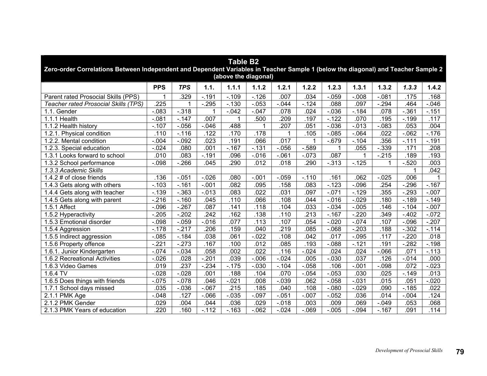| <b>Table B2</b><br>Zero-order Correlations Between Independent and Dependent Variables in Teacher Sample 1 (below the diagonal) and Teacher Sample 2<br>(above the diagonal) |            |            |                   |          |          |          |          |          |          |             |          |          |  |
|------------------------------------------------------------------------------------------------------------------------------------------------------------------------------|------------|------------|-------------------|----------|----------|----------|----------|----------|----------|-------------|----------|----------|--|
|                                                                                                                                                                              | <b>PPS</b> | <b>TPS</b> | 1.1.              | 1.1.1    | 1.1.2    | 1.2.1    | 1.2.2    | 1.2.3    | 1.3.1    | 1.3.2       | 1.3.3    | 1.4.2    |  |
| Parent rated Prosocial Skills (PPS)                                                                                                                                          | 1          | .329       | $-.191$           | $-0.109$ | $-0.126$ | .007     | .034     | $-.059$  | $-.008$  | $-.081$     | .175     | .168     |  |
| <b>Teacher rated Prosocial Skills (TPS)</b>                                                                                                                                  | .225       |            | $-295$            | $-.130$  | $-0.053$ | $-0.044$ | $-124$   | .088     | .097     | $-294$      | 464      | $-0.046$ |  |
| 1.1. Gender                                                                                                                                                                  | $-083$     | $-.318$    |                   | $-0.042$ | $-.047$  | .078     | .024     | $-0.036$ | $-.184$  | .078        | $-.361$  | $-.151$  |  |
| 1.1.1 Health                                                                                                                                                                 | $-.081$    | $-147$     | .007              | 1        | .500     | 209      | .197     | $-122$   | .070     | .195        | $-.199$  | .117     |  |
| 1.1.2 Health history                                                                                                                                                         | $-.107$    | $-0.056$   | $-0.046$          | .488     | 1        | .207     | .051     | $-0.036$ | $-0.013$ | $-083$      | .053     | .004     |  |
| 1.2.1. Physical condition                                                                                                                                                    | .110       | $-.116$    | .122              | .170     | .178     | 1        | .105     | $-0.085$ | $-064$   | .022        | $-062$   | $-.176$  |  |
| 1.2.2. Mental condition                                                                                                                                                      | $-0.004$   | $-.092$    | .023              | .191     | .066     | .017     |          | $-0.679$ | $-.104$  | .356        | $-.111$  | $-.191$  |  |
| 1.2.3. Special education                                                                                                                                                     | $-0.024$   | .080       | .001              | $-167$   | $-131$   | $-0.056$ | $-589$   | 1        | .055     | $-0.339$    | .171     | .208     |  |
| 1.3.1 Looks forward to school                                                                                                                                                | .010       | .083       | $-.191$           | .096     | $-0.016$ | $-.061$  | $-073$   | .087     | 1        | $-215$      | .189     | .193     |  |
| 1.3.2 School performance                                                                                                                                                     | $-0.098$   | $-266$     | .045              | .290     | .012     | .018     | .290     | $-0.313$ | $-.125$  | $\mathbf 1$ | $-520$   | .003     |  |
| 1.3.3 Academic Skills                                                                                                                                                        |            |            |                   |          |          |          |          |          |          |             | 1        | .042     |  |
| 1.4.2 # of close friends                                                                                                                                                     | .136       | $-.051$    | $-0.026$          | .080     | $-.001$  | $-0.059$ | $-.110$  | .161     | .062     | $-0.025$    | .006     |          |  |
| 1.4.3 Gets along with others                                                                                                                                                 | $-103$     | $-.161$    | $-.001$           | .082     | .095     | .158     | .083     | $-123$   | $-0.096$ | 254         | $-296$   | $-.167$  |  |
| 1.4.4 Gets along with teacher                                                                                                                                                | $-139$     | $-0.363$   | $-0.013$          | .083     | .022     | .031     | .097     | $-0.071$ | $-129$   | .355        | $-293$   | $-.007$  |  |
| 1.4.5 Gets along with parent                                                                                                                                                 | $-216$     | $-.160$    | .045              | .110     | .066     | .108     | .044     | $-0.016$ | $-0.029$ | .180        | $-189$   | $-.149$  |  |
| 1.5.1 Affect                                                                                                                                                                 | $-0.096$   | $-267$     | .087              | .141     | .118     | .104     | .033     | $-.034$  | $-0.005$ | .146        | $-.104$  | $-.007$  |  |
| 1.5.2 Hyperactivity                                                                                                                                                          | $-205$     | $-202$     | $\overline{.242}$ | .162     | .138     | .110     | .213     | $-.167$  | $-220$   | 349         | $-402$   | $-072$   |  |
| 1.5.3 Emotional disorder                                                                                                                                                     | $-0.098$   | $-0.059$   | $-0.016$          | .077     | .113     | .107     | .054     | $-0.020$ | $-.074$  | .107        | $-0.096$ | $-.207$  |  |
| 1.5.4 Aggression                                                                                                                                                             | $-.178$    | $-217$     | .206              | .159     | .040     | .219     | .085     | $-068$   | $-203$   | .188        | $-0.302$ | $-.114$  |  |
| 1.5.5 Indirect aggression                                                                                                                                                    | $-0.085$   | $-184$     | .038              | .061     | $-0.022$ | .108     | .042     | .017     | $-0.095$ | .117        | $-220$   | .018     |  |
| 1.5.6 Property offence                                                                                                                                                       | $-221$     | $-273$     | .167              | .100     | .012     | .085     | .193     | $-0.088$ | $-.121$  | .191        | $-282$   | $-.198$  |  |
| 1.6.1. Junior Kindergarten                                                                                                                                                   | $-0.074$   | $-.034$    | .058              | .002     | .022     | .116     | $-0.024$ | .024     | .024     | $-066$      | .071     | $-113$   |  |
| 1.6.2 Recreational Activities                                                                                                                                                | $-0.026$   | .028       | $-.201$           | .039     | $-0.006$ | $-0.024$ | .005     | $-.030$  | .037     | .126        | $-0.14$  | .000     |  |
| 1.6.3 Video Games                                                                                                                                                            | .019       | .237       | $-.234$           | $-.175$  | $-.030$  | $-.104$  | $-0.058$ | .106     | $-.001$  | $-.098$     | .072     | $-0.023$ |  |
| $1.6.4$ TV                                                                                                                                                                   | $-0.028$   | $-0.028$   | .001              | .188     | .104     | .070     | $-0.054$ | $-0.053$ | .030     | .025        | $-.149$  | .013     |  |
| 1.6.5 Does things with friends                                                                                                                                               | $-0.075$   | $-0.078$   | .046              | $-021$   | .008     | $-0.39$  | .062     | $-0.058$ | $-.031$  | .015        | .051     | $-0.020$ |  |
| 1.7.1 School days missed                                                                                                                                                     | .035       | $-0.036$   | $-067$            | .215     | .185     | .040     | .108     | $-080$   | $-0.029$ | .090        | $-185$   | .022     |  |
| $2.1.1$ PMK Age                                                                                                                                                              | $-0.048$   | .127       | $-066$            | $-0.35$  | $-0.097$ | $-0.051$ | $-0.007$ | $-0.052$ | .036     | .014        | $-0.004$ | .124     |  |
| 2.1.2 PMK Gender                                                                                                                                                             | .029       | .004       | .044              | .036     | .029     | $-0.18$  | .003     | .009     | .069     | $-0.049$    | .053     | .068     |  |
| 2.1.3 PMK Years of education                                                                                                                                                 | 220        | .160       | $-.112$           | $-163$   | $-.062$  | $-0.024$ | $-069$   | $-0.005$ | $-.094$  | $-.167$     | .091     | .114     |  |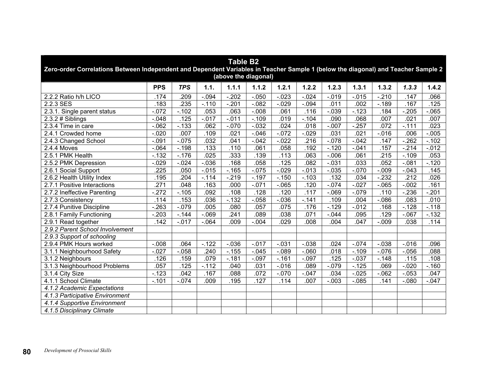| <b>Table B2</b><br>Zero-order Correlations Between Independent and Dependent Variables in Teacher Sample 1 (below the diagonal) and Teacher Sample 2<br>(above the diagonal) |            |            |          |          |          |          |          |          |          |          |          |          |  |
|------------------------------------------------------------------------------------------------------------------------------------------------------------------------------|------------|------------|----------|----------|----------|----------|----------|----------|----------|----------|----------|----------|--|
|                                                                                                                                                                              | <b>PPS</b> | <b>TPS</b> | 1.1.     | 1.1.1    | 1.1.2    | 1.2.1    | 1.2.2    | 1.2.3    | 1.3.1    | 1.3.2    | 1.3.3    | 1.4.2    |  |
| 2.2.2 Ratio h/h LICO                                                                                                                                                         | .174       | .209       | $-0.094$ | $-202$   | $-0.050$ | $-0.023$ | $-0.024$ | $-0.19$  | $-0.015$ | $-210$   | .147     | .066     |  |
| $2.2.3$ SES                                                                                                                                                                  | .183       | .235       | $-.110$  | $-201$   | $-0.082$ | $-0.029$ | $-0.094$ | .011     | .002     | $-.189$  | .167     | .125     |  |
| 2.3.1. Single parent status                                                                                                                                                  | $-072$     | $-.102$    | .053     | .063     | $-.008$  | .061     | .116     | $-0.39$  | $-123$   | .184     | $-205$   | $-065$   |  |
| $2.3.2 \# Sibling$                                                                                                                                                           | $-.048$    | 125        | $-0.17$  | $-011$   | $-.109$  | .019     | $-.104$  | .090     | .068     | .007     | .021     | .007     |  |
| 2.3.4 Time in care                                                                                                                                                           | $-062$     | $-133$     | .062     | $-.070$  | $-.032$  | .024     | .018     | $-.007$  | $-257$   | .072     | $-111$   | .023     |  |
| 2.4.1 Crowded home                                                                                                                                                           | $-0.020$   | .007       | .109     | .021     | $-.046$  | $-072$   | $-0.29$  | .031     | .021     | $-0.016$ | .006     | $-0.005$ |  |
| 2.4.3 Changed School                                                                                                                                                         | $-0.091$   | $-0.075$   | .032     | .041     | $-0.042$ | $-0.022$ | .216     | $-0.78$  | $-0.042$ | .147     | $-262$   | $-.102$  |  |
| 2.4.4 Moves                                                                                                                                                                  | $-064$     | $-.198$    | .133     | .110     | .061     | .058     | .192     | $-.120$  | $-.041$  | .157     | $-214$   | $-0.012$ |  |
| 2.5.1 PMK Health                                                                                                                                                             | $-132$     | $-.176$    | .025     | .333     | .139     | .113     | .063     | $-0.06$  | .061     | .215     | $-.109$  | .053     |  |
| 2.5.2 PMK Depression                                                                                                                                                         | $-0.029$   | $-0.024$   | $-0.036$ | .168     | .058     | .125     | .082     | $-0.031$ | .033     | .052     | $-0.081$ | $-.120$  |  |
| 2.6.1 Social Support                                                                                                                                                         | .225       | .050       | $-0.015$ | $-.165$  | $-0.075$ | $-0.029$ | $-0.013$ | $-0.035$ | $-0.070$ | $-0.009$ | $-.043$  | .145     |  |
| 2.6.2 Health Utility Index                                                                                                                                                   | .195       | .204       | $-114$   | $-219$   | $-.197$  | $-0.150$ | $-0.103$ | .132     | .034     | $-232$   | .212     | .026     |  |
| 2.7.1 Positive Interactions                                                                                                                                                  | .271       | .048       | .163     | .000     | $-.071$  | $-0.065$ | .120     | $-0.074$ | $-0.027$ | $-065$   | $-0.002$ | .161     |  |
| 2.7.2 Ineffective Parenting                                                                                                                                                  | $-272$     | $-0.105$   | .092     | .108     | .128     | .120     | .117     | $-069$   | $-.079$  | .110     | $-236$   | $-.201$  |  |
| 2.7.3 Consistency                                                                                                                                                            | .114       | .153       | .036     | $-132$   | $-.058$  | $-0.036$ | $-.141$  | .109     | .004     | $-0.086$ | .083     | .010     |  |
| 2.7.4 Punitive Discipline                                                                                                                                                    | $-263$     | $-079$     | .005     | .080     | .057     | .075     | .176     | $-129$   | $-0.012$ | .168     | $-128$   | $-.118$  |  |
| 2.8.1 Family Functioning                                                                                                                                                     | $-203$     | $-144$     | $-069$   | .241     | .089     | .038     | .071     | $-0.044$ | .095     | .129     | $-067$   | $-0.132$ |  |
| 2.9.1 Read together                                                                                                                                                          | .142       | $-0.017$   | $-064$   | .009     | $-0.004$ | .029     | .008     | .004     | .047     | $-.009$  | .038     | .114     |  |
| 2.9.2 Parent School Involvement                                                                                                                                              |            |            |          |          |          |          |          |          |          |          |          |          |  |
| 2.9.3 Support of schooling                                                                                                                                                   |            |            |          |          |          |          |          |          |          |          |          |          |  |
| 2.9.4 PMK Hours worked                                                                                                                                                       | $-.008$    | .064       | $-122$   | $-0.036$ | $-0.17$  | $-.031$  | $-.038$  | .024     | $-.074$  | $-0.038$ | $-0.016$ | .096     |  |
| 3.1.1 Neighbourhood Safety                                                                                                                                                   | $-0.027$   | $-.058$    | .240     | $-155$   | $-.045$  | $-.089$  | $-060$   | .018     | $-.109$  | $-0.076$ | $-0.056$ | .088     |  |
| 3.1.2 Neighbours                                                                                                                                                             | .126       | .159       | .079     | $-181$   | $-.097$  | $-0.161$ | $-.097$  | .125     | $-.037$  | $-.148$  | .115     | .108     |  |
| 3.1.3 Neighbourhood Problems                                                                                                                                                 | .057       | .125       | $-112$   | .040     | .031     | $-0.016$ | .089     | $-079$   | $-125$   | .069     | $-0.020$ | $-.160$  |  |
| 3.1.4 City Size                                                                                                                                                              | $-123$     | .042       | .167     | .088     | .072     | $-0.070$ | $-.047$  | .034     | $-0.025$ | $-062$   | $-.053$  | .047     |  |
| 4.1.1 School Climate                                                                                                                                                         | $-101$     | $-0.074$   | .009     | .195     | .127     | .114     | .007     | $-.003$  | $-0.085$ | .141     | $-080$   | $-0.047$ |  |
| 4.1.2 Academic Expectations                                                                                                                                                  |            |            |          |          |          |          |          |          |          |          |          |          |  |
| 4.1.3 Participative Environment                                                                                                                                              |            |            |          |          |          |          |          |          |          |          |          |          |  |
| 4.1.4 Supportive Environment                                                                                                                                                 |            |            |          |          |          |          |          |          |          |          |          |          |  |
| 4.1.5 Disciplinary Climate                                                                                                                                                   |            |            |          |          |          |          |          |          |          |          |          |          |  |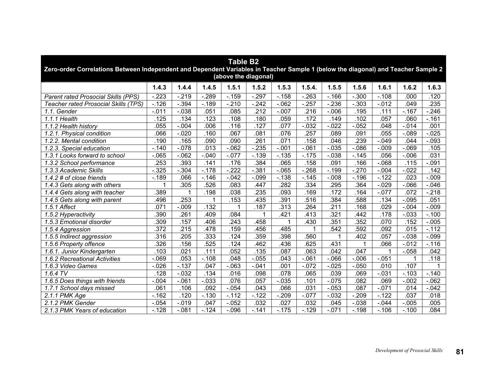| <b>Table B2</b><br>Zero-order Correlations Between Independent and Dependent Variables in Teacher Sample 1 (below the diagonal) and Teacher Sample 2<br>(above the diagonal) |                   |          |          |          |          |          |          |          |          |          |          |          |  |  |
|------------------------------------------------------------------------------------------------------------------------------------------------------------------------------|-------------------|----------|----------|----------|----------|----------|----------|----------|----------|----------|----------|----------|--|--|
|                                                                                                                                                                              | 1.4.3             | 1.4.4    | 1.4.5    | 1.5.1    | 1.5.2    | 1.5.3    | 1.5.4.   | 1.5.5    | 1.5.6    | 1.6.1    | 1.6.2    | 1.6.3    |  |  |
| <b>Parent rated Prosocial Skills (PPS)</b>                                                                                                                                   | $-223$            | $-219$   | $-289$   | $-159$   | $-.297$  | $-.158$  | $-263$   | $-.166$  | $-0.300$ | $-.108$  | .000     | .120     |  |  |
| Teacher rated Prosocial Skills (TPS)                                                                                                                                         | $-.126$           | $-.394$  | $-.189$  | $-210$   | $-.242$  | $-062$   | $-257$   | $-236$   | $-0.303$ | $-0.012$ | .049     | .235     |  |  |
| 1.1. Gender                                                                                                                                                                  | $-0.011$          | $-0.038$ | .051     | .085     | .212     | $-.007$  | 216      | $-0.006$ | .195     | .111     | $-.167$  | $-.246$  |  |  |
| 1.1.1 Health                                                                                                                                                                 | .125              | .134     | .123     | .108     | .180     | .059     | .172     | .149     | .102     | .057     | .060     | $-161$   |  |  |
| 1.1.2 Health history                                                                                                                                                         | .055              | $-.004$  | .006     | .116     | .127     | .077     | $-0.032$ | $-0.022$ | $-0.052$ | .048     | $-0.14$  | .001     |  |  |
| 1.2.1. Physical condition                                                                                                                                                    | .066              | $-.020$  | .160     | .067     | .081     | .076     | 257      | .089     | .091     | .055     | $-089$   | $-0.025$ |  |  |
| 1.2.2. Mental condition                                                                                                                                                      | .190              | .165     | .090     | .090     | .261     | .071     | .158     | .046     | .239     | $-.049$  | .044     | $-0.093$ |  |  |
| 1.2.3. Special education                                                                                                                                                     | $-.140$           | $-.078$  | .013     | $-062$   | $-235$   | $-.001$  | $-061$   | $-0.035$ | $-0.086$ | $-0.009$ | $-069$   | .105     |  |  |
| 1.3.1 Looks forward to school                                                                                                                                                | $-065$            | $-062$   | $-0.040$ | $-077$   | $-0.139$ | $-0.135$ | $-175$   | $-0.038$ | $-.145$  | .056     | $-0.006$ | .031     |  |  |
| 1.3.2 School performance                                                                                                                                                     | .253              | .393     | .141     | .176     | .384     | .065     | .158     | .091     | .166     | $-068$   | .115     | $-.091$  |  |  |
| 1.3.3 Academic Skills                                                                                                                                                        | $-325$            | $-0.304$ | $-178$   | $-222$   | $-0.381$ | $-065$   | $-268$   | $-199$   | $-270$   | $-0.004$ | $-0.022$ | .142     |  |  |
| $1.4.2$ # of close friends                                                                                                                                                   | $-.189$           | .066     | $-146$   | $-0.042$ | $-.099$  | $-138$   | $-.145$  | $-0.008$ | $-.196$  | $-0.122$ | .023     | $-0.09$  |  |  |
| 1.4.3 Gets along with others                                                                                                                                                 | 1                 | .305     | .526     | .083     | .447     | .282     | .334     | .295     | .364     | $-.029$  | $-0.066$ | $-.046$  |  |  |
| 1.4.4 Gets along with teacher                                                                                                                                                | .389              | 1        | .198     | .038     | .235     | .093     | .169     | .172     | .164     | $-.077$  | .072     | $-218$   |  |  |
| 1.4.5 Gets along with parent                                                                                                                                                 | .496              | 253      |          | .153     | .435     | .391     | .516     | .384     | .588     | .134     | $-0.095$ | .051     |  |  |
| 1.5.1 Affect                                                                                                                                                                 | .071              | $-.009$  | .132     | 1        | .187     | .313     | .264     | .211     | .168     | .029     | $-0.004$ | $-0.09$  |  |  |
| $\overline{1.5}$ .2 Hyperactivity                                                                                                                                            | .390              | .261     | .409     | .084     | 1        | .421     | .413     | .321     | .442     | .178     | $-0.033$ | $-.100$  |  |  |
| 1.5.3 Emotional disorder                                                                                                                                                     | .309              | .157     | .406     | .243     | .458     | 1        | .430     | .351     | .352     | .070     | .152     | $-0.005$ |  |  |
| 1.5.4 Aggression                                                                                                                                                             | .372              | .215     | .478     | .159     | 456      | .485     |          | 542      | .592     | .092     | .015     | $-.112$  |  |  |
| 1.5.5 Indirect aggression                                                                                                                                                    | .316              | .205     | .333     | .124     | .359     | .398     | .560     |          | .402     | .057     | $-0.038$ | $-0.099$ |  |  |
| 1.5.6 Property offence                                                                                                                                                       | .326              | .156     | .525     | .124     | .462     | .436     | .625     | .431     | 1        | .066     | $-0.012$ | $-.116$  |  |  |
| 1.6.1. Junior Kindergarten                                                                                                                                                   | $\overline{.103}$ | .021     | .111     | .052     | .135     | .087     | .063     | .042     | .047     | 1        | $-0.058$ | .042     |  |  |
| 1.6.2 Recreational Activities                                                                                                                                                | $-069$            | .053     | $-.108$  | .048     | $-0.055$ | .043     | $-061$   | $-066$   | $-0.006$ | $-0.051$ | 1        | .118     |  |  |
| 1.6.3 Video Games                                                                                                                                                            | $-0.026$          | $-137$   | .047     | $-063$   | $-.041$  | .001     | $-.072$  | $-0.025$ | $-.050$  | .010     | .107     |          |  |  |
| $1.6.4$ TV                                                                                                                                                                   | .128              | $-0.032$ | .134     | .016     | .098     | .078     | .065     | .039     | .069     | $-0.031$ | $-.103$  | $-.140$  |  |  |
| 1.6.5 Does things with friends                                                                                                                                               | $-.004$           | $-.061$  | $-0.033$ | .076     | .057     | $-0.035$ | .101     | $-0.075$ | .082     | .069     | $-0.002$ | $-062$   |  |  |
| 1.7.1 School days missed                                                                                                                                                     | .061              | .106     | .092     | $-0.054$ | .043     | .066     | .031     | $-0.053$ | .087     | $-0.071$ | .014     | $-0.042$ |  |  |
| 2.1.1 PMK Age                                                                                                                                                                | $-.162$           | .120     | $-130$   | $-112$   | $-122$   | $-209$   | $-0.077$ | $-0.032$ | $-209$   | $-122$   | .037     | .018     |  |  |
| 2.1.2 PMK Gender                                                                                                                                                             | $-054$            | $-.019$  | .047     | $-052$   | .032     | .027     | .032     | .045     | $-.038$  | $-.044$  | $-0.005$ | .005     |  |  |
| 2.1.3 PMK Years of education                                                                                                                                                 | $-128$            | $-.081$  | $-124$   | $-0.096$ | $-.141$  | $-.175$  | $-.129$  | $-.071$  | $-.198$  | $-.106$  | $-.100$  | .084     |  |  |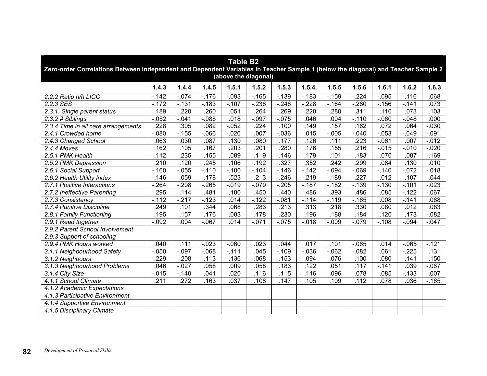| <b>Table B2</b><br>Zero-order Correlations Between Independent and Dependent Variables in Teacher Sample 1 (below the diagonal) and Teacher Sample 2<br>(above the diagonal) |          |          |          |          |         |          |          |          |          |          |          |          |  |
|------------------------------------------------------------------------------------------------------------------------------------------------------------------------------|----------|----------|----------|----------|---------|----------|----------|----------|----------|----------|----------|----------|--|
|                                                                                                                                                                              | 1.4.3    | 1.4.4    | 1.4.5    | 1.5.1    | 1.5.2   | 1.5.3    | 1.5.4.   | 1.5.5    | 1.5.6    | 1.6.1    | 1.6.2    | 1.6.3    |  |
| 2.2.2 Ratio h/h LICO                                                                                                                                                         | $-142$   | $-0.074$ | $-176$   | $-0.93$  | $-165$  | $-139$   | $-183$   | $-.159$  | $-224$   | $-0.095$ | $-.116$  | .068     |  |
| 2.2.3 SES                                                                                                                                                                    | $-172$   | $-131$   | $-183$   | $-.107$  | $-238$  | $-.248$  | $-228$   | $-164$   | $-280$   | $-.156$  | $-141$   | .073     |  |
| 2.3.1. Single parent status                                                                                                                                                  | .189     | .220     | .260     | .051     | 264     | .269     | .220     | .280     | .311     | .110     | .073     | .103     |  |
| $2.3.2$ # Siblings                                                                                                                                                           | $-0.052$ | $-041$   | $-088$   | .018     | $-.097$ | $-.075$  | .046     | .004     | $-.110$  | $-060$   | $-.048$  | .000     |  |
| 2.3.4 Time in all care arrangements                                                                                                                                          | .228     | .305     | .082     | $-052$   | .224    | .100     | .149     | .157     | .162     | .072     | .064     | $-0.030$ |  |
| 2.4.1 Crowded home                                                                                                                                                           | $-080$   | $-0.155$ | $-066$   | $-0.020$ | .007    | $-0.036$ | .015     | $-0.005$ | $-.040$  | $-0.053$ | $-0.049$ | $-.091$  |  |
| 2.4.3 Changed School                                                                                                                                                         | .063     | .030     | .087     | .130     | .080    | .177     | .126     | .111     | .223     | $-061$   | .007     | $-0.012$ |  |
| 2.4.4 Moves                                                                                                                                                                  | .162     | .105     | .167     | .203     | 201     | .280     | .176     | .155     | .216     | $-0.015$ | $-0.010$ | $-0.020$ |  |
| 2.5.1 PMK Health                                                                                                                                                             | .112     | .235     | .155     | .089     | .119    | .146     | .179     | .101     | .183     | .070     | .087     | $-.169$  |  |
| 2.5.2 PMK Depression                                                                                                                                                         | .210     | .120     | .245     | .106     | .192    | .327     | .352     | .242     | .299     | .084     | .130     | .010     |  |
| 2.6.1 Social Support                                                                                                                                                         | $-160$   | $-0.055$ | $-.110$  | $-.100$  | $-.104$ | $-146$   | $-142$   | $-0.094$ | $-069$   | $-140$   | $-072$   | $-0.018$ |  |
| 2.6.2 Health Utility Index                                                                                                                                                   | $-.146$  | $-.059$  | $-178$   | $-523$   | $-213$  | $-.246$  | $-.219$  | $-.189$  | $-.227$  | $-0.012$ | $-.107$  | .044     |  |
| 2.7.1 Positive Interactions                                                                                                                                                  | $-264$   | $-.208$  | $-265$   | $-0.19$  | $-.079$ | $-205$   | $-187$   | $-.182$  | $-139$   | $-130$   | $-.101$  | $-0.023$ |  |
| 2.7.2 Ineffective Parenting                                                                                                                                                  | .295     | .114     | .481     | .100     | .450    | .440     | .486     | .393     | .486     | .085     | $-.122$  | $-067$   |  |
| 2.7.3 Consistency                                                                                                                                                            | $-.112$  | $-.217$  | $-.123$  | .014     | $-.122$ | $-081$   | $-.114$  | $-.119$  | $-.165$  | .008     | $-.141$  | .068     |  |
| 2.7.4 Punitive Discipline                                                                                                                                                    | .249     | .101     | .344     | .068     | 283     | .213     | .313     | .218     | .330     | .080     | .012     | .083     |  |
| 2.8.1 Family Functioning                                                                                                                                                     | .195     | .157     | .176     | .083     | .178    | .230     | .196     | .188     | .184     | .120     | .173     | $-0.082$ |  |
| 2.9.1 Read together                                                                                                                                                          | $-.092$  | .004     | $-067$   | .014     | $-.071$ | $-075$   | $-0.018$ | $-0.09$  | $-079$   | $-.108$  | $-0.094$ | $-0.047$ |  |
| 2.9.2 Parent School Involvement                                                                                                                                              |          |          |          |          |         |          |          |          |          |          |          |          |  |
| 2.9.3 Support of schooling                                                                                                                                                   |          |          |          |          |         |          |          |          |          |          |          |          |  |
| 2.9.4 PMK Hours worked                                                                                                                                                       | .040     | .111     | $-0.023$ | $-060$   | .023    | .044     | .017     | .101     | $-.065$  | .014     | $-065$   | $-.121$  |  |
| 3.1.1 Neighbourhood Safety                                                                                                                                                   | $-0.050$ | $-.097$  | $-068$   | $-.111$  | .045    | $-.109$  | $-0.036$ | $-062$   | $-0.082$ | .061     | $-225$   | .131     |  |
| 3.1.2 Neighbours                                                                                                                                                             | $-229$   | $-.208$  | $-113$   | $-136$   | $-068$  | $-153$   | $-.094$  | $-0.076$ | $-.100$  | $-.080$  | $-141$   | .150     |  |
| 3.1.3 Neighbourhood Problems                                                                                                                                                 | .046     | $-.027$  | .058     | .009     | .058    | .183     | .122     | .051     | .117     | $-0.141$ | .039     | $-067$   |  |
| $\overline{3.1.4}$ City Size                                                                                                                                                 | $-0.015$ | $-.140$  | .041     | .020     | .116    | .115     | .116     | .096     | .078     | .085     | $-0.133$ | .007     |  |
| 4.1.1 School Climate                                                                                                                                                         | .211     | .272     | .163     | .037     | .108    | .147     | .105     | .109     | .112     | .078     | .036     | $-.165$  |  |
| 4.1.2 Academic Expectations                                                                                                                                                  |          |          |          |          |         |          |          |          |          |          |          |          |  |
| 4.1.3 Participative Environment                                                                                                                                              |          |          |          |          |         |          |          |          |          |          |          |          |  |
| 4.1.4 Supportive Environment                                                                                                                                                 |          |          |          |          |         |          |          |          |          |          |          |          |  |
| 4.1.5 Disciplinary Climate                                                                                                                                                   |          |          |          |          |         |          |          |          |          |          |          |          |  |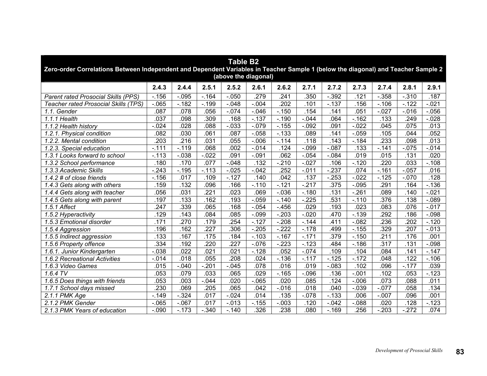| <b>Table B2</b><br>Zero-order Correlations Between Independent and Dependent Variables in Teacher Sample 1 (below the diagonal) and Teacher Sample 2<br>(above the diagonal) |          |          |          |          |          |          |          |          |          |                   |          |          |  |  |
|------------------------------------------------------------------------------------------------------------------------------------------------------------------------------|----------|----------|----------|----------|----------|----------|----------|----------|----------|-------------------|----------|----------|--|--|
|                                                                                                                                                                              | 2.4.3    | 2.4.4    | 2.5.1    | 2.5.2    | 2.6.1    | 2.6.2    | 2.7.1    | 2.7.2    | 2.7.3    | 2.7.4             | 2.8.1    | 2.9.1    |  |  |
| <b>Parent rated Prosocial Skills (PPS)</b>                                                                                                                                   | $-.156$  | $-.095$  | $-0.164$ | $-0.050$ | 279      | .241     | .350     | $-0.392$ | .121     | $-.358$           | $-.310$  | .187     |  |  |
| <b>Teacher rated Prosocial Skills (TPS)</b>                                                                                                                                  | $-065$   | $-.182$  | $-199$   | $-0.048$ | $-.004$  | .202     | .101     | $-137$   | .156     | $-.106$           | $-122$   | $-0.021$ |  |  |
| 1.1. Gender                                                                                                                                                                  | .087     | .078     | .056     | $-074$   | $-.046$  | $-.150$  | .154     | .141     | .051     | $-.027$           | $-0.016$ | $-0.056$ |  |  |
| 1.1.1 Health                                                                                                                                                                 | .037     | .098     | .309     | .168     | $-137$   | $-.190$  | $-0.044$ | .064     | $-.162$  | .133              | .249     | $-0.028$ |  |  |
| 1.1.2 Health history                                                                                                                                                         | $-0.024$ | .028     | .088     | $-0.033$ | $-.079$  | $-155$   | $-0.092$ | .091     | $-0.022$ | .045              | .075     | .013     |  |  |
| 1.2.1. Physical condition                                                                                                                                                    | .082     | .030     | .061     | .087     | $-.058$  | $-0.133$ | .089     | .141     | $-.059$  | .105              | .044     | .052     |  |  |
| 1.2.2. Mental condition                                                                                                                                                      | .203     | .216     | .031     | .055     | $-0.006$ | $-.114$  | .118     | .143     | $-.184$  | .233              | .098     | .013     |  |  |
| 1.2.3. Special education                                                                                                                                                     | $-.111$  | $-.119$  | .068     | .002     | $-0.14$  | .124     | $-0.99$  | $-0.087$ | .133     | $-.141$           | $-075$   | $-0.14$  |  |  |
| 1.3.1 Looks forward to school                                                                                                                                                | $-.113$  | $-0.038$ | $-.022$  | .091     | $-.091$  | .062     | $-0.054$ | $-0.084$ | .019     | .015              | .131     | .020     |  |  |
| 1.3.2 School performance                                                                                                                                                     | .180     | .170     | .077     | $-0.048$ | .132     | $-210$   | $-0.027$ | .106     | $-.120$  | .220              | .033     | $-.108$  |  |  |
| 1.3.3 Academic Skills                                                                                                                                                        | $-243$   | $-.195$  | $-.113$  | $-0.025$ | $-0.042$ | .252     | $-.011$  | $-237$   | .074     | $-0.161$          | $-0.057$ | .016     |  |  |
| 1.4.2 # of close friends                                                                                                                                                     | $-.156$  | 017      | .109     | $-.127$  | .140     | .042     | .137     | $-253$   | $-0.022$ | $-.125$           | $-.070$  | .128     |  |  |
| 1.4.3 Gets along with others                                                                                                                                                 | .159     | .132     | .096     | .166     | $-.110$  | $-121$   | $-217$   | .375     | $-.095$  | .291              | .164     | $-136$   |  |  |
| 1.4.4 Gets along with teacher                                                                                                                                                | .056     | .031     | .221     | .023     | .069     | $-0.036$ | $-180$   | .131     | $-261$   | .089              | .140     | $-021$   |  |  |
| 1.4.5 Gets along with parent                                                                                                                                                 | .197     | .133     | .162     | .193     | $-0.059$ | $-.140$  | $-225$   | .531     | $-.110$  | .376              | .138     | $-089$   |  |  |
| 1.5.1 Affect                                                                                                                                                                 | .247     | .339     | .065     | .168     | $-0.54$  | $-456$   | .029     | .193     | .023     | .083              | .076     | $-.017$  |  |  |
| 1.5.2 Hyperactivity                                                                                                                                                          | .129     | .143     | .084     | .085     | $-.099$  | $-203$   | $-.020$  | .470     | $-139$   | 292               | 186      | $-.098$  |  |  |
| 1.5.3 Emotional disorder                                                                                                                                                     | .171     | .270     | 179      | .254     | $-.127$  | $-208$   | $-144$   | .411     | $-0.082$ | 236               | 202      | $-120$   |  |  |
| 1.5.4 Aggression                                                                                                                                                             | .196     | .162     | 227      | .306     | $-205$   | $-222$   | $-.178$  | .499     | $-.155$  | .329              | 207      | $-0.013$ |  |  |
| 1.5.5 Indirect aggression                                                                                                                                                    | .133     | .167     | .175     | .184     | $-.103$  | $-0.167$ | $-.171$  | .379     | $-.150$  | .211              | .176     | .001     |  |  |
| 1.5.6 Property offence                                                                                                                                                       | .334     | .192     | .220     | .227     | $-.076$  | $-223$   | $-123$   | .484     | $-.186$  | $\overline{.317}$ | .131     | $-.098$  |  |  |
| 1.6.1. Junior Kindergarten                                                                                                                                                   | $-0.038$ | .022     | .021     | .021     | $-.128$  | .052     | $-0.074$ | .109     | .104     | .084              | $-141$   | $-147$   |  |  |
| 1.6.2 Recreational Activities                                                                                                                                                | $-0.14$  | .018     | .055     | .208     | .024     | $-.136$  | $-.117$  | $-.125$  | $-.172$  | .048              | .122     | $-.106$  |  |  |
| 1.6.3 Video Games                                                                                                                                                            | .015     | $-.040$  | $-.201$  | $-0.045$ | .078     | .016     | .019     | $-0.083$ | .102     | .096              | $-.177$  | .039     |  |  |
| $1.6.4$ TV                                                                                                                                                                   | .053     | .079     | .033     | .065     | .029     | $-165$   | $-0.096$ | .136     | $-.001$  | .102              | .053     | $-123$   |  |  |
| 1.6.5 Does things with friends                                                                                                                                               | .053     | .003     | $-0.044$ | .020     | $-065$   | .020     | .085     | .124     | $-0.006$ | .073              | .088     | .011     |  |  |
| 1.7.1 School days missed                                                                                                                                                     | .230     | .069     | .205     | .065     | .042     | $-0.016$ | .018     | .040     | $-0.039$ | $-0.077$          | .058     | .134     |  |  |
| $2.1.1$ PMK Age                                                                                                                                                              | $-.149$  | $-324$   | .017     | $-0.024$ | .014     | .135     | $-0.078$ | $-133$   | .006     | $-0.007$          | .096     | .001     |  |  |
| 2.1.2 PMK Gender                                                                                                                                                             | $-065$   | $-067$   | .017     | $-0.013$ | $-0.155$ | $-0.003$ | .120     | $-0.042$ | $-0.88$  | .020              | .128     | $-.123$  |  |  |
| 2.1.3 PMK Years of education                                                                                                                                                 | $-.090$  | $-.173$  | $-.340$  | $-.140$  | .326     | .238     | .080     | $-.169$  | .256     | $-.203$           | $-272$   | .074     |  |  |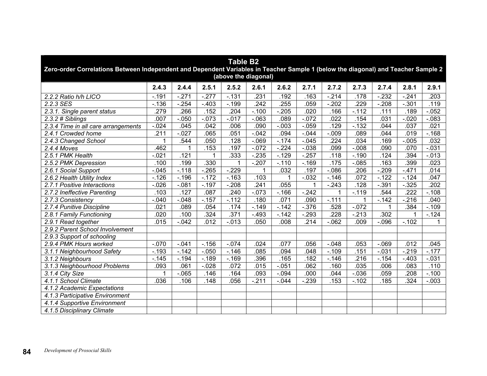| <b>Table B2</b><br>Zero-order Correlations Between Independent and Dependent Variables in Teacher Sample 1 (below the diagonal) and Teacher Sample 2<br>(above the diagonal) |          |          |          |          |         |          |          |             |          |          |          |          |  |
|------------------------------------------------------------------------------------------------------------------------------------------------------------------------------|----------|----------|----------|----------|---------|----------|----------|-------------|----------|----------|----------|----------|--|
|                                                                                                                                                                              | 2.4.3    | 2.4.4    | 2.5.1    | 2.5.2    | 2.6.1   | 2.6.2    | 2.7.1    | 2.7.2       | 2.7.3    | 2.7.4    | 2.8.1    | 2.9.1    |  |
| 2.2.2 Ratio h/h LICO                                                                                                                                                         | $-191$   | $-271$   | $-277$   | $-131$   | 231     | .192     | .163     | $-214$      | .178     | $-232$   | $-241$   | .203     |  |
| 2.2.3 SES                                                                                                                                                                    | $-136$   | $-254$   | $-403$   | $-.199$  | .242    | .255     | .059     | $-202$      | .229     | $-208$   | $-.301$  | .119     |  |
| 2.3.1. Single parent status                                                                                                                                                  | .279     | 266      | .152     | .204     | $-.100$ | $-205$   | .020     | .166        | $-112$   | .111     | .189     | $-0.052$ |  |
| 2.3.2 # Siblings                                                                                                                                                             | .007     | $-.050$  | $-073$   | $-0.17$  | $-063$  | .089     | $-072$   | .022        | .154     | .031     | $-0.020$ | $-0.083$ |  |
| 2.3.4 Time in all care arrangements                                                                                                                                          | $-0.024$ | .045     | .042     | .006     | .090    | $-0.003$ | $-.059$  | .129        | $-132$   | .044     | .037     | .021     |  |
| 2.4.1 Crowded home                                                                                                                                                           | .211     | $-.027$  | .065     | .051     | $-.042$ | .094     | $-0.044$ | $-0.09$     | .089     | .044     | .019     | $-.168$  |  |
| 2.4.3 Changed School                                                                                                                                                         |          | 544      | .050     | .128     | $-069$  | $-.174$  | $-.045$  | .224        | .034     | .169     | $-0.005$ | .032     |  |
| 2.4.4 Moves                                                                                                                                                                  | .462     | 1        | .153     | .197     | $-072$  | $-224$   | $-0.38$  | .099        | $-0.008$ | .090     | .070     | $-0.31$  |  |
| 2.5.1 PMK Health                                                                                                                                                             | $-021$   | .121     |          | .333     | $-235$  | $-.129$  | $-257$   | .118        | $-.190$  | .124     | .394     | $-0.013$ |  |
| 2.5.2 PMK Depression                                                                                                                                                         | .100     | .199     | .330     | 1        | $-.207$ | $-.110$  | $-.169$  | .175        | $-0.085$ | .163     | .399     | .023     |  |
| 2.6.1 Social Support                                                                                                                                                         | $-0.045$ | $-.118$  | $-265$   | $-229$   |         | .032     | .197     | $-0.086$    | .206     | $-209$   | $-471$   | .014     |  |
| 2.6.2 Health Utility Index                                                                                                                                                   | $-.126$  | $-.196$  | $-.172$  | $-.163$  | .103    |          | $-0.032$ | $-.146$     | .072     | $-122$   | $-124$   | .047     |  |
| 2.7.1 Positive Interactions                                                                                                                                                  | $-0.026$ | $-081$   | $-.197$  | $-208$   | .241    | .055     | 1        | $-.243$     | .128     | $-.391$  | $-0.325$ | .202     |  |
| 2.7.2 Ineffective Parenting                                                                                                                                                  | .103     | .127     | .087     | .240     | $-.073$ | $-.166$  | $-242$   | $\mathbf 1$ | $-.119$  | .544     | .222     | $-.108$  |  |
| 2.7.3 Consistency                                                                                                                                                            | $-.040$  | $-.048$  | $-0.157$ | $-.112$  | .180    | .071     | .090     | $-.111$     | 1        | $-0.142$ | $-216$   | .040     |  |
| 2.7.4 Punitive Discipline                                                                                                                                                    | .021     | .089     | .054     | .174     | $-149$  | $-142$   | $-0.376$ | .528        | $-0.072$ |          | .384     | $-0.109$ |  |
| 2.8.1 Family Functioning                                                                                                                                                     | .020     | .100     | .324     | .371     | $-.493$ | $-.142$  | $-.293$  | .228        | $-213$   | .302     |          | $-124$   |  |
| 2.9.1 Read together                                                                                                                                                          | .015     | $-.042$  | .012     | $-0.013$ | .050    | .008     | .214     | $-062$      | .009     | $-0.096$ | $-.102$  | 1        |  |
| 2.9.2 Parent School Involvement                                                                                                                                              |          |          |          |          |         |          |          |             |          |          |          |          |  |
| 2.9.3 Support of schooling                                                                                                                                                   |          |          |          |          |         |          |          |             |          |          |          |          |  |
| 2.9.4 PMK Hours worked                                                                                                                                                       | $-.070$  | $-041$   | $-156$   | $-.074$  | .024    | .077     | .056     | $-.048$     | .053     | $-069$   | .012     | .045     |  |
| 3.1.1 Neighbourhood Safety                                                                                                                                                   | $-.193$  | $-142$   | $-0.050$ | $-.146$  | .085    | .094     | .048     | $-0.109$    | .151     | $-0.031$ | $-219$   | $-.177$  |  |
| 3.1.2 Neighbours                                                                                                                                                             | $-0.145$ | $-194$   | $-189$   | $-.169$  | .396    | .165     | .182     | $-.146$     | .216     | $-.154$  | $-.403$  | $-.031$  |  |
| 3.1.3 Neighbourhood Problems                                                                                                                                                 | .093     | .061     | $-0.028$ | .072     | .015    | $-0.051$ | .062     | .160        | .035     | .006     | .083     | .110     |  |
| 3.1.4 City Size                                                                                                                                                              | 1        | $-0.065$ | .146     | .164     | .093    | $-.094$  | .000     | .044        | $-0.036$ | .059     | .208     | $-.100$  |  |
| 4.1.1 School Climate                                                                                                                                                         | .036     | .106     | .148     | .056     | $-211$  | $-0.044$ | $-239$   | .153        | $-0.102$ | .185     | .324     | $-0.003$ |  |
| 4.1.2 Academic Expectations                                                                                                                                                  |          |          |          |          |         |          |          |             |          |          |          |          |  |
| 4.1.3 Participative Environment                                                                                                                                              |          |          |          |          |         |          |          |             |          |          |          |          |  |
| 4.1.4 Supportive Environment                                                                                                                                                 |          |          |          |          |         |          |          |             |          |          |          |          |  |
| 4.1.5 Disciplinary Climate                                                                                                                                                   |          |          |          |          |         |          |          |             |          |          |          |          |  |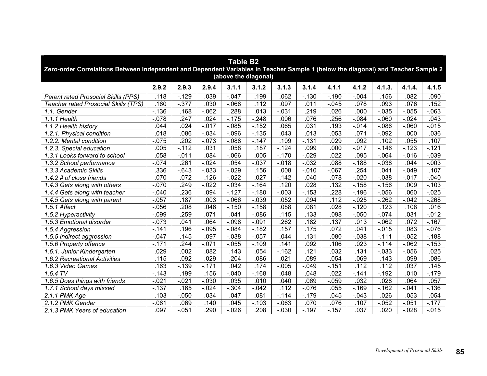| <b>Table B2</b><br>Zero-order Correlations Between Independent and Dependent Variables in Teacher Sample 1 (below the diagonal) and Teacher Sample 2<br>(above the diagonal) |          |          |          |          |          |          |          |          |          |          |          |          |  |
|------------------------------------------------------------------------------------------------------------------------------------------------------------------------------|----------|----------|----------|----------|----------|----------|----------|----------|----------|----------|----------|----------|--|
|                                                                                                                                                                              | 2.9.2    | 2.9.3    | 2.9.4    | 3.1.1    | 3.1.2    | 3.1.3    | 3.1.4    | 4.1.1    | 4.1.2    | 4.1.3.   | 4.1.4.   | 4.1.5    |  |
| Parent rated Prosocial Skills (PPS)                                                                                                                                          | .118     | $-129$   | .039     | $-0.047$ | .199     | .062     | $-130$   | $-190$   | $-.004$  | .156     | .082     | .090     |  |
| <b>Teacher rated Prosocial Skills (TPS)</b>                                                                                                                                  | .160     | $-.377$  | .030     | $-068$   | .112     | .097     | .011     | $-0.045$ | .078     | .093     | .076     | .152     |  |
| 1.1. Gender                                                                                                                                                                  | $-.136$  | .168     | $-062$   | .288     | .013     | $-.031$  | .219     | .026     | .000     | $-0.035$ | $-0.055$ | $-063$   |  |
| 1.1.1 Health                                                                                                                                                                 | $-0.078$ | .247     | .024     | $-.175$  | $-248$   | .006     | .076     | 256      | $-084$   | $-060$   | $-0.024$ | .043     |  |
| 1.1.2 Health history                                                                                                                                                         | .044     | .024     | $-0.017$ | $-0.085$ | $-.152$  | .065     | .031     | .193     | $-0.14$  | $-0.086$ | $-060$   | $-0.015$ |  |
| 1.2.1. Physical condition                                                                                                                                                    | .018     | .086     | $-.034$  | $-0.096$ | $-135$   | .043     | .013     | .053     | .071     | $-.092$  | .000     | .036     |  |
| 1.2.2. Mental condition                                                                                                                                                      | $-0.075$ | .202     | $-0.073$ | $-0.088$ | $-.147$  | .109     | $-131$   | .029     | .092     | .102     | .055     | .107     |  |
| 1.2.3. Special education                                                                                                                                                     | .005     | $-.112$  | .031     | .058     | .187     | $-124$   | .099     | .000     | $-0.017$ | $-146$   | $-123$   | $-121$   |  |
| 1.3.1 Looks forward to school                                                                                                                                                | .058     | $-0.011$ | .084     | $-066$   | .005     | $-.170$  | $-0.029$ | .022     | .095     | $-064$   | $-0.016$ | $-0.39$  |  |
| 1.3.2 School performance                                                                                                                                                     | $-0.074$ | .261     | $-0.024$ | .054     | $-0.037$ | $-0.018$ | $-0.32$  | .088     | $-188$   | $-0.038$ | .044     | $-.003$  |  |
| 1.3.3 Academic Skills                                                                                                                                                        | .336     | $-643$   | $-0.033$ | $-0.029$ | .156     | .008     | $-0.010$ | $-067$   | .254     | .041     | $-.049$  | .107     |  |
| $1.4.2 \#$ of close friends                                                                                                                                                  | .070     | .072     | .126     | $-0.022$ | .027     | $-.142$  | .040     | .078     | $-0.020$ | $-0.038$ | $-0.017$ | $-0.040$ |  |
| 1.4.3 Gets along with others                                                                                                                                                 | $-070$   | .249     | $-0.022$ | $-.034$  | $-164$   | .120     | .028     | .132     | $-158$   | $-156$   | .009     | $-.103$  |  |
| 1.4.4 Gets along with teacher                                                                                                                                                | $-.040$  | .236     | .094     | $-.127$  | $-.180$  | $-.003$  | $-153$   | .228     | $-.196$  | $-0.056$ | .060     | $-0.025$ |  |
| 1.4.5 Gets along with parent                                                                                                                                                 | $-.057$  | .187     | .003     | $-066$   | $-0.39$  | .052     | .094     | .112     | $-0.025$ | $-262$   | $-.042$  | $-268$   |  |
| 1.5.1 Affect                                                                                                                                                                 | $-0.056$ | .208     | .046     | $-.150$  | $-158$   | .088     | .081     | .028     | $-.120$  | .123     | .108     | .016     |  |
| $\overline{1.5}$ .2 Hyperactivity                                                                                                                                            | $-0.099$ | .259     | .071     | .041     | $-0.086$ | .115     | .133     | .098     | $-0.050$ | $-0.074$ | .031     | $-0.012$ |  |
| 1.5.3 Emotional disorder                                                                                                                                                     | $-073$   | .041     | .064     | $-0.98$  | $-0.091$ | .262     | .182     | .137     | .013     | $-062$   | .072     | $-.167$  |  |
| 1.5.4 Aggression                                                                                                                                                             | $-0.141$ | .196     | $-0.095$ | $-0.084$ | $-182$   | .157     | .175     | .072     | .041     | $-0.015$ | .083     | $-0.076$ |  |
| 1.5.5 Indirect aggression                                                                                                                                                    | $-.047$  | .145     | .097     | $-0.038$ | $-057$   | .044     | .131     | .080     | $-0.38$  | $-111$   | $-0.052$ | $-188$   |  |
| 1.5.6 Property offence                                                                                                                                                       | $-.171$  | .244     | $-.071$  | $-0.055$ | $-0.109$ | .141     | .092     | 106      | .023     | $-114$   | $-062$   | $-153$   |  |
| 1.6.1. Junior Kindergarten                                                                                                                                                   | .029     | .002     | .082     | .143     | .054     | $-.162$  | .121     | .032     | .131     | $-0.033$ | $-.056$  | .025     |  |
| 1.6.2 Recreational Activities                                                                                                                                                | $-.115$  | $-0.092$ | $-0.029$ | $-.204$  | $-0.086$ | $-.021$  | $-089$   | .054     | .069     | .143     | .099     | .086     |  |
| 1.6.3 Video Games                                                                                                                                                            | .163     | $-139$   | $-.171$  | .042     | .174     | $-.005$  | $-0.049$ | $-0.151$ | .112     | .112     | .037     | .145     |  |
| 1.6.4 TV                                                                                                                                                                     | $-0.143$ | .199     | .156     | $-.040$  | $-.168$  | .048     | .048     | .022     | $-141$   | $-192$   | .010     | $-.179$  |  |
| 1.6.5 Does things with friends                                                                                                                                               | $-021$   | $-.021$  | $-0.030$ | .035     | .010     | .040     | .069     | $-0.059$ | .032     | .028     | .064     | .057     |  |
| 1.7.1 School days missed                                                                                                                                                     | $-0.137$ | .165     | $-0.024$ | $-.304$  | $-0.042$ | .112     | $-0.076$ | .055     | $-.169$  | $-0.162$ | $-.041$  | $-0.136$ |  |
| 2.1.1 PMK Age                                                                                                                                                                | .103     | $-.050$  | .034     | .047     | .081     | $-.114$  | $-.179$  | .045     | $-0.043$ | .026     | .053     | .054     |  |
| 2.1.2 PMK Gender                                                                                                                                                             | $-061$   | .069     | .140     | .045     | $-0.103$ | $-063$   | .070     | .076     | .107     | $-0.052$ | $-0.051$ | $-.177$  |  |
| 2.1.3 PMK Years of education                                                                                                                                                 | .097     | $-.051$  | 290      | $-0.026$ | .208     | $-0.030$ | $-197$   | $-157$   | .037     | .020     | $-0.028$ | $-0.015$ |  |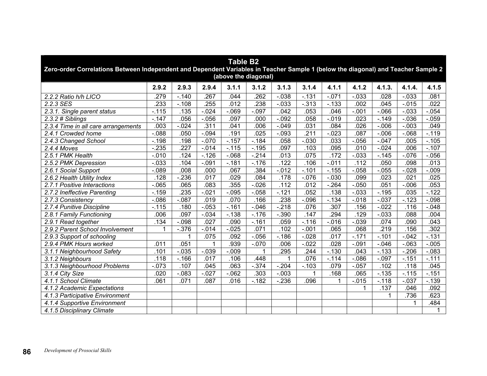| <b>Table B2</b><br>Zero-order Correlations Between Independent and Dependent Variables in Teacher Sample 1 (below the diagonal) and Teacher Sample 2<br>(above the diagonal) |          |                  |          |          |          |          |          |              |          |          |          |          |  |
|------------------------------------------------------------------------------------------------------------------------------------------------------------------------------|----------|------------------|----------|----------|----------|----------|----------|--------------|----------|----------|----------|----------|--|
|                                                                                                                                                                              | 2.9.2    | 2.9.3            | 2.9.4    | 3.1.1    | 3.1.2    | 3.1.3    | 3.1.4    | 4.1.1        | 4.1.2    | 4.1.3.   | 4.1.4.   | 4.1.5    |  |
| 2.2.2 Ratio h/h LICO                                                                                                                                                         | .279     | $-.140$          | .267     | .044     | 262      | $-0.038$ | $-131$   | $-0.071$     | $-0.033$ | .028     | $-0.033$ | .081     |  |
| 2.2.3 SES                                                                                                                                                                    | 233      | $-.108$          | .255     | .012     | .238     | $-.033$  | $-0.313$ | $-0.133$     | .002     | .045     | $-0.015$ | .022     |  |
| 2.3.1. Single parent status                                                                                                                                                  | $-.115$  | .135             | $-0.024$ | $-069$   | $-0.097$ | .042     | .053     | .046         | $-.001$  | $-066$   | $-0.033$ | $-0.054$ |  |
| 2.3.2 # Siblings                                                                                                                                                             | $-147$   | .056             | $-0.056$ | .097     | .000     | $-.092$  | .058     | $-0.19$      | .023     | $-149$   | $-0.036$ | $-0.059$ |  |
| 2.3.4 Time in all care arrangements                                                                                                                                          | .003     | $-0.024$         | .311     | .041     | .006     | $-.049$  | .031     | .084         | .026     | $-0.006$ | $-.003$  | .049     |  |
| 2.4.1 Crowded home                                                                                                                                                           | $-088$   | .050             | $-0.094$ | .191     | .025     | $-.093$  | .211     | $-0.023$     | .087     | $-0.006$ | $-068$   | $-.119$  |  |
| 2.4.3 Changed School                                                                                                                                                         | $-.198$  | .198             | $-.070$  | $-.157$  | $-184$   | .058     | $-0.030$ | .033         | $-0.056$ | $-0.047$ | .005     | $-0.105$ |  |
| $2.4.4$ Moves                                                                                                                                                                | $-235$   | $\overline{227}$ | $-0.014$ | $-.115$  | $-195$   | .097     | .103     | .095         | .010     | $-0.024$ | .006     | $-0.107$ |  |
| 2.5.1 PMK Health                                                                                                                                                             | $-0.010$ | .124             | $-.126$  | $-068$   | $-214$   | .013     | .075     | .172         | $-0.033$ | $-145$   | $-0.076$ | $-0.056$ |  |
| 2.5.2 PMK Depression                                                                                                                                                         | $-0.033$ | .104             | $-.091$  | $-.181$  | $-.176$  | .122     | .106     | $-0.11$      | .112     | .050     | .098     | .013     |  |
| 2.6.1 Social Support                                                                                                                                                         | $-089$   | .008             | .000     | .067     | .384     | $-0.012$ | $-.101$  | $-.155$      | $-0.058$ | $-0.055$ | $-0.028$ | $-0.009$ |  |
| 2.6.2 Health Utility Index                                                                                                                                                   | .128     | $-236$           | .017     | .029     | .084     | .178     | $-0.076$ | $-0.030$     | .099     | .023     | .021     | .025     |  |
| 2.7.1 Positive Interactions                                                                                                                                                  | $-065$   | .065             | .083     | .355     | $-0.026$ | .112     | .012     | $-264$       | $-.050$  | .051     | $-0.006$ | .053     |  |
| 2.7.2 Ineffective Parenting                                                                                                                                                  | $-.159$  | .235             | $-.021$  | $-0.095$ | $-0.058$ | $-.121$  | .052     | .138         | $-0.033$ | $-.195$  | .035     | $-122$   |  |
| 2.7.3 Consistency                                                                                                                                                            | $-0.086$ | $-.087$          | .019     | .070     | .166     | .238     | $-0.096$ | $-134$       | $-0.18$  | $-0.37$  | $-.123$  | $-0.098$ |  |
| 2.7.4 Punitive Discipline                                                                                                                                                    | $-.115$  | .180             | $-0.053$ | $-0.161$ | $-.046$  | $-.218$  | .076     | .307         | .156     | $-0.022$ | .116     | $-0.048$ |  |
| 2.8.1 Family Functioning                                                                                                                                                     | .006     | .097             | $-0.34$  | $-.138$  | $-.176$  | $-.390$  | .147     | 294          | .129     | $-0.033$ | .088     | .004     |  |
| 2.9.1 Read together                                                                                                                                                          | .134     | $-0.98$          | .027     | .090     | $-0.161$ | .059     | $-.116$  | $-0.016$     | $-.039$  | .074     | .090     | .043     |  |
| 2.9.2 Parent School Involvement                                                                                                                                              | 1        | $-.376$          | $-0.14$  | $-0.025$ | .071     | .102     | $-0.01$  | .065         | .068     | .219     | .156     | .302     |  |
| 2.9.3 Support of schooling                                                                                                                                                   |          |                  | .075     | .092     | $-0.056$ | $-.186$  | $-0.028$ | .017         | $-.171$  | $-.101$  | $-.042$  | $-0.131$ |  |
| 2.9.4 PMK Hours worked                                                                                                                                                       | .011     | .051             |          | .939     | $-.070$  | .006     | $-022$   | .028         | $-.091$  | $-0.046$ | $-063$   | $-0.005$ |  |
| 3.1.1 Neighbourhood Safety                                                                                                                                                   | .101     | $-.035$          | $-.039$  | $-0.09$  | 1        | .295     | .244     | $-0.130$     | .043     | $-133$   | $-206$   | $-.083$  |  |
| 3.1.2 Neighbours                                                                                                                                                             | .118     | $-.166$          | .017     | .106     | .448     | 1        | .076     | $-.114$      | $-0.086$ | $-0.097$ | $-151$   | $-111$   |  |
| 3.1.3 Neighbourhood Problems                                                                                                                                                 | $-073$   | .107             | .045     | .063     | $-374$   | $-.204$  | $-0.103$ | .079         | $-0.057$ | .102     | .118     | .045     |  |
| 3.1.4 City Size                                                                                                                                                              | .020     | $-.083$          | $-0.027$ | $-062$   | .303     | $-.003$  |          | .168         | .065     | $-135$   | $-115$   | $-0.151$ |  |
| 4.1.1 School Climate                                                                                                                                                         | .061     | .071             | .087     | .016     | $-182$   | $-236$   | .096     | $\mathbf{1}$ | $-0.015$ | $-.118$  | $-0.037$ | $-139$   |  |
| 4.1.2 Academic Expectations                                                                                                                                                  |          |                  |          |          |          |          |          |              | 1        | .137     | .046     | .092     |  |
| 4.1.3 Participative Environment                                                                                                                                              |          |                  |          |          |          |          |          |              |          | 1        | .736     | .623     |  |
| 4.1.4 Supportive Environment                                                                                                                                                 |          |                  |          |          |          |          |          |              |          |          | 1        | .484     |  |
| 4.1.5 Disciplinary Climate                                                                                                                                                   |          |                  |          |          |          |          |          |              |          |          |          |          |  |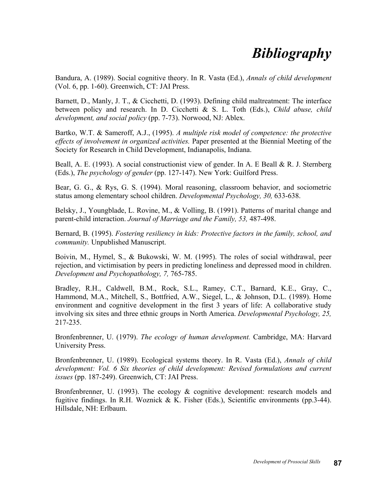## *Bibliography*

Bandura, A. (1989). Social cognitive theory. In R. Vasta (Ed.), *Annals of child development* (Vol. 6, pp. 1-60). Greenwich, CT: JAI Press.

Barnett, D., Manly, J. T., & Cicchetti, D. (1993). Defining child maltreatment: The interface between policy and research. In D. Cicchetti & S. L. Toth (Eds.), *Child abuse, child development, and social policy* (pp. 7-73). Norwood, NJ: Ablex.

Bartko, W.T. & Sameroff, A.J., (1995). *A multiple risk model of competence: the protective effects of involvement in organized activities.* Paper presented at the Biennial Meeting of the Society for Research in Child Development, Indianapolis, Indiana.

Beall, A. E. (1993). A social constructionist view of gender. In A. E Beall & R. J. Sternberg (Eds.), *The psychology of gender* (pp. 127-147). New York: Guilford Press.

Bear, G. G., & Rys, G. S. (1994). Moral reasoning, classroom behavior, and sociometric status among elementary school children. *Developmental Psychology, 30,* 633-638.

Belsky, J., Youngblade, L. Rovine, M., & Volling, B. (1991). Patterns of marital change and parent-child interaction. *Journal of Marriage and the Family, 53,* 487-498.

Bernard, B. (1995). *Fostering resiliency in kids: Protective factors in the family, school, and community.* Unpublished Manuscript.

Boivin, M., Hymel, S., & Bukowski, W. M. (1995). The roles of social withdrawal, peer rejection, and victimisation by peers in predicting loneliness and depressed mood in children. *Development and Psychopathology, 7,* 765-785.

Bradley, R.H., Caldwell, B.M., Rock, S.L., Ramey, C.T., Barnard, K.E., Gray, C., Hammond, M.A., Mitchell, S., Bottfried, A.W., Siegel, L., & Johnson, D.L. (1989). Home environment and cognitive development in the first 3 years of life: A collaborative study involving six sites and three ethnic groups in North America. *Developmental Psychology, 25,* 217-235.

Bronfenbrenner, U. (1979). *The ecology of human development.* Cambridge, MA: Harvard University Press.

Bronfenbrenner, U. (1989). Ecological systems theory. In R. Vasta (Ed.), *Annals of child development: Vol. 6 Six theories of child development: Revised formulations and current issues* (pp. 187-249). Greenwich, CT: JAI Press.

Bronfenbrenner, U. (1993). The ecology  $\⊂>$  cognitive development: research models and fugitive findings. In R.H. Woznick & K. Fisher (Eds.), Scientific environments (pp.3-44). Hillsdale, NH: Erlbaum.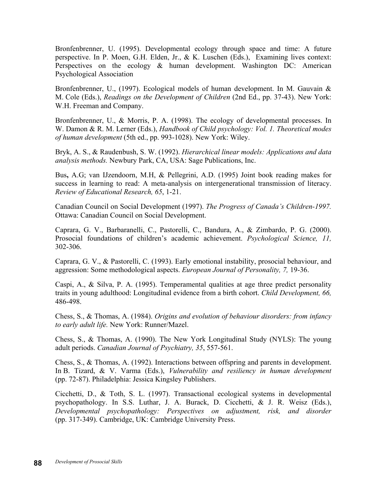Bronfenbrenner, U. (1995). Developmental ecology through space and time: A future perspective. In P. Moen, G.H. Elden, Jr., & K. Luschen (Eds.), Examining lives context: Perspectives on the ecology & human development. Washington DC: American Psychological Association

Bronfenbrenner, U., (1997). Ecological models of human development. In M. Gauvain & M. Cole (Eds.), *Readings on the Development of Children* (2nd Ed., pp. 37-43). New York: W.H. Freeman and Company.

Bronfenbrenner, U., & Morris, P. A. (1998). The ecology of developmental processes. In W. Damon & R. M. Lerner (Eds.), *Handbook of Child psychology: Vol. 1. Theoretical modes of human development* (5th ed., pp. 993-1028). New York: Wiley.

Bryk, A. S., & Raudenbush, S. W. (1992). *Hierarchical linear models: Applications and data analysis methods.* Newbury Park, CA, USA: Sage Publications, Inc.

Bus**,** A.G; van IJzendoorn, M.H, & Pellegrini, A.D. (1995) Joint book reading makes for success in learning to read: A meta-analysis on intergenerational transmission of literacy. *Review of Educational Research, 65*, 1-21.

Canadian Council on Social Development (1997). *The Progress of Canada's Children-1997.* Ottawa: Canadian Council on Social Development.

Caprara, G. V., Barbaranelli, C., Pastorelli, C., Bandura, A., & Zimbardo, P. G. (2000). Prosocial foundations of children's academic achievement. *Psychological Science, 11,* 302-306.

Caprara, G. V., & Pastorelli, C. (1993). Early emotional instability, prosocial behaviour, and aggression: Some methodological aspects. *European Journal of Personality, 7,* 19-36.

Caspi, A., & Silva, P. A. (1995). Temperamental qualities at age three predict personality traits in young adulthood: Longitudinal evidence from a birth cohort. *Child Development, 66,* 486-498.

Chess, S., & Thomas, A. (1984). *Origins and evolution of behaviour disorders: from infancy to early adult life.* New York: Runner/Mazel.

Chess, S., & Thomas, A. (1990). The New York Longitudinal Study (NYLS): The young adult periods. *Canadian Journal of Psychiatry, 35*, 557-561.

Chess, S., & Thomas, A. (1992). Interactions between offspring and parents in development. In B. Tizard, & V. Varma (Eds.), *Vulnerability and resiliency in human development* (pp. 72-87). Philadelphia: Jessica Kingsley Publishers.

Cicchetti, D., & Toth, S. L. (1997). Transactional ecological systems in developmental psychopathology. In S.S. Luthar, J. A. Burack, D. Cicchetti, & J. R. Weisz (Eds.), *Developmental psychopathology: Perspectives on adjustment, risk, and disorder* (pp. 317-349). Cambridge, UK: Cambridge University Press.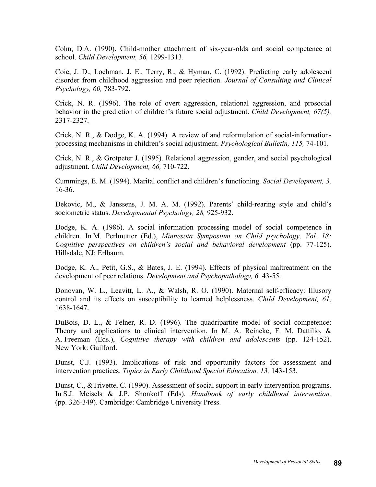Cohn, D.A. (1990). Child-mother attachment of six-year-olds and social competence at school. *Child Development, 56,* 1299-1313.

Coie, J. D., Lochman, J. E., Terry, R., & Hyman, C. (1992). Predicting early adolescent disorder from childhood aggression and peer rejection. *Journal of Consulting and Clinical Psychology, 60,* 783-792.

Crick, N. R. (1996). The role of overt aggression, relational aggression, and prosocial behavior in the prediction of children's future social adjustment. *Child Development, 67(5),* 2317-2327.

Crick, N. R., & Dodge, K. A. (1994). A review of and reformulation of social-informationprocessing mechanisms in children's social adjustment. *Psychological Bulletin, 115,* 74-101.

Crick, N. R., & Grotpeter J. (1995). Relational aggression, gender, and social psychological adjustment. *Child Development, 66,* 710-722.

Cummings, E. M. (1994). Marital conflict and children's functioning. *Social Development, 3,* 16-36.

Dekovic, M., & Janssens, J. M. A. M. (1992). Parents' child-rearing style and child's sociometric status. *Developmental Psychology, 28,* 925-932.

Dodge, K. A. (1986). A social information processing model of social competence in children. In M. Perlmutter (Ed.), *Minnesota Symposium on Child psychology, Vol. 18: Cognitive perspectives on children's social and behavioral development* (pp. 77-125). Hillsdale, NJ: Erlbaum.

Dodge, K. A., Petit, G.S., & Bates, J. E. (1994). Effects of physical maltreatment on the development of peer relations. *Development and Psychopathology, 6,* 43-55.

Donovan, W. L., Leavitt, L. A., & Walsh, R. O. (1990). Maternal self-efficacy: Illusory control and its effects on susceptibility to learned helplessness. *Child Development, 61,* 1638-1647.

DuBois, D. L., & Felner, R. D. (1996). The quadripartite model of social competence: Theory and applications to clinical intervention. In M. A. Reineke, F. M. Dattilio, & A. Freeman (Eds.), *Cognitive therapy with children and adolescents* (pp. 124-152). New York: Guilford.

Dunst, C.J. (1993). Implications of risk and opportunity factors for assessment and intervention practices. *Topics in Early Childhood Special Education, 13,* 143-153.

Dunst, C., &Trivette, C. (1990). Assessment of social support in early intervention programs. In S.J. Meisels & J.P. Shonkoff (Eds). *Handbook of early childhood intervention,*  (pp. 326-349). Cambridge: Cambridge University Press.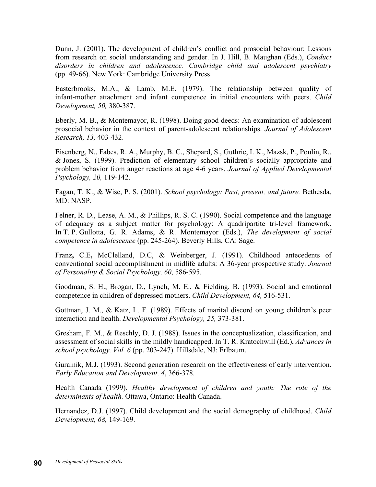Dunn, J. (2001). The development of children's conflict and prosocial behaviour: Lessons from research on social understanding and gender. In J. Hill, B. Maughan (Eds.), *Conduct disorders in children and adolescence. Cambridge child and adolescent psychiatry*  (pp. 49-66). New York: Cambridge University Press.

Easterbrooks, M.A., & Lamb, M.E. (1979). The relationship between quality of infant-mother attachment and infant competence in initial encounters with peers. *Child Development, 50,* 380-387.

Eberly, M. B., & Montemayor, R. (1998). Doing good deeds: An examination of adolescent prosocial behavior in the context of parent-adolescent relationships. *Journal of Adolescent Research, 13,* 403-432.

Eisenberg, N., Fabes, R. A., Murphy, B. C., Shepard, S., Guthrie, I. K., Mazsk, P., Poulin, R., & Jones, S. (1999). Prediction of elementary school children's socially appropriate and problem behavior from anger reactions at age 4-6 years. *Journal of Applied Developmental Psychology, 20,* 119-142.

Fagan, T. K., & Wise, P. S. (2001). *School psychology: Past, present, and future.* Bethesda, MD: NASP.

Felner, R. D., Lease, A. M., & Phillips, R. S. C. (1990). Social competence and the language of adequacy as a subject matter for psychology: A quadripartite tri-level framework. In T. P. Gullotta, G. R. Adams, & R. Montemayor (Eds.), *The development of social competence in adolescence* (pp. 245-264). Beverly Hills, CA: Sage.

Franz**,** C.E**,** McClelland, D.C, & Weinberger, J. (1991). Childhood antecedents of conventional social accomplishment in midlife adults: A 36-year prospective study. *Journal of Personality & Social Psychology, 60*, 586-595.

Goodman, S. H., Brogan, D., Lynch, M. E., & Fielding, B. (1993). Social and emotional competence in children of depressed mothers. *Child Development, 64,* 516-531.

Gottman, J. M., & Katz, L. F. (1989). Effects of marital discord on young children's peer interaction and health. *Developmental Psychology, 25,* 373-381.

Gresham, F. M., & Reschly, D. J. (1988). Issues in the conceptualization, classification, and assessment of social skills in the mildly handicapped. In T. R. Kratochwill (Ed.), *Advances in school psychology, Vol. 6* (pp. 203-247). Hillsdale, NJ: Erlbaum.

Guralnik, M.J. (1993). Second generation research on the effectiveness of early intervention. *Early Education and Development, 4*, 366-378.

Health Canada (1999). *Healthy development of children and youth: The role of the determinants of health.* Ottawa, Ontario: Health Canada.

Hernandez, D.J. (1997). Child development and the social demography of childhood. *Child Development, 68,* 149-169.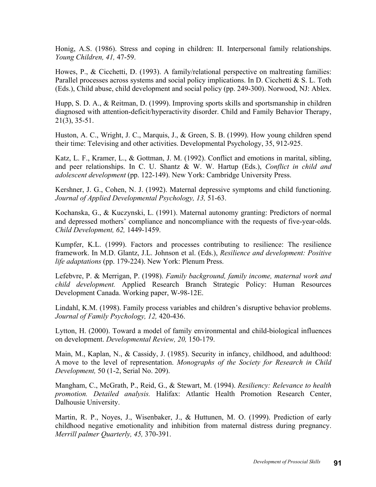Honig, A.S. (1986). Stress and coping in children: II. Interpersonal family relationships. *Young Children, 41,* 47-59.

Howes, P., & Cicchetti, D. (1993). A family/relational perspective on maltreating families: Parallel processes across systems and social policy implications. In D. Cicchetti & S. L. Toth (Eds.), Child abuse, child development and social policy (pp. 249-300). Norwood, NJ: Ablex.

Hupp, S. D. A., & Reitman, D. (1999). Improving sports skills and sportsmanship in children diagnosed with attention-deficit/hyperactivity disorder. Child and Family Behavior Therapy, 21(3), 35-51.

Huston, A. C., Wright, J. C., Marquis, J., & Green, S. B. (1999). How young children spend their time: Televising and other activities. Developmental Psychology, 35, 912-925.

Katz, L. F., Kramer, L., & Gottman, J. M. (1992). Conflict and emotions in marital, sibling, and peer relationships. In C. U. Shantz & W. W. Hartup (Eds.), *Conflict in child and adolescent development* (pp. 122-149). New York: Cambridge University Press.

Kershner, J. G., Cohen, N. J. (1992). Maternal depressive symptoms and child functioning. *Journal of Applied Developmental Psychology, 13,* 51-63.

Kochanska, G., & Kuczynski, L. (1991). Maternal autonomy granting: Predictors of normal and depressed mothers' compliance and noncompliance with the requests of five-year-olds. *Child Development, 62,* 1449-1459.

Kumpfer, K.L. (1999). Factors and processes contributing to resilience: The resilience framework. In M.D. Glantz, J.L. Johnson et al. (Eds.), *Resilience and development: Positive life adaptations* (pp. 179-224). New York: Plenum Press.

Lefebvre, P. & Merrigan, P. (1998). *Family background, family income, maternal work and child development.* Applied Research Branch Strategic Policy: Human Resources Development Canada. Working paper, W-98-12E.

Lindahl, K.M. (1998). Family process variables and children's disruptive behavior problems. *Journal of Family Psychology, 12,* 420-436.

Lytton, H. (2000). Toward a model of family environmental and child-biological influences on development. *Developmental Review, 20,* 150-179.

Main, M., Kaplan, N., & Cassidy, J. (1985). Security in infancy, childhood, and adulthood: A move to the level of representation. *Monographs of the Society for Research in Child Development,* 50 (1-2, Serial No. 209).

Mangham, C., McGrath, P., Reid, G., & Stewart, M. (1994). *Resiliency: Relevance to health promotion. Detailed analysis.* Halifax: Atlantic Health Promotion Research Center, Dalhousie University.

Martin, R. P., Noyes, J., Wisenbaker, J., & Huttunen, M. O. (1999). Prediction of early childhood negative emotionality and inhibition from maternal distress during pregnancy. *Merrill palmer Quarterly, 45,* 370-391.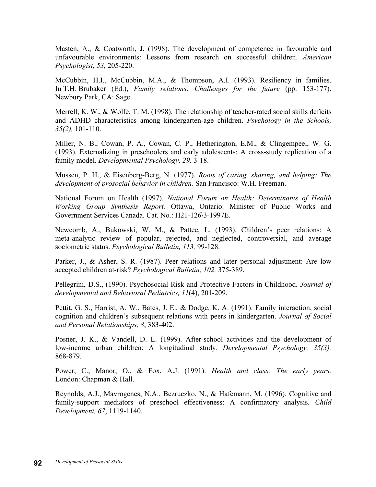Masten, A., & Coatworth, J. (1998). The development of competence in favourable and unfavourable environments: Lessons from research on successful children. *American Psychologist, 53,* 205-220.

McCubbin, H.I., McCubbin, M.A., & Thompson, A.I. (1993). Resiliency in families. In T.H. Brubaker (Ed.), *Family relations: Challenges for the future* (pp. 153-177). Newbury Park, CA: Sage.

Merrell, K. W.,  $\&$  Wolfe, T. M. (1998). The relationship of teacher-rated social skills deficits and ADHD characteristics among kindergarten-age children. *Psychology in the Schools, 35(2),* 101-110.

Miller, N. B., Cowan, P. A., Cowan, C. P., Hetherington, E.M., & Clingempeel, W. G. (1993). Externalizing in preschoolers and early adolescents: A cross-study replication of a family model. *Developmental Psychology, 29,* 3-18.

Mussen, P. H., & Eisenberg-Berg, N. (1977). *Roots of caring, sharing, and helping: The development of prosocial behavior in children.* San Francisco: W.H. Freeman.

National Forum on Health (1997). *National Forum on Health: Determinants of Health Working Group Synthesis Report.* Ottawa, Ontario: Minister of Public Works and Government Services Canada. Cat. No.: H21-126\3-1997E.

Newcomb, A., Bukowski, W. M., & Pattee, L. (1993). Children's peer relations: A meta-analytic review of popular, rejected, and neglected, controversial, and average sociometric status. *Psychological Bulletin, 113,* 99-128.

Parker, J., & Asher, S. R. (1987). Peer relations and later personal adjustment: Are low accepted children at-risk? *Psychological Bulletin, 102,* 375-389.

Pellegrini, D.S., (1990). Psychosocial Risk and Protective Factors in Childhood. *Journal of developmental and Behavioral Pediatrics, 11*(4), 201-209.

Pettit, G. S., Harrist, A. W., Bates, J. E., & Dodge, K. A. (1991). Family interaction, social cognition and children's subsequent relations with peers in kindergarten. *Journal of Social and Personal Relationships, 8*, 383-402.

Posner, J. K., & Vandell, D. L. (1999). After-school activities and the development of low-income urban children: A longitudinal study. *Developmental Psychology, 35(3),* 868-879.

Power, C., Manor, O., & Fox, A.J. (1991). *Health and class: The early years.* London: Chapman & Hall.

Reynolds, A.J., Mavrogenes, N.A., Bezruczko, N., & Hafemann, M. (1996). Cognitive and family-support mediators of preschool effectiveness: A confirmatory analysis. *Child Development, 67*, 1119-1140.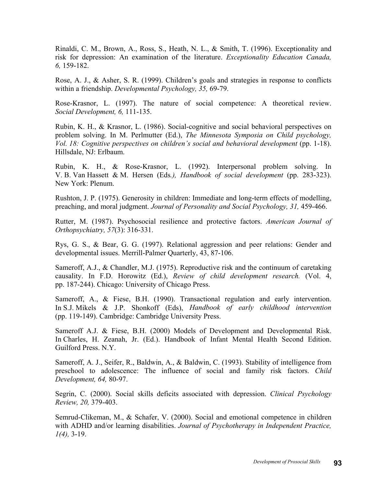Rinaldi, C. M., Brown, A., Ross, S., Heath, N. L., & Smith, T. (1996). Exceptionality and risk for depression: An examination of the literature. *Exceptionality Education Canada, 6,* 159-182.

Rose, A. J., & Asher, S. R. (1999). Children's goals and strategies in response to conflicts within a friendship. *Developmental Psychology, 35,* 69-79.

Rose-Krasnor, L. (1997). The nature of social competence: A theoretical review. *Social Development, 6,* 111-135.

Rubin, K. H., & Krasnor, L. (1986). Social-cognitive and social behavioral perspectives on problem solving. In M. Perlmutter (Ed.), *The Minnesota Symposia on Child psychology, Vol. 18: Cognitive perspectives on children's social and behavioral development* (pp. 1-18). Hillsdale, NJ: Erlbaum.

Rubin, K. H., & Rose-Krasnor, L. (1992). Interpersonal problem solving. In V. B. Van Hassett & M. Hersen (Eds*.), Handbook of social development* (pp. 283-323). New York: Plenum.

Rushton, J. P. (1975). Generosity in children: Immediate and long-term effects of modelling, preaching, and moral judgment. *Journal of Personality and Social Psychology, 31,* 459-466.

Rutter, M. (1987). Psychosocial resilience and protective factors. *American Journal of Orthopsychiatry, 57*(3): 316-331.

Rys, G. S., & Bear, G. G. (1997). Relational aggression and peer relations: Gender and developmental issues. Merrill-Palmer Quarterly, 43, 87-106.

Sameroff, A.J., & Chandler, M.J. (1975). Reproductive risk and the continuum of caretaking causality. In F.D. Horowitz (Ed.), *Review of child development research.* (Vol. 4, pp. 187-244). Chicago: University of Chicago Press.

Sameroff, A., & Fiese, B.H. (1990). Transactional regulation and early intervention. In S.J. Mikels & J.P. Shonkoff (Eds), *Handbook of early childhood intervention* (pp. 119-149). Cambridge: Cambridge University Press.

Sameroff A.J. & Fiese, B.H. (2000) Models of Development and Developmental Risk. In Charles, H. Zeanah, Jr. (Ed.). Handbook of Infant Mental Health Second Edition. Guilford Press. N.Y.

Sameroff, A. J., Seifer, R., Baldwin, A., & Baldwin, C. (1993). Stability of intelligence from preschool to adolescence: The influence of social and family risk factors. *Child Development, 64,* 80-97.

Segrin, C. (2000). Social skills deficits associated with depression. *Clinical Psychology Review, 20,* 379-403.

Semrud-Clikeman, M., & Schafer, V. (2000). Social and emotional competence in children with ADHD and/or learning disabilities. *Journal of Psychotherapy in Independent Practice, 1(4),* 3-19.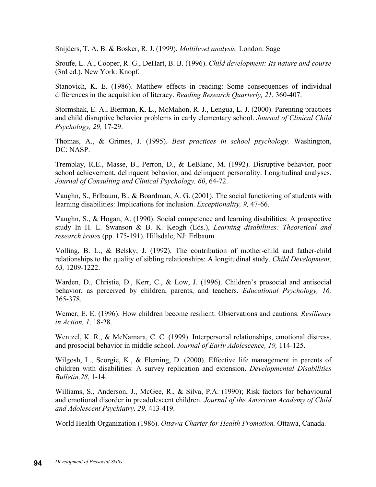Snijders, T. A. B. & Bosker, R. J. (1999). *Multilevel analysis.* London: Sage

Sroufe, L. A., Cooper, R. G., DeHart, B. B. (1996). *Child development: Its nature and course* (3rd ed.). New York: Knopf.

Stanovich, K. E. (1986). Matthew effects in reading: Some consequences of individual differences in the acquisition of literacy. *Reading Research Quarterly, 21*, 360-407.

Stormshak, E. A., Bierman, K. L., McMahon, R. J., Lengua, L. J. (2000). Parenting practices and child disruptive behavior problems in early elementary school. *Journal of Clinical Child Psychology, 29,* 17-29.

Thomas, A., & Grimes, J. (1995). *Best practices in school psychology.* Washington, DC: NASP.

Tremblay, R.E., Masse, B., Perron, D., & LeBlanc, M. (1992). Disruptive behavior, poor school achievement, delinquent behavior, and delinquent personality: Longitudinal analyses. *Journal of Consulting and Clinical Psychology, 60*, 64-72.

Vaughn, S., Erlbaum, B., & Boardman, A. G. (2001). The social functioning of students with learning disabilities: Implications for inclusion. *Exceptionality, 9,* 47-66.

Vaughn, S., & Hogan, A. (1990). Social competence and learning disabilities: A prospective study In H. L. Swanson & B. K. Keogh (Eds.), *Learning disabilities: Theoretical and research issues* (pp. 175-191). Hillsdale, NJ: Erlbaum.

Volling, B. L., & Belsky, J. (1992). The contribution of mother-child and father-child relationships to the quality of sibling relationships: A longitudinal study. *Child Development, 63,* 1209-1222.

Warden, D., Christie, D., Kerr, C., & Low, J. (1996). Children's prosocial and antisocial behavior, as perceived by children, parents, and teachers. *Educational Psychology, 16,* 365-378.

Wemer, E. E. (1996). How children become resilient: Observations and cautions. *Resiliency in Action, 1,* 18-28.

Wentzel, K. R., & McNamara, C. C. (1999). Interpersonal relationships, emotional distress, and prosocial behavior in middle school. *Journal of Early Adolescence, 19,* 114-125.

Wilgosh, L., Scorgie, K., & Fleming, D. (2000). Effective life management in parents of children with disabilities: A survey replication and extension. *Developmental Disabilities Bulletin,28*, 1-14.

Williams, S., Anderson, J., McGee, R., & Silva, P.A. (1990); Risk factors for behavioural and emotional disorder in preadolescent children. *Journal of the American Academy of Child and Adolescent Psychiatry, 29,* 413-419.

World Health Organization (1986). *Ottawa Charter for Health Promotion.* Ottawa, Canada.